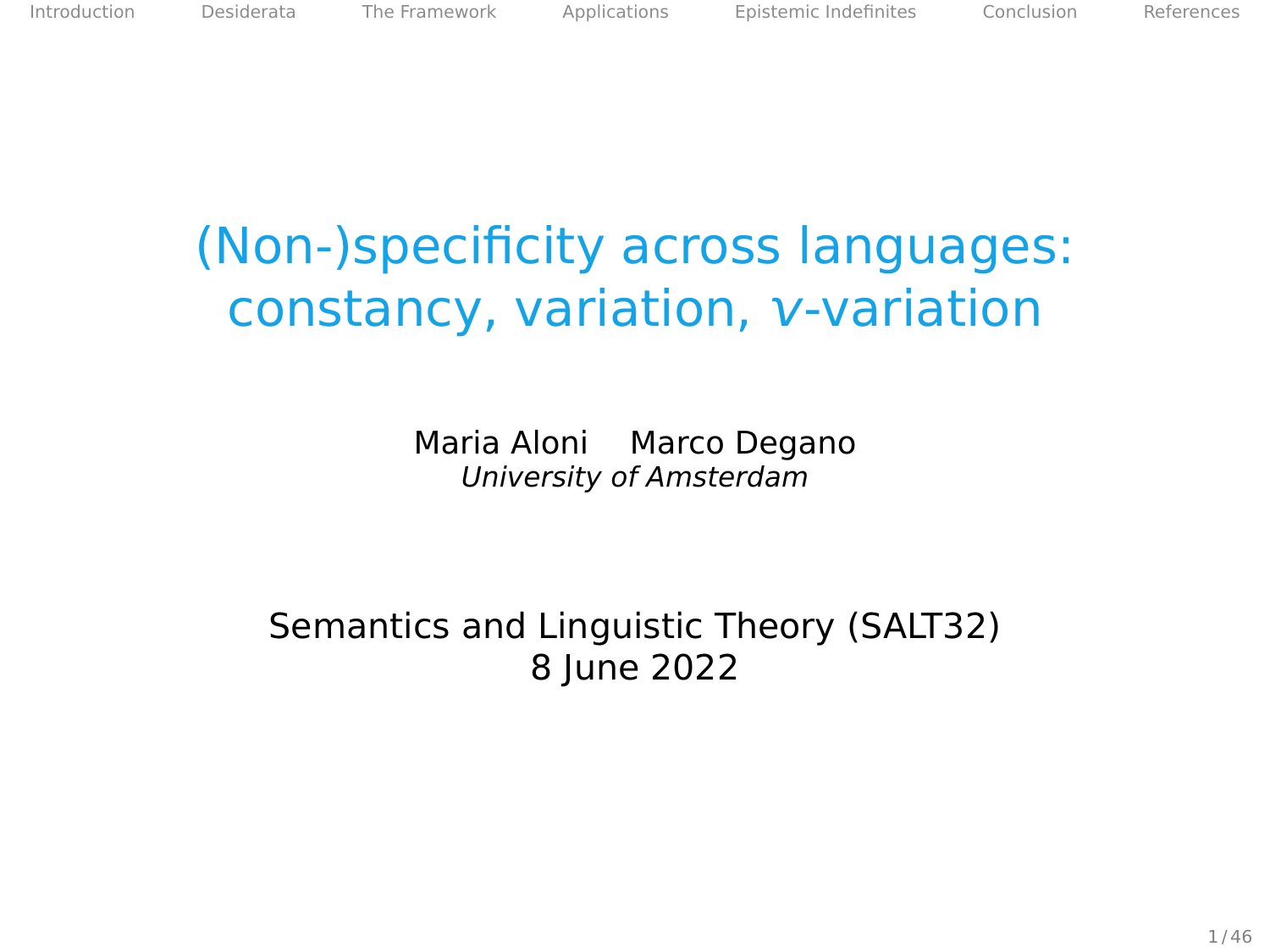[Introduction](#page-2-0) [Desiderata](#page-14-0) [The Framework](#page-25-0) [Applications](#page-47-0) [Epistemic Indefinites](#page-86-0) [Conclusion](#page-102-0) [References](#page-106-0)

# (Non-)specificity across languages: constancy, variation, *v*-variation

Maria Aloni Marco Degano University of Amsterdam

Semantics and Linguistic Theory (SALT32) 8 June 2022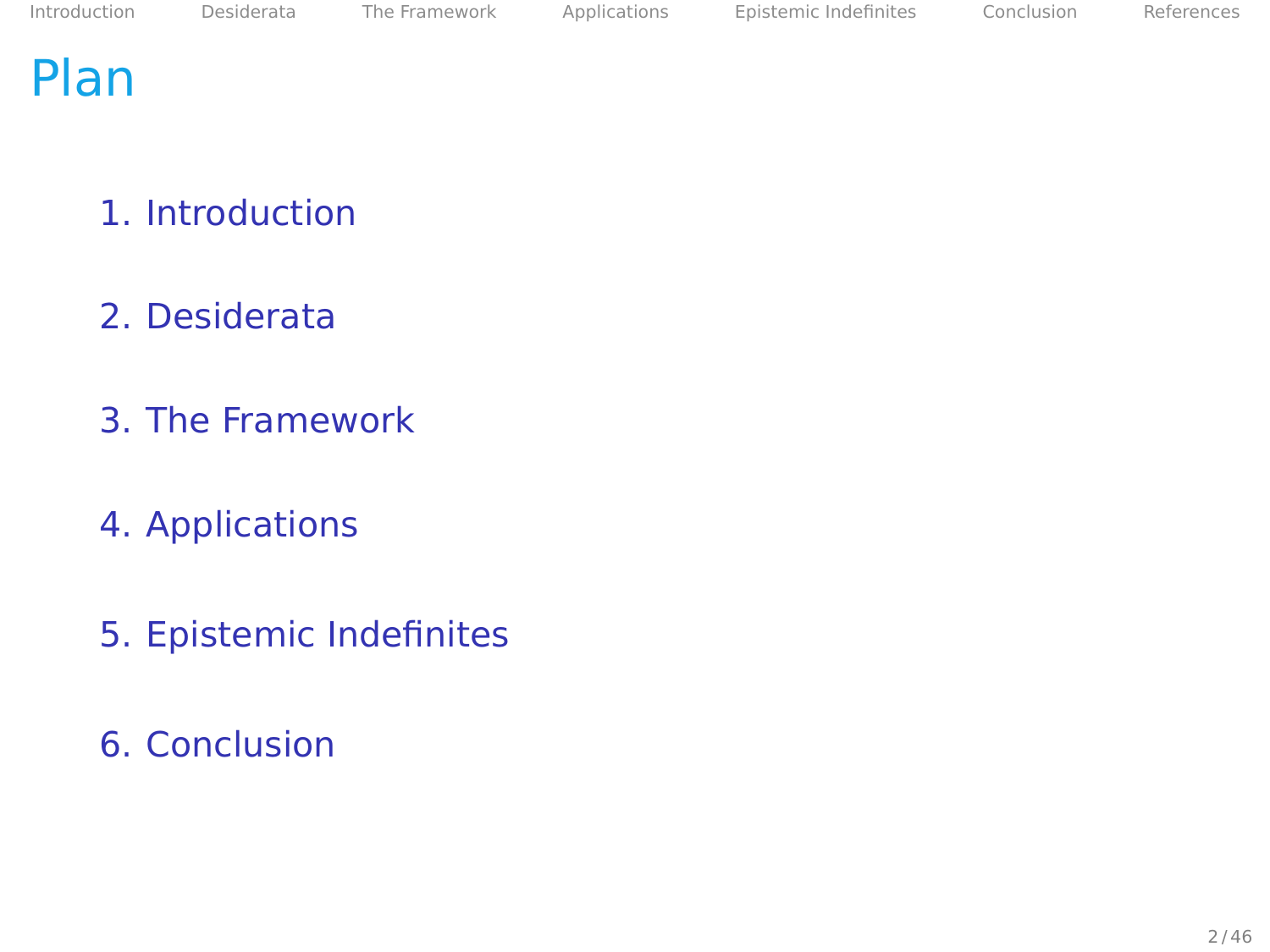# Plan

- 1. [Introduction](#page-2-0)
- 2. [Desiderata](#page-14-0)
- 3. [The Framework](#page-25-0)
- 4. [Applications](#page-47-0)
- 5. [Epistemic Indefinites](#page-86-0)
- 6. [Conclusion](#page-102-0)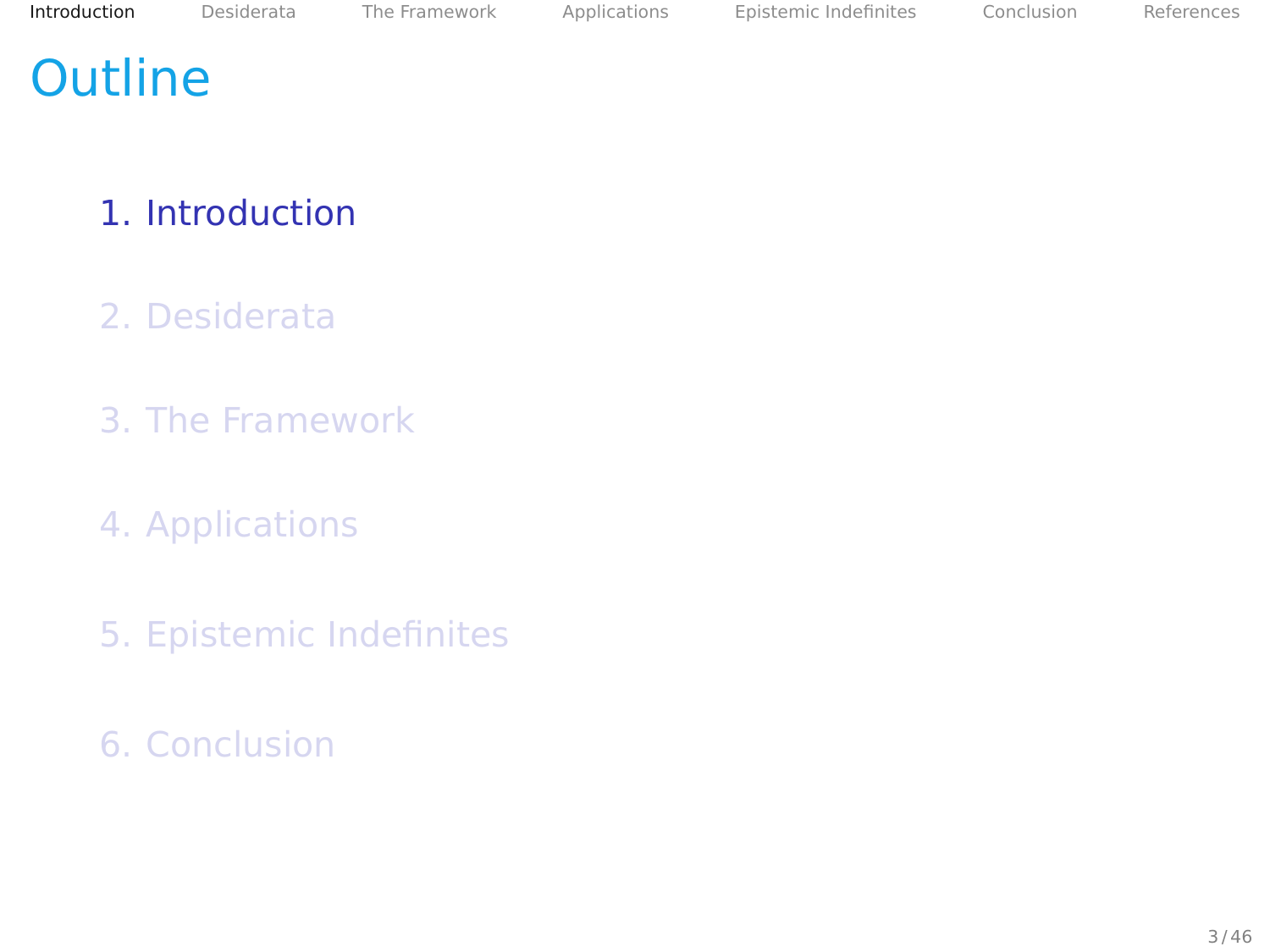# <span id="page-2-0"></span>**Outline**

#### 1. [Introduction](#page-2-0)

- 2. [Desiderata](#page-14-0)
- 3. [The Framework](#page-25-0)
- 4. [Applications](#page-47-0)
- 5. [Epistemic Indefinites](#page-86-0)
- 6. [Conclusion](#page-102-0)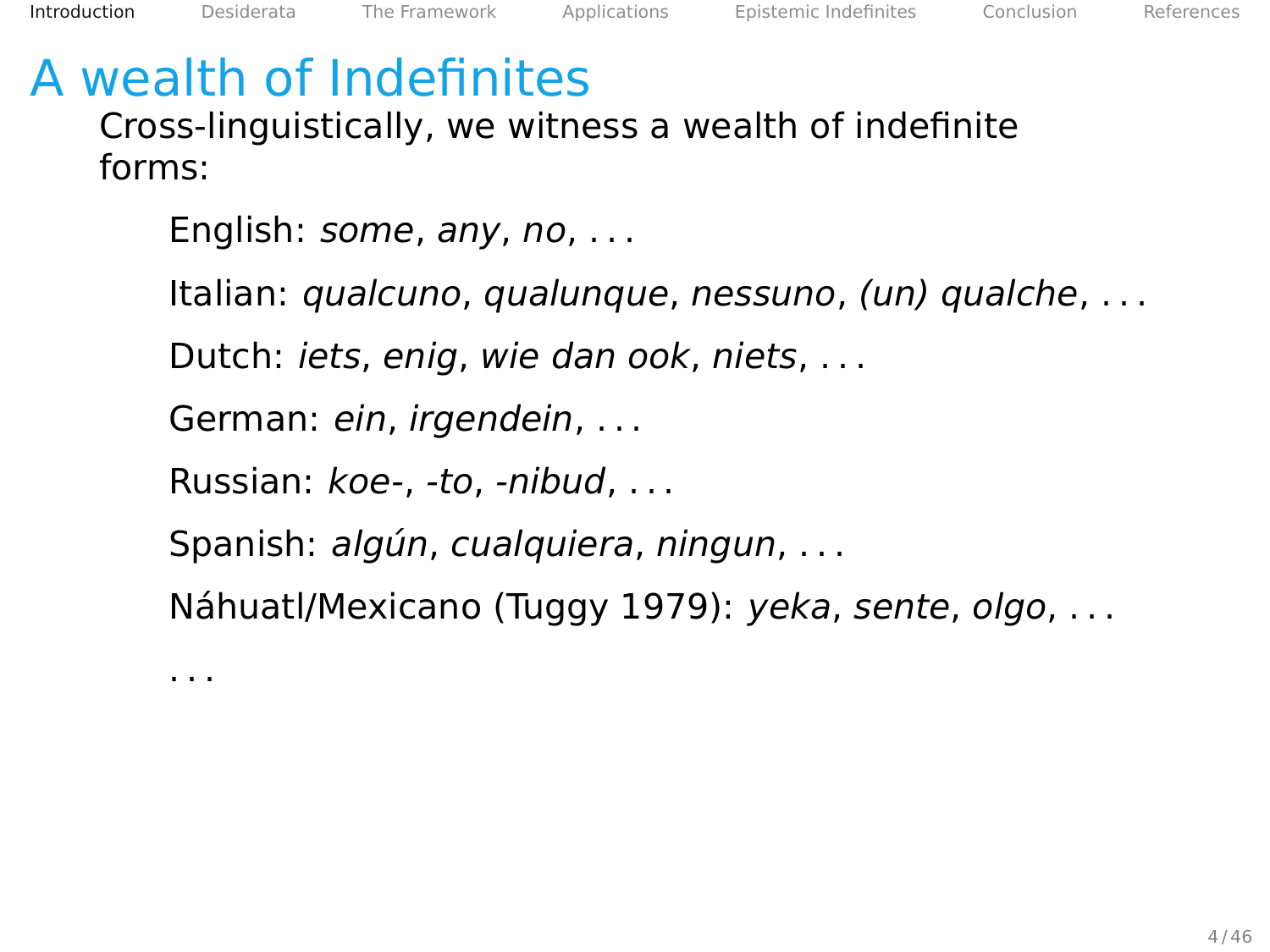# A wealth of Indefinites

Cross-linguistically, we witness a wealth of indefinite forms:

English: some, any, no, . . .

Italian: qualcuno, qualunque, nessuno, (un) qualche, . . .

Dutch: iets, enig, wie dan ook, niets, . . .

German: ein, irgendein, . . .

Russian: koe-, -to, -nibud, . . .

Spanish: algún, cualquiera, ningun, . . .

Náhuatl/Mexicano (Tuggy [1979\)](#page-108-0): yeka, sente, olgo, . . .

. . .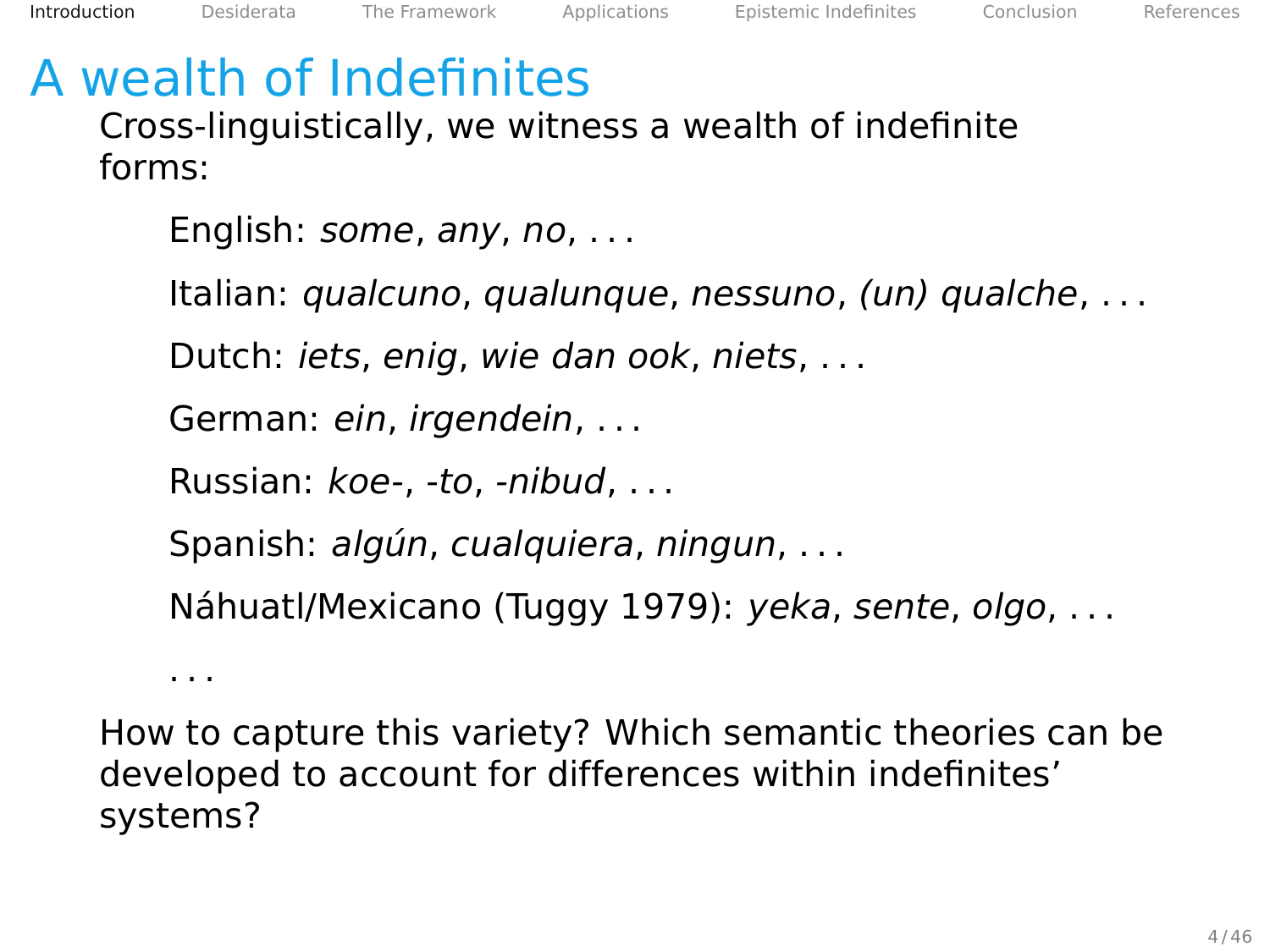# A wealth of Indefinites

Cross-linguistically, we witness a wealth of indefinite forms:

English: *some*, any, no, ...

Italian: qualcuno, qualunque, nessuno, (un) qualche, . . .

Dutch: iets, enig, wie dan ook, niets, . . .

German: ein, irgendein, . . .

Russian: koe-, -to, -nibud, . . .

Spanish: algún, cualquiera, ningun, . . .

Náhuatl/Mexicano (Tuggy [1979\)](#page-108-0): yeka, sente, olgo, . . .

. . .

How to capture this variety? Which semantic theories can be developed to account for differences within indefinites' systems?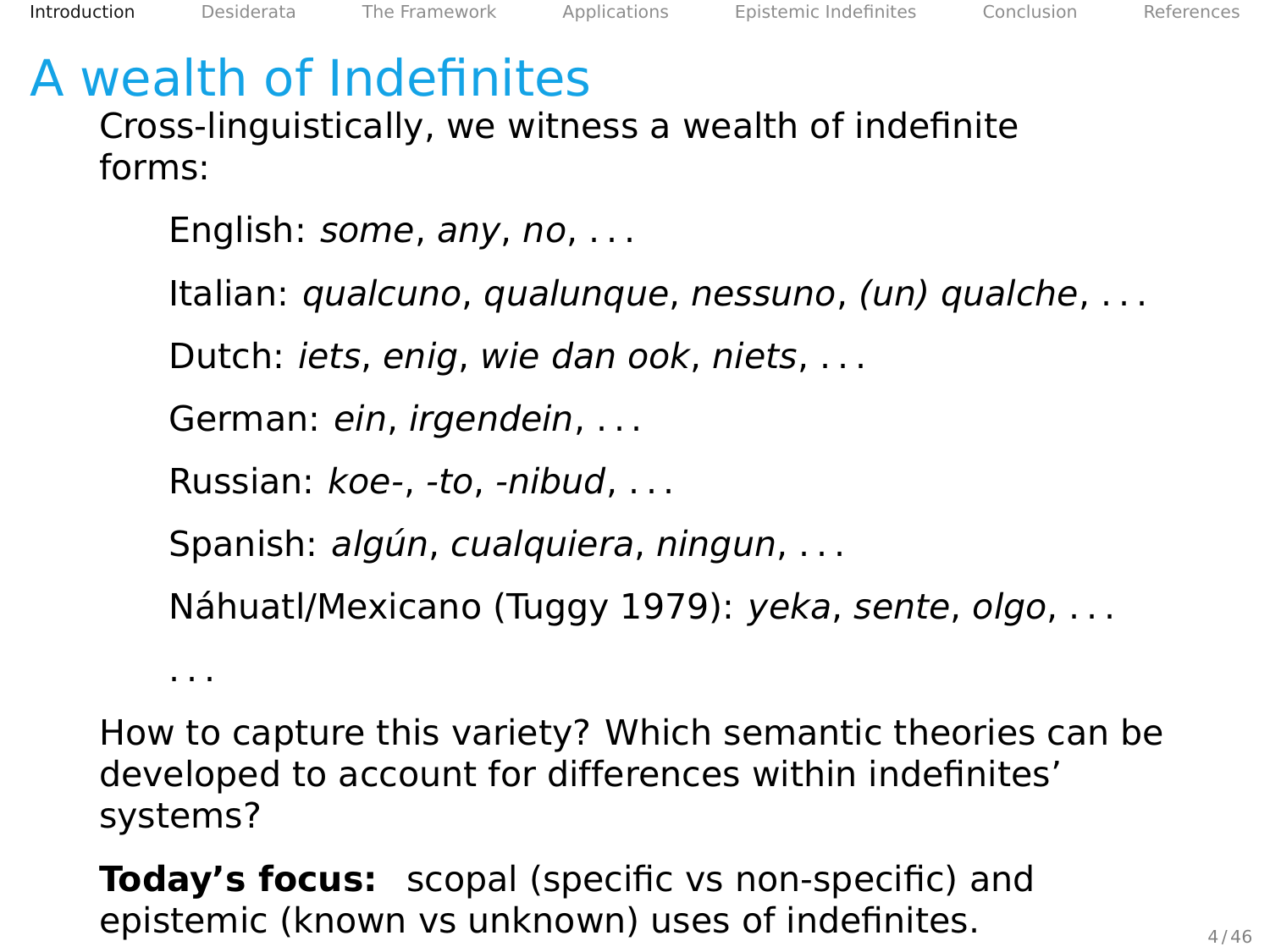# A wealth of Indefinites

Cross-linguistically, we witness a wealth of indefinite forms:

English: some, any, no, . . .

Italian: qualcuno, qualunque, nessuno, (un) qualche, . . .

Dutch: iets, enig, wie dan ook, niets, . . .

German: ein, irgendein, . . .

Russian: koe-, -to, -nibud, . . .

Spanish: algún, cualquiera, ningun, . . .

Náhuatl/Mexicano (Tuggy [1979\)](#page-108-0): yeka, sente, olgo, . . .

. . .

How to capture this variety? Which semantic theories can be developed to account for differences within indefinites' systems?

**Today's focus:** scopal (specific vs non-specific) and epistemic (known vs unknown) uses of indefinites.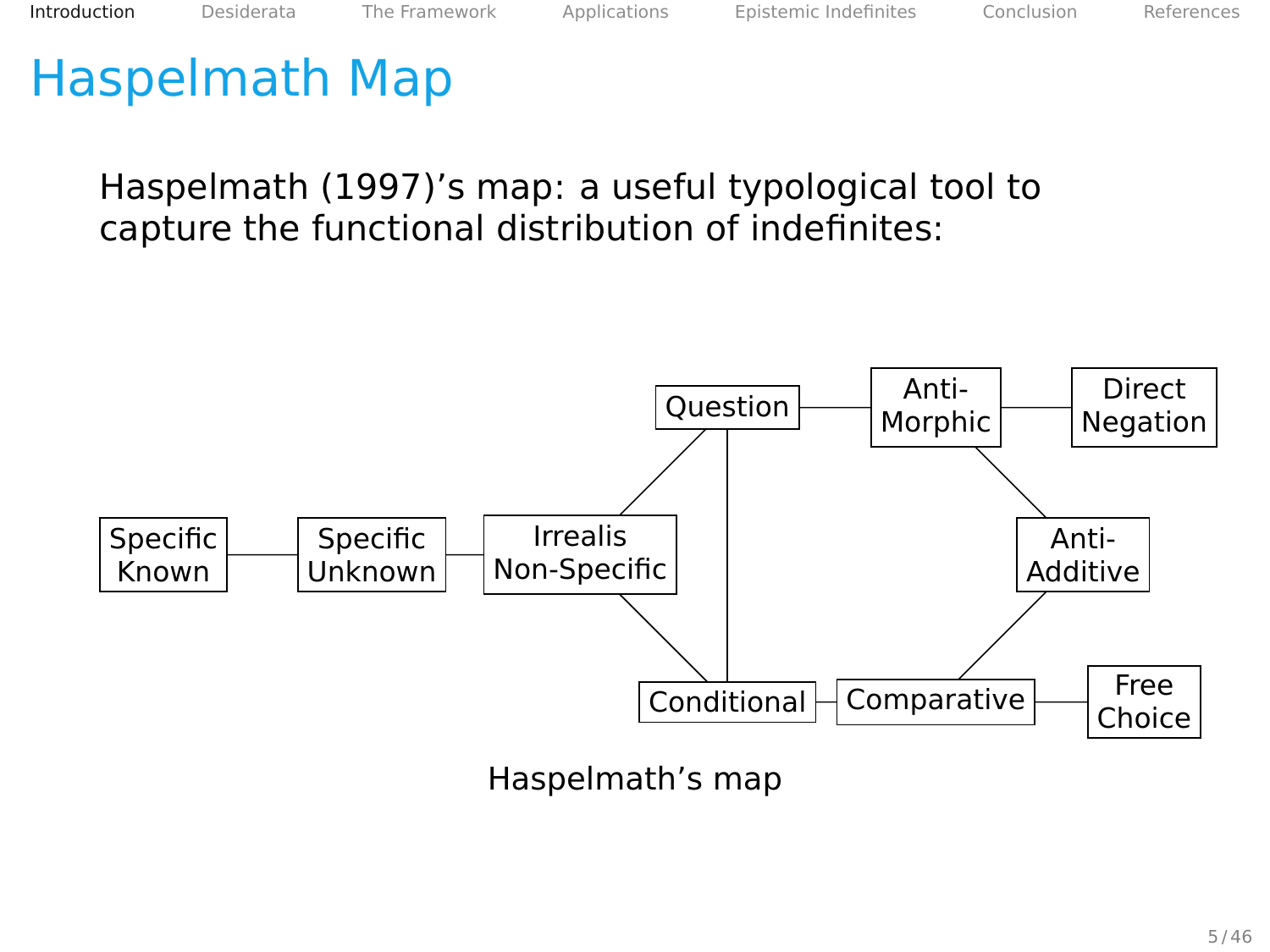Haspelmath (1997)'s map: a useful typological tool to capture the functional distribution of indefinites:

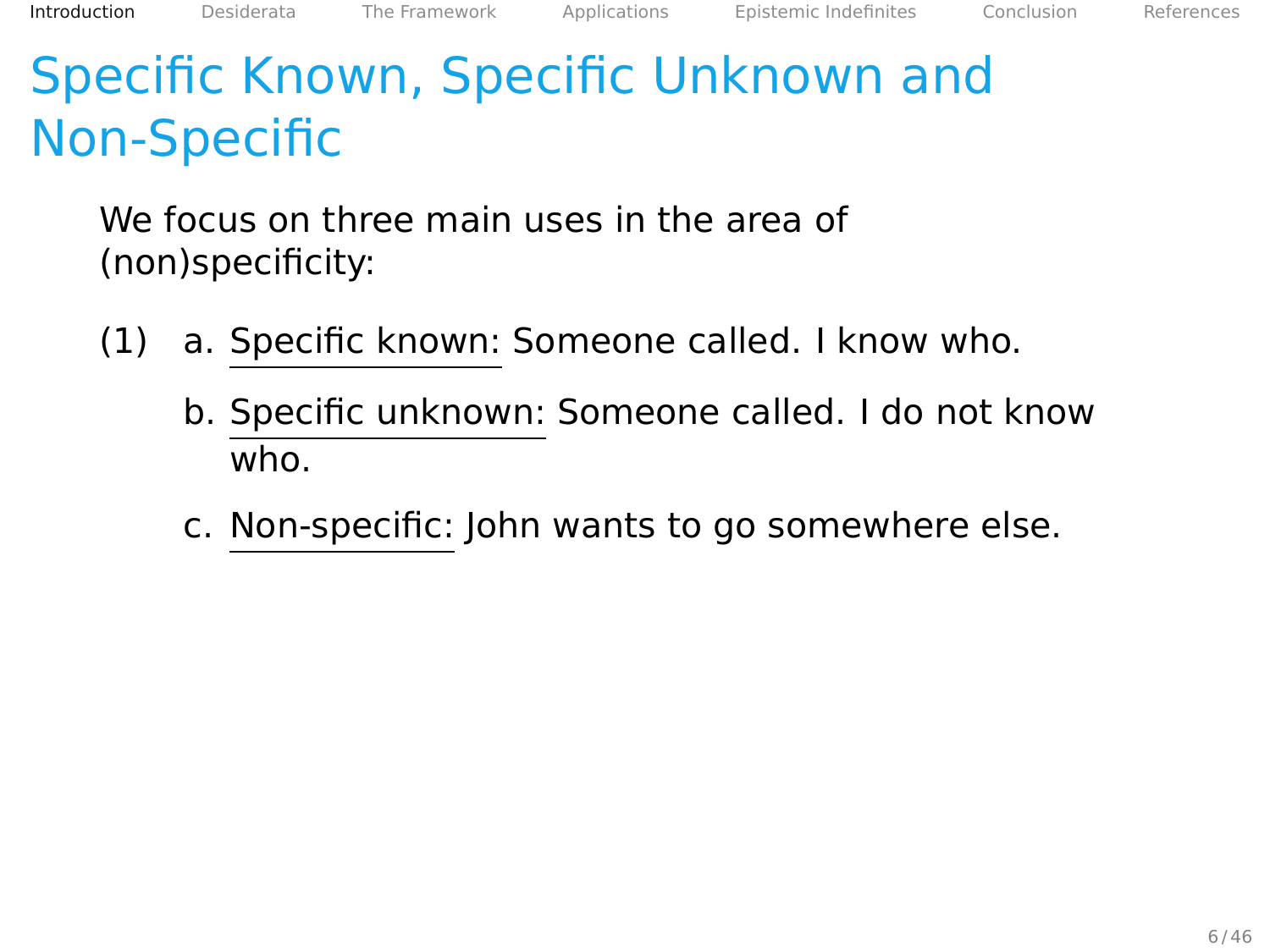# Specific Known, Specific Unknown and Non-Specific

We focus on three main uses in the area of (non)specificity:

- (1) a. Specific known: Someone called. I know who.
	- b. Specific unknown: Someone called. I do not know who.
	- c. Non-specific: John wants to go somewhere else.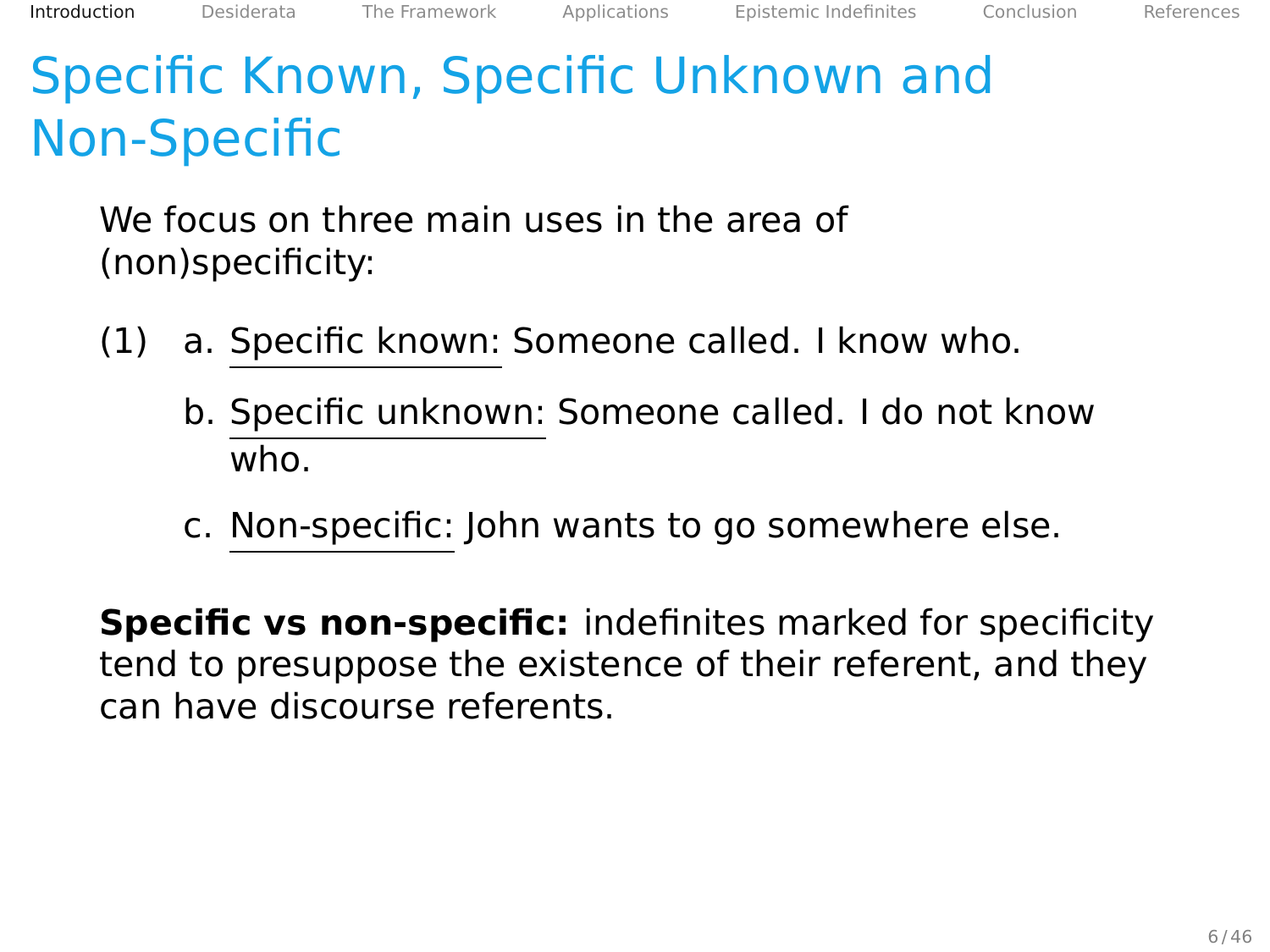# Specific Known, Specific Unknown and Non-Specific

We focus on three main uses in the area of (non)specificity:

- (1) a. Specific known: Someone called. I know who.
	- b. Specific unknown: Someone called. I do not know who.
	- c. Non-specific: John wants to go somewhere else.

**Specific vs non-specific:** indefinites marked for specificity tend to presuppose the existence of their referent, and they can have discourse referents.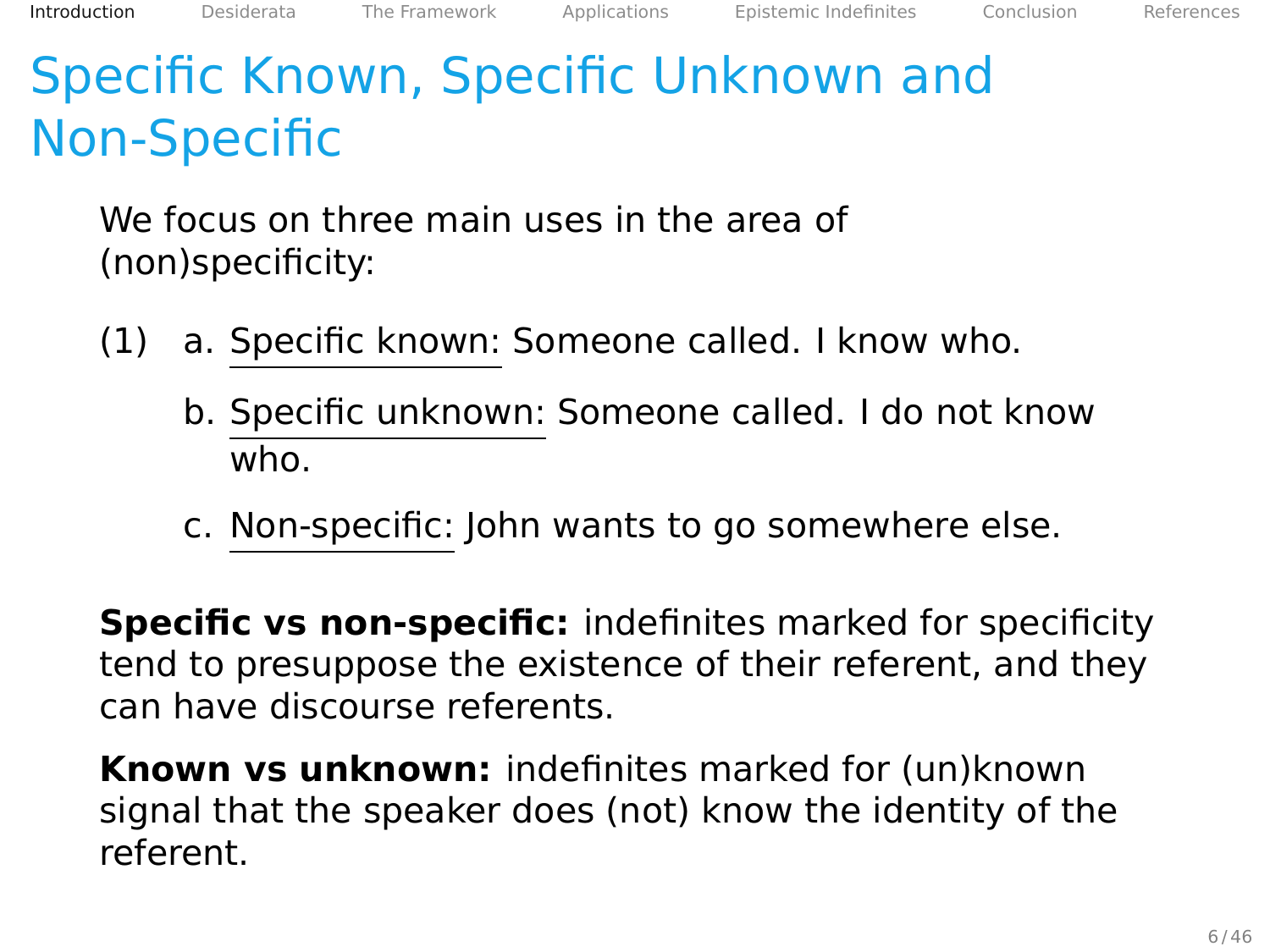# Specific Known, Specific Unknown and Non-Specific

We focus on three main uses in the area of (non)specificity:

- (1) a. Specific known: Someone called. I know who.
	- b. Specific unknown: Someone called. I do not know who.
	- c. Non-specific: John wants to go somewhere else.

**Specific vs non-specific:** indefinites marked for specificity tend to presuppose the existence of their referent, and they can have discourse referents.

**Known vs unknown:** indefinites marked for (un)known signal that the speaker does (not) know the identity of the referent.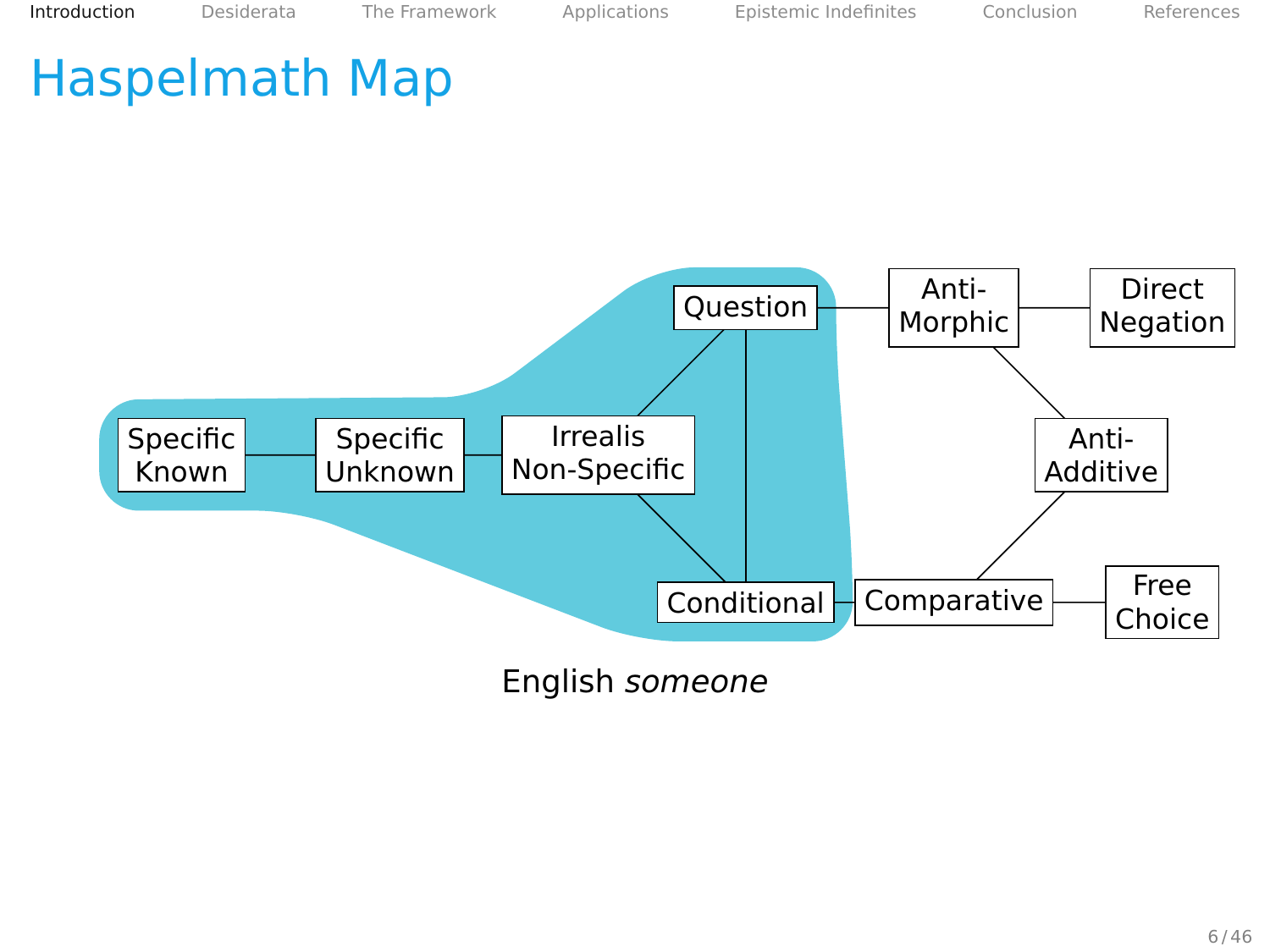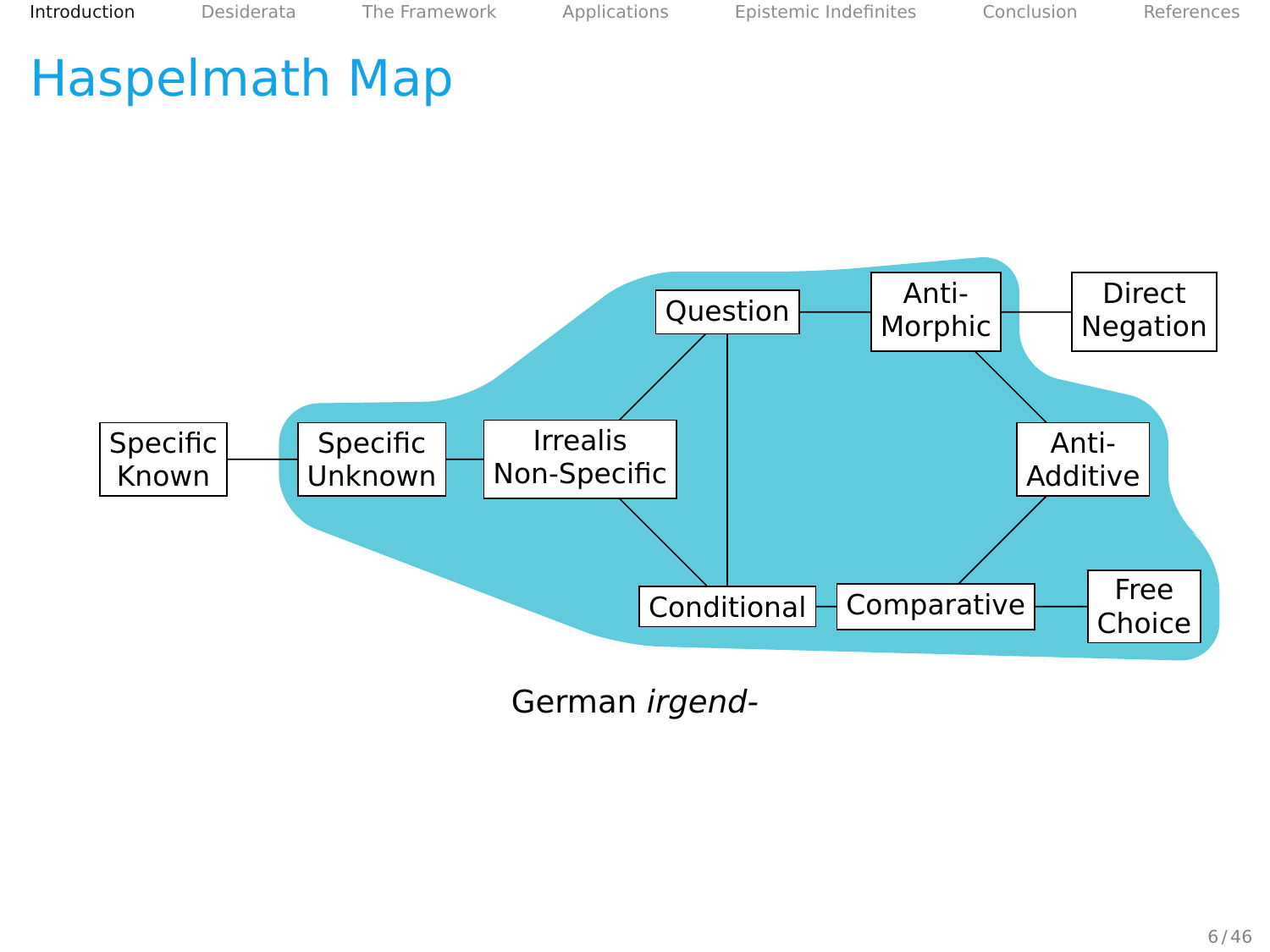

German irgend-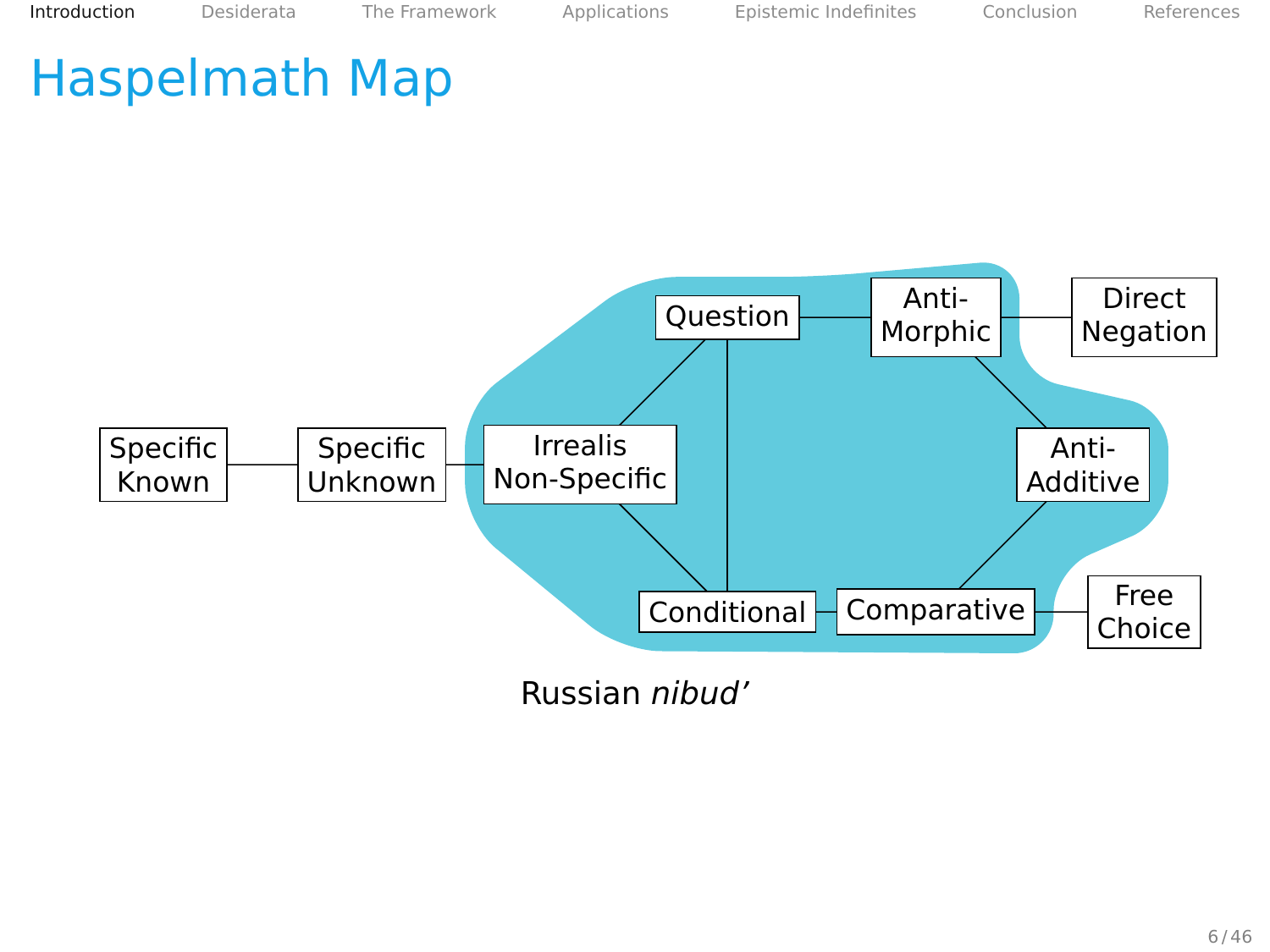

Russian nibud'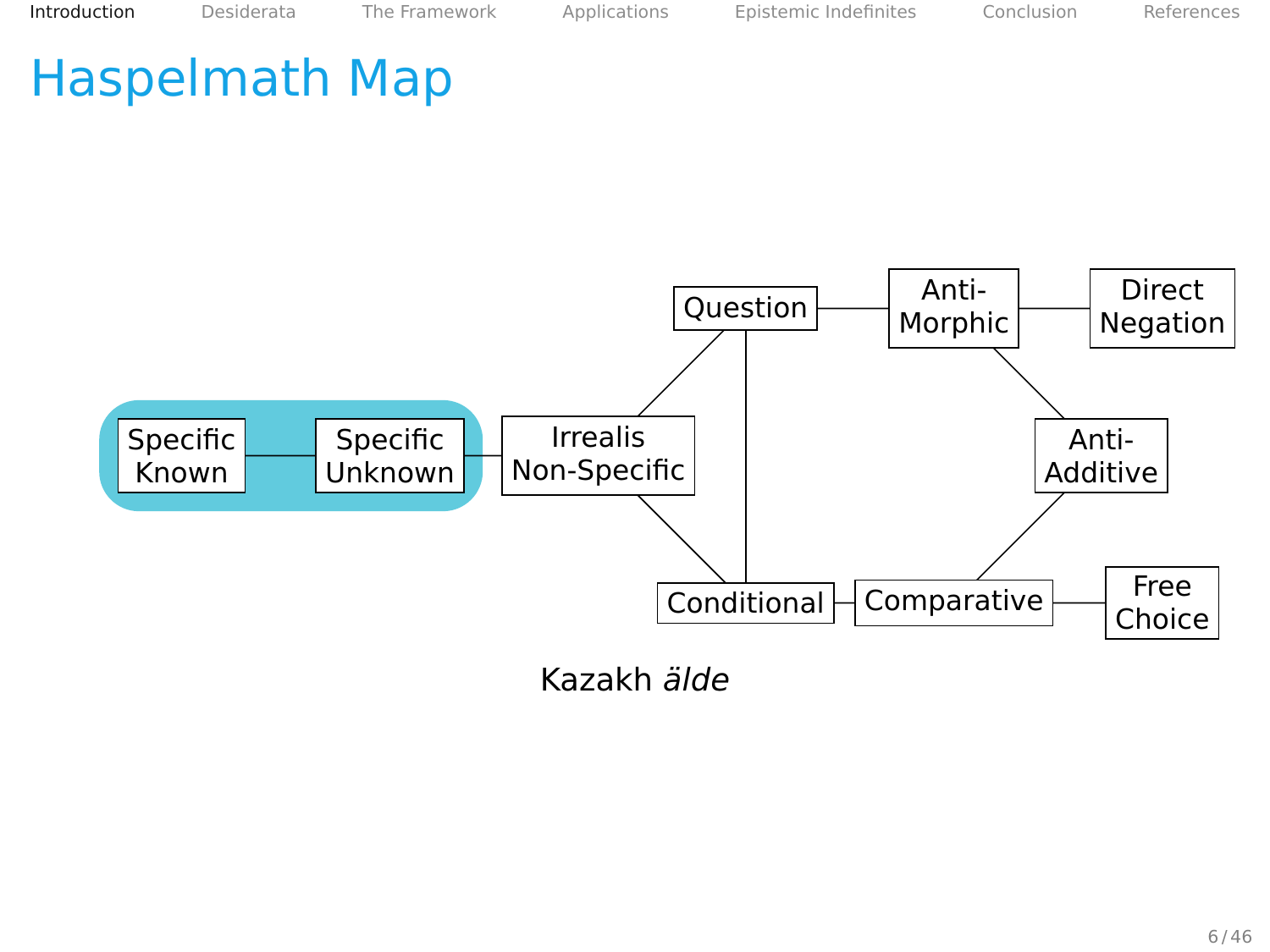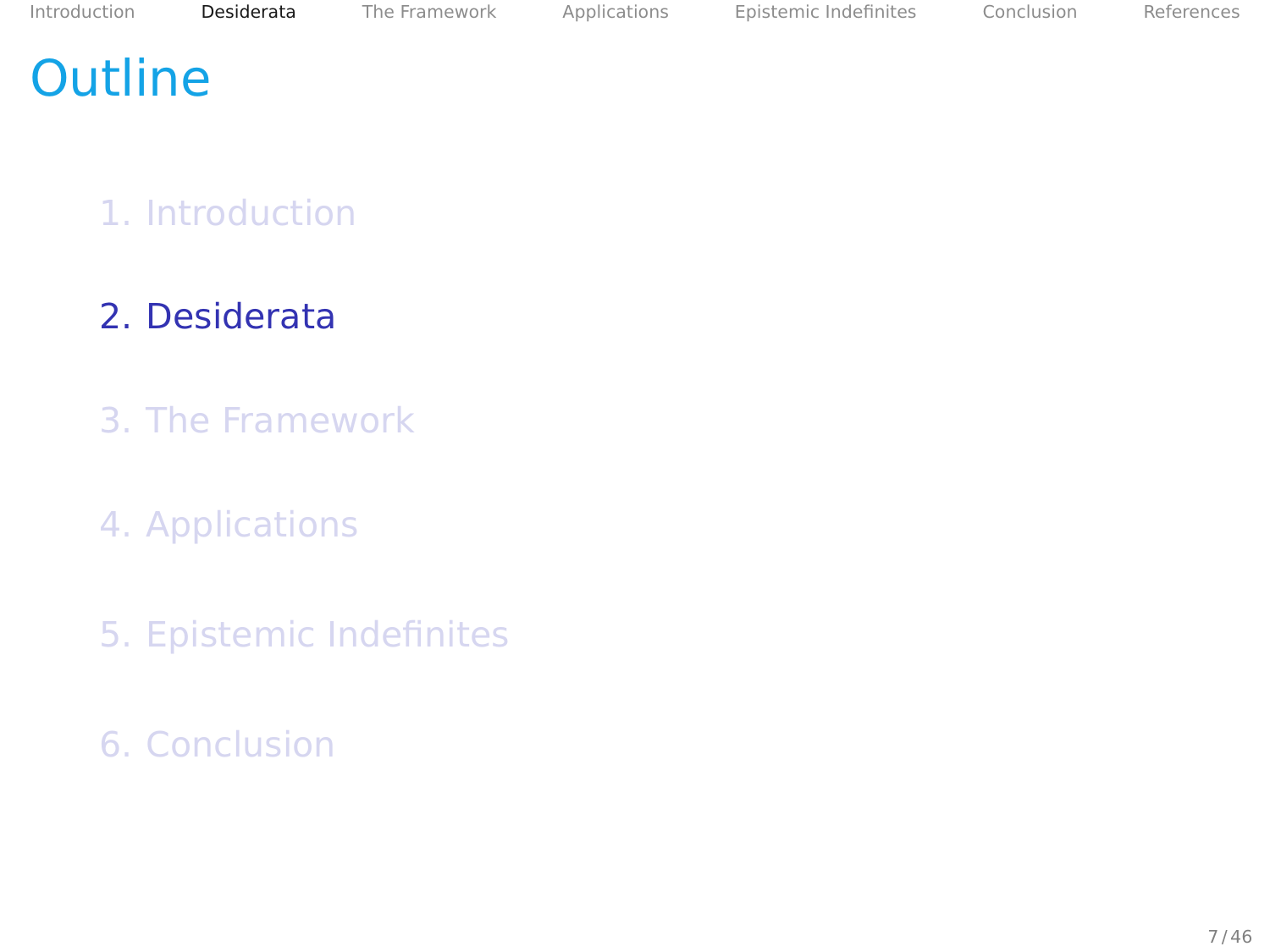# <span id="page-14-0"></span>**Outline**

#### 1. [Introduction](#page-2-0)

#### 2. [Desiderata](#page-14-0)

- 3. [The Framework](#page-25-0)
- 4. [Applications](#page-47-0)
- 5. [Epistemic Indefinites](#page-86-0)
- 6. [Conclusion](#page-102-0)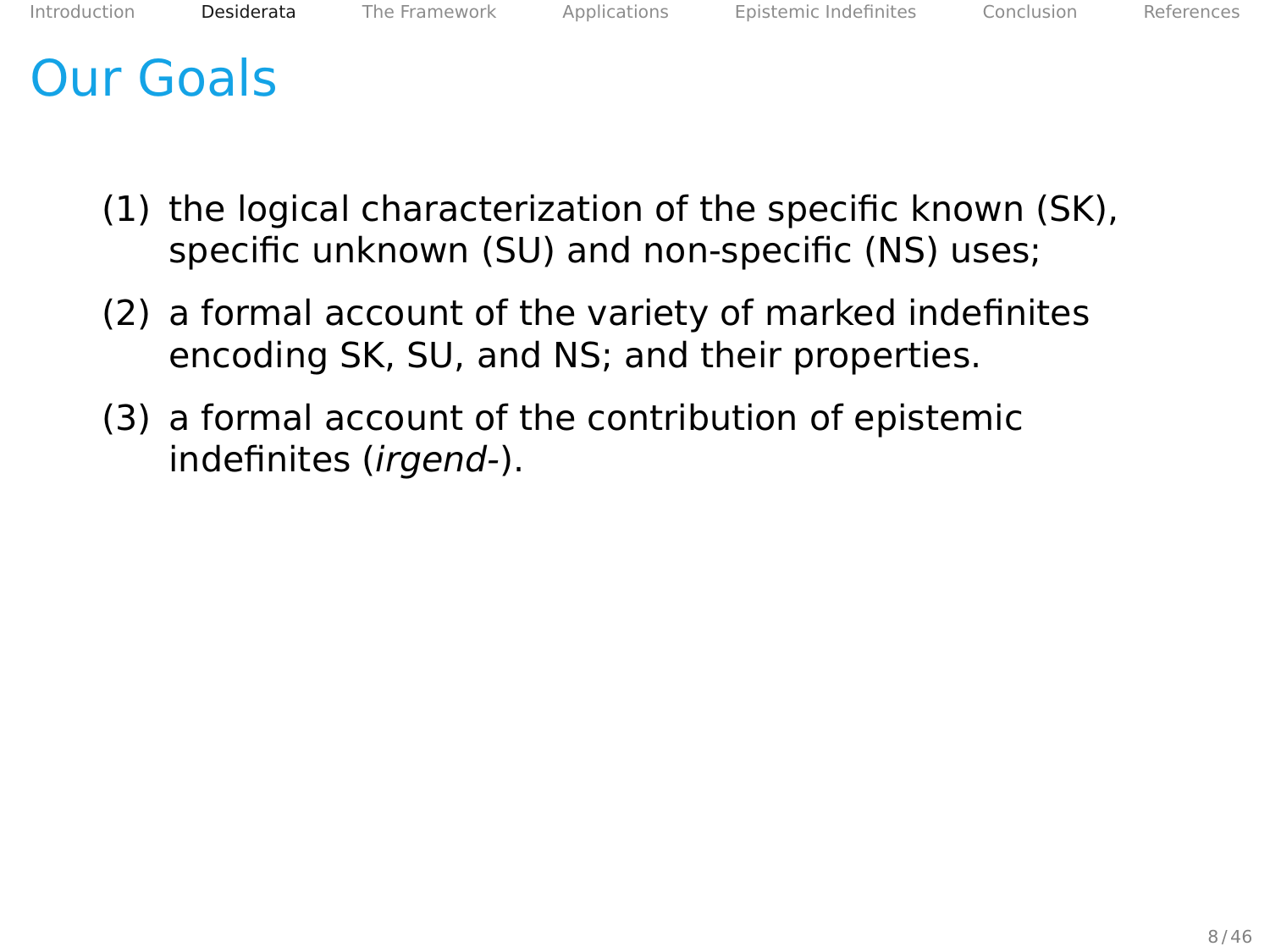# Our Goals

- (1) the logical characterization of the specific known (SK), specific unknown (SU) and non-specific (NS) uses;
- (2) a formal account of the variety of marked indefinites encoding SK, SU, and NS; and their properties.
- (3) a formal account of the contribution of epistemic indefinites (irgend-).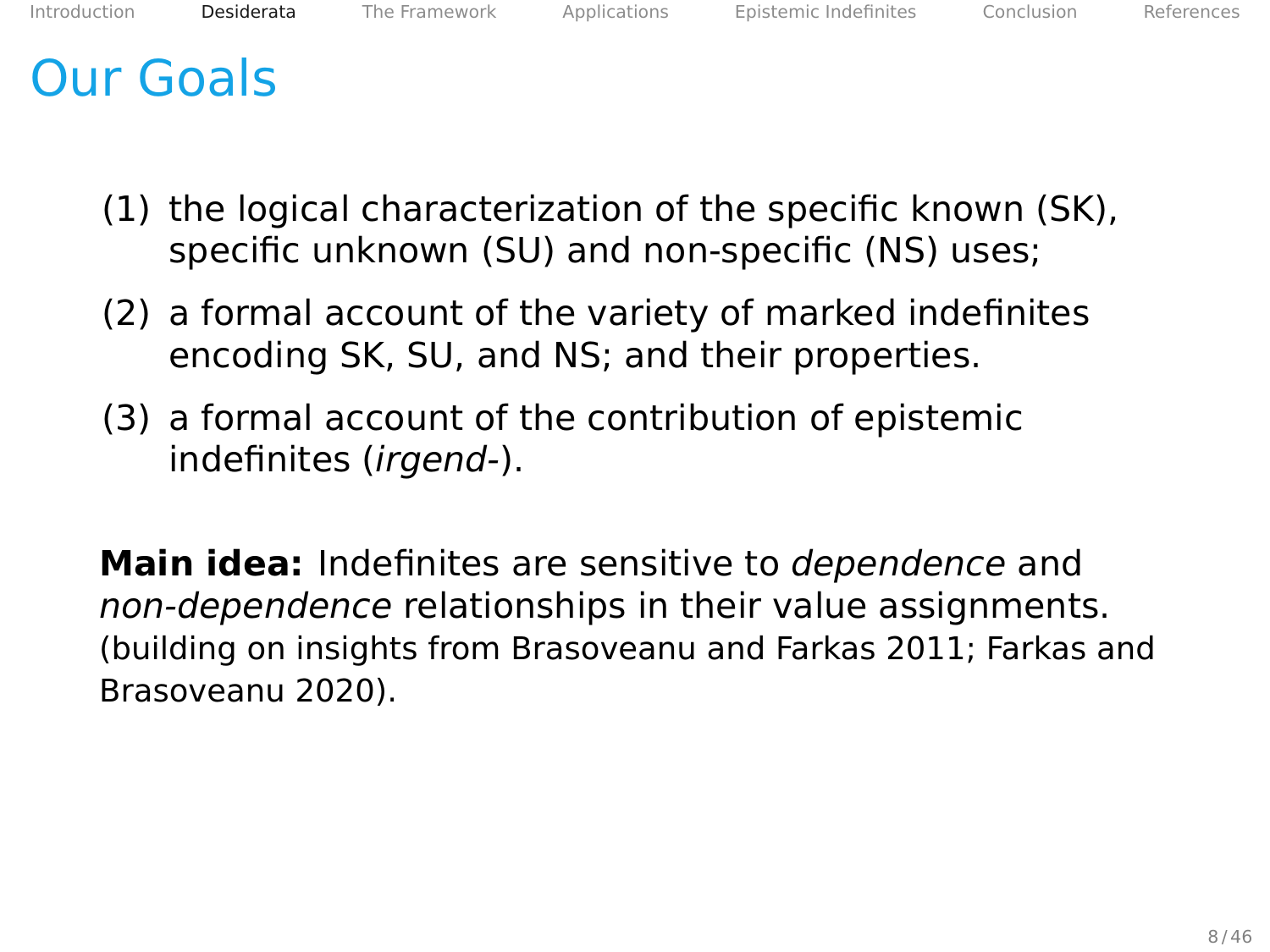## Our Goals

- (1) the logical characterization of the specific known (SK), specific unknown (SU) and non-specific (NS) uses;
- (2) a formal account of the variety of marked indefinites encoding SK, SU, and NS; and their properties.
- (3) a formal account of the contribution of epistemic indefinites (irgend-).

**Main idea:** Indefinites are sensitive to dependence and non-dependence relationships in their value assignments. (building on insights from Brasoveanu and Farkas [2011;](#page-106-1) Farkas and Brasoveanu [2020\)](#page-106-2).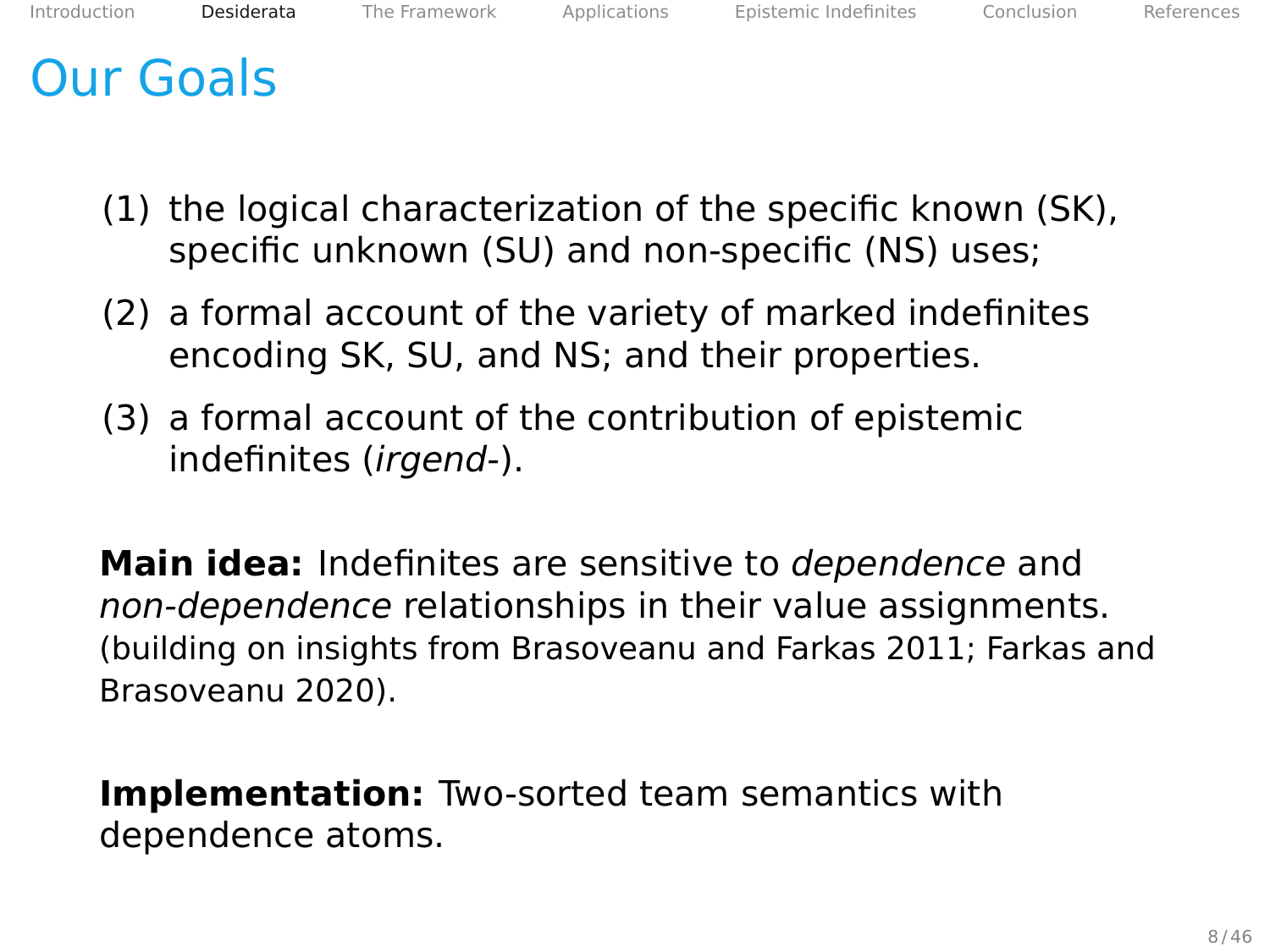# Our Goals

- (1) the logical characterization of the specific known (SK), specific unknown (SU) and non-specific (NS) uses;
- (2) a formal account of the variety of marked indefinites encoding SK, SU, and NS; and their properties.
- (3) a formal account of the contribution of epistemic indefinites (irgend-).

**Main idea:** Indefinites are sensitive to dependence and non-dependence relationships in their value assignments. (building on insights from Brasoveanu and Farkas [2011;](#page-106-1) Farkas and Brasoveanu [2020\)](#page-106-2).

**Implementation:** Two-sorted team semantics with dependence atoms.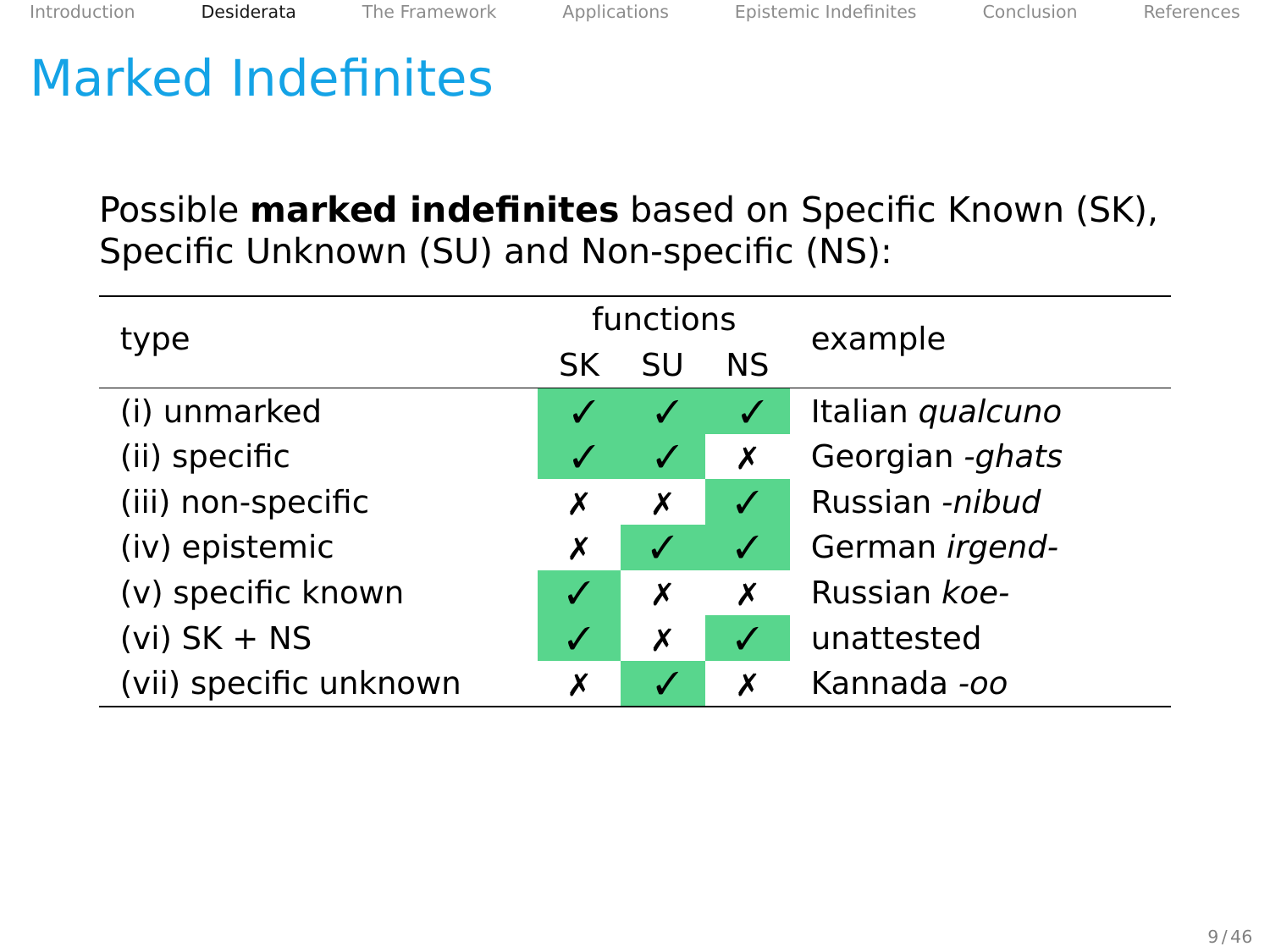Possible **marked indefinites** based on Specific Known (SK), Specific Unknown (SU) and Non-specific (NS):

| type                   | functions |                  |    | example          |
|------------------------|-----------|------------------|----|------------------|
|                        | SK        | SU               | ΝS |                  |
| (i) unmarked           |           |                  |    | Italian qualcuno |
| (ii) specific          |           | $\boldsymbol{V}$ | Х  | Georgian -ghats  |
| (iii) non-specific     | Х         | х                | √  | Russian -nibud   |
| (iv) epistemic         | х         | √                | ✓  | German irgend-   |
| (v) specific known     |           | Х                | X  | Russian koe-     |
| $(vi)$ SK + NS         | √         | х                | √  | unattested       |
| (vii) specific unknown | х         |                  | X  | Kannada -oo      |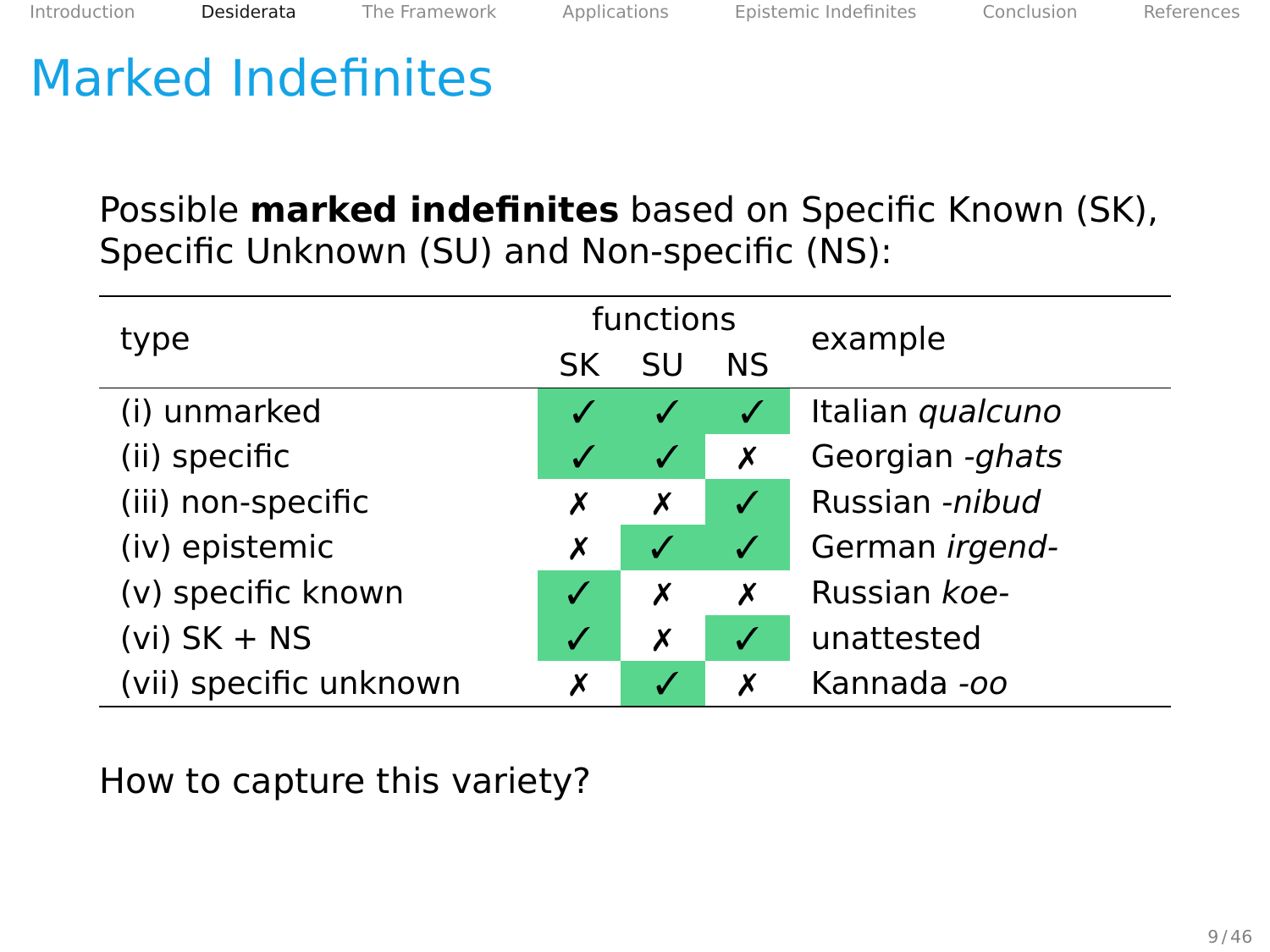Possible **marked indefinites** based on Specific Known (SK), Specific Unknown (SU) and Non-specific (NS):

| type                   | functions |              |              | example          |
|------------------------|-----------|--------------|--------------|------------------|
|                        | SK        | SU           | ΝS           |                  |
| (i) unmarked           |           |              |              | Italian qualcuno |
| (ii) specific          |           | $\checkmark$ | Х            | Georgian -ghats  |
| (iii) non-specific     | х         | Х            | $\checkmark$ | Russian -nibud   |
| (iv) epistemic         | Х         | √            | $\checkmark$ | German irgend-   |
| (v) specific known     |           | Х            | Х            | Russian koe-     |
| $(vi)$ SK + NS         | V         | Х            | √            | unattested       |
| (vii) specific unknown | х         |              | X            | Kannada -oo      |

How to capture this variety?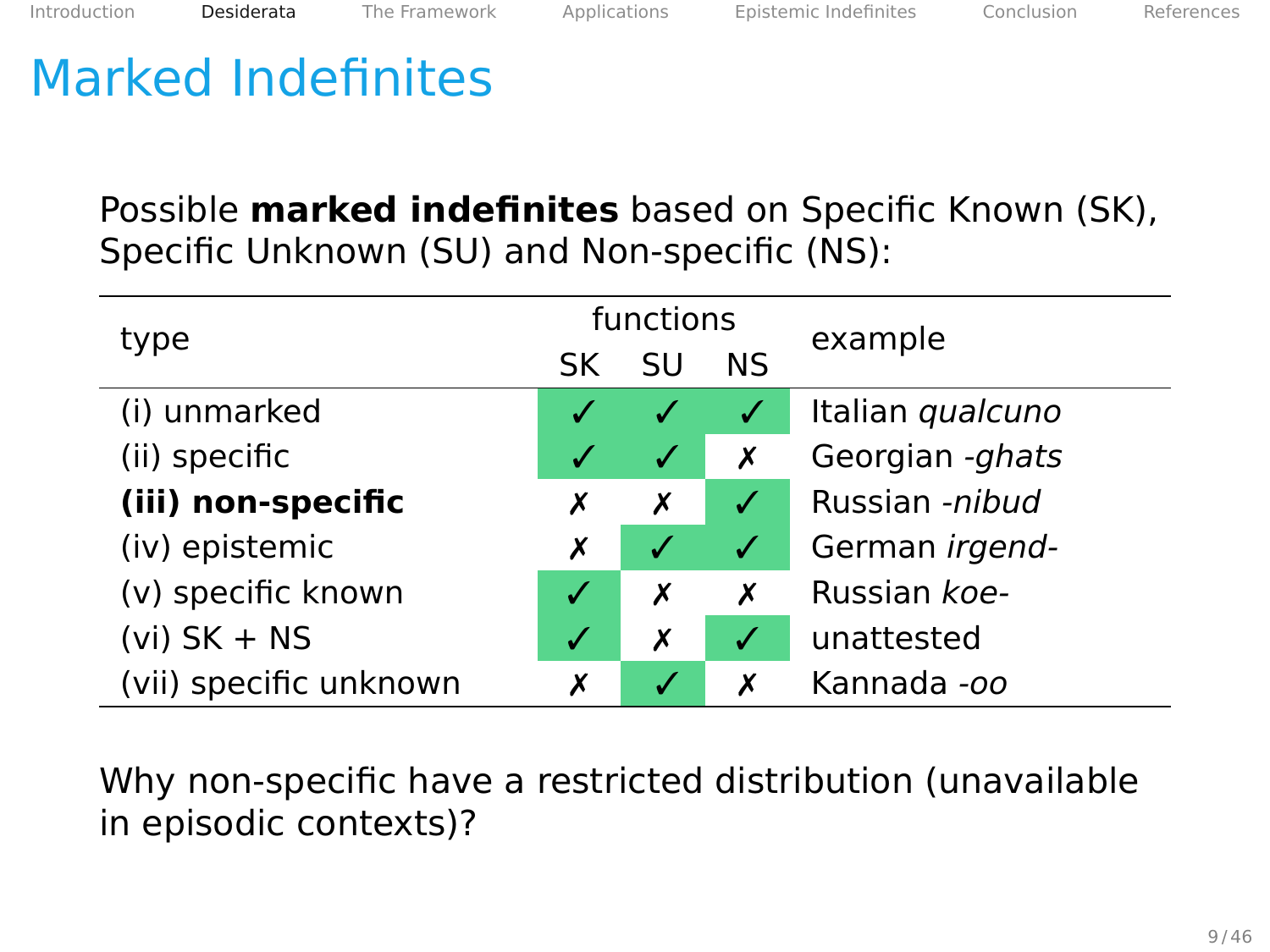Possible **marked indefinites** based on Specific Known (SK), Specific Unknown (SU) and Non-specific (NS):

| type                   |    | functions        |              | example          |
|------------------------|----|------------------|--------------|------------------|
|                        | SK | SU               | ΝS           |                  |
| (i) unmarked           |    |                  |              | Italian qualcuno |
| (ii) specific          |    | ✓                | Х            | Georgian -ghats  |
| (iii) non-specific     | х  | Х                | √            | Russian -nibud   |
| (iv) epistemic         | Х  | $\boldsymbol{J}$ | $\checkmark$ | German irgend-   |
| (v) specific known     |    | х                | X            | Russian koe-     |
| $(vi)$ SK + NS         |    | Х                | √            | unattested       |
| (vii) specific unknown | Х  |                  |              | Kannada -oo      |

Why non-specific have a restricted distribution (unavailable in episodic contexts)?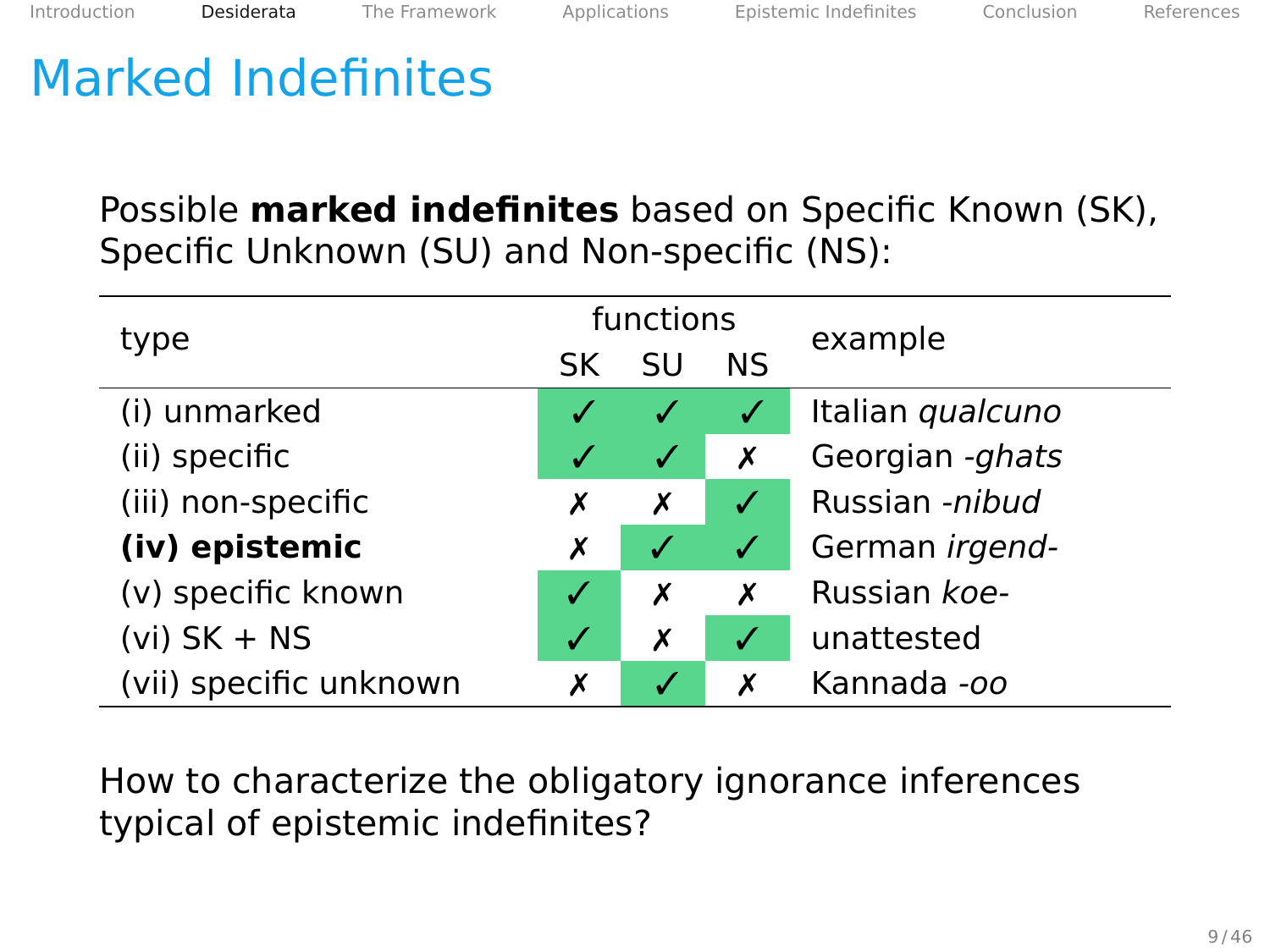Possible **marked indefinites** based on Specific Known (SK), Specific Unknown (SU) and Non-specific (NS):

| type                   | functions |           |    | example          |
|------------------------|-----------|-----------|----|------------------|
|                        | SK        | SU        | ΝS |                  |
| (i) unmarked           |           |           |    | Italian qualcuno |
| (ii) specific          |           | $\sqrt{}$ | Х  | Georgian -ghats  |
| (iii) non-specific     | х         | Х         | √  | Russian -nibud   |
| (iv) epistemic         | Х         | √         | ✓  | German irgend-   |
| (v) specific known     |           | Х         | X  | Russian koe-     |
| $(vi)$ SK + NS         | V         | Х         | V  | unattested       |
| (vii) specific unknown | х         |           | X  | Kannada -oo      |

How to characterize the obligatory ignorance inferences typical of epistemic indefinites?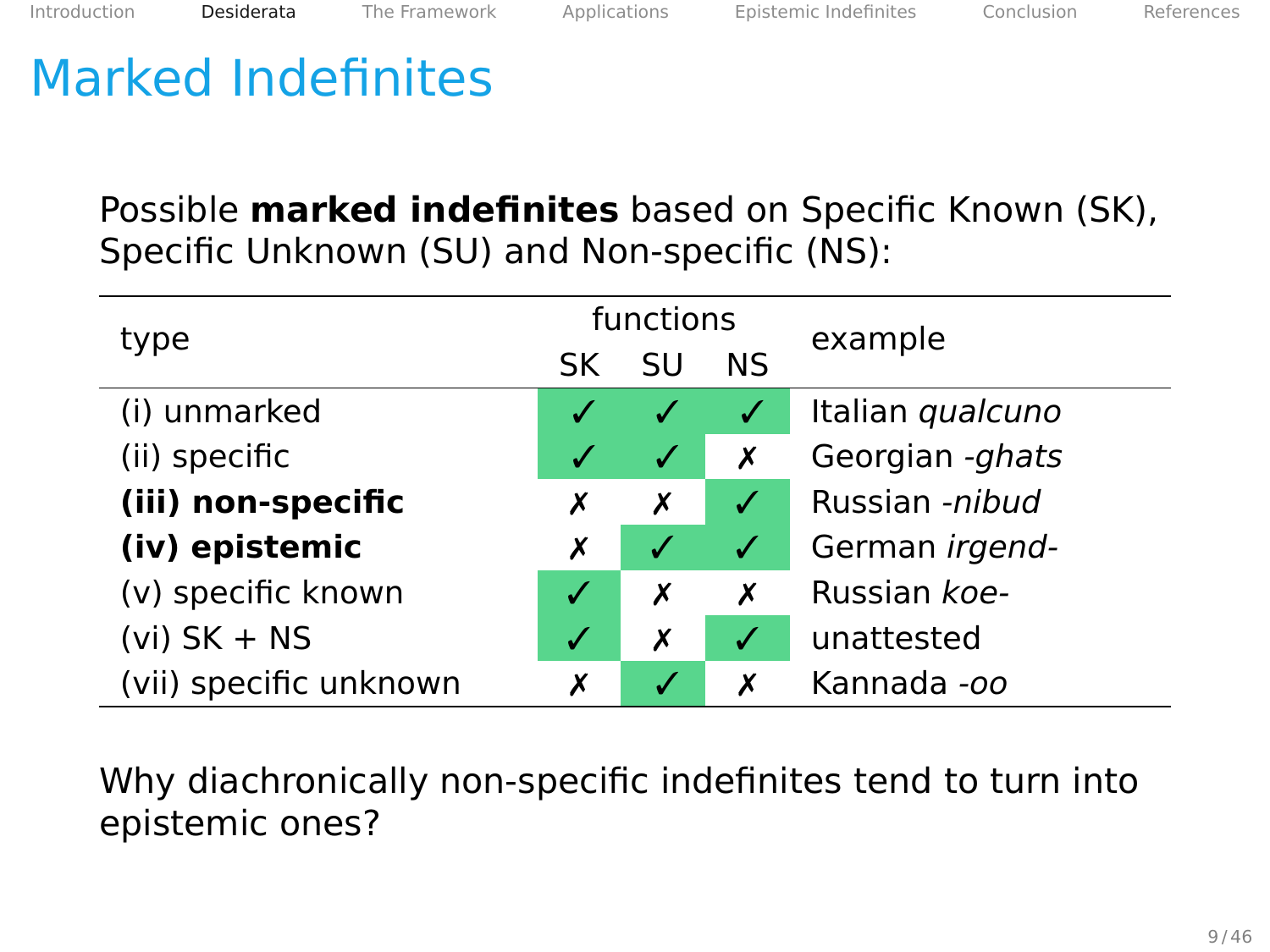Possible **marked indefinites** based on Specific Known (SK), Specific Unknown (SU) and Non-specific (NS):

| type                   | functions |              |    | example          |
|------------------------|-----------|--------------|----|------------------|
|                        | SK        | SU           | ΝS |                  |
| (i) unmarked           |           |              |    | Italian qualcuno |
| (ii) specific          |           | ✓            | Х  | Georgian -ghats  |
| (iii) non-specific     | х         | Х            | ✓  | Russian -nibud   |
| (iv) epistemic         | Х         | $\checkmark$ | ✓  | German irgend-   |
| (v) specific known     |           | х            | X  | Russian koe-     |
| $(vi)$ SK + NS         | V         | Х            | V  | unattested       |
| (vii) specific unknown | х         |              |    | Kannada -oo      |

Why diachronically non-specific indefinites tend to turn into epistemic ones?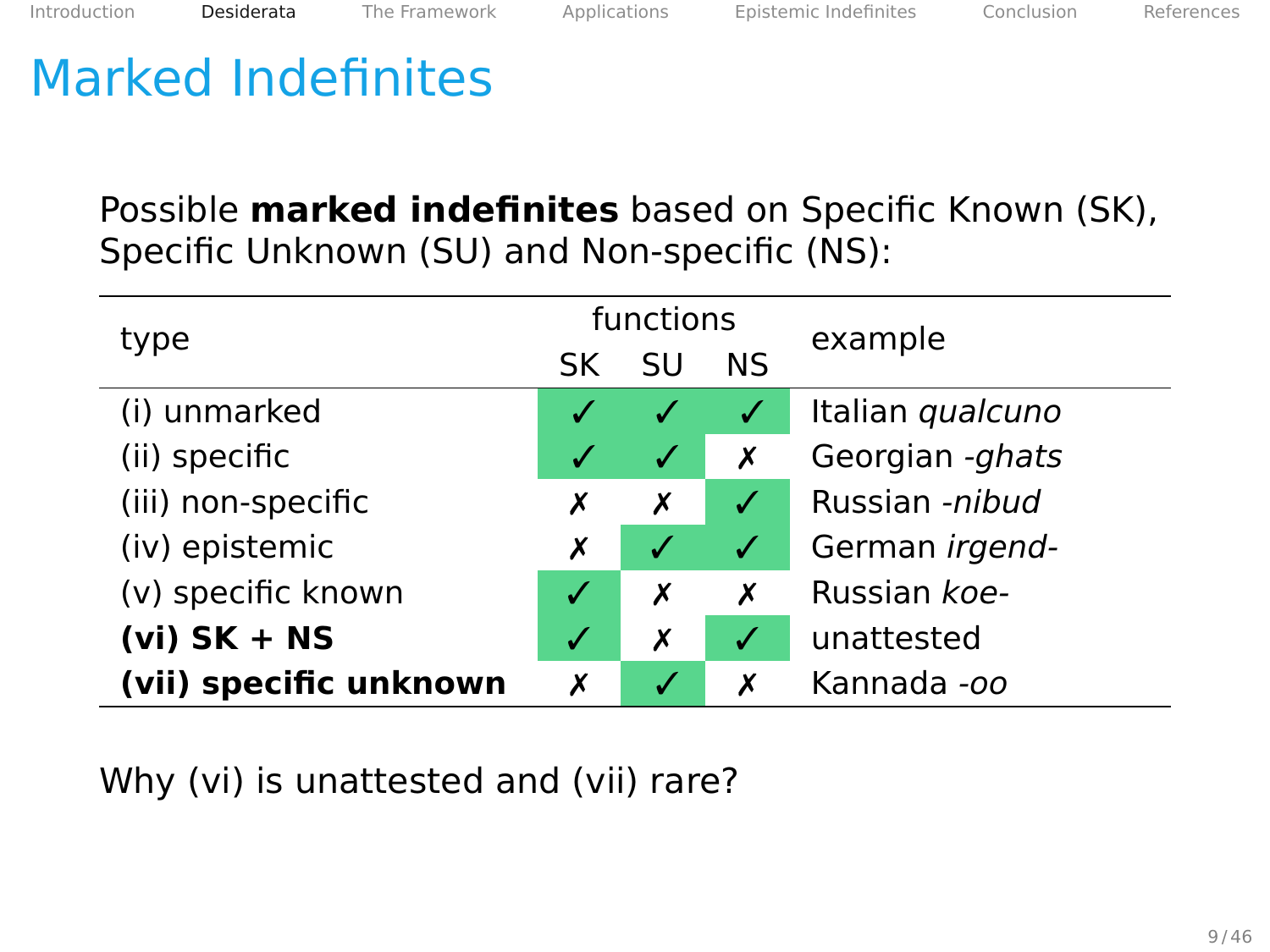Possible **marked indefinites** based on Specific Known (SK), Specific Unknown (SU) and Non-specific (NS):

| type                   | functions |              |    | example               |
|------------------------|-----------|--------------|----|-----------------------|
|                        | SK        | SU           | ΝS |                       |
| (i) unmarked           |           |              |    | Italian qualcuno      |
| (ii) specific          |           | $\checkmark$ | Х  | Georgian -ghats       |
| (iii) non-specific     | х         | х            | √  | Russian -nibud        |
| (iv) epistemic         | Х         | ✓            | ✓  | German <i>irgend-</i> |
| (v) specific known     |           | Х            | X  | Russian koe-          |
| $(vi)$ SK + NS         | V         | Х            | J  | unattested            |
| (vii) specific unknown | х         |              |    | Kannada -oo           |

Why (vi) is unattested and (vii) rare?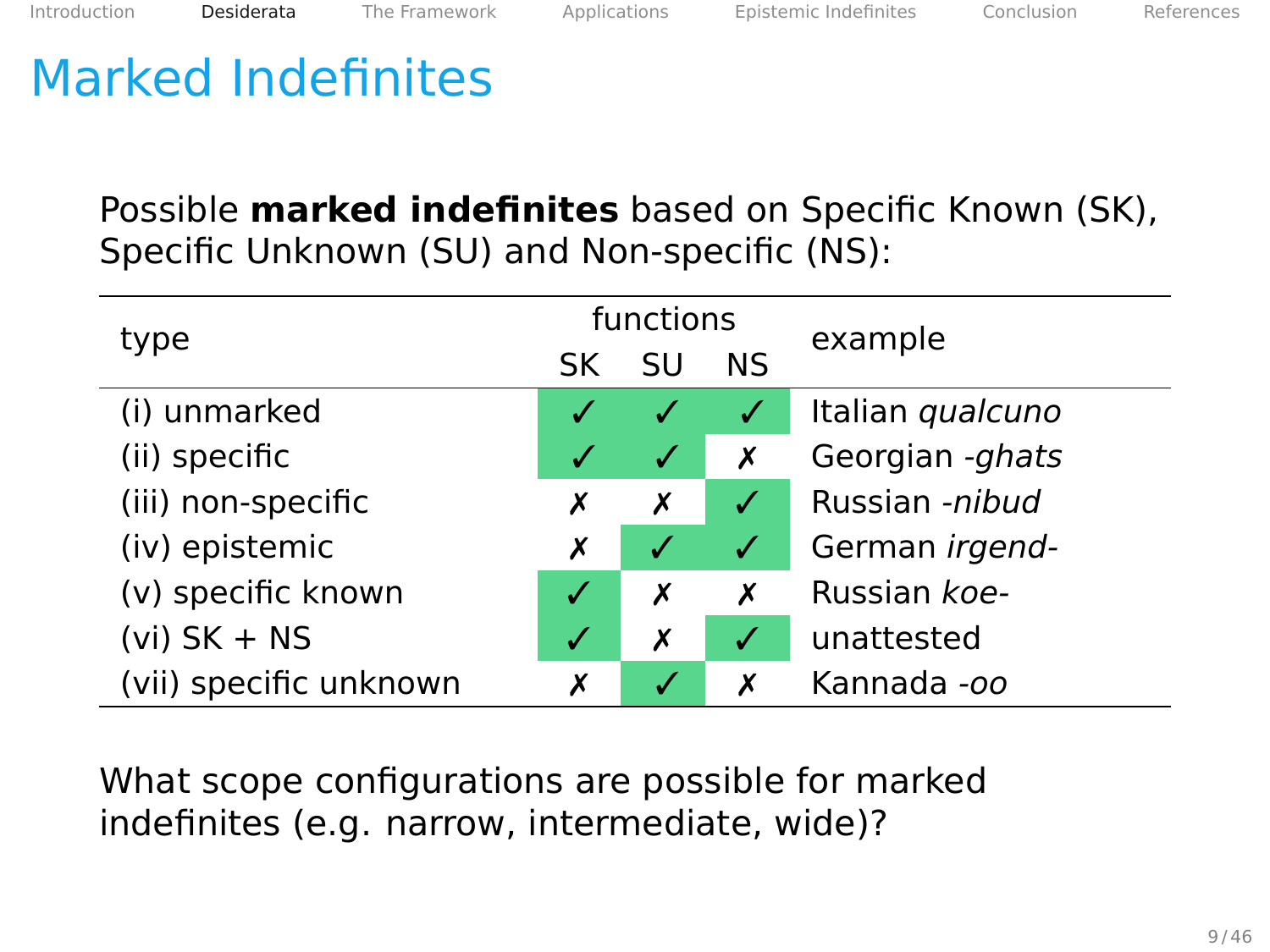Possible **marked indefinites** based on Specific Known (SK), Specific Unknown (SU) and Non-specific (NS):

| type                   | functions |              |    | example          |
|------------------------|-----------|--------------|----|------------------|
|                        | SK        | SU           | ΝS |                  |
| (i) unmarked           |           |              |    | Italian qualcuno |
| (ii) specific          |           | $\checkmark$ | Х  | Georgian -ghats  |
| (iii) non-specific     | х         | х            | √  | Russian -nibud   |
| (iv) epistemic         | Х         | V            | ✓  | German irgend-   |
| (v) specific known     |           | х            | X  | Russian koe-     |
| $(vi)$ SK + NS         | V         | Х            | ú  | unattested       |
| (vii) specific unknown | х         |              |    | Kannada -oo      |

What scope configurations are possible for marked indefinites (e.g. narrow, intermediate, wide)?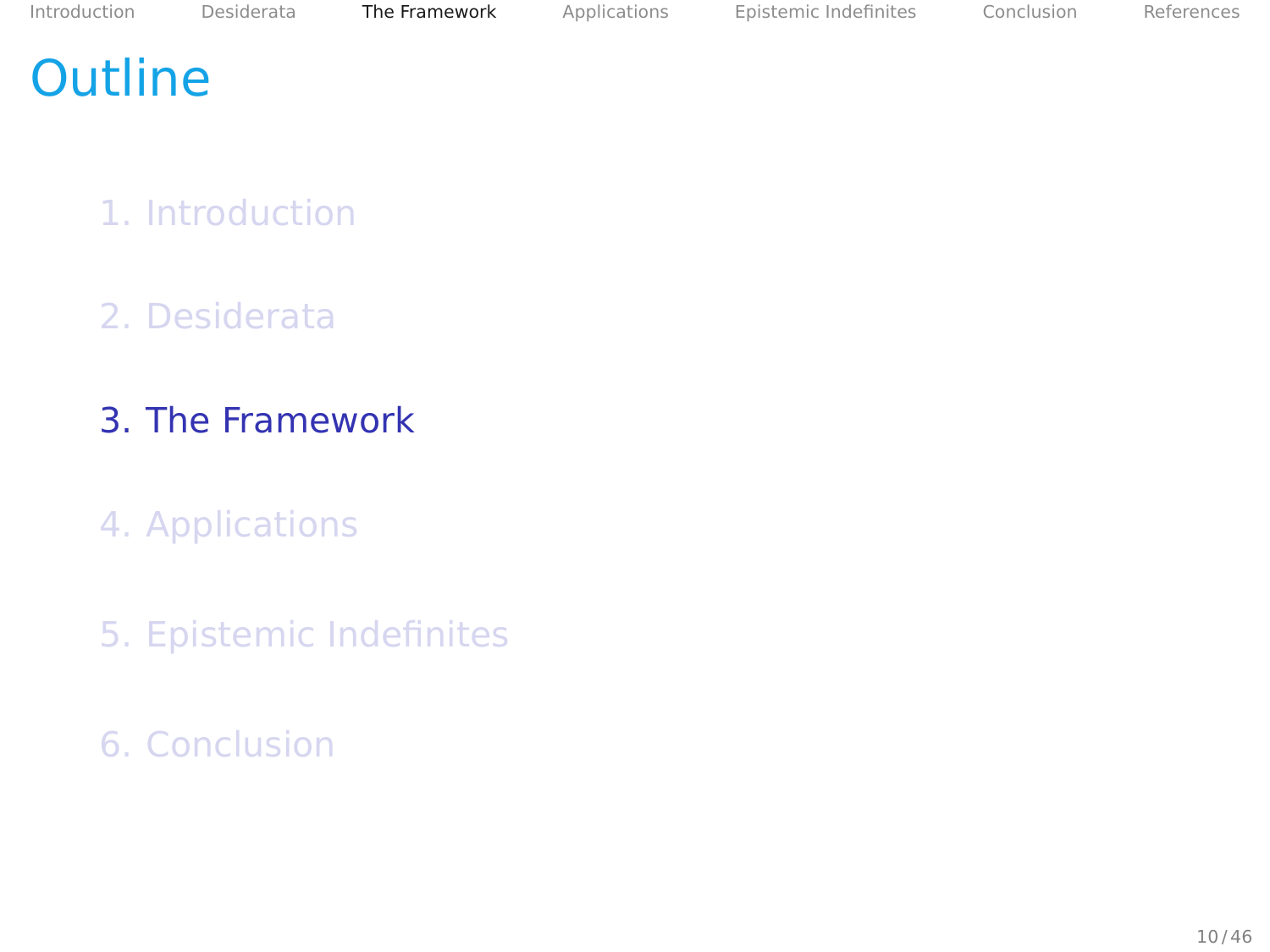# <span id="page-25-0"></span>**Outline**

- 1. [Introduction](#page-2-0)
- 2. [Desiderata](#page-14-0)
- 3. [The Framework](#page-25-0)
- 4. [Applications](#page-47-0)
- 5. [Epistemic Indefinites](#page-86-0)
- 6. [Conclusion](#page-102-0)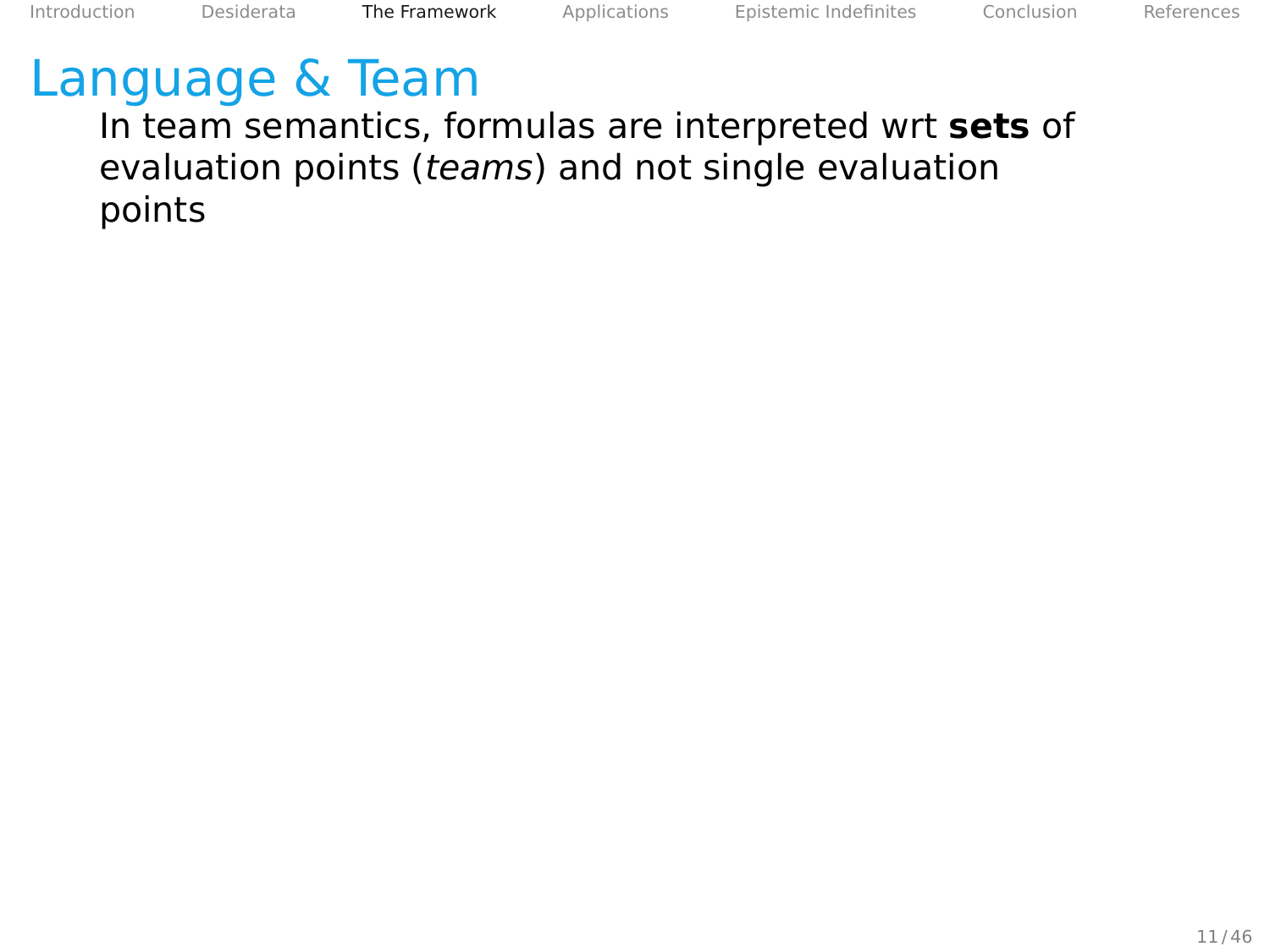In team semantics, formulas are interpreted wrt **sets** of evaluation points (teams) and not single evaluation points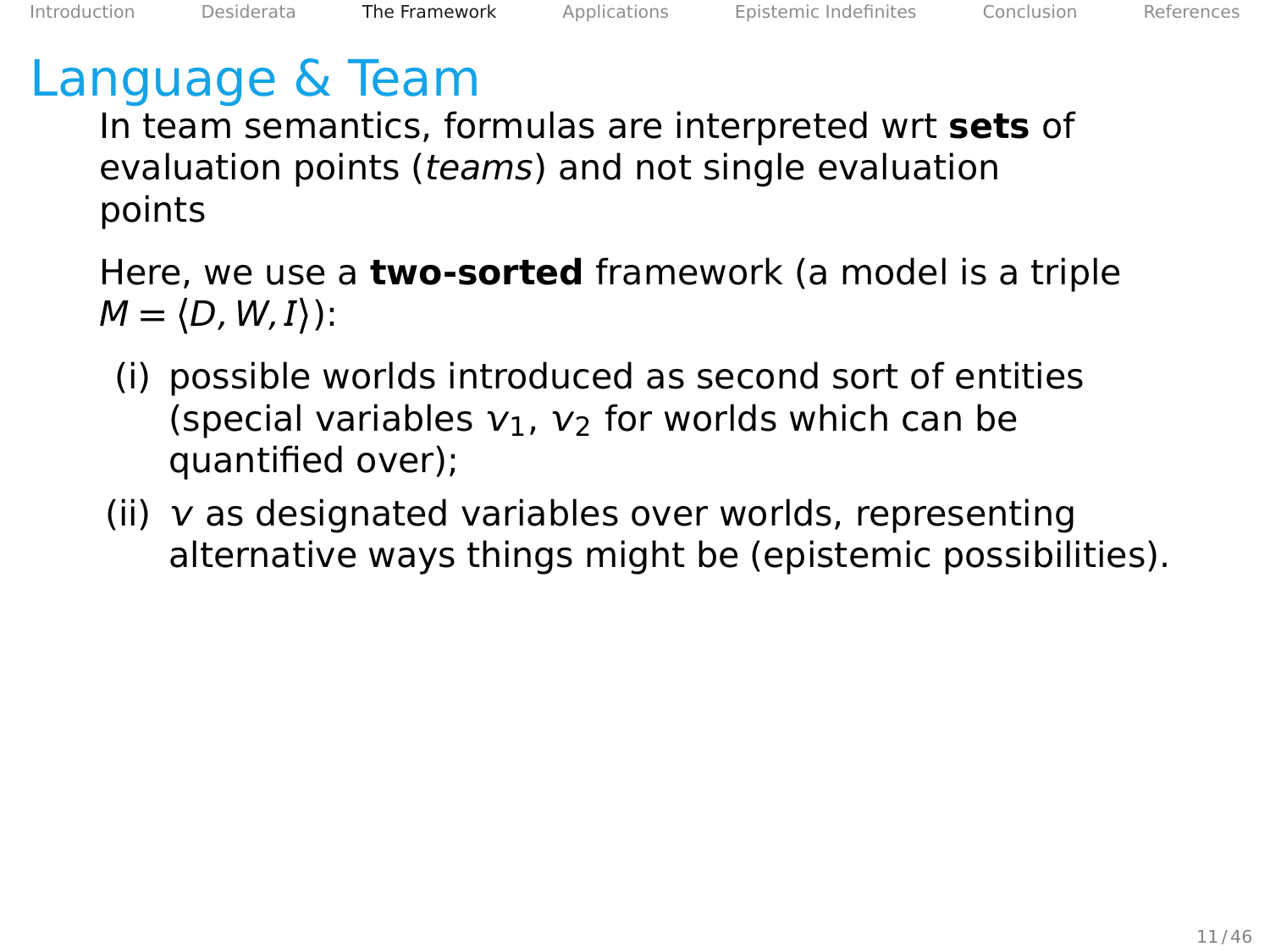In team semantics, formulas are interpreted wrt **sets** of evaluation points (teams) and not single evaluation points

Here, we use a **two-sorted** framework (a model is a triple  $M = \langle D, W, I \rangle$ :

- (i) possible worlds introduced as second sort of entities (special variables  $v_1$ ,  $v_2$  for worlds which can be quantified over);
- (ii)  $\nu$  as designated variables over worlds, representing alternative ways things might be (epistemic possibilities).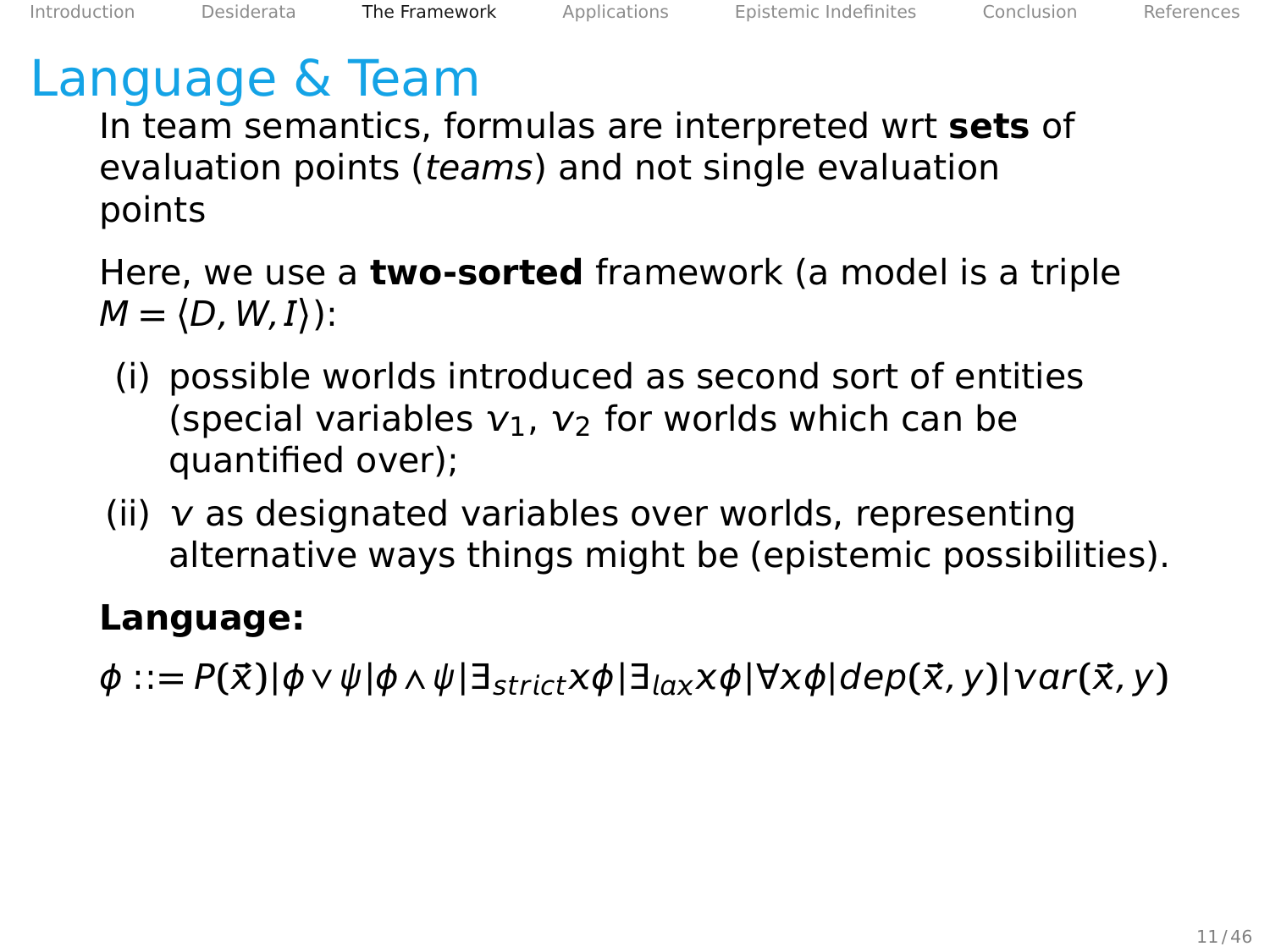In team semantics, formulas are interpreted wrt **sets** of evaluation points (teams) and not single evaluation points

Here, we use a **two-sorted** framework (a model is a triple  $M = \langle D, W, I \rangle$ :

- (i) possible worlds introduced as second sort of entities (special variables  $v_1$ ,  $v_2$  for worlds which can be quantified over);
- (ii)  $\nu$  as designated variables over worlds, representing alternative ways things might be (epistemic possibilities).

#### **Language:**

 $\phi ::= P(\vec{x})|\phi \vee \psi|\phi \wedge \psi| \exists_{strict} \times \phi | \exists_{lax} \times \phi | \forall x \phi | dep(\vec{x}, y) | var(\vec{x}, y)$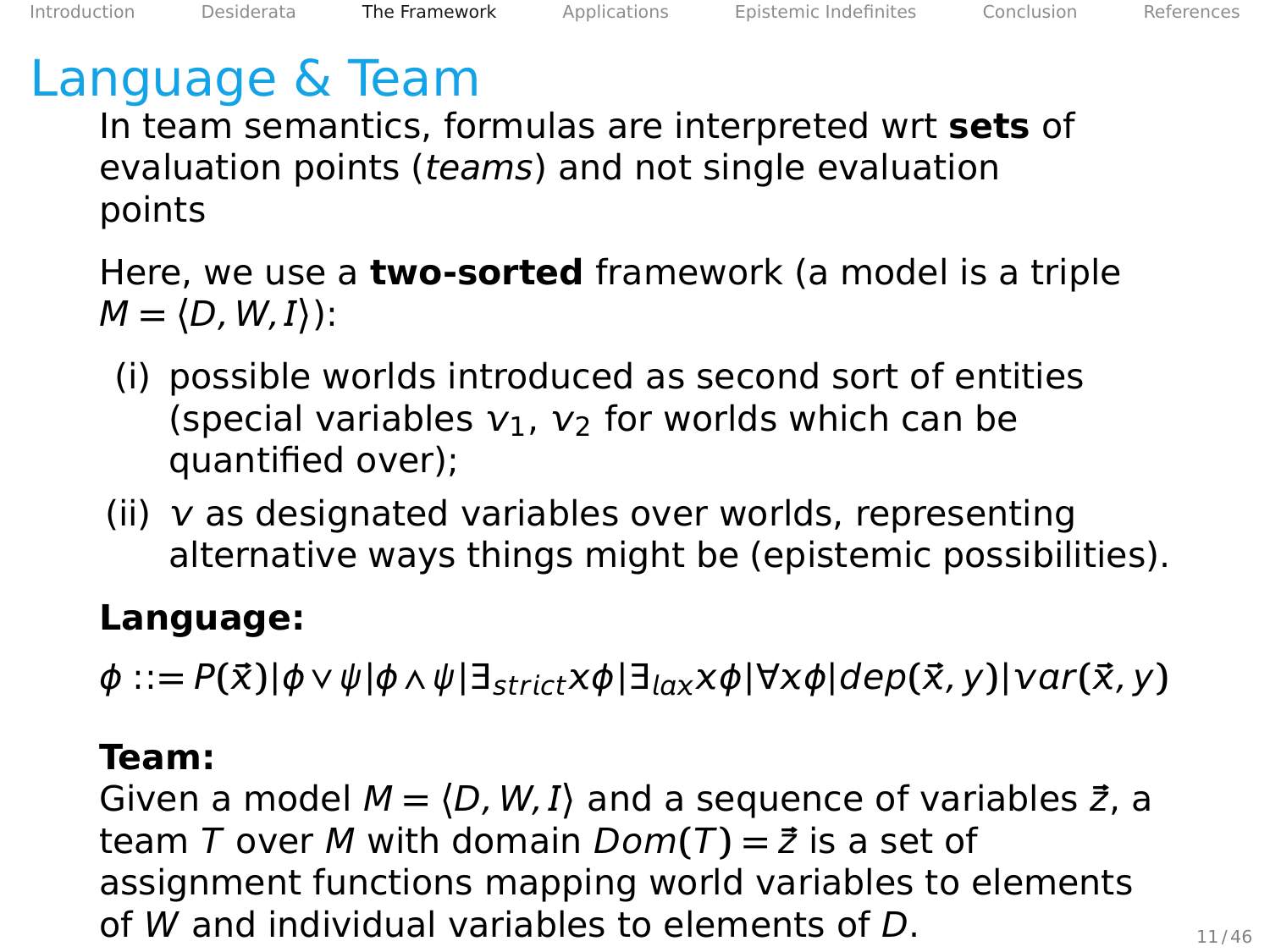In team semantics, formulas are interpreted wrt **sets** of evaluation points (teams) and not single evaluation points

Here, we use a **two-sorted** framework (a model is a triple  $M = \langle D, W, I \rangle$ :

- (i) possible worlds introduced as second sort of entities (special variables  $v_1$ ,  $v_2$  for worlds which can be quantified over);
- (ii)  $\nu$  as designated variables over worlds, representing alternative ways things might be (epistemic possibilities).

#### **Language:**

 $\phi ::= P(\vec{x})|\phi \vee \psi|\phi \wedge \psi| \exists_{strict} \times \phi | \exists_{lax} \times \phi | \forall x \phi | dep(\vec{x}, y) | var(\vec{x}, y)$ 

#### **Team:**

Given a model  $M = \langle D, W, I \rangle$  and a sequence of variables  $\vec{z}$ , a team T over M with domain  $Dom(T) = \vec{z}$  is a set of assignment functions mapping world variables to elements of W and individual variables to elements of  $D$ .  $11/46$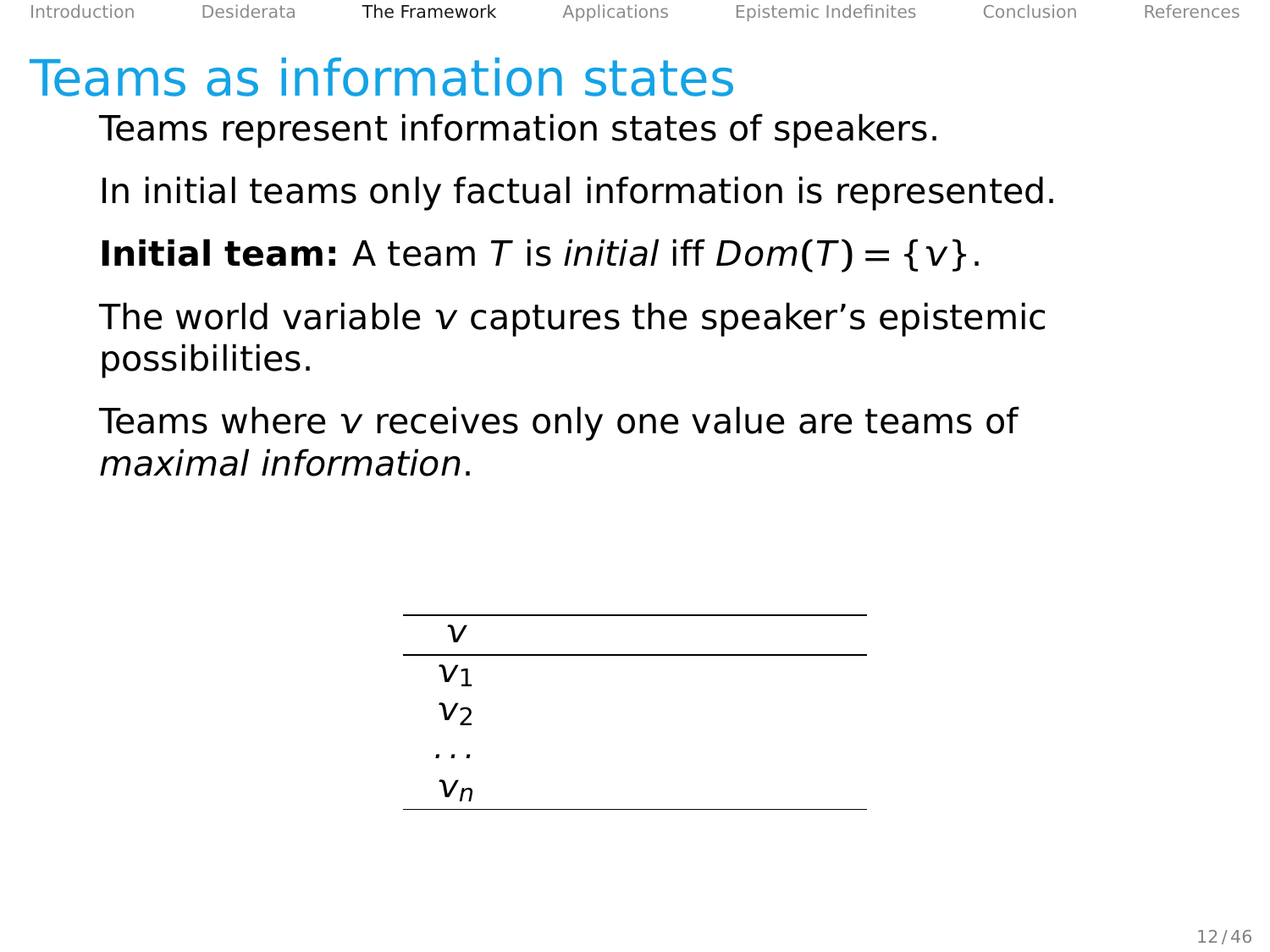Teams represent information states of speakers.

In initial teams only factual information is represented.

**Initial team:** A team T is *initial* iff  $Dom(T) = \{v\}$ .

The world variable  $\nu$  captures the speaker's epistemic possibilities.

Teams where  $v$  receives only one value are teams of maximal information.

| $\mathcal{U}$  |  |
|----------------|--|
| $v_1$          |  |
| v <sub>2</sub> |  |
| $\cdots$       |  |
| $v_n$          |  |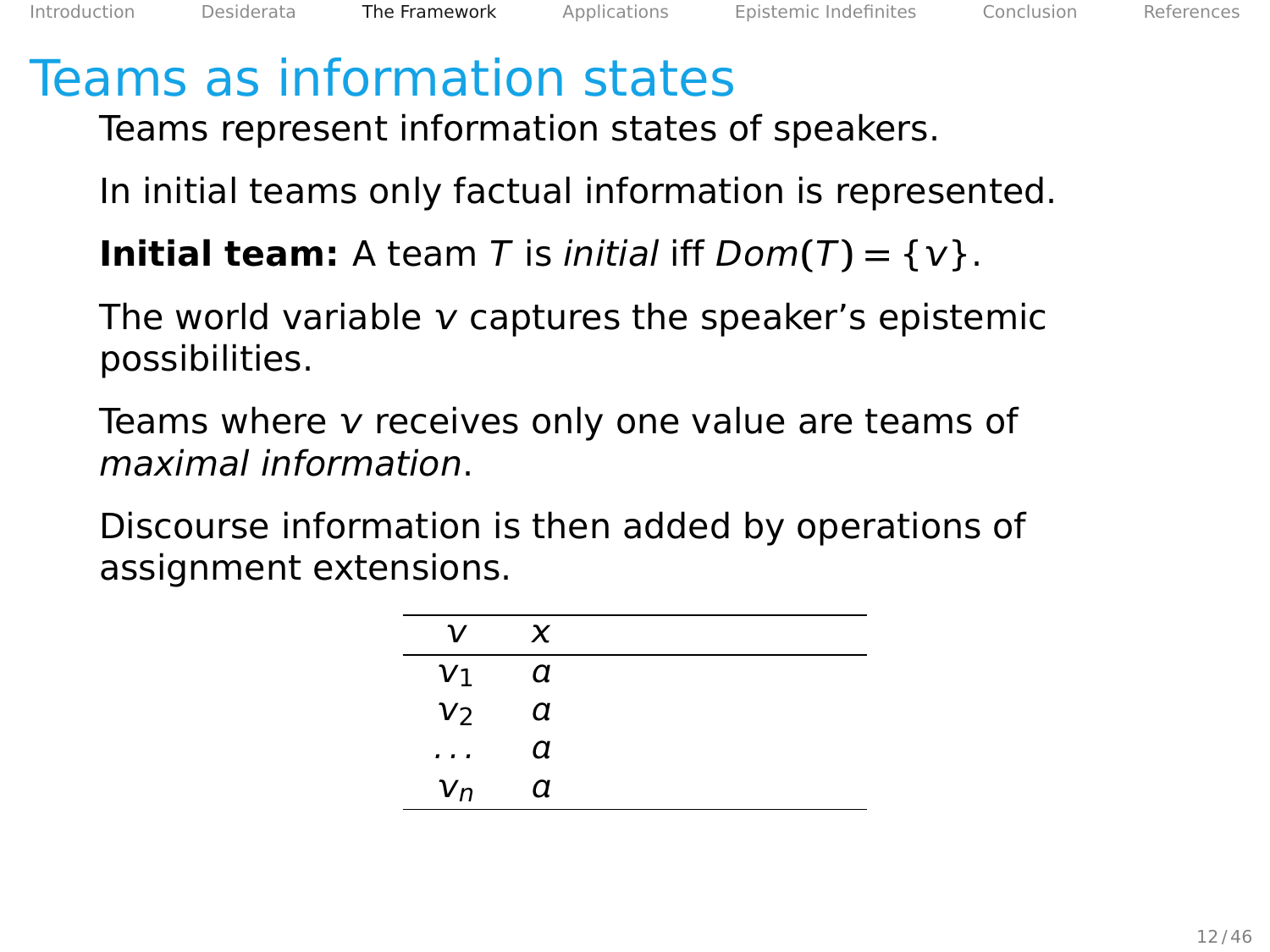Teams represent information states of speakers.

In initial teams only factual information is represented.

**Initial team:** A team T is *initial* iff  $Dom(T) = \{v\}$ .

The world variable  $\nu$  captures the speaker's epistemic possibilities.

Teams where  $v$  receives only one value are teams of maximal information.

| ν              | $\boldsymbol{\chi}$ |  |
|----------------|---------------------|--|
| $v_1$          | a                   |  |
| V <sub>2</sub> | а                   |  |
| $\cdots$       | а                   |  |
| $V_n$          | а                   |  |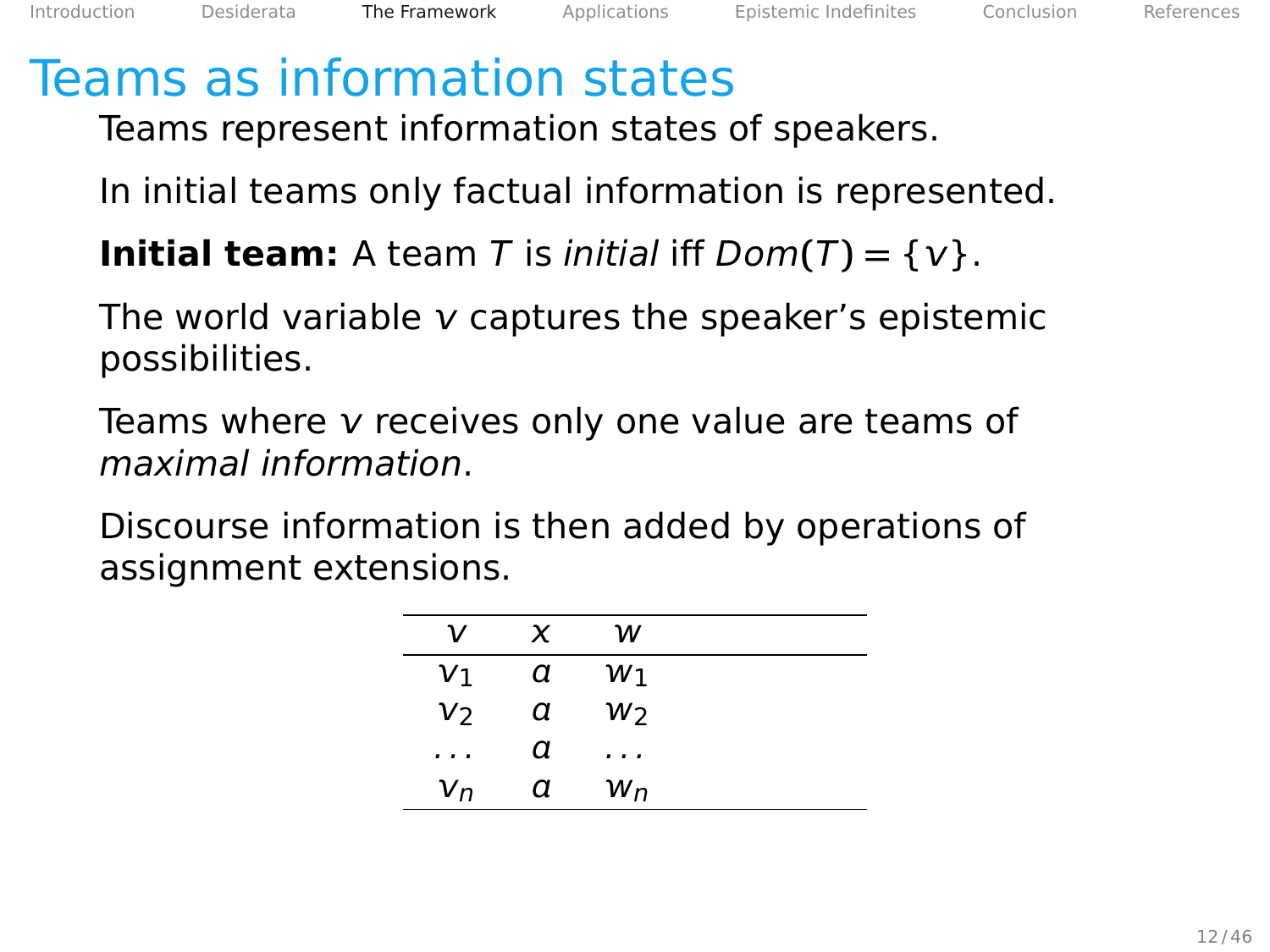Teams represent information states of speakers.

In initial teams only factual information is represented.

**Initial team:** A team T is *initial* iff  $Dom(T) = \{v\}$ .

The world variable  $\nu$  captures the speaker's epistemic possibilities.

Teams where  $v$  receives only one value are teams of maximal information.

| ν           | x | w  |  |
|-------------|---|----|--|
| ${\sf v}_1$ | α | W۱ |  |
| V2          | α | W2 |  |
| $\cdots$    | α | .  |  |
| $V_{n}$     | α | Wп |  |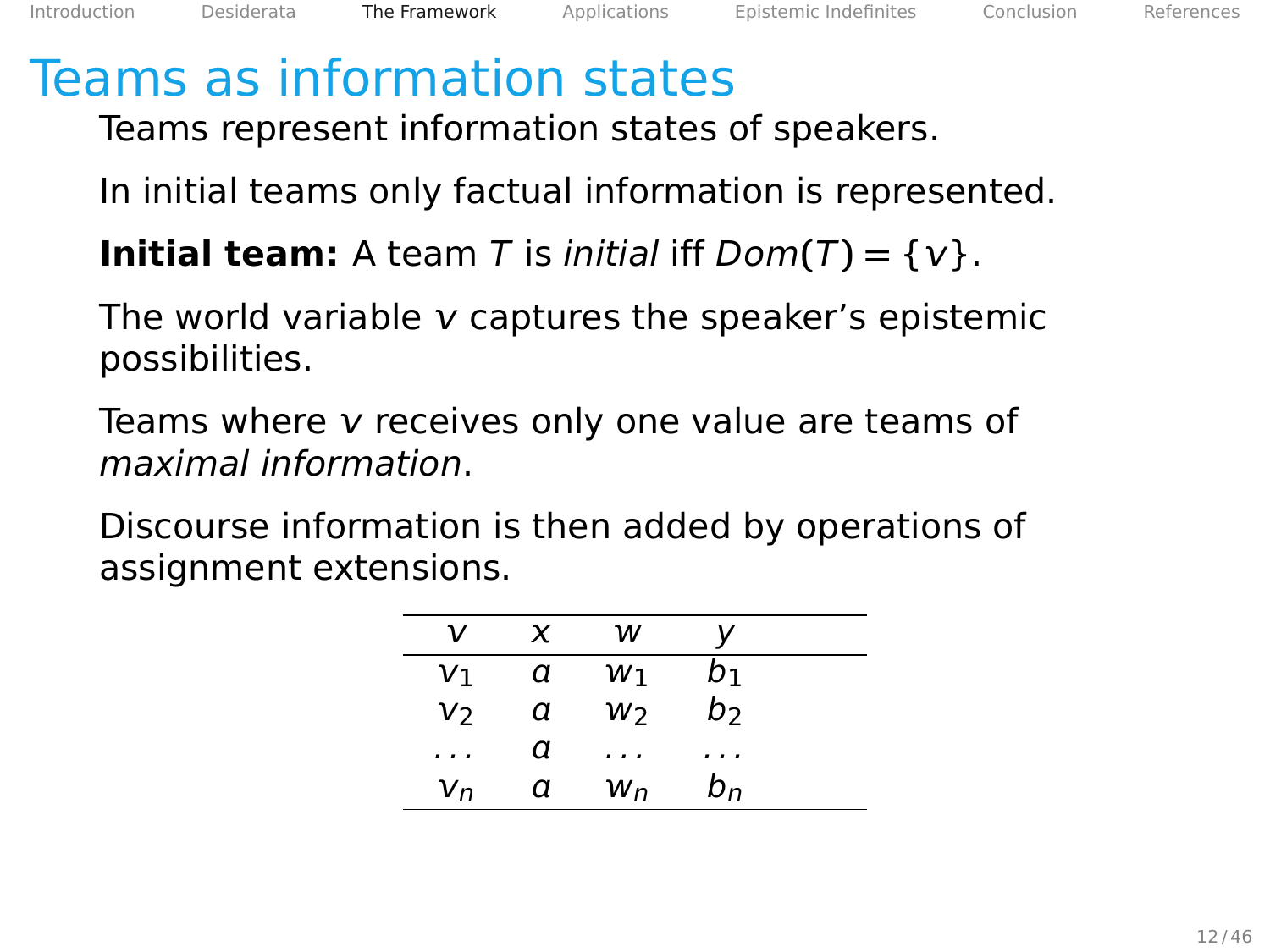Teams represent information states of speakers.

In initial teams only factual information is represented.

**Initial team:** A team T is *initial* iff  $Dom(T) = \{v\}$ .

The world variable  $\nu$  captures the speaker's epistemic possibilities.

Teams where  $v$  receives only one value are teams of maximal information.

| ν        | x | w  | v     |  |
|----------|---|----|-------|--|
| V1       | α | W۱ | b1    |  |
| V2       | α | W2 | b     |  |
| $\cdots$ | α | .  | .     |  |
| $V_{n}$  | α | Wп | $b_n$ |  |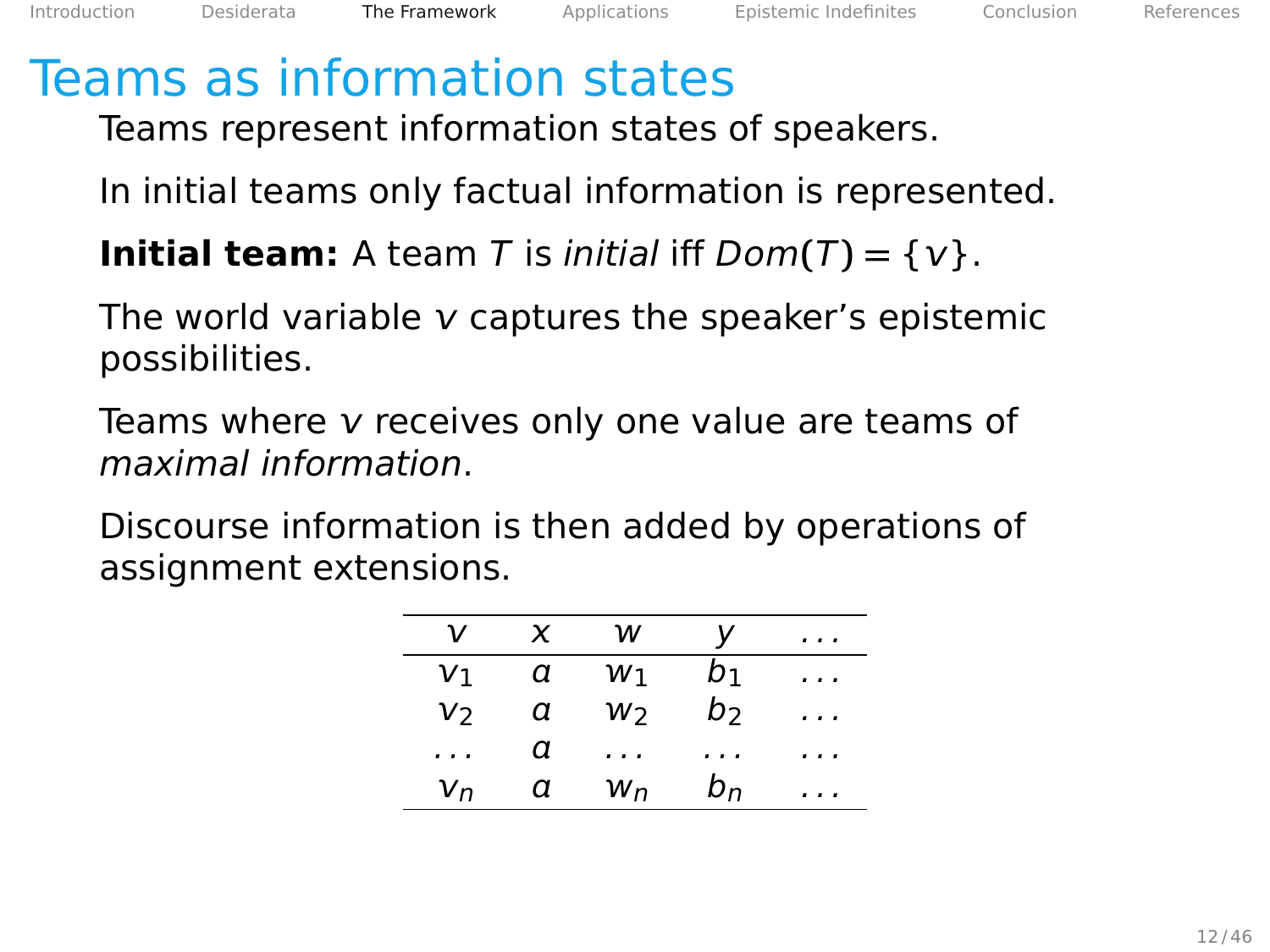Teams represent information states of speakers.

In initial teams only factual information is represented.

**Initial team:** A team T is *initial* iff  $Dom(T) = \{v\}$ .

The world variable  $\nu$  captures the speaker's epistemic possibilities.

Teams where  $v$  receives only one value are teams of maximal information.

| ν              | x | w  | ν              | . .      |
|----------------|---|----|----------------|----------|
| V <sub>1</sub> | а | W۱ | b1             | .        |
| V2             | α | W2 | b              | $\cdots$ |
| $\cdots$       | α | .  | .              | .        |
| $V_{n}$        | α | Wп | b <sub>n</sub> | . .      |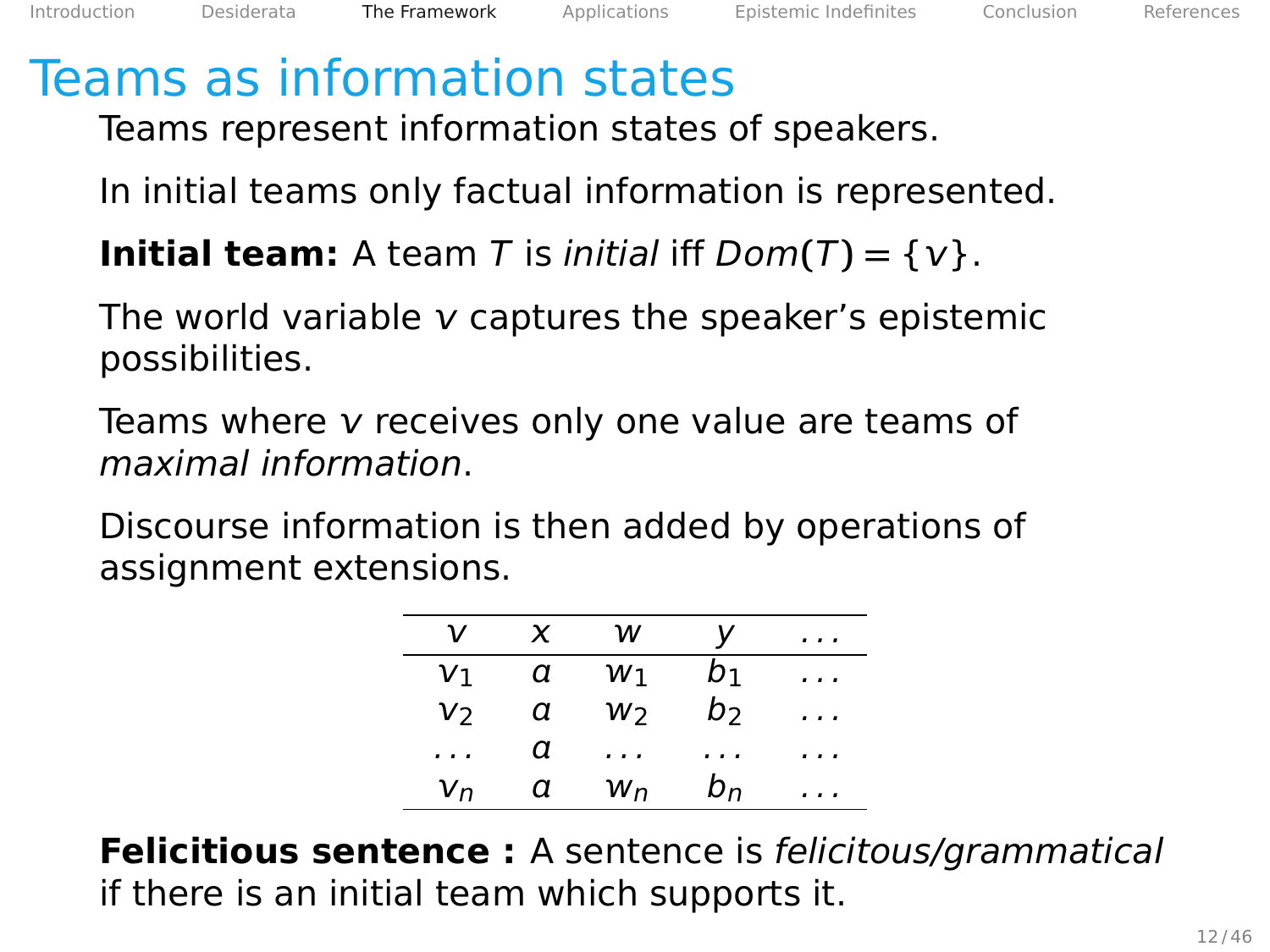Teams represent information states of speakers.

In initial teams only factual information is represented.

**Initial team:** A team T is *initial* iff  $Dom(T) = \{v\}$ .

The world variable  $\nu$  captures the speaker's epistemic possibilities.

Teams where  $v$  receives only one value are teams of maximal information.

Discourse information is then added by operations of assignment extensions.

| ν        | x | w  | v              | .        |
|----------|---|----|----------------|----------|
| V١       | α | W۱ | b1             | $\cdots$ |
| V2       | α | W2 | b              | $\cdots$ |
| $\cdots$ | α | .  | .              | .        |
| $V_{n}$  | α | Wп | b <sub>n</sub> | . .      |

**Felicitious sentence :** A sentence is felicitous/grammatical if there is an initial team which supports it.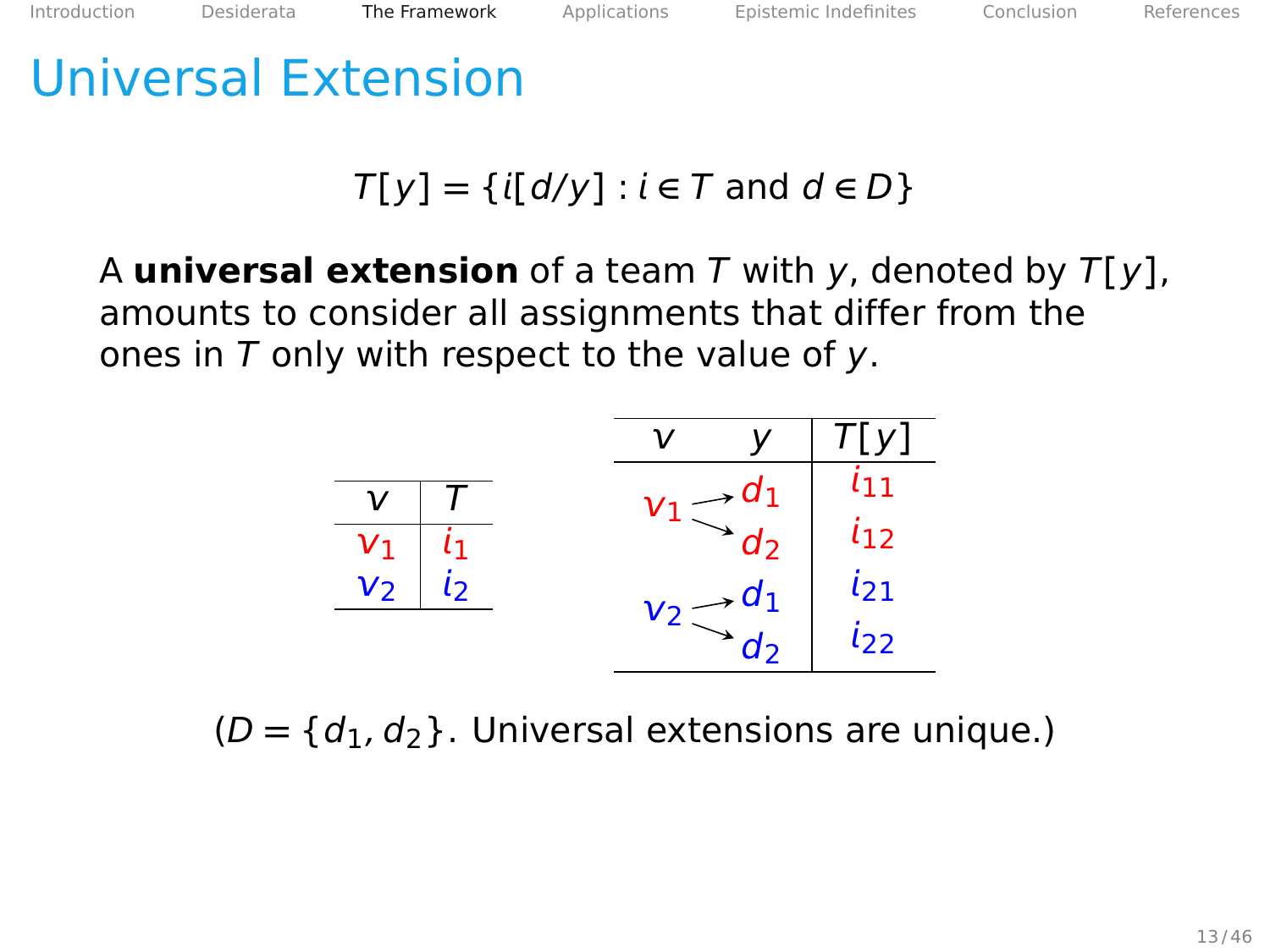# Universal Extension

## $T[y] = \{i[d/y] : i \in T \text{ and } d \in D\}$

A **universal extension** of a team T with y, denoted by T**[**y**]**, amounts to consider all assignments that differ from the ones in  $T$  only with respect to the value of y.



 $(D = \{d_1, d_2\}$ . Universal extensions are unique.)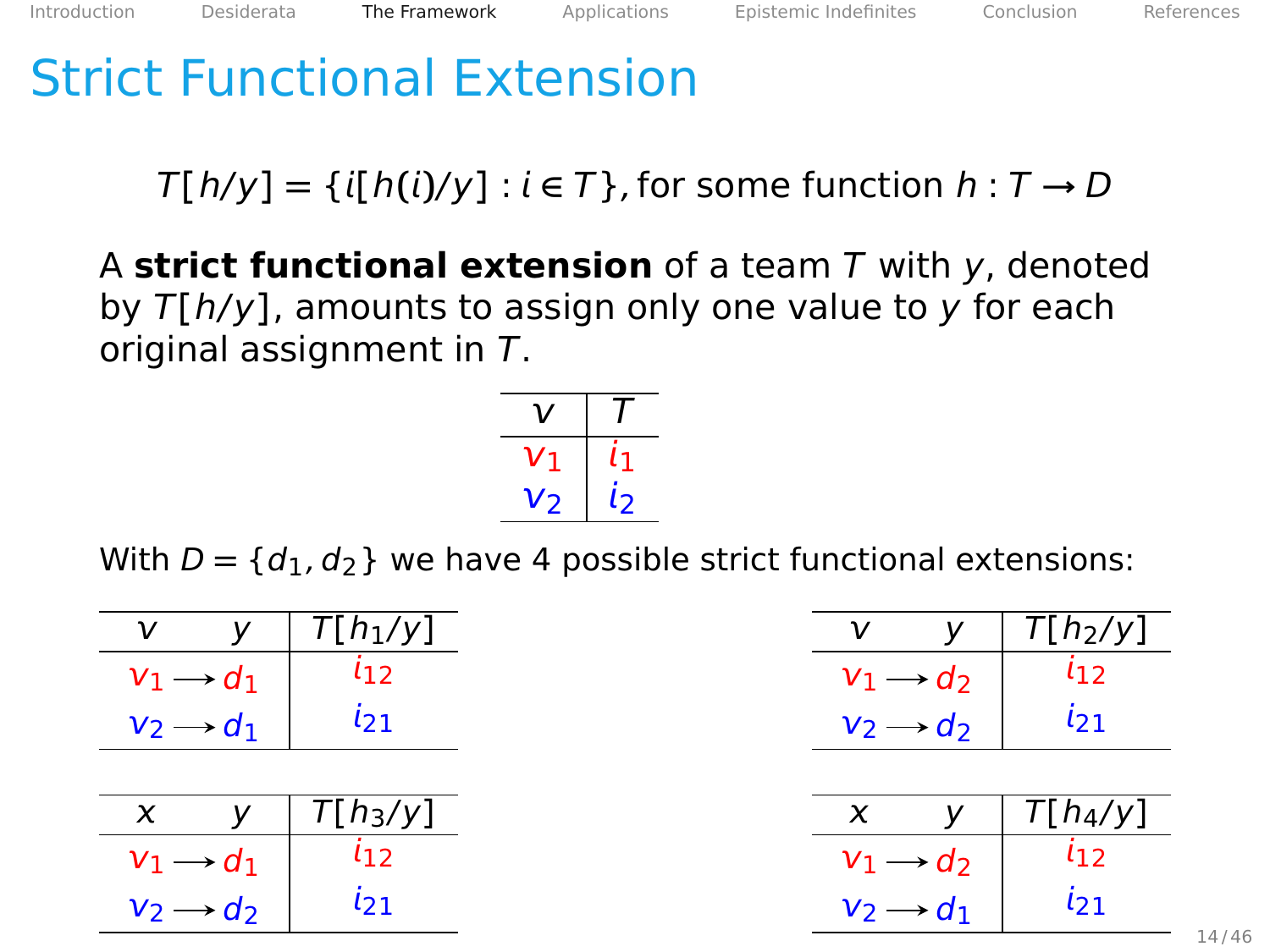## Strict Functional Extension

 $T[h/v] = \{i[h(i)/v] : i \in T\}$ , for some function  $h: T \rightarrow D$ 

A **strict functional extension** of a team T with y, denoted by T**[**h/y**]**, amounts to assign only one value to y for each original assignment in T.



With  $D = \{d_1, d_2\}$  we have 4 possible strict functional extensions:

|                       | $\overline{T}$ [h <sub>1</sub> /y] |
|-----------------------|------------------------------------|
| $\rightarrow d_1$     | L 1 2                              |
| $v_2 \rightarrow d_1$ | 121                                |

|                              | $\overline{T}$ [h <sub>3</sub> /y] |
|------------------------------|------------------------------------|
| $\rightarrow$ d <sub>1</sub> | L 1 2                              |
| $\rightarrow$ d <sub>2</sub> | $l_{21}$                           |

|                       |                              | $T[h_2/y]$ |
|-----------------------|------------------------------|------------|
|                       | $\rightarrow$ d <sub>2</sub> | L 1 7      |
| $v_2 \rightarrow d_2$ |                              | 121        |

$$
\begin{array}{c|c}\n \times & y & T[h_4/y] \\
 \hline\n v_1 \rightarrow d_2 & i_{12} \\
 v_2 \rightarrow d_1 & i_{21}\n \end{array}
$$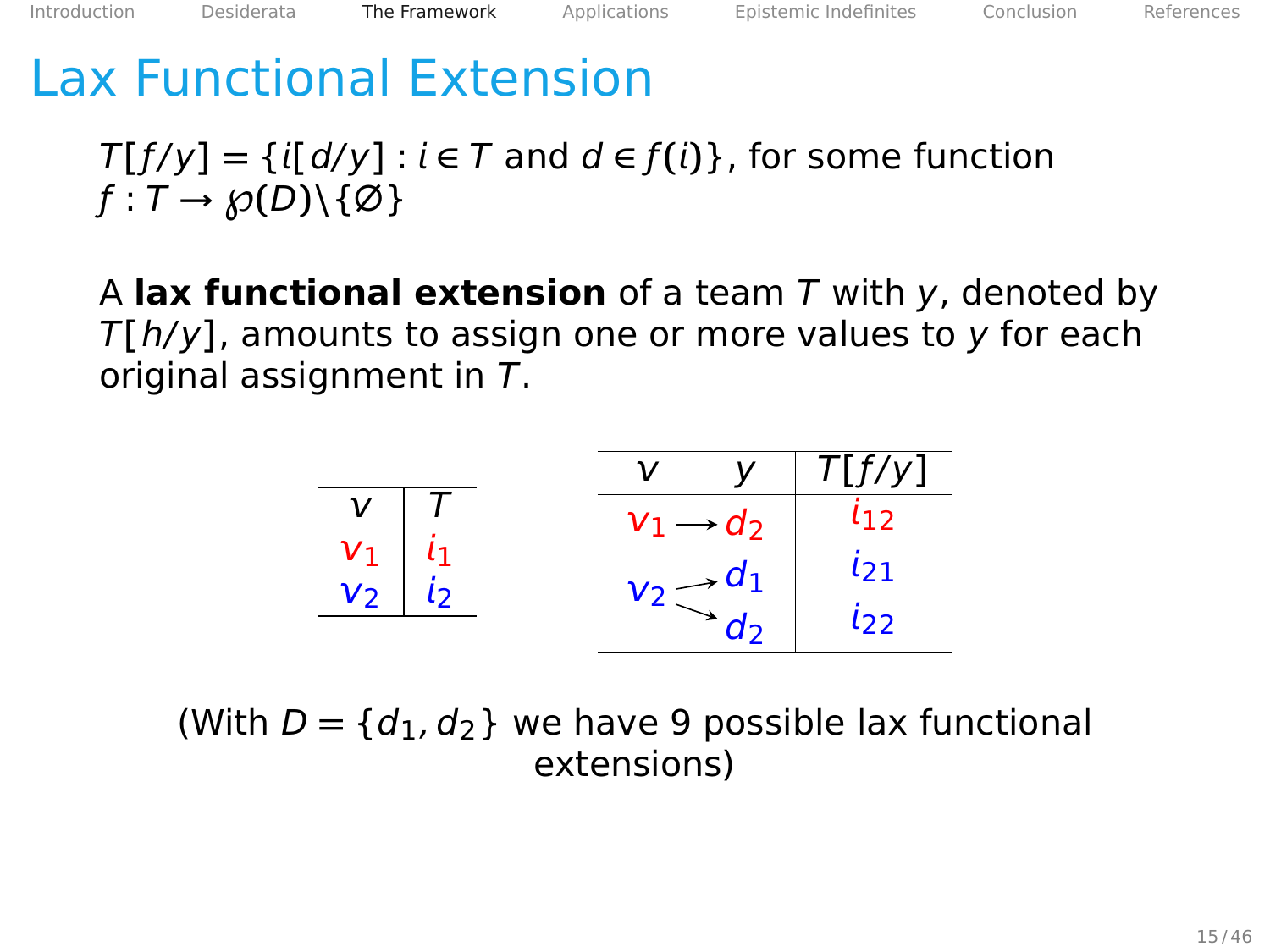## Lax Functional Extension

 $T[f/y] = \{i[d/y] : i \in T \text{ and } d \in f(i)\}\$ , for some function  $f: T \rightarrow \mathcal{D}(D) \setminus \{\emptyset\}$ 

A **lax functional extension** of a team T with y, denoted by T**[**h/y**]**, amounts to assign one or more values to y for each original assignment in T.

$$
\begin{array}{c|c}\n\hline\nv & T \\
\hline\nv_1 & i_1 \\
v_2 & i_2\n\end{array}\n\qquad\n\begin{array}{c|c}\n\hline\nv & y & T[f/y] \\
\hline\nv_1 \rightarrow d_2 & i_12 \\
v_2 \rightarrow d_1 & i_21 \\
d_2 & i_22\n\end{array}
$$

(With  $D = \{d_1, d_2\}$  we have 9 possible lax functional extensions)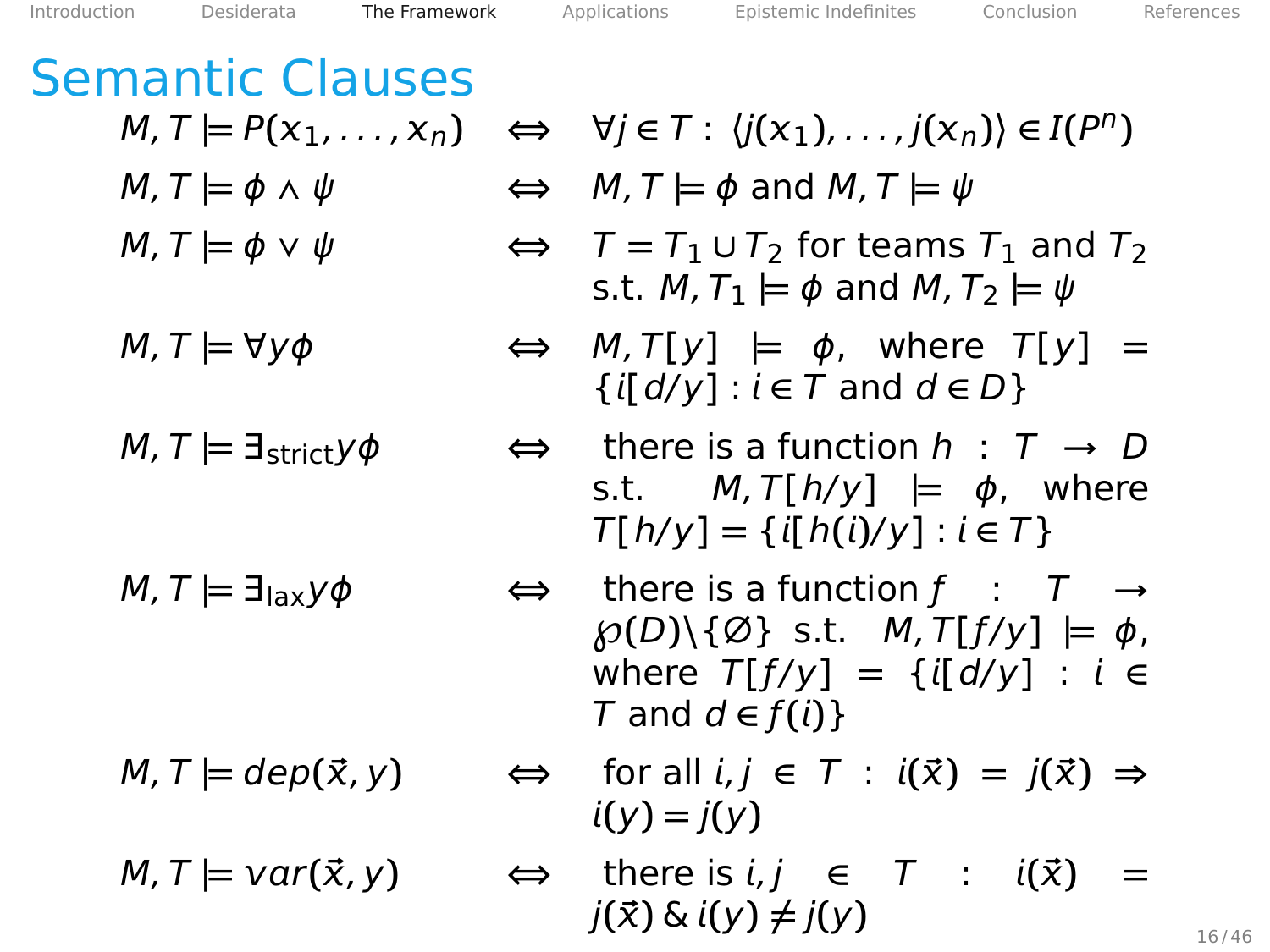# Semantic Clauses

- 
- 
- 
- 

$$
M, T \models var(\vec{x}, y)
$$

- $M, T \models P(x_1, \ldots, x_n) \Leftrightarrow \forall j \in T : \langle j(x_1), \ldots, j(x_n) \rangle \in I(P^n)$
- $M, T \models \phi \land \psi$   $\Leftrightarrow$   $M, T \models \phi$  and  $M, T \models \psi$
- $M, T \models \phi \lor \psi$   $\Leftrightarrow T = T_1 \cup T_2$  for teams  $T_1$  and  $T_2$ s.t.  $M$ ,  $T_1 \models \phi$  and  $M$ ,  $T_2 \models \psi$
- $M, T \models \forall y \phi$   $\Leftrightarrow M, T[y] \models \phi$ , where  $T[y] =$  $\{i[d/y]: i \in T \text{ and } d \in D\}$
- M, T **|=** ∃strictyϕ **⇔** there is a function h : T **→** D s.t.  $M, T[h/y] \models \phi$ , where  $T[h/y] = \{i[h(i)/y] : i \in T\}$
- M, T **|=** ∃laxyϕ **⇔** there is a function ƒ : T **→**  $\mathcal{D}(D) \setminus \{ \emptyset \}$  s.t.  $M$ ,  $T[f/y] \models \emptyset$ , where  $T[f/y] = \{i[d/y] : i \in$  $T$  and  $d \in f(i)$ }
- $M, T \models \text{dep}(\vec{x}, y) \qquad \Leftrightarrow \quad \text{for all } i, j \in T : i(\vec{x}) = i(\vec{x}) \Rightarrow$  $i(v) = i(v)$ 
	- $\Leftrightarrow$  there is *i*, *j*  $\in$  *T* : *i*( $\vec{x}$ )  $j(\vec{x}) \& \text{if } (y) \neq \text{if } (y)$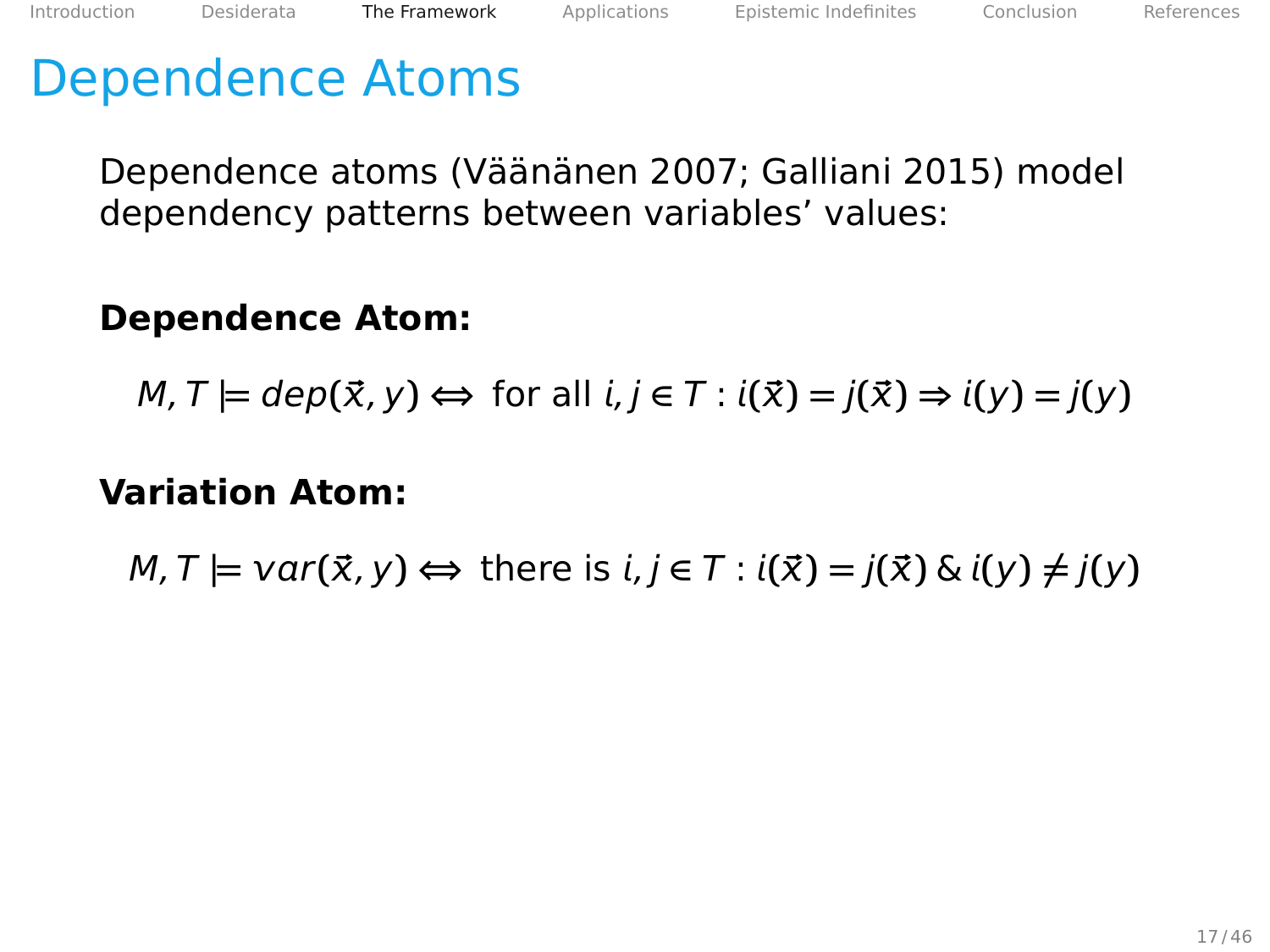Dependence atoms (Väänänen [2007;](#page-108-0) Galliani [2015\)](#page-107-0) model dependency patterns between variables' values:

## **Dependence Atom:**

 $M, T \models \text{dep}(\vec{x}, y) \Leftrightarrow \text{for all } i, j \in T : i(\vec{x}) = j(\vec{x}) \Rightarrow i(y) = j(y)$ 

#### **Variation Atom:**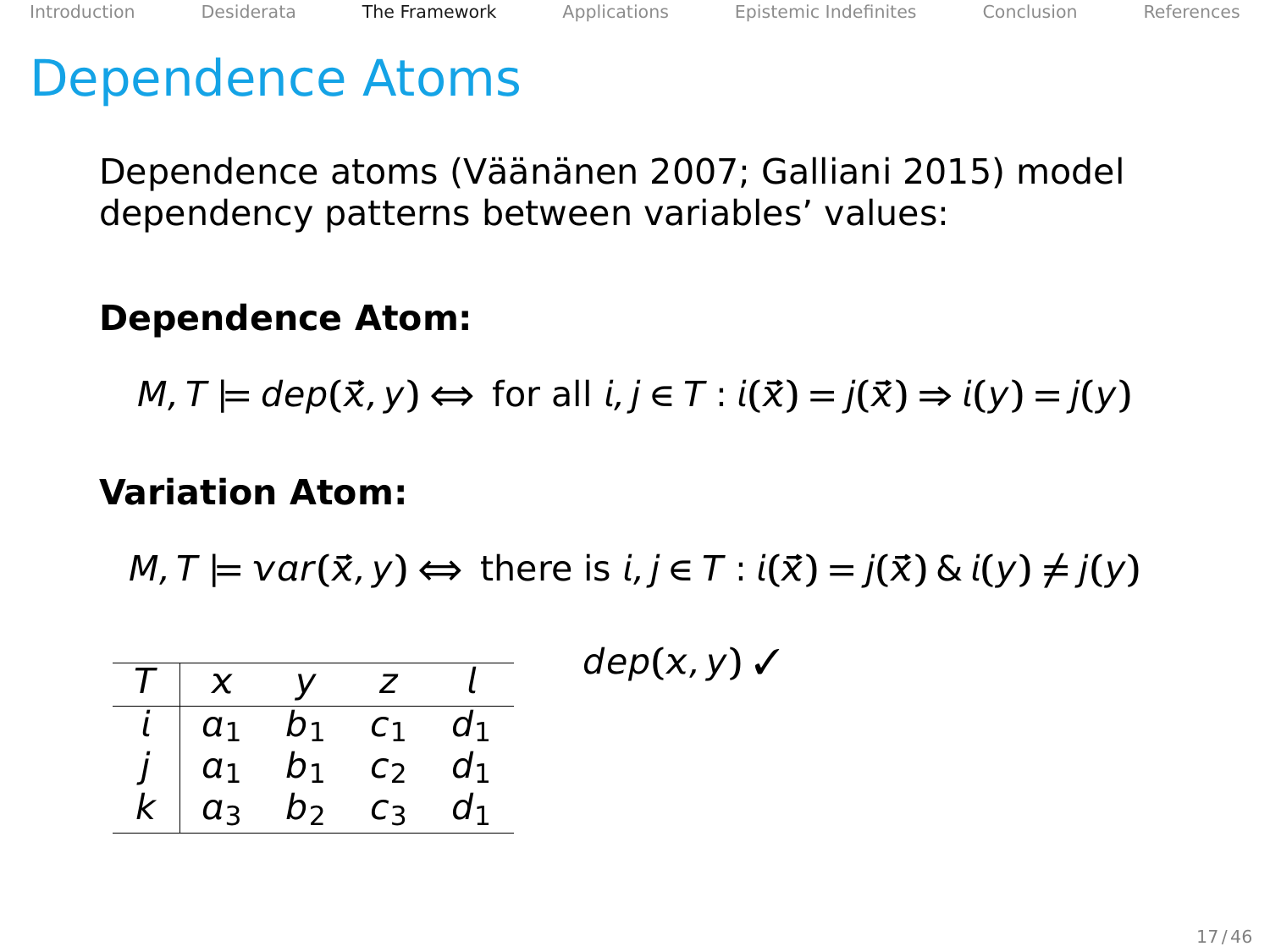Dependence atoms (Väänänen [2007;](#page-108-0) Galliani [2015\)](#page-107-0) model dependency patterns between variables' values:

### **Dependence Atom:**

$$
M, T \models dep(\vec{x}, y) \Leftrightarrow \text{ for all } i, j \in T : i(\vec{x}) = j(\vec{x}) \Rightarrow i(y) = j(y)
$$

#### **Variation Atom:**

|  | $T \mid x \mid y \mid z \mid l$                                                                                         |  | $dep(x, y)$ $\checkmark$ |
|--|-------------------------------------------------------------------------------------------------------------------------|--|--------------------------|
|  |                                                                                                                         |  |                          |
|  | $\begin{array}{c cccc} i & a_1 & b_1 & c_1 & d_1 \\ j & a_1 & b_1 & c_2 & d_1 \\ k & a_3 & b_2 & c_3 & d_1 \end{array}$ |  |                          |
|  |                                                                                                                         |  |                          |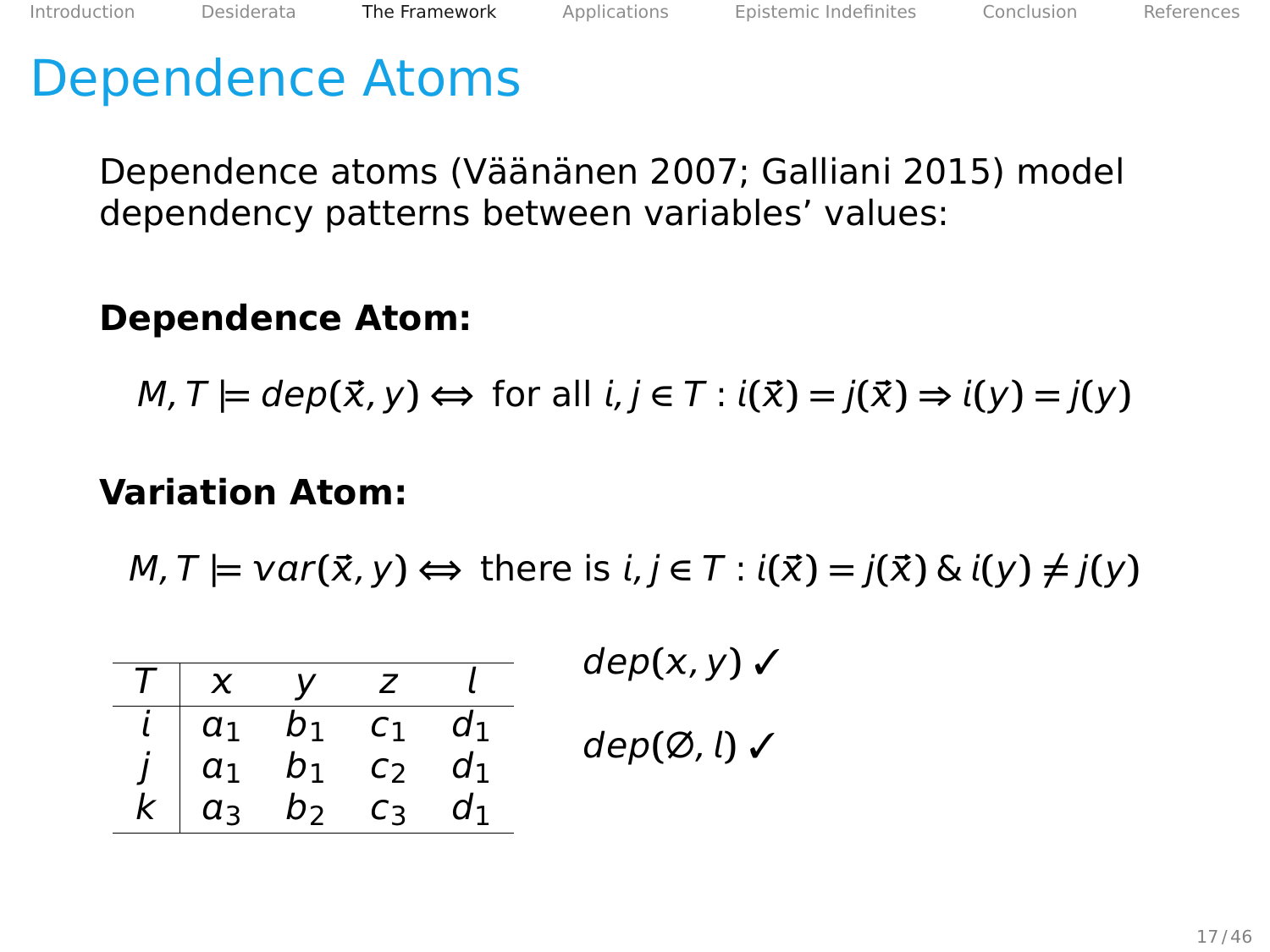Dependence atoms (Väänänen [2007;](#page-108-0) Galliani [2015\)](#page-107-0) model dependency patterns between variables' values:

#### **Dependence Atom:**

$$
M, T \models dep(\vec{x}, y) \Leftrightarrow \text{ for all } i, j \in T : i(\vec{x}) = j(\vec{x}) \Rightarrow i(y) = j(y)
$$

#### **Variation Atom:**

 $M, T \models \text{var}(\vec{x}, y) \Leftrightarrow \text{there is } i, j \in T : i(\vec{x}) = j(\vec{x}) \& i(y) \neq j(y)$ 

|           | a <sub>1</sub>   |             |                |  |
|-----------|------------------|-------------|----------------|--|
| $\bullet$ |                  | $a_1$ $b_1$ | c <sub>2</sub> |  |
|           | $\overline{a_3}$ | $b_2$       | ∟੨             |  |

 $dep(x, y)$   $\checkmark$ 

dep**(**∅, **)** ✓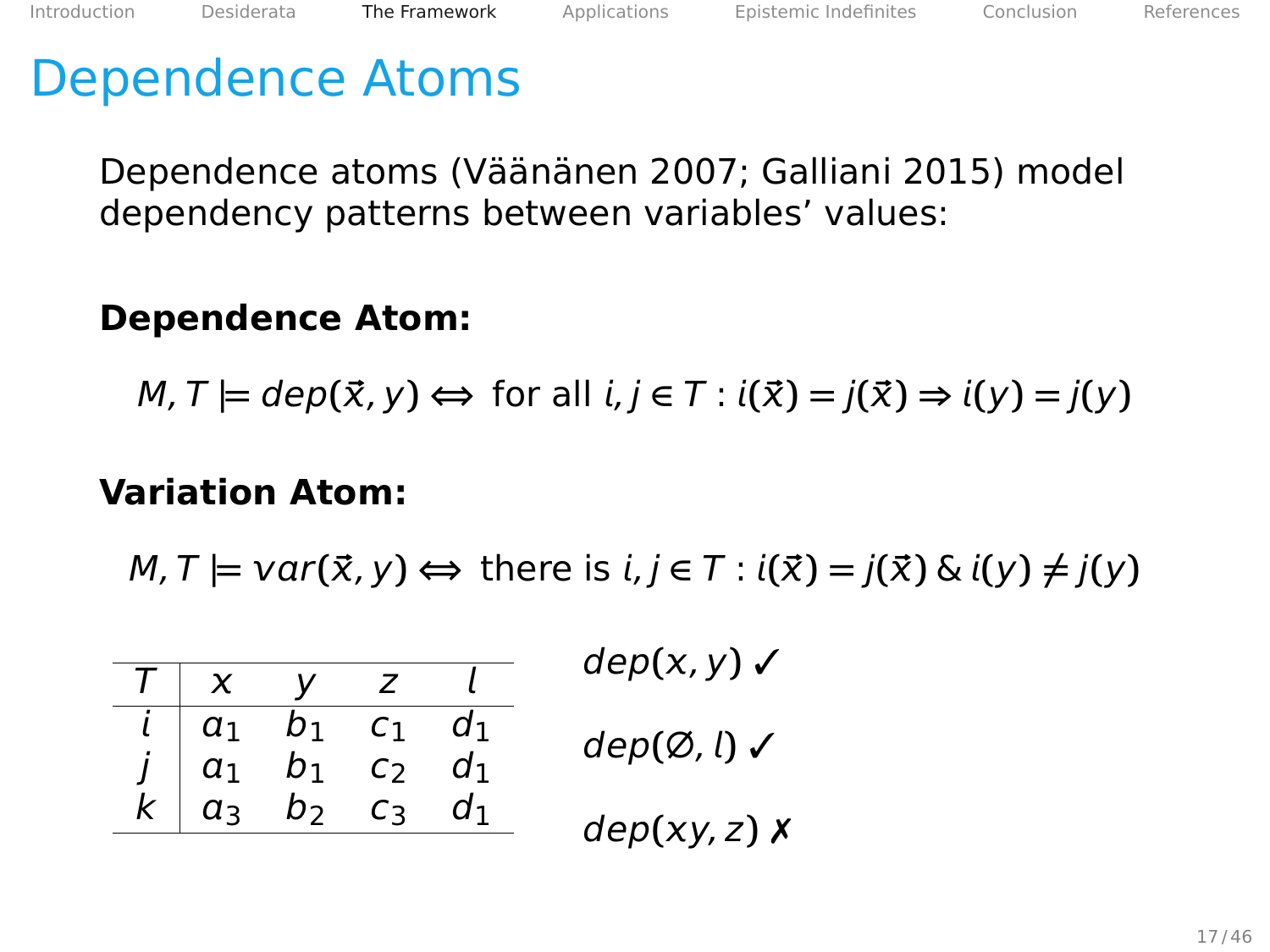Dependence atoms (Väänänen [2007;](#page-108-0) Galliani [2015\)](#page-107-0) model dependency patterns between variables' values:

### **Dependence Atom:**

$$
M, T \models dep(\vec{x}, y) \Leftrightarrow \text{ for all } i, j \in T : i(\vec{x}) = j(\vec{x}) \Rightarrow i(y) = j(y)
$$

#### **Variation Atom:**

| $dep(x, y)$ $\checkmark$         |  | $T \mid x \mid y \mid z \mid l$                                                                                                  |  |
|----------------------------------|--|----------------------------------------------------------------------------------------------------------------------------------|--|
| $dep(\emptyset, l)$ $\checkmark$ |  | $\begin{array}{ c cccc } \hline i & a_1 & b_1 & c_1 & d_1 \\ j & a_1 & b_1 & c_2 & d_1 \\ k & a_3 & b_2 & c_3 & d_1 \end{array}$ |  |
|                                  |  |                                                                                                                                  |  |
| $dep(xy, z)$ X                   |  |                                                                                                                                  |  |
|                                  |  |                                                                                                                                  |  |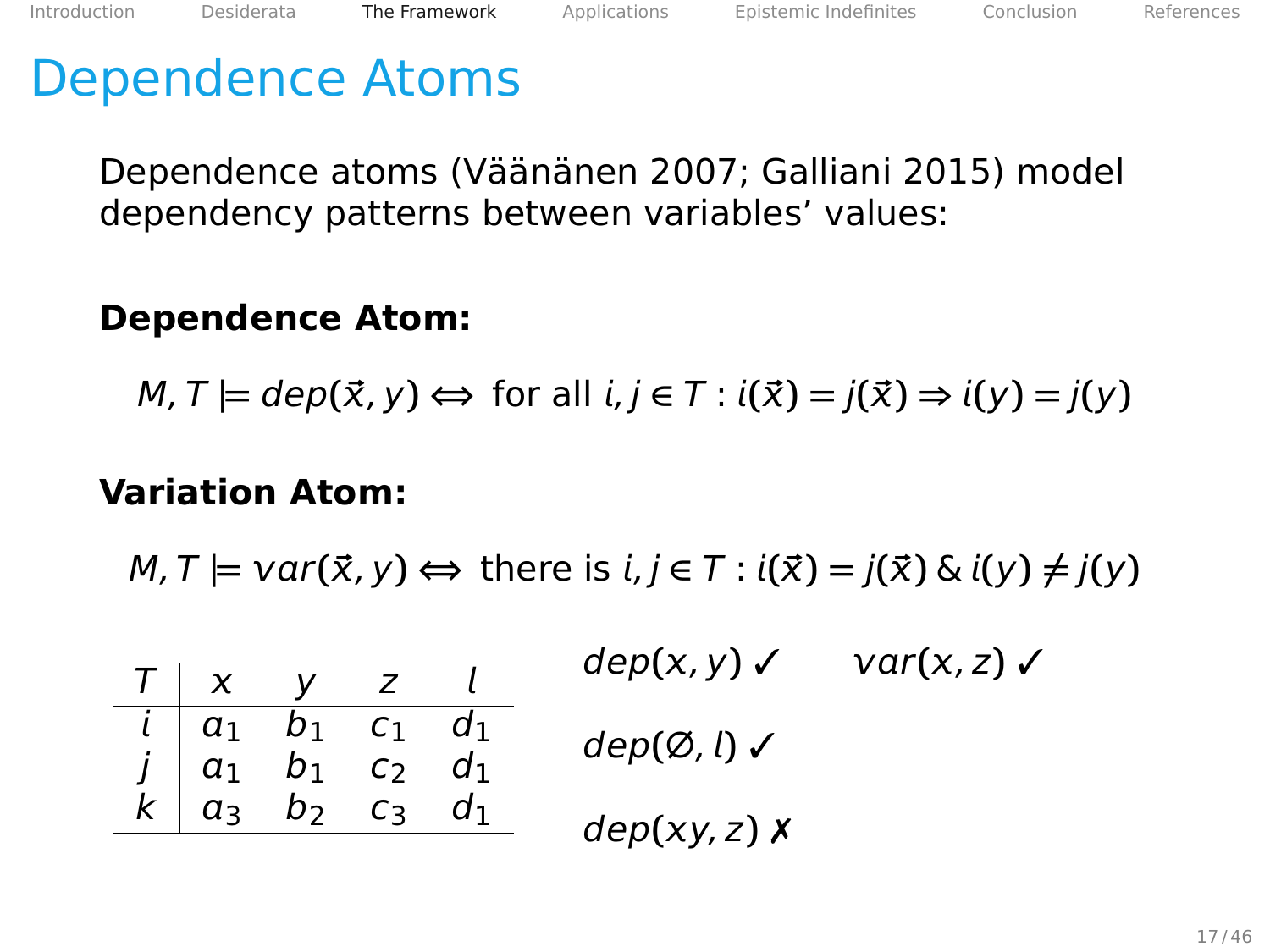Dependence atoms (Väänänen [2007;](#page-108-0) Galliani [2015\)](#page-107-0) model dependency patterns between variables' values:

### **Dependence Atom:**

$$
M, T \models dep(\vec{x}, y) \Leftrightarrow \text{ for all } i, j \in T : i(\vec{x}) = j(\vec{x}) \Rightarrow i(y) = j(y)
$$

#### **Variation Atom:**

|  |                                                                                                                         |  | $dep(x, y)$ $\checkmark$         | $var(x, z)$ $\checkmark$ |
|--|-------------------------------------------------------------------------------------------------------------------------|--|----------------------------------|--------------------------|
|  | $\mathsf{v}$                                                                                                            |  |                                  |                          |
|  |                                                                                                                         |  | $dep(\emptyset, l)$ $\checkmark$ |                          |
|  |                                                                                                                         |  |                                  |                          |
|  | $\begin{array}{c cccc} i & a_1 & b_1 & c_1 & d_1 \\ j & a_1 & b_1 & c_2 & d_1 \\ k & a_3 & b_2 & c_3 & d_1 \end{array}$ |  | $dep(xy, z)$ $x$                 |                          |
|  |                                                                                                                         |  |                                  |                          |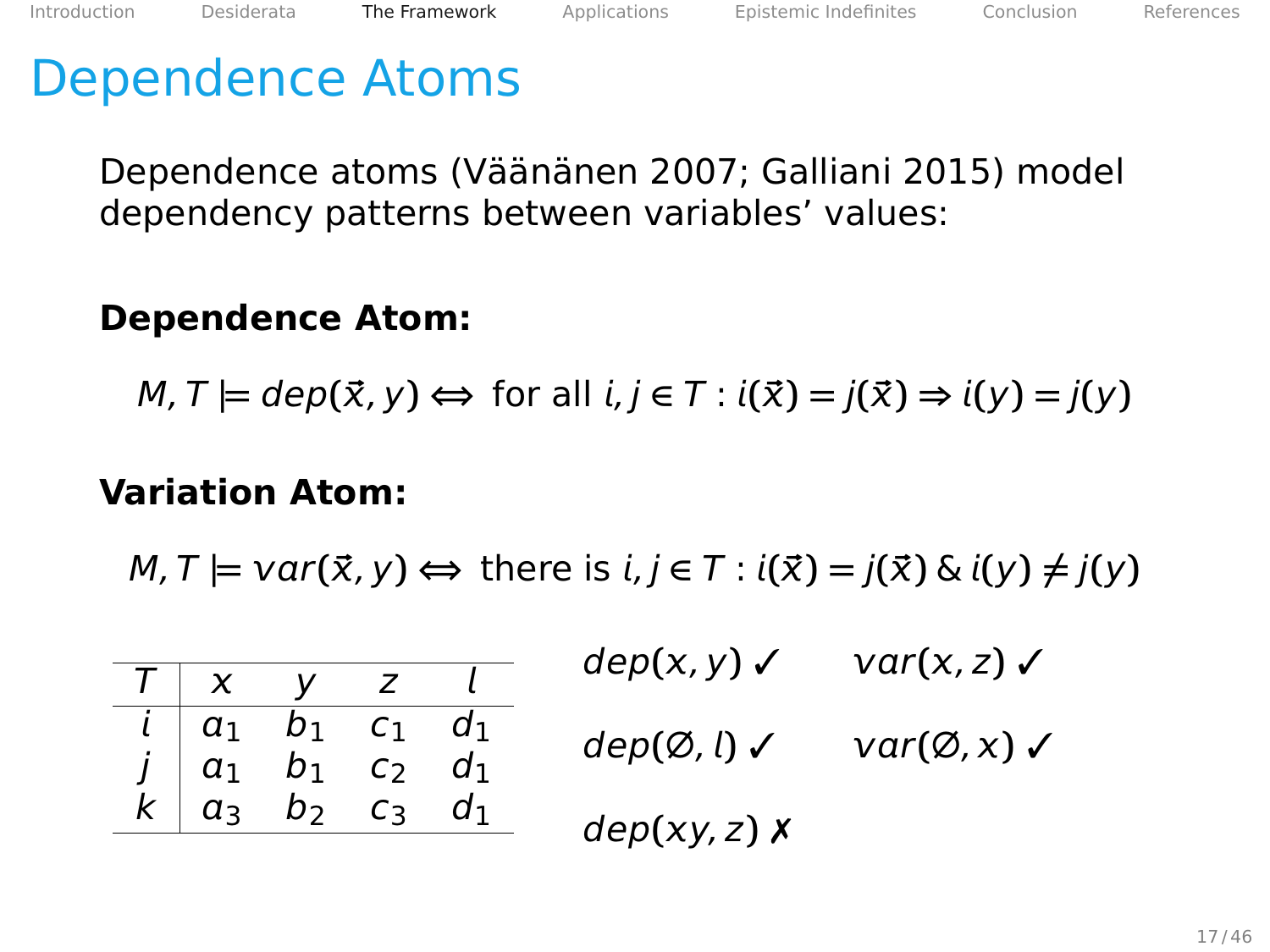Dependence atoms (Väänänen [2007;](#page-108-0) Galliani [2015\)](#page-107-0) model dependency patterns between variables' values:

### **Dependence Atom:**

$$
M, T \models dep(\vec{x}, y) \Leftrightarrow \text{ for all } i, j \in T : i(\vec{x}) = j(\vec{x}) \Rightarrow i(y) = j(y)
$$

#### **Variation Atom:**

|  |                                                                                                                         |  | $dep(x, y) \swarrow var(x, z) \swarrow$         |  |
|--|-------------------------------------------------------------------------------------------------------------------------|--|-------------------------------------------------|--|
|  | $T \mid x \quad y \quad z \quad l$                                                                                      |  |                                                 |  |
|  |                                                                                                                         |  | $dep(\emptyset, l) \vee var(\emptyset, x) \vee$ |  |
|  |                                                                                                                         |  |                                                 |  |
|  | $\begin{array}{c cccc} i & a_1 & b_1 & c_1 & d_1 \\ j & a_1 & b_1 & c_2 & d_1 \\ k & a_3 & b_2 & c_3 & d_1 \end{array}$ |  | $dep(xy, z)$ $x$                                |  |
|  |                                                                                                                         |  |                                                 |  |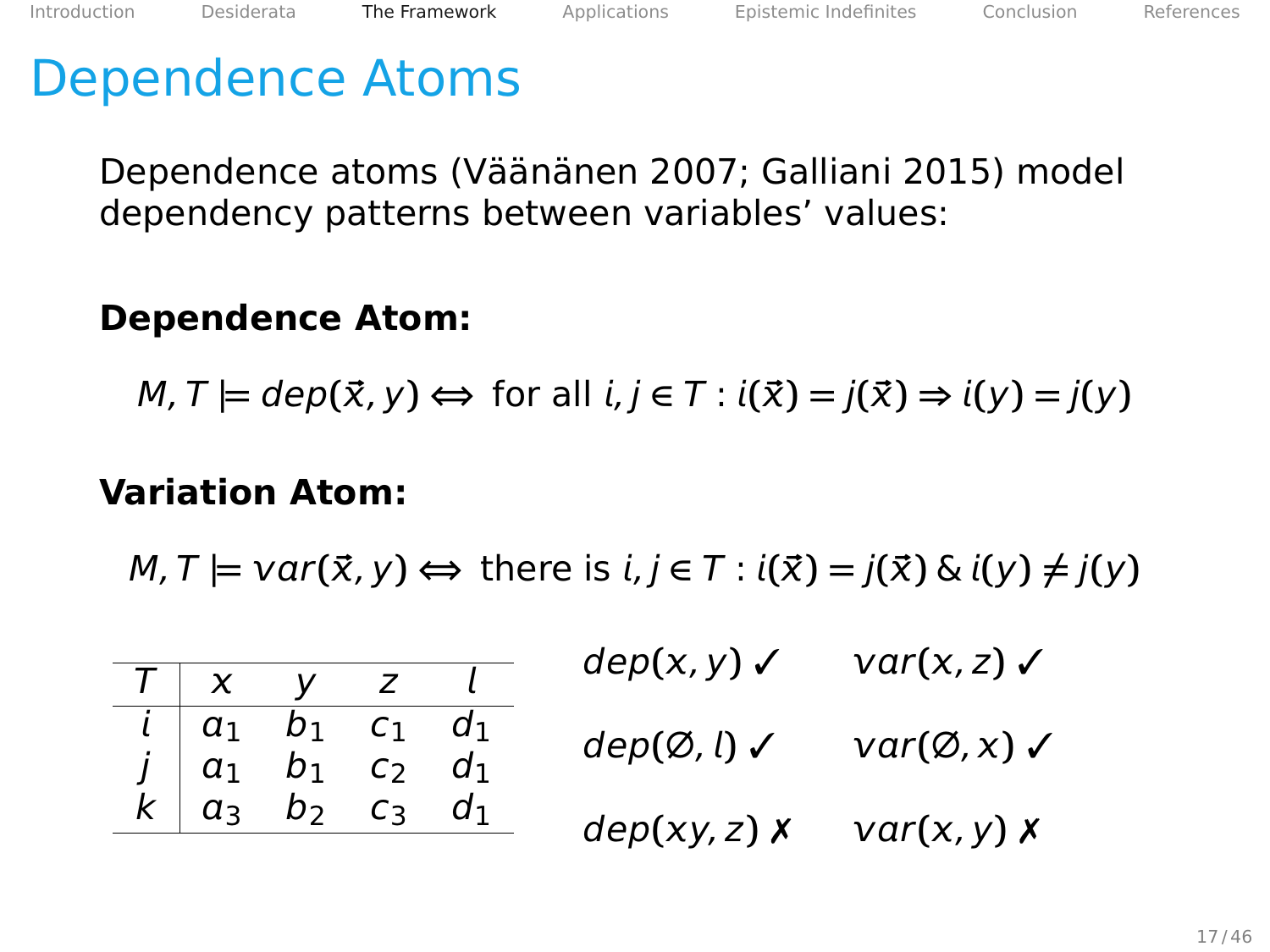Dependence atoms (Väänänen [2007;](#page-108-0) Galliani [2015\)](#page-107-0) model dependency patterns between variables' values:

### **Dependence Atom:**

$$
M, T \models dep(\vec{x}, y) \Leftrightarrow \text{ for all } i, j \in T : i(\vec{x}) = j(\vec{x}) \Rightarrow i(y) = j(y)
$$

#### **Variation Atom:**

|  |                                                                                                                         |  | $dep(x, y) \swarrow var(x, z) \swarrow$                            |  |
|--|-------------------------------------------------------------------------------------------------------------------------|--|--------------------------------------------------------------------|--|
|  | $T \mid x \mid y \mid z \mid l$                                                                                         |  |                                                                    |  |
|  |                                                                                                                         |  | $dep(\emptyset, l) \checkmark \qquad var(\emptyset, x) \checkmark$ |  |
|  |                                                                                                                         |  |                                                                    |  |
|  | $\begin{array}{c cccc} i & a_1 & b_1 & c_1 & d_1 \\ j & a_1 & b_1 & c_2 & d_1 \\ k & a_3 & b_2 & c_3 & d_1 \end{array}$ |  | $dep(xy, z)$ <b>x</b> $var(x, y)$ <b>x</b>                         |  |
|  |                                                                                                                         |  |                                                                    |  |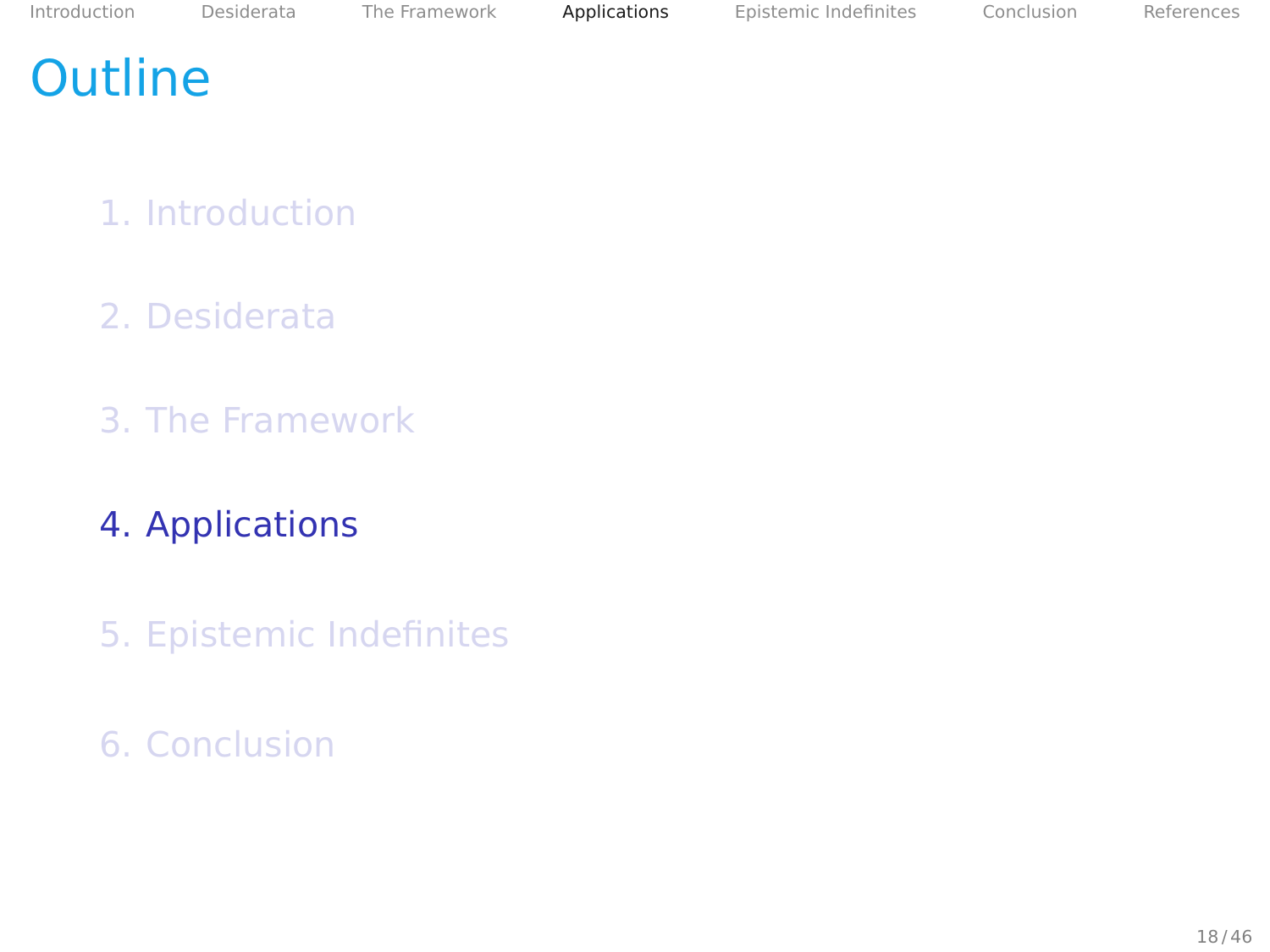## <span id="page-47-0"></span>**Outline**

- 1. [Introduction](#page-2-0)
- 2. [Desiderata](#page-14-0)
- 3. [The Framework](#page-25-0)
- 4. [Applications](#page-47-0)
- 5. [Epistemic Indefinites](#page-86-0)
- 6. [Conclusion](#page-102-0)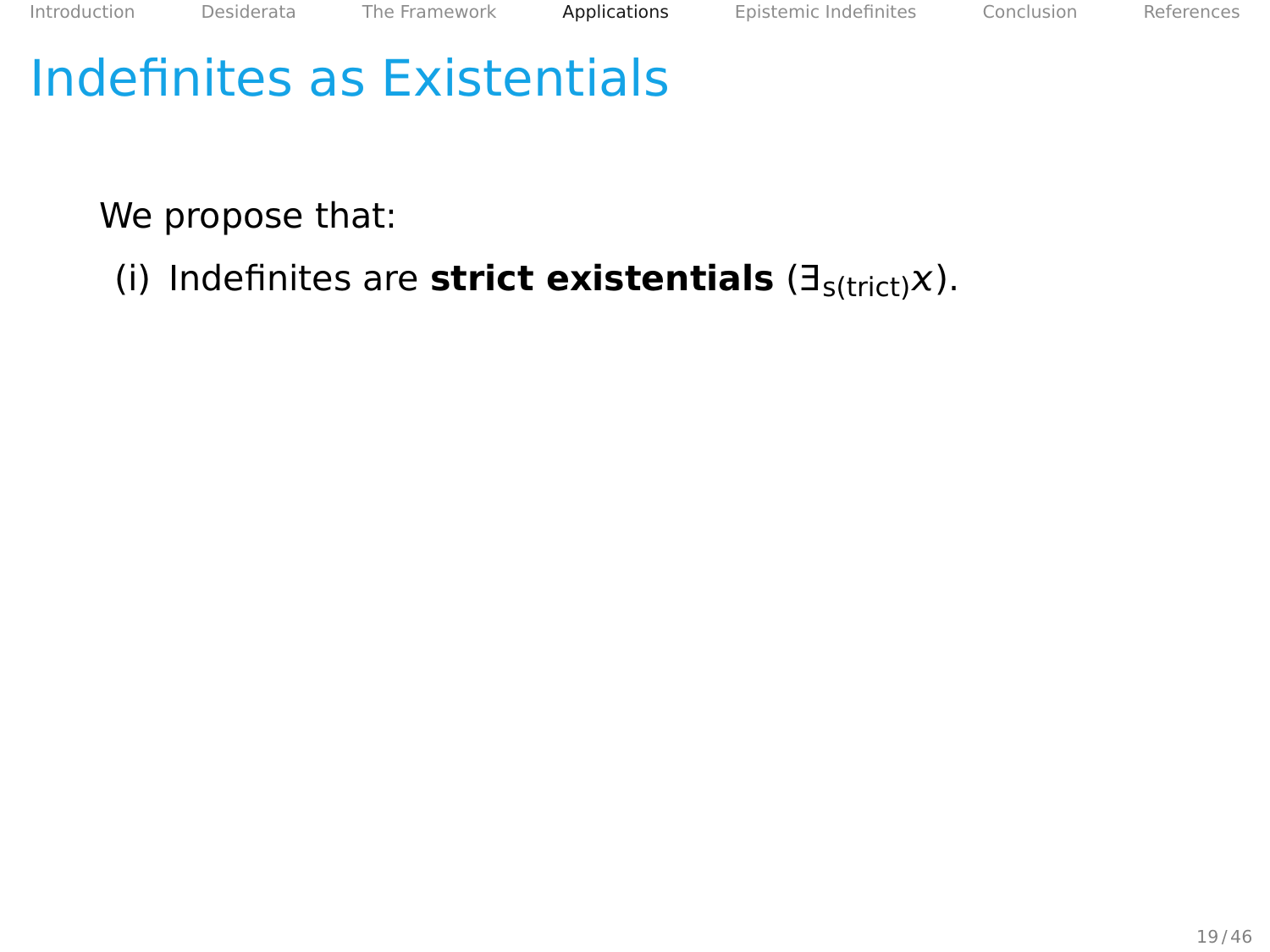We propose that:

(i) Indefinites are **strict existentials** (∃s(trict)).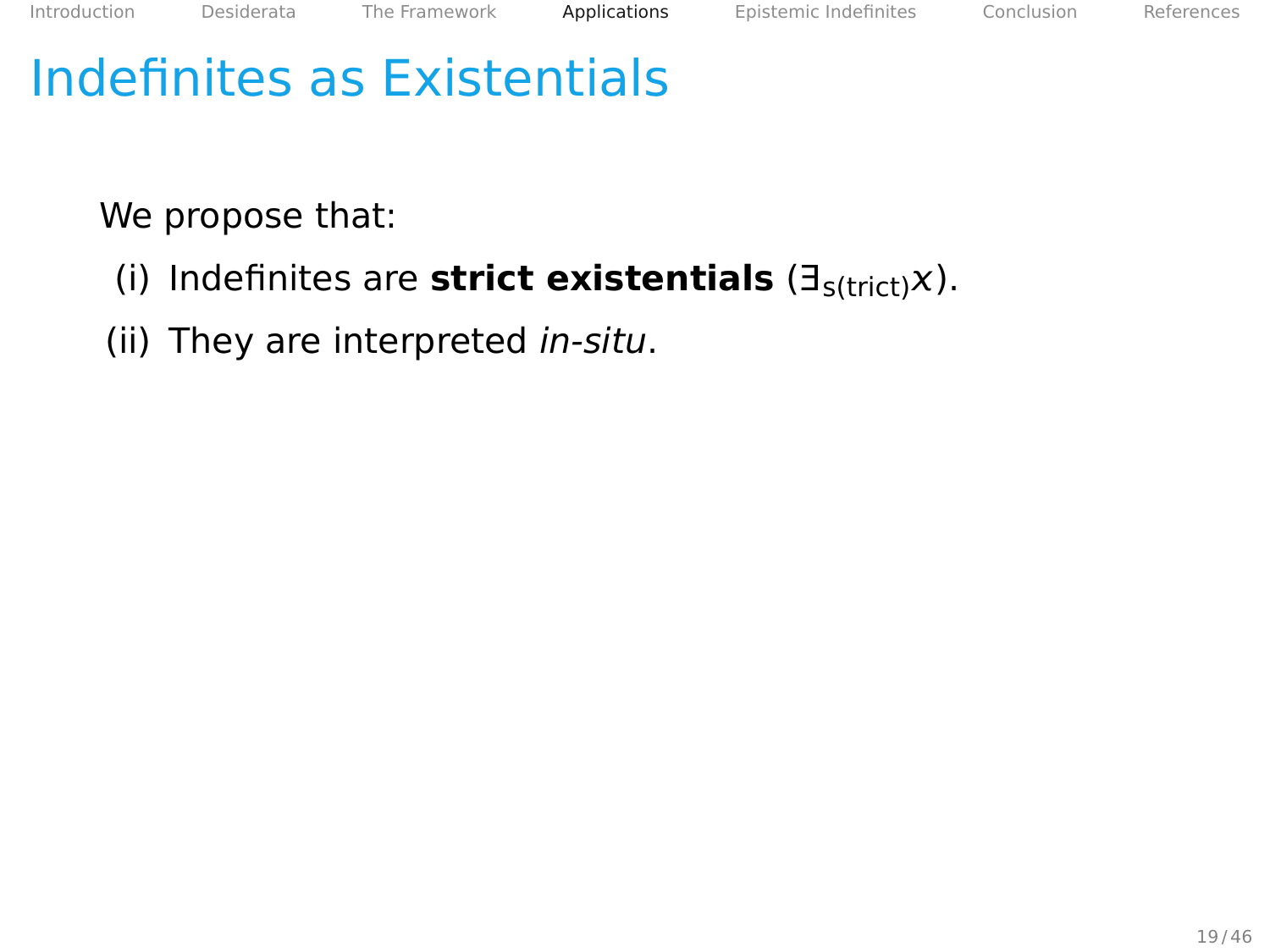We propose that:

- (i) Indefinites are **strict existentials** (∃s(trict)).
- (ii) They are interpreted in-situ.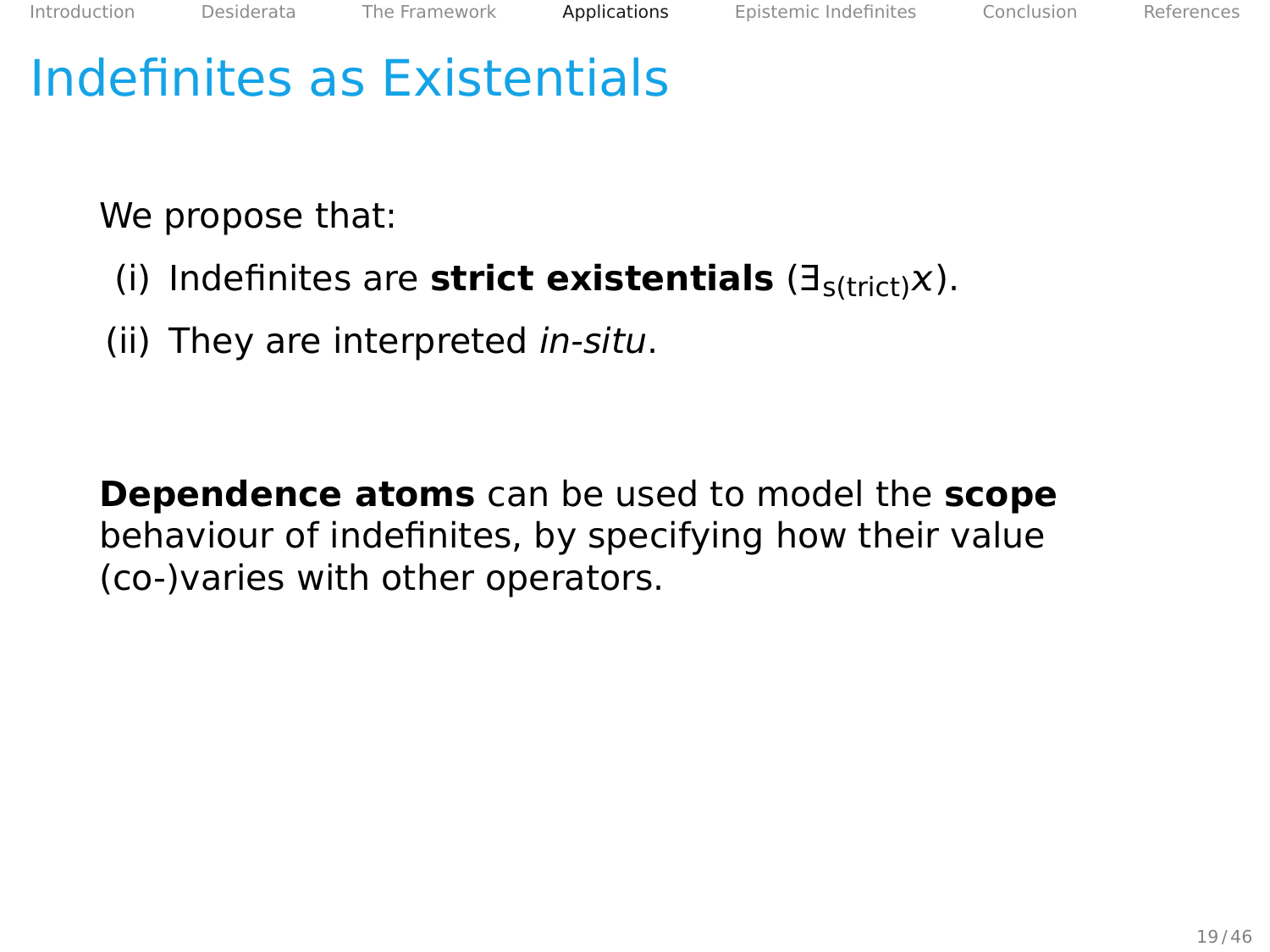We propose that:

- (i) Indefinites are **strict existentials** (∃s(trict)).
- (ii) They are interpreted in-situ.

**Dependence atoms** can be used to model the **scope** behaviour of indefinites, by specifying how their value (co-)varies with other operators.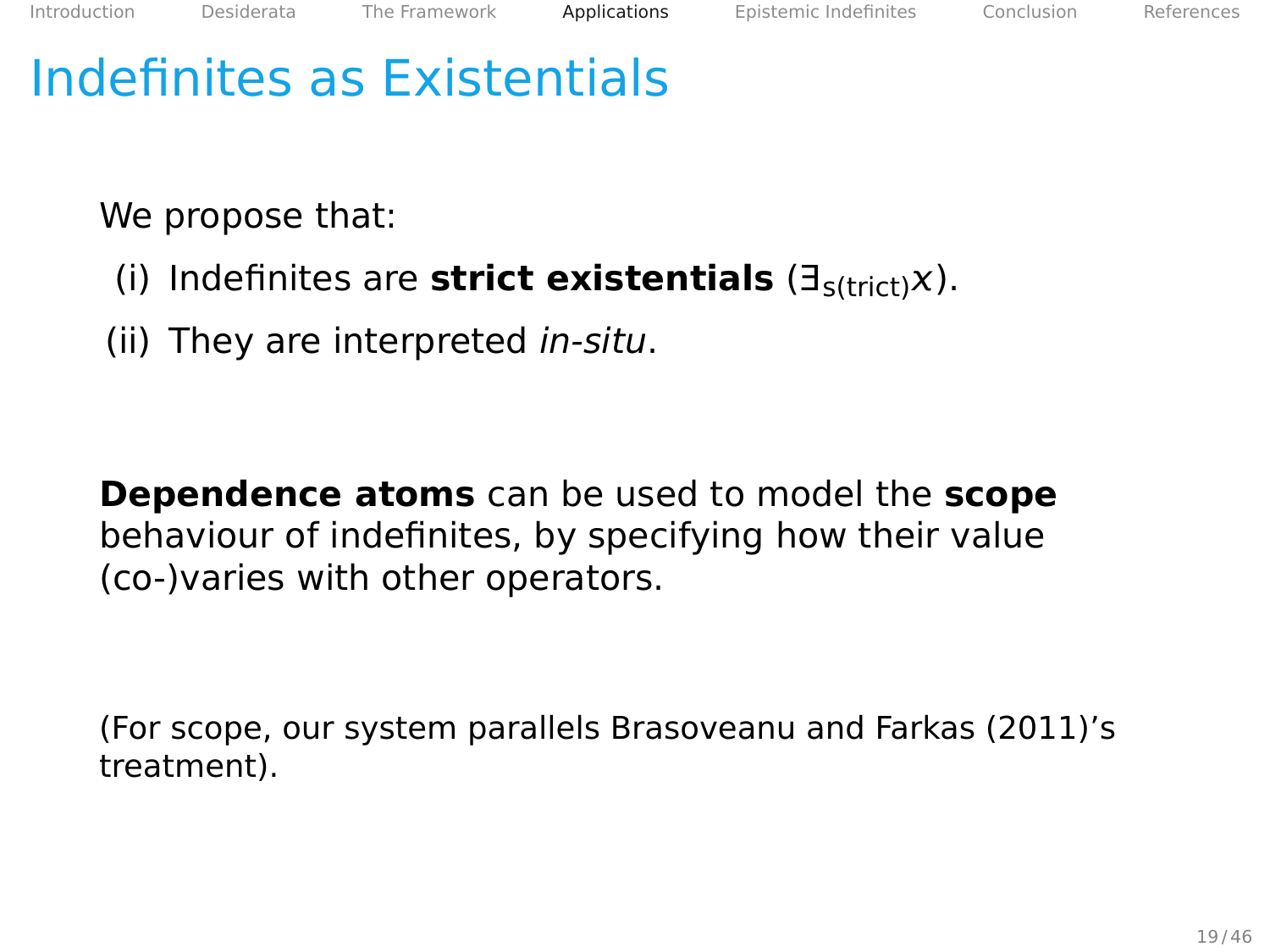We propose that:

- (i) Indefinites are **strict existentials** (∃s(trict)).
- (ii) They are interpreted in-situ.

**Dependence atoms** can be used to model the **scope** behaviour of indefinites, by specifying how their value (co-)varies with other operators.

(For scope, our system parallels Brasoveanu and Farkas [\(2011\)](#page-106-1)'s treatment).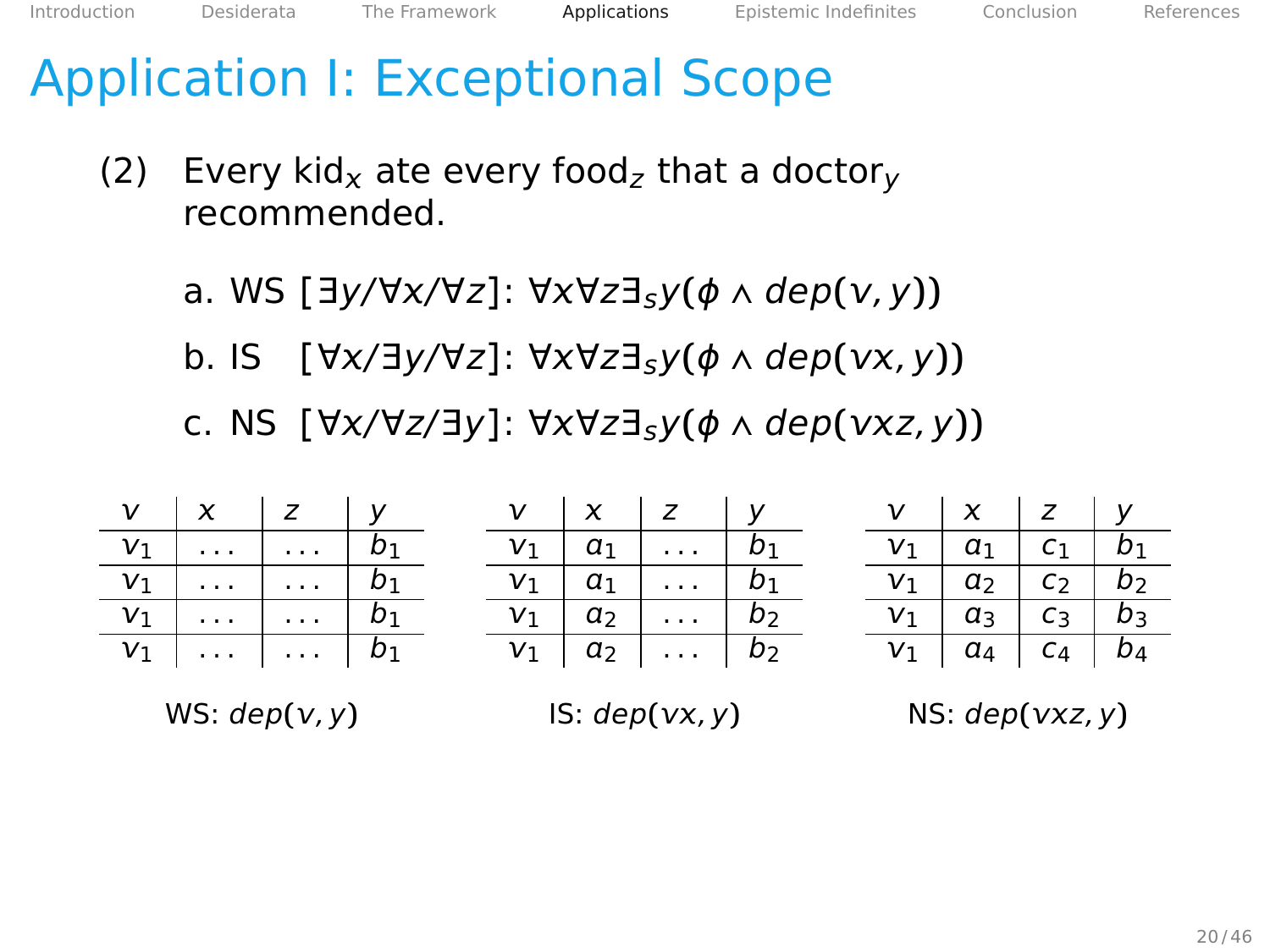[Introduction](#page-2-0) [Desiderata](#page-14-0) [The Framework](#page-25-0) [Applications](#page-47-0) [Epistemic Indefinites](#page-86-0) [Conclusion](#page-102-0) [References](#page-106-0)

## Application I: Exceptional Scope

- (2) Every kid<sub>x</sub> ate every food<sub>z</sub> that a doctor<sub>v</sub> recommended.
	- a. WS **[**∃y/∀/∀z**]**: ∀∀z∃sy**(**ϕ ∧ dep**(**, y**))**
	- b. IS **[**∀/∃y/∀z**]**: ∀∀z∃sy**(**ϕ ∧ dep**(**, y**))**
	- c. NS **[**∀/∀z/∃y**]**: ∀∀z∃sy**(**ϕ ∧ dep**(**z, y**))**

| $v_1$ $a_1$ $c_1$ $b_1$<br>$\boxed{v_1 \mid a_1 \mid \ldots \mid b_1}$<br>$V_1$ $b_1$                                             |  |
|-----------------------------------------------------------------------------------------------------------------------------------|--|
|                                                                                                                                   |  |
| $\overline{v_1}$ $\overline{a_2}$ $\overline{c_2}$ $\overline{b_2}$<br>$\boxed{v_1 \mid a_1 \mid \ldots \mid b_1}$<br>$v_1$ $b_1$ |  |
| $v_1$ $a_3$ $c_3$ $b_3$<br>$v_1 \mid a_2 \mid \ldots \mid b_2$<br>$v_1$   $b_1$                                                   |  |
| $V_1$ $a_4$ $c_4$ $b_4$<br>$v_1 \mid a_2 \mid \ldots \mid b_2$<br>$v_1$   $b_1$                                                   |  |

WS:  $dep(v, v)$ 

IS:  $dep(vx, y)$ 

NS: dep**(**z, y**)**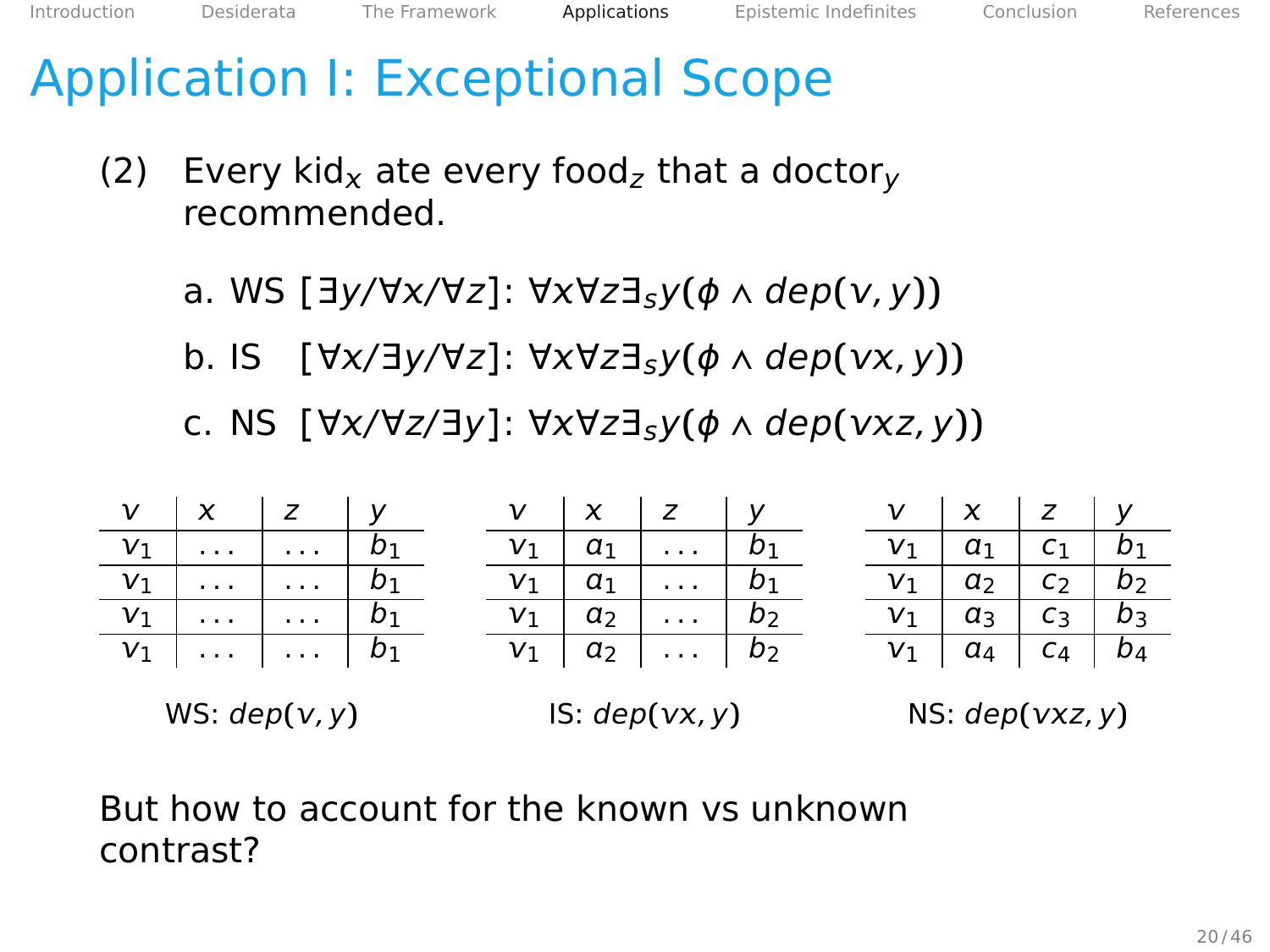## Application I: Exceptional Scope

- (2) Every kid<sub>x</sub> ate every food<sub>z</sub> that a doctor<sub>v</sub> recommended.
	- a. WS **[**∃y/∀/∀z**]**: ∀∀z∃sy**(**ϕ ∧ dep**(**, y**))**
	- b. IS **[**∀/∃y/∀z**]**: ∀∀z∃sy**(**ϕ ∧ dep**(**, y**))**
	- c. NS **[**∀/∀z/∃y**]**: ∀∀z∃sy**(**ϕ ∧ dep**(**z, y**))**

| $V$ $x$ $z$ $y$ |  |  | $V$ $\mid X$ $\mid Z$ $\mid Y$               |  | $V$ $\mid X$ $\mid Z$ $\mid Y$                              |  |
|-----------------|--|--|----------------------------------------------|--|-------------------------------------------------------------|--|
| $V_1$ $b_1$     |  |  | $v_1 \mid a_1 \mid \ldots \mid b_1$          |  | $\overline{v_1 \mid a_1 \mid c_1 \mid b_1}$                 |  |
| $V_1$ $b_1$     |  |  | $\mathbf{v}_1 \mid a_1 \mid \ldots \mid b_1$ |  | $\mathbf{v}_1$ $\mathbf{a}_2$ $\mathbf{c}_2$ $\mathbf{b}_2$ |  |
| $v_1$   $b_1$   |  |  | $v_1 \mid a_2 \mid \ldots \mid b_2$          |  | $v_1 \mid a_3 \mid c_3 \mid b_3$                            |  |
| $V_1$ $b_1$     |  |  | $v_1 \mid a_2 \mid \ldots \mid b_2$          |  | $V_1$ $a_4$ $c_4$ $b_4$                                     |  |
|                 |  |  |                                              |  |                                                             |  |

WS:  $dep(v, v)$ 

 $IS: dep(vx, y)$ 

NS: dep**(**z, y**)**

But how to account for the known vs unknown contrast?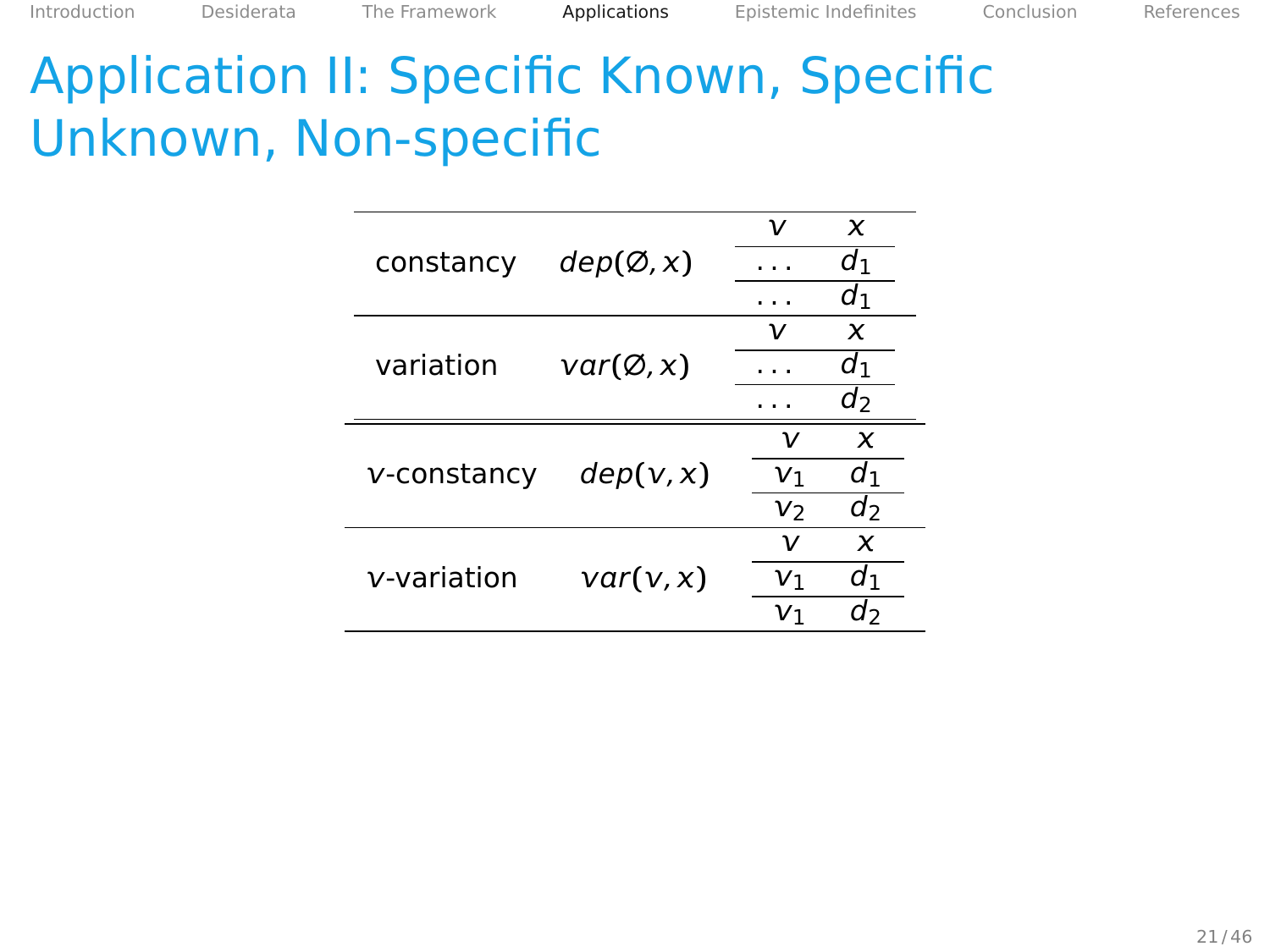|             |                     | ν              | X     |
|-------------|---------------------|----------------|-------|
| constancy   | dep(Ø, x)           |                | d1    |
|             |                     |                | d١    |
|             |                     | ν              | x     |
| variation   | $var(\emptyset, x)$ |                | d1    |
|             |                     |                | d     |
|             |                     | ν              | x     |
| v-constancy | dep(v, x)           | V <sub>1</sub> | $d_1$ |
|             |                     | v <sub>2</sub> | d     |
|             |                     | ν              | x     |
| v-variation | var(v,x)            | V1             | d1    |
|             |                     | V١             | d›    |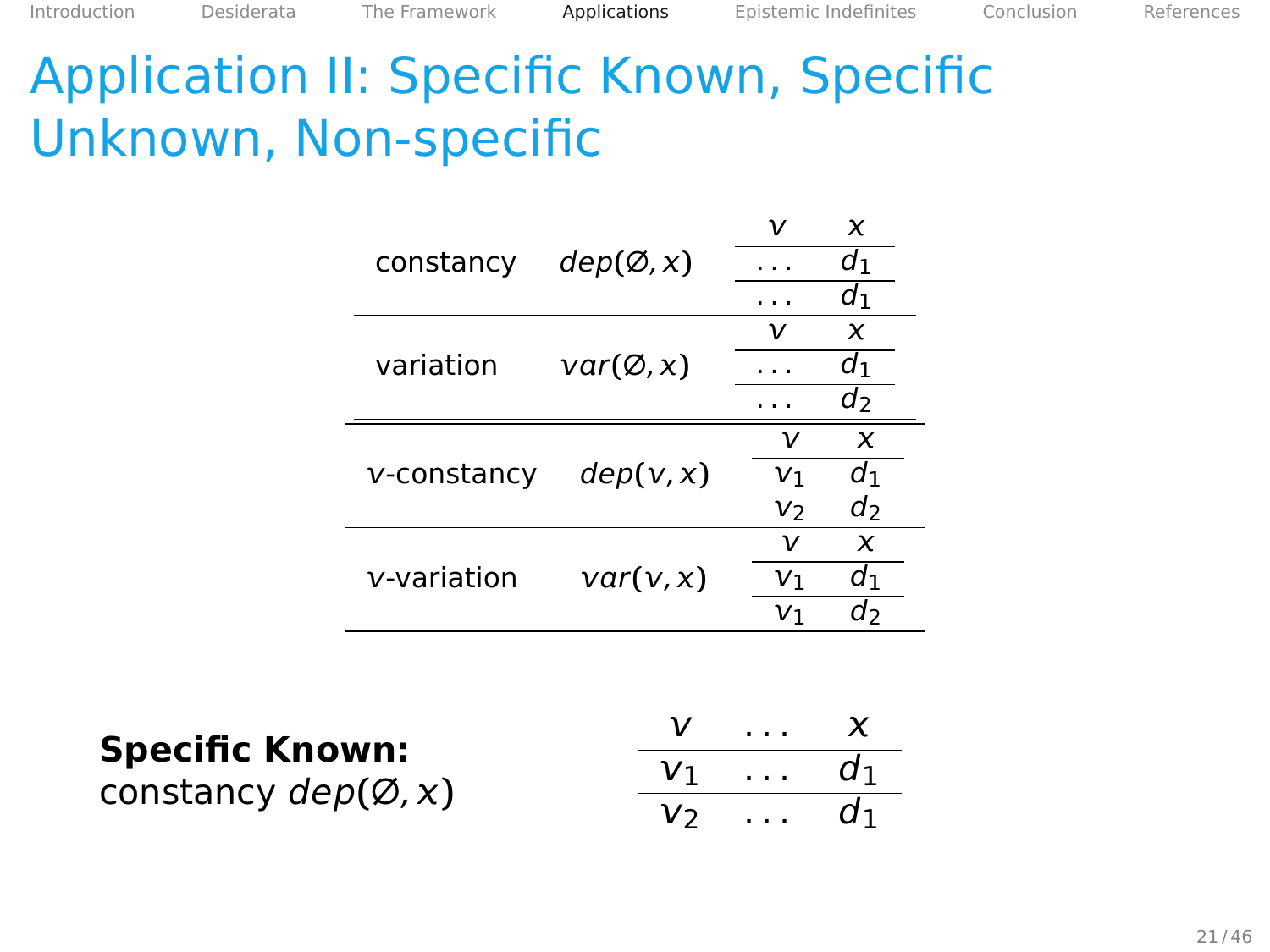|             |                     | ν              | x     |
|-------------|---------------------|----------------|-------|
| constancy   | dep(Ø, x)           |                | d۱    |
|             |                     |                | d١    |
|             |                     |                | x     |
| variation   | $var(\emptyset, x)$ |                | d1    |
|             |                     |                | d     |
|             |                     | ν              | x     |
| v-constancy | dep(v, x)           | V1             | $d_1$ |
|             |                     | V <sub>2</sub> | d     |
|             |                     | ν              | x     |
| v-variation | var(v, x)           | V1             | $d_1$ |
|             |                     | V١             | d›    |

**Specific Known:** constancy dep**(**∅, **)**  $V$  ...  $X$  $v_1 \ldots v_1$ v<sub>2</sub> ... d<sub>1</sub>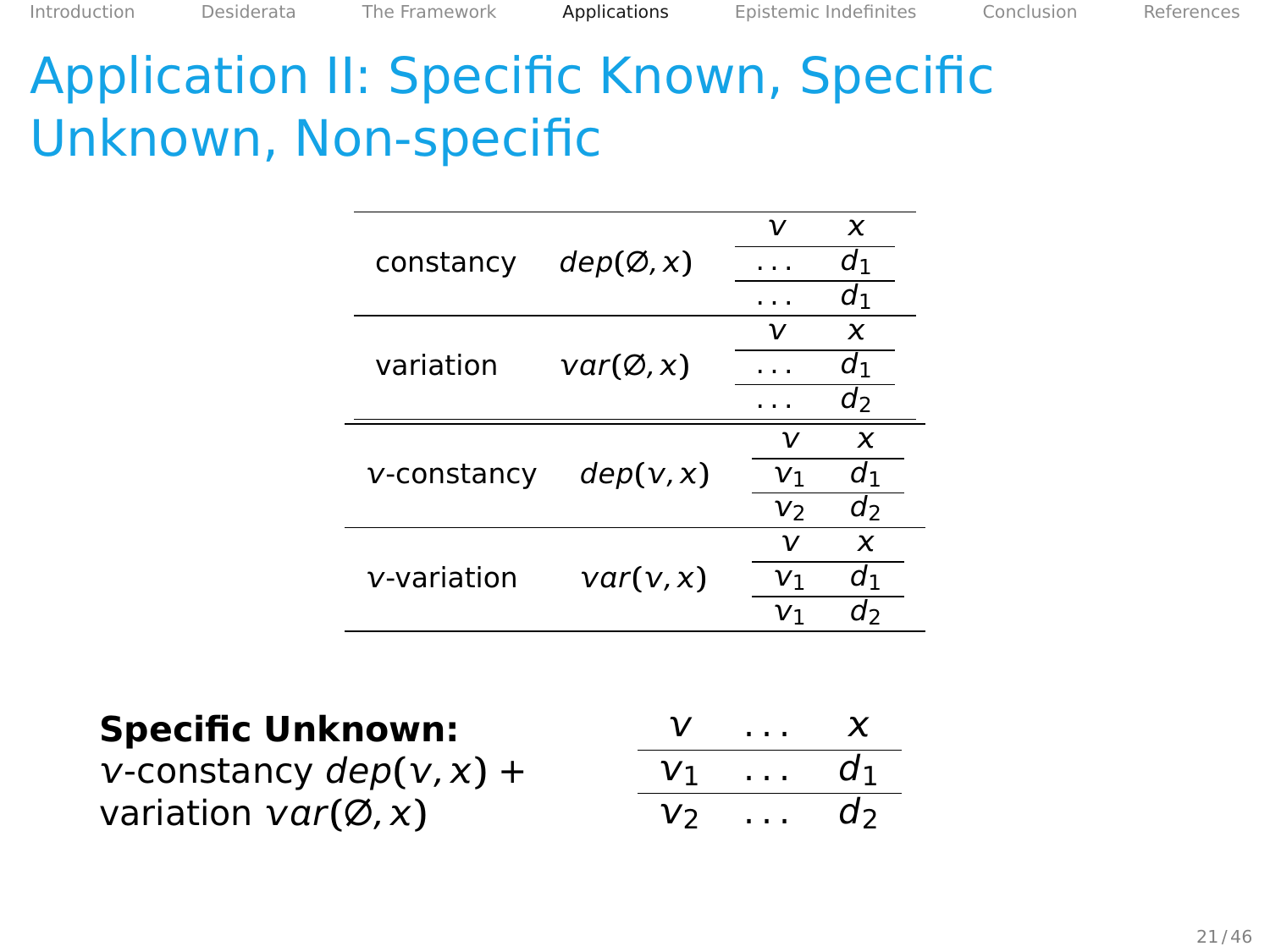|             |                     | ν              | x  |
|-------------|---------------------|----------------|----|
| constancy   | dep(Ø, x)           |                | d1 |
|             |                     |                | d1 |
|             |                     | ν              | x  |
| variation   | $var(\emptyset, x)$ |                | d1 |
|             |                     |                | d  |
|             |                     | ν              | x  |
| v-constancy | dep(v, x)           | V <sub>1</sub> | d١ |
|             |                     | V <sub>2</sub> | d  |
|             |                     | ν              | x  |
| v-variation | var(v, x)           | V١             | d١ |
|             |                     | V١             | d  |

**Specific Unknown:**  $v$ -constancy  $dep(v, x)$  +

variation  $var(\emptyset, x)$ 

| V  | $\ddot{\phantom{a}}$<br>$\blacksquare$ | Y   |
|----|----------------------------------------|-----|
| V1 | $\cdots$                               | d1  |
| r) |                                        | u z |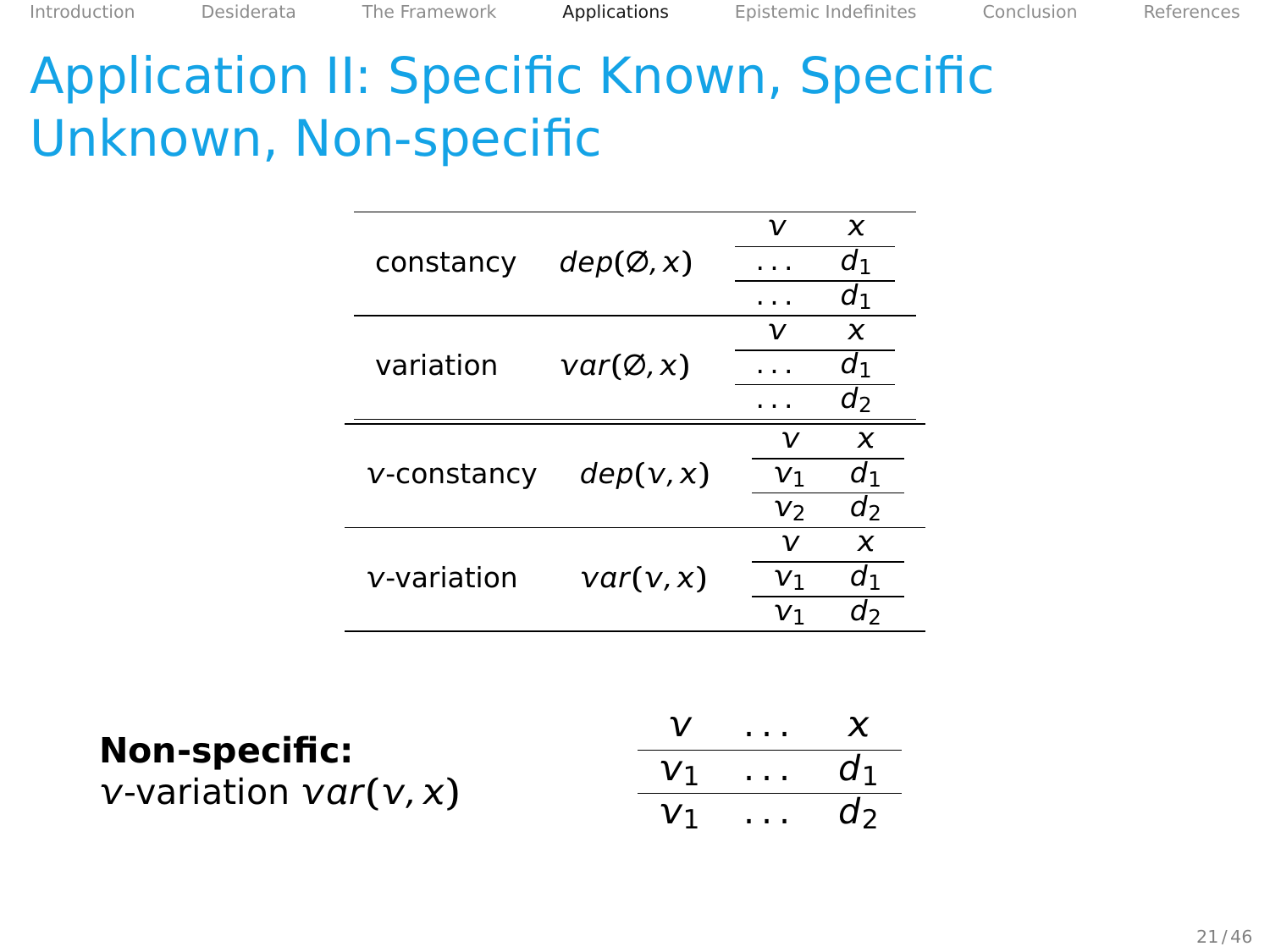|             |                     | ν              | X     |
|-------------|---------------------|----------------|-------|
| constancy   | dep(Ø, x)           |                | d1    |
|             |                     |                | d1    |
|             |                     |                | X     |
| variation   | $var(\emptyset, x)$ |                | d1    |
|             |                     |                | $d_2$ |
|             |                     | ν              | x     |
| v-constancy | dep(v, x)           | V1             | $d_1$ |
|             |                     | V <sub>2</sub> | d     |
|             |                     | ν              | x     |
| v-variation | var(v, x)           | V٦             | d١    |
|             |                     | V١             | d›    |

| Non-specific:                   | $V \ldots X$     |  |
|---------------------------------|------------------|--|
| <i>v</i> -variation $var(v, x)$ | $V_1$ $d_1$      |  |
|                                 | $v_1 \ldots v_2$ |  |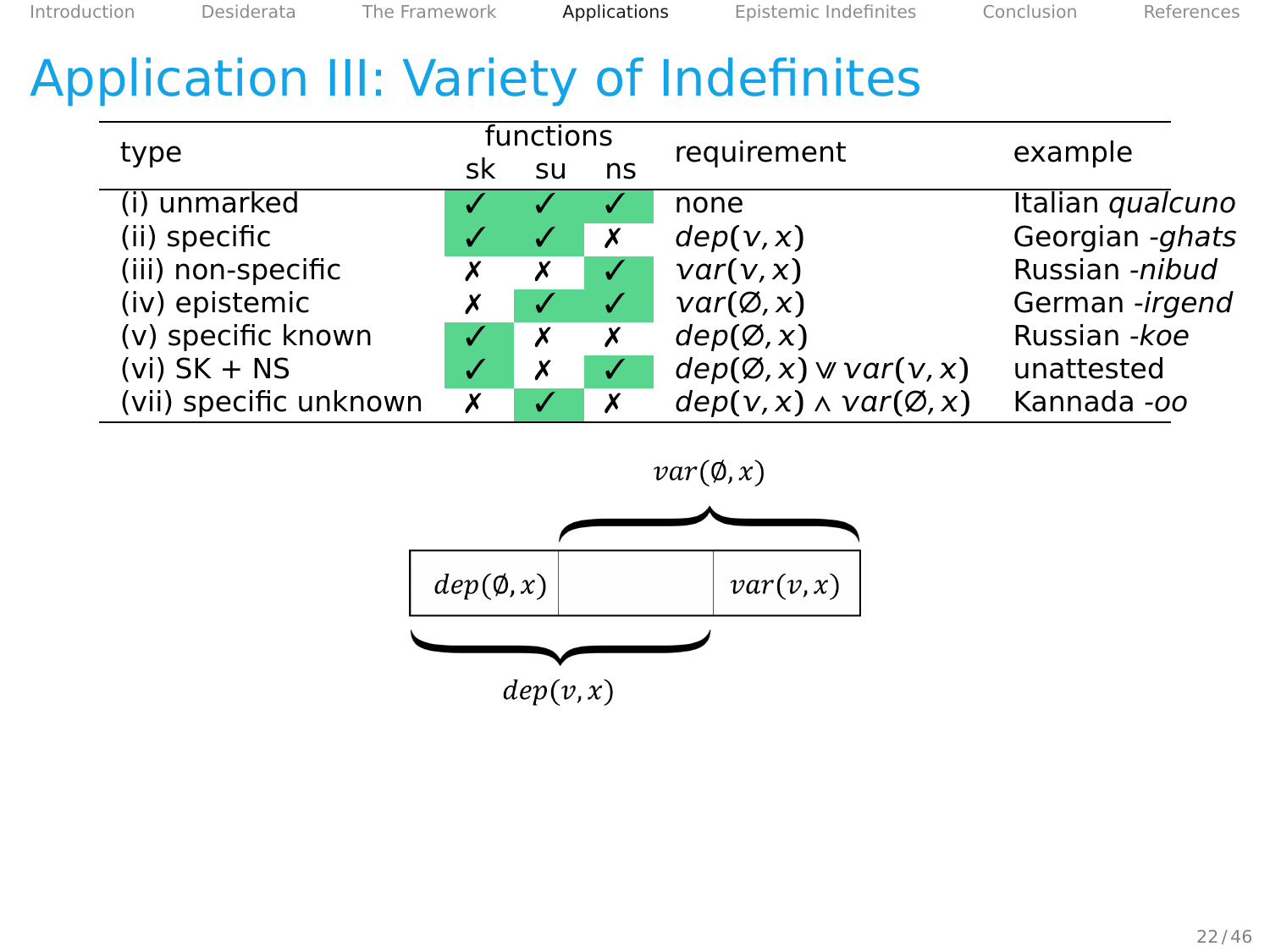# Application III: Variety of Indefinites

| type                   |    | functions |           | requirement                          | example          |
|------------------------|----|-----------|-----------|--------------------------------------|------------------|
|                        | sk | SU        | ns        |                                      |                  |
| (i) unmarked           |    |           |           | none                                 | Italian qualcuno |
| (ii) specific          |    |           | X         | dep(v, x)                            | Georgian -ghats  |
| (iii) non-specific     |    | Х         |           | var(v, x)                            | Russian -nibud   |
| (iv) epistemic         | х  |           | $\sqrt{}$ | $var(\emptyset, x)$                  | German -irgend   |
| (v) specific known     | √  | Х         | Х         | dep(Ø, x)                            | Russian - koe    |
| $(vi)$ SK + NS         | √  | Х         |           | $dep(Ø, x) \vee var(v, x)$           | unattested       |
| (vii) specific unknown | Х  |           | Х         | $dep(v, x) \wedge var(\emptyset, x)$ | Kannada -oo      |

 $var(\emptyset, x)$ 

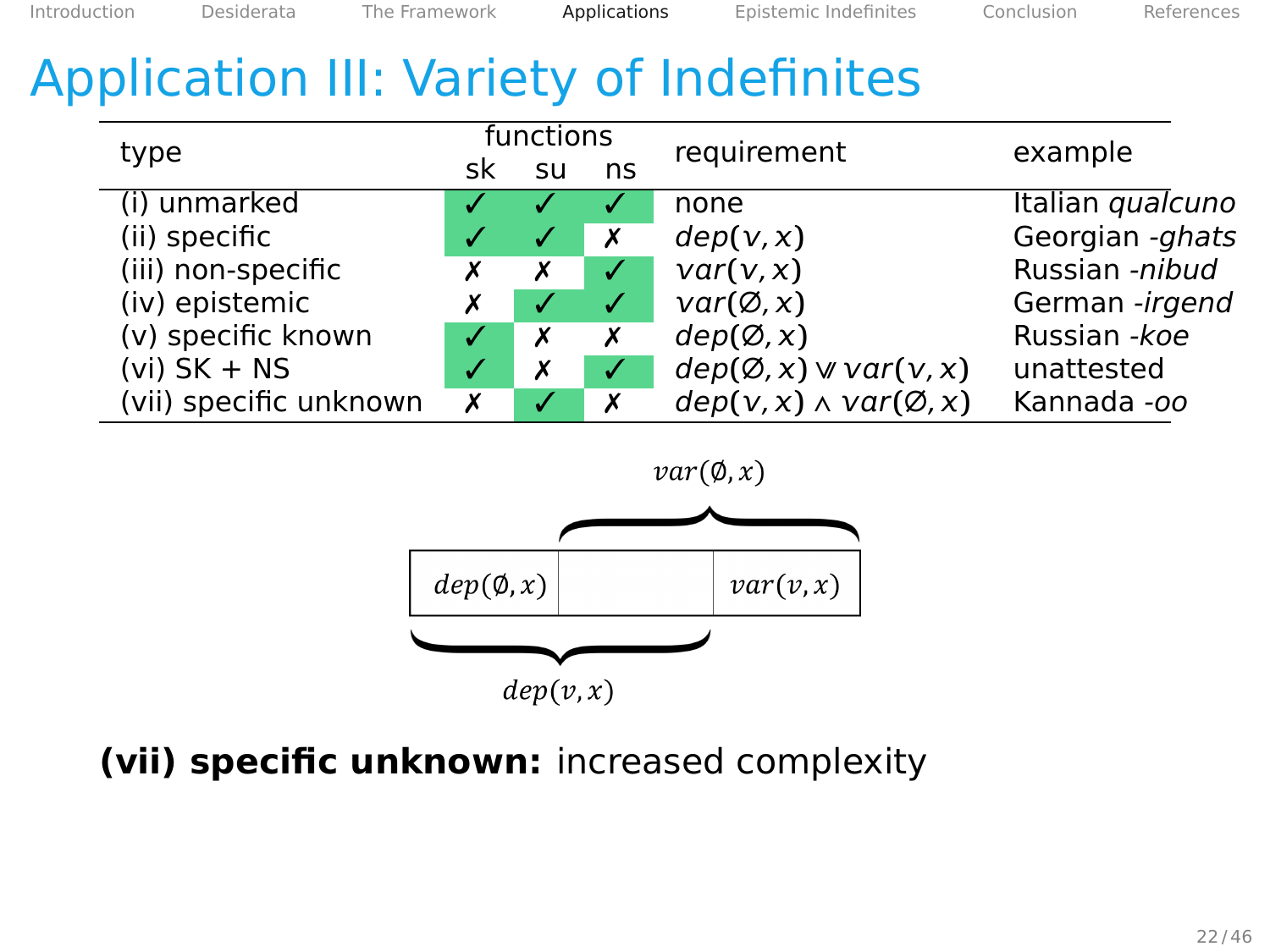[Introduction](#page-2-0) [Desiderata](#page-14-0) [The Framework](#page-25-0) [Applications](#page-47-0) [Epistemic Indefinites](#page-86-0) [Conclusion](#page-102-0) [References](#page-106-0)

# Application III: Variety of Indefinites

| type                   |    | functions |    | requirement                          | example          |
|------------------------|----|-----------|----|--------------------------------------|------------------|
|                        | sk | SU        | ns |                                      |                  |
| (i) unmarked           |    |           |    | none                                 | Italian qualcuno |
| (ii) specific          |    |           | X  | dep(v, x)                            | Georgian -ghats  |
| (iii) non-specific     | х  | х         |    | var(v, x)                            | Russian -nibud   |
| (iv) epistemic         | х  |           |    | $var(\emptyset, x)$                  | German -irgend   |
| (v) specific known     |    | х         | Х  | dep(Ø, x)                            | Russian - koe    |
| $(vi)$ SK + NS         |    | х         |    | $dep(Ø, x) \vee var(v, x)$           | unattested       |
| (vii) specific unknown | х  |           | х  | $dep(v, x) \wedge var(\emptyset, x)$ | Kannada -oo      |





## **(vii) specific unknown:** increased complexity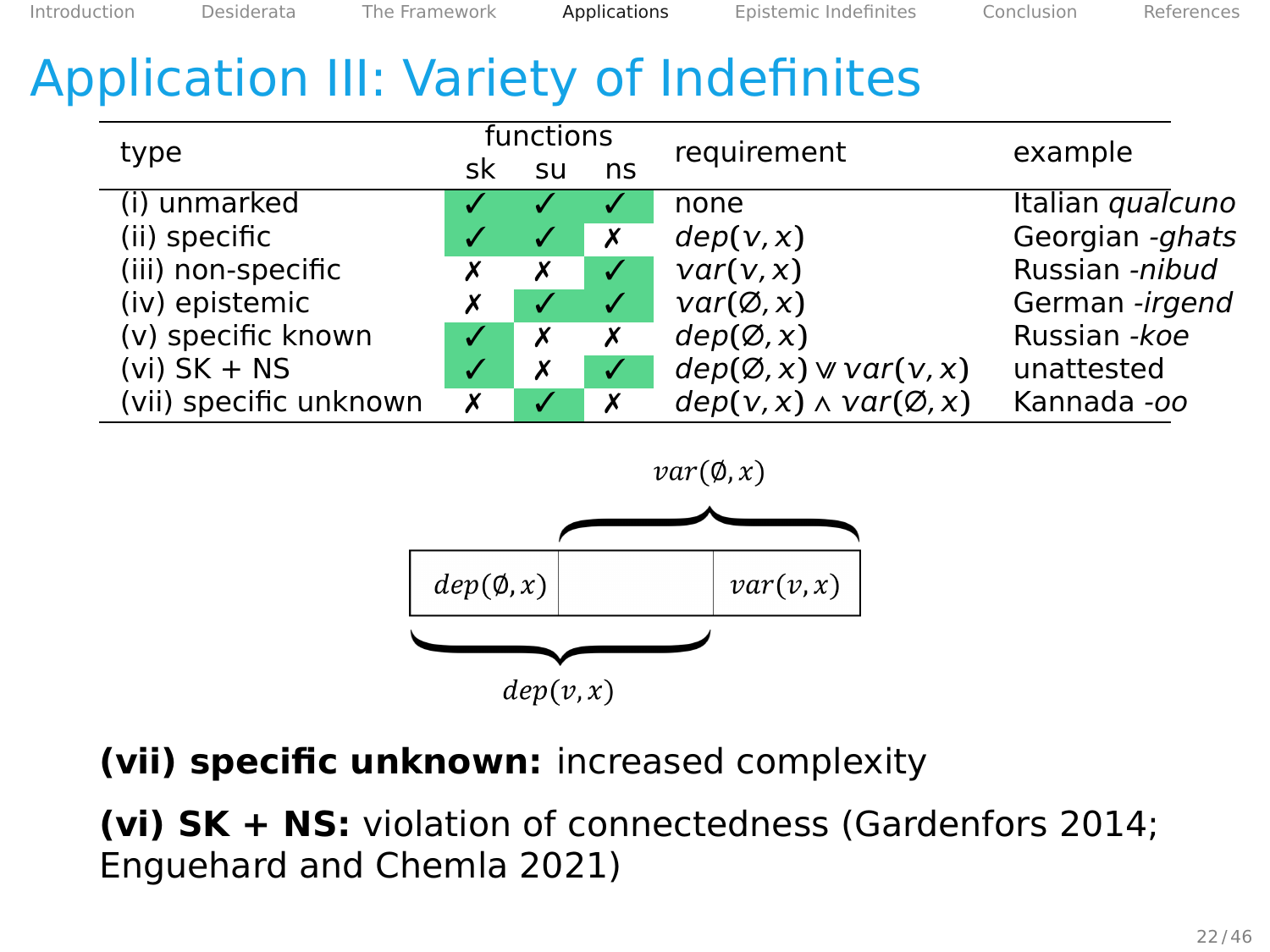[Introduction](#page-2-0) [Desiderata](#page-14-0) [The Framework](#page-25-0) [Applications](#page-47-0) [Epistemic Indefinites](#page-86-0) [Conclusion](#page-102-0) [References](#page-106-0)

# Application III: Variety of Indefinites

| type                   |     | functions |              | requirement                          | example          |
|------------------------|-----|-----------|--------------|--------------------------------------|------------------|
|                        | sk. | su        | ns           |                                      |                  |
| (i) unmarked           |     |           |              | none                                 | Italian qualcuno |
| (ii) specific          |     |           | X            | dep(v, x)                            | Georgian -ghats  |
| (iii) non-specific     | Х   | х         |              | var(v, x)                            | Russian -nibud   |
| (iv) epistemic         | х   |           | $\checkmark$ | $var(\emptyset, x)$                  | German -irgend   |
| (v) specific known     |     | х         | Х            | dep(Ø, x)                            | Russian - koe    |
| $(vi)$ SK + NS         |     |           |              | $dep(Ø, x) \vee var(v, x)$           | unattested       |
| (vii) specific unknown | х   |           | х            | $dep(v, x) \wedge var(\emptyset, x)$ | Kannada -oo      |





**(vii) specific unknown:** increased complexity

**(vi) SK + NS:** violation of connectedness (Gardenfors 2014; Enguehard and Chemla 2021)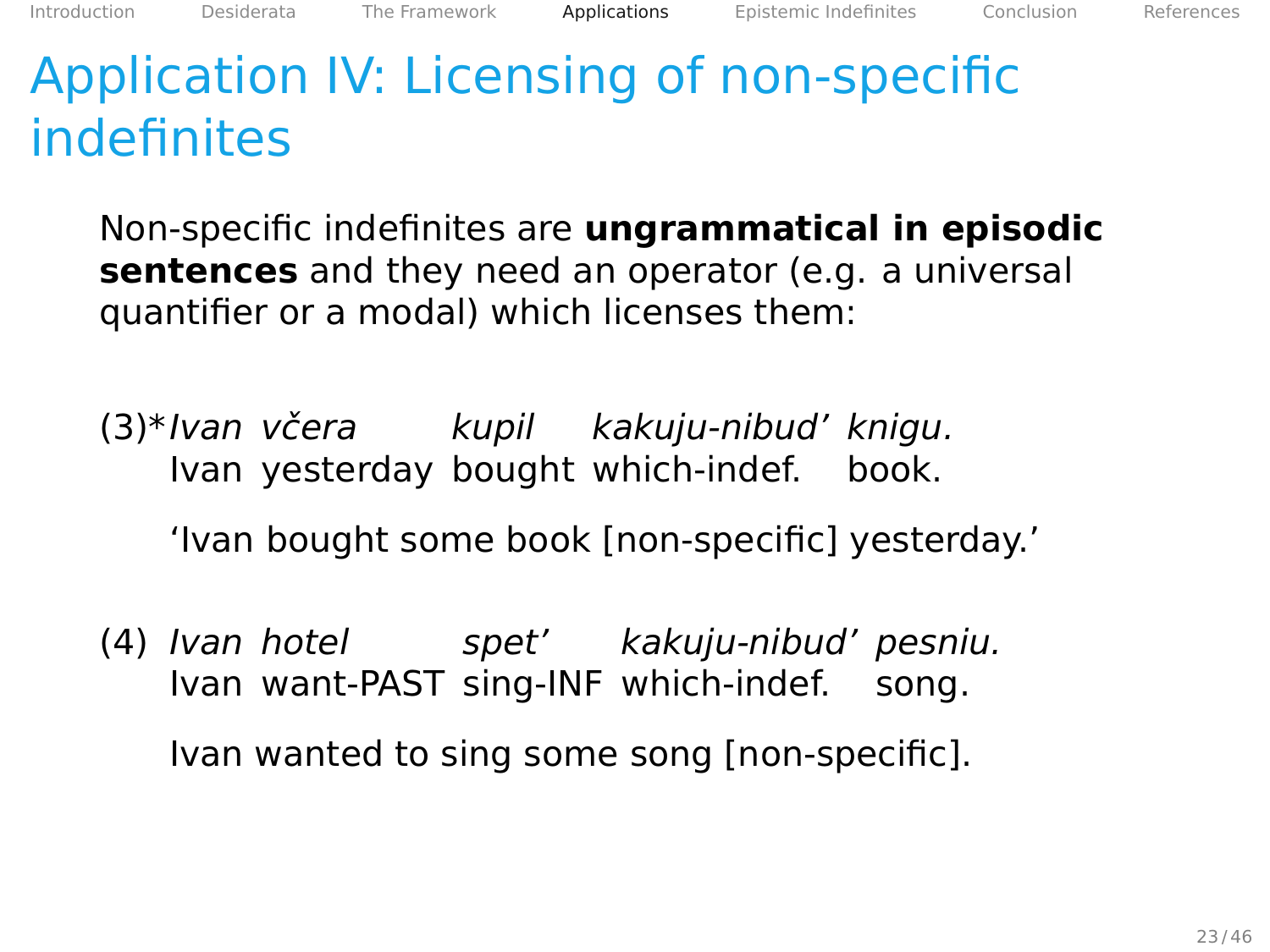Non-specific indefinites are **ungrammatical in episodic sentences** and they need an operator (e.g. a universal quantifier or a modal) which licenses them:

(3)\*Ivan včera kupil kakuju-nibud' knigu. Ivan yesterday bought which-indef. book.

'Ivan bought some book [non-specific] yesterday.'

(4) Ivan hotel spet' kakuju-nibud' pesniu. Ivan want-PAST sing-INF which-indef. song.

Ivan wanted to sing some song [non-specific].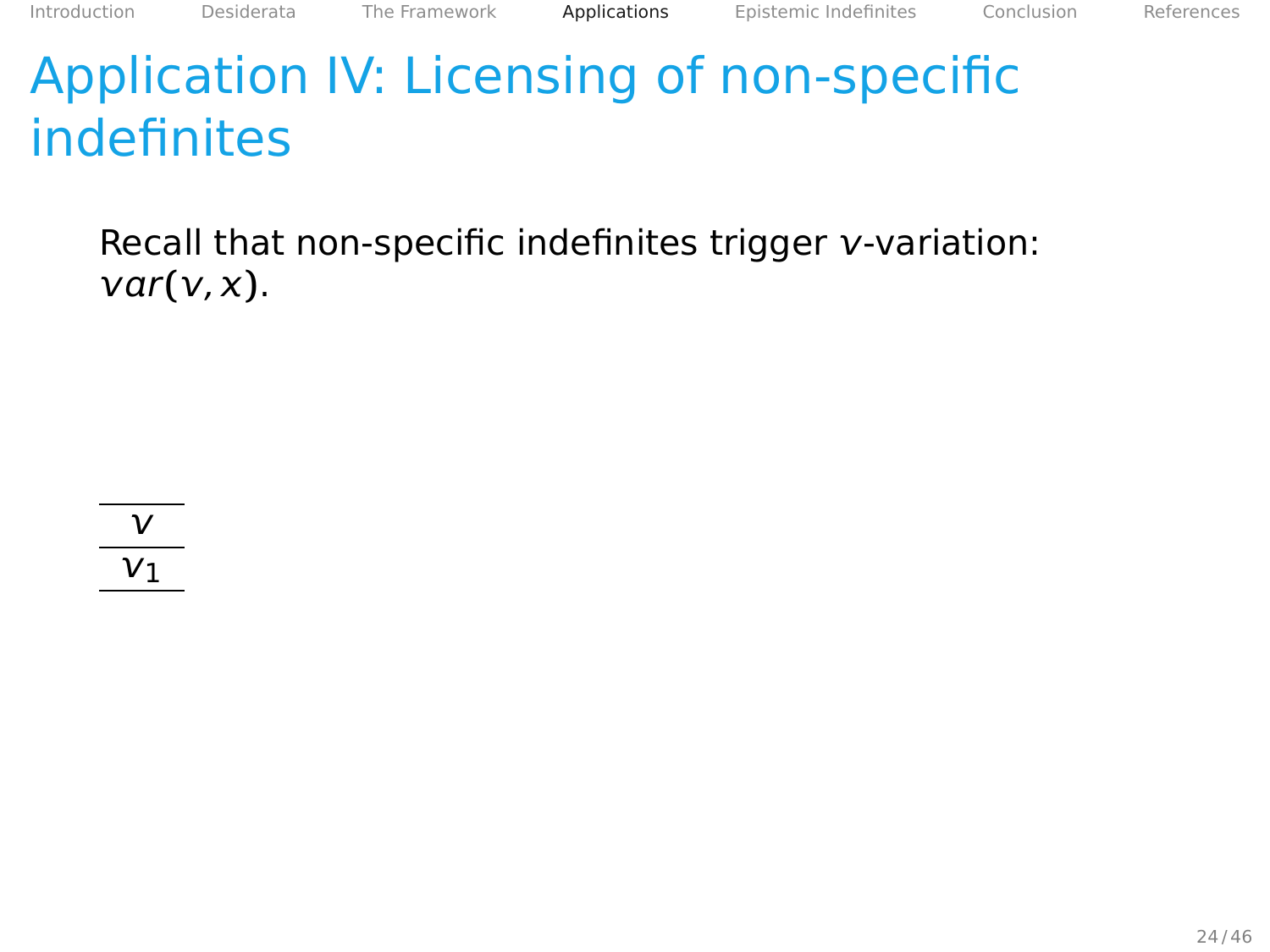Recall that non-specific indefinites trigger v-variation:  $var(v, x)$ .

 $\mathsf{v}$  $V_1$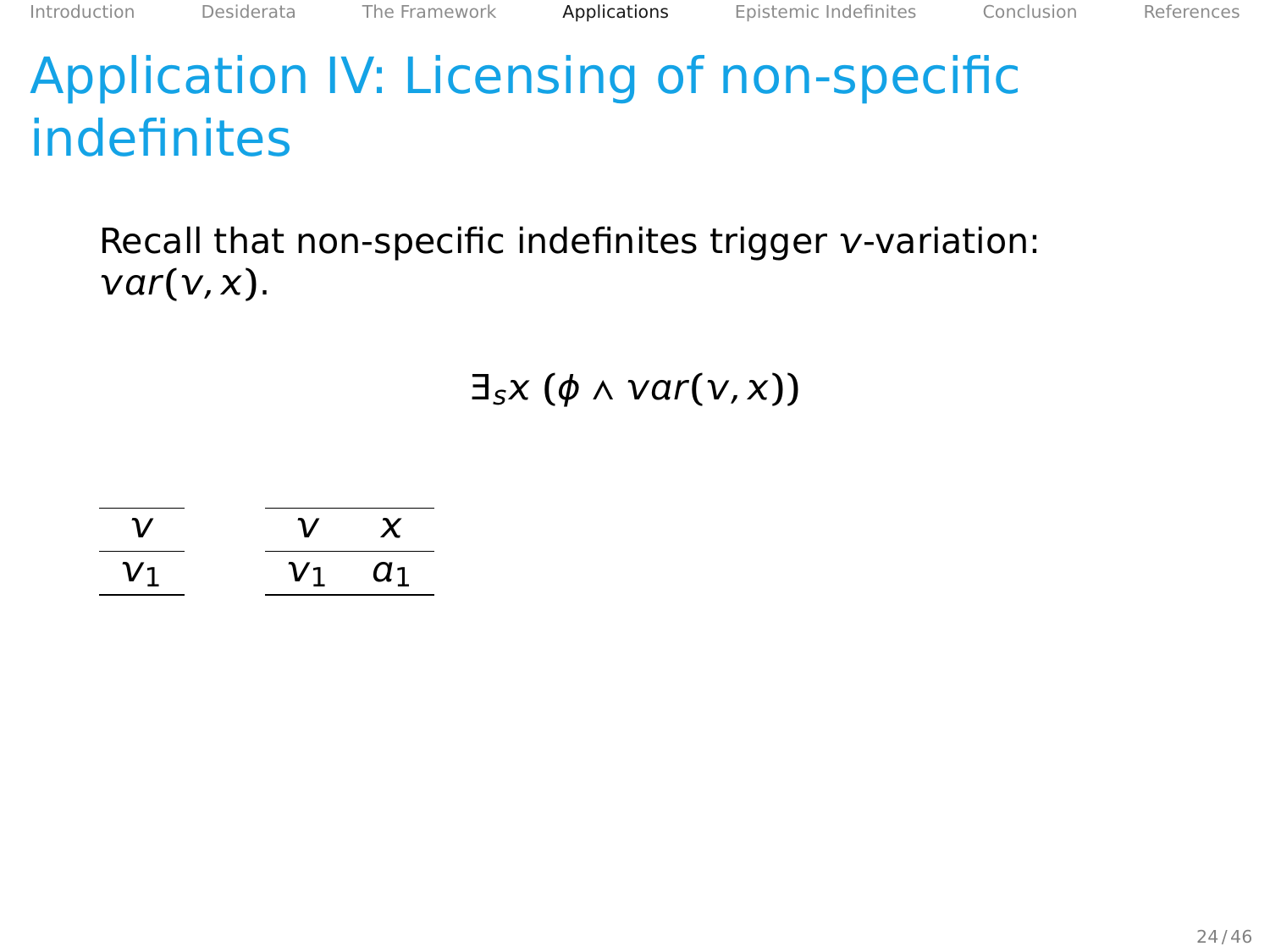Recall that non-specific indefinites trigger  $v$ -variation:  $var(v, x)$ .

 $\exists_{s} x (\phi \land \text{var}(v, x))$ 

|  | Y  |
|--|----|
|  | 71 |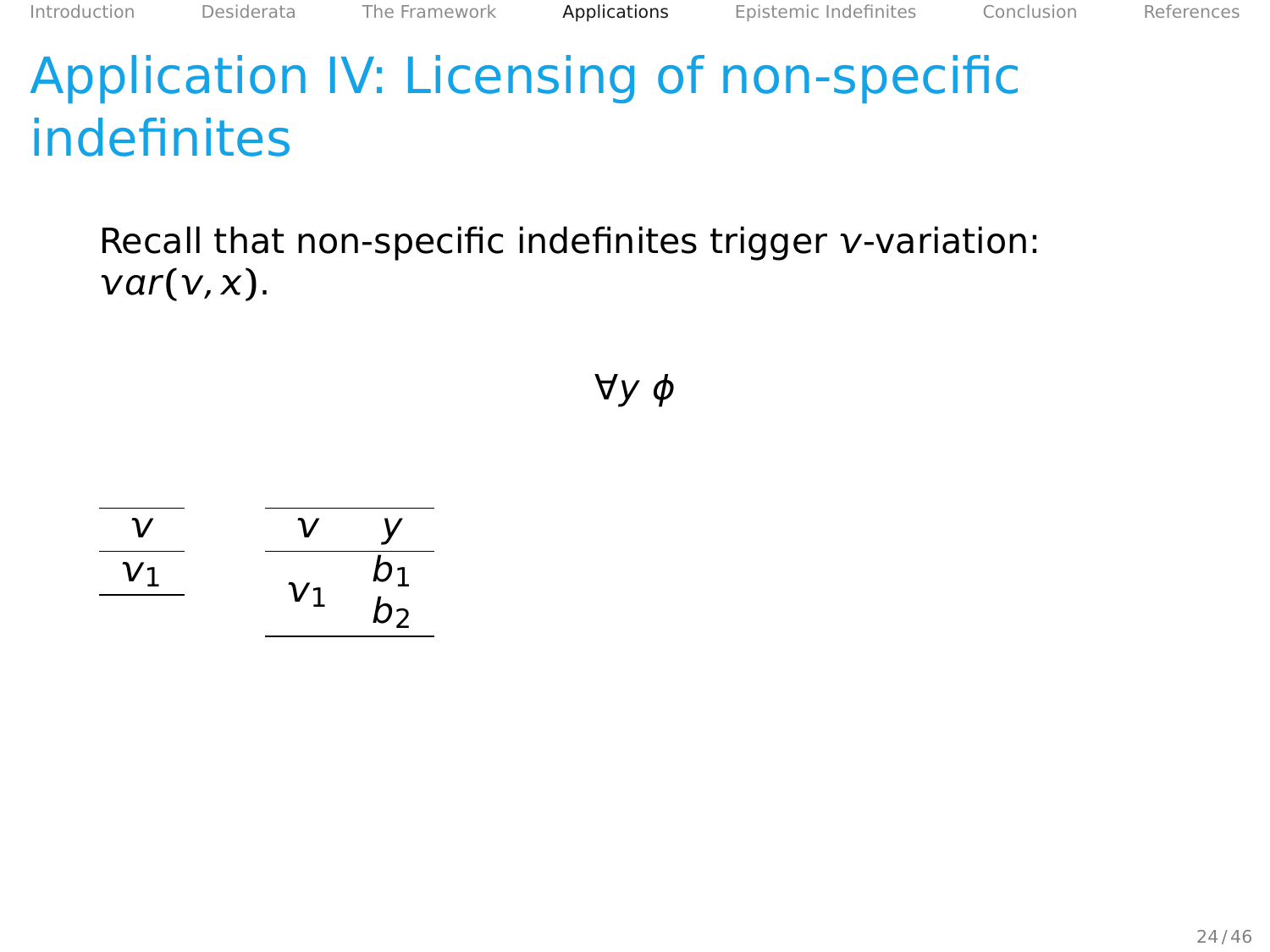Recall that non-specific indefinites trigger  $v$ -variation:  $var(v, x)$ .

∀y ϕ

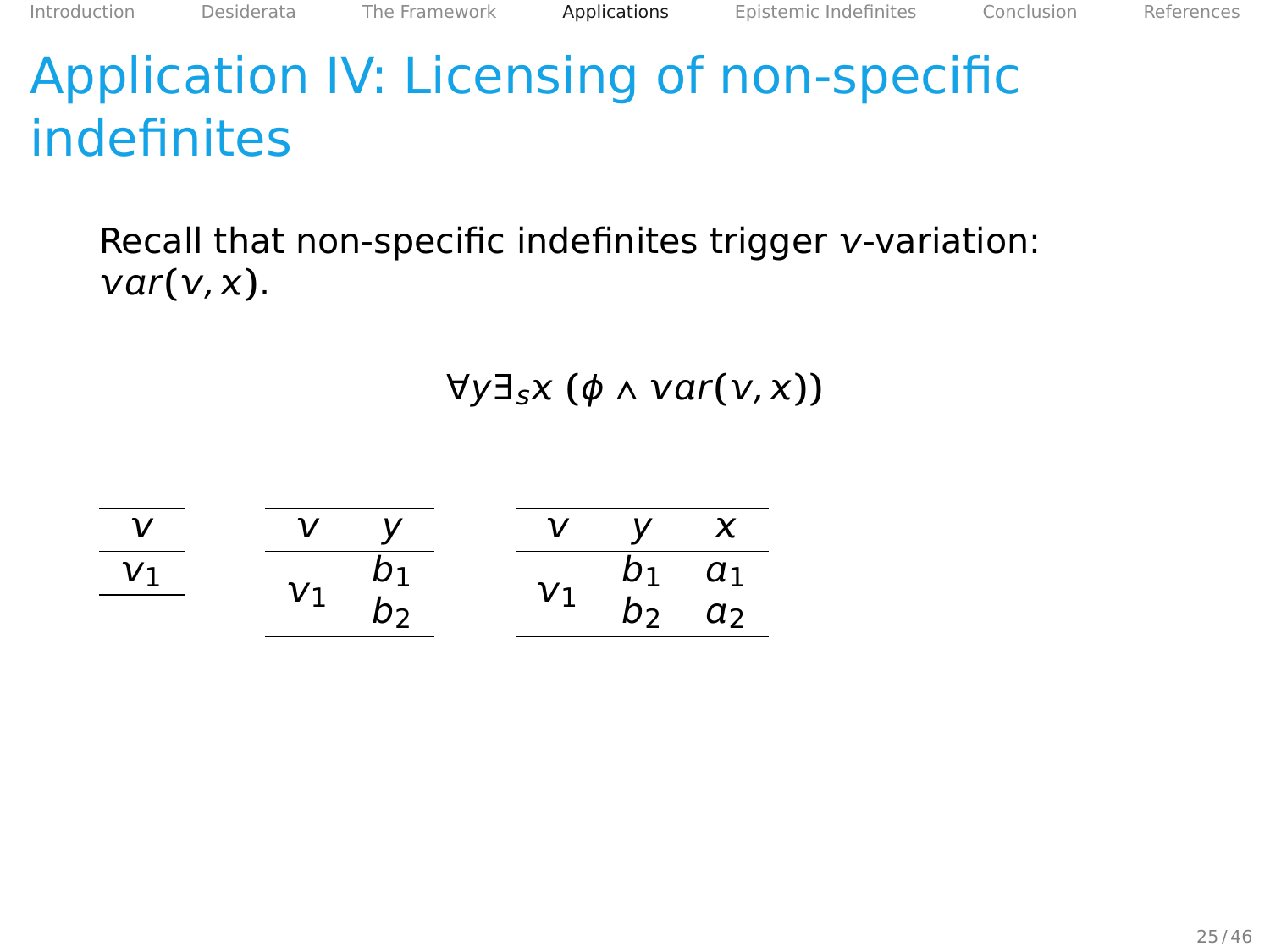## Recall that non-specific indefinites trigger  $v$ -variation:  $var(v, x)$ .

 $\forall y \exists_{s} x (\phi \land \text{var}(y, x))$ 

|    | v. |    |          | $\boldsymbol{\mathsf{x}}$ |
|----|----|----|----------|---------------------------|
| V١ |    |    | $\rho_1$ | $\frac{a_1}{a_2}$         |
|    |    | V1 | $D_2$    |                           |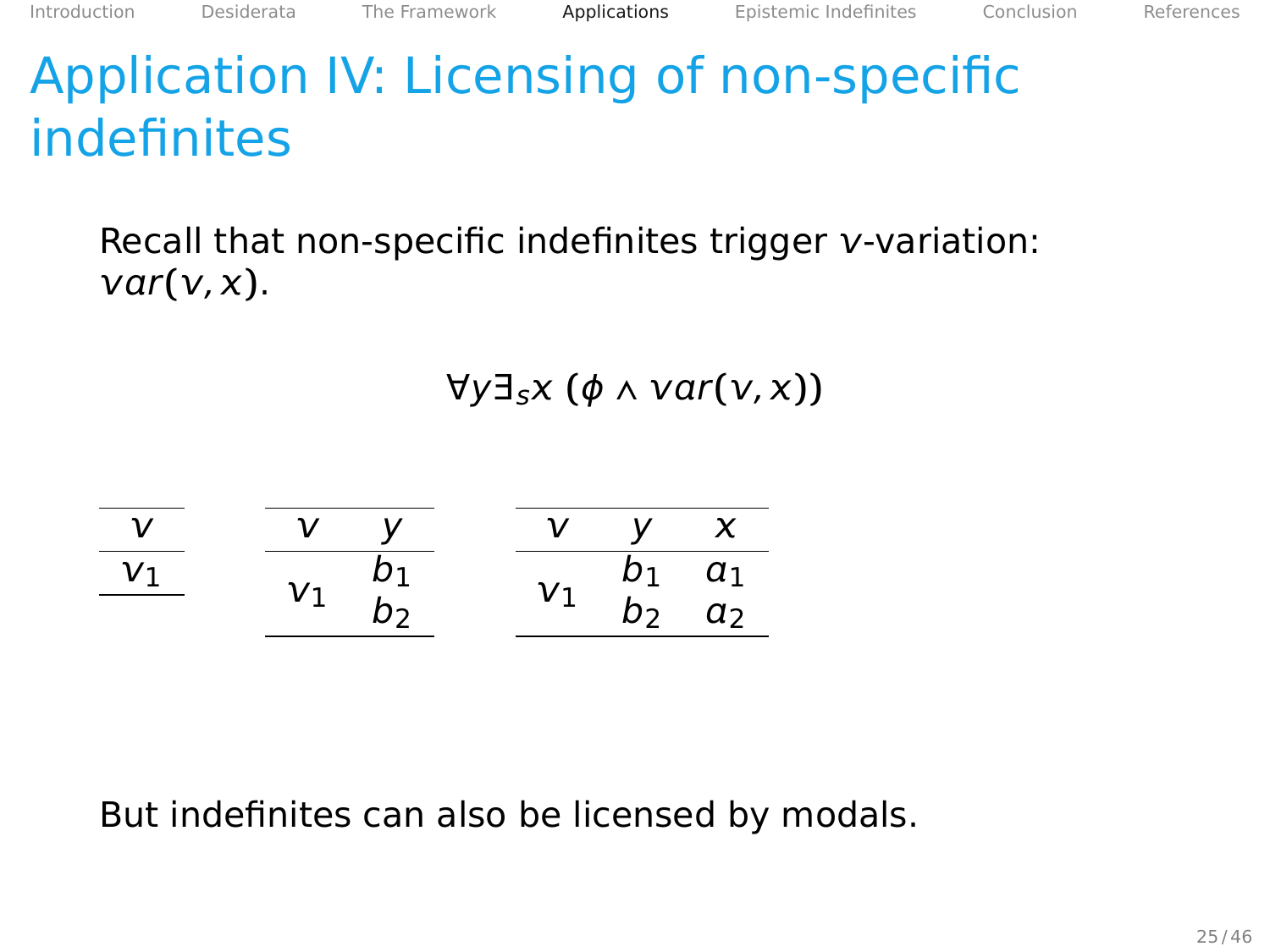## Recall that non-specific indefinites trigger  $v$ -variation:  $var(v, x)$ .

 $\forall y \exists_{s} x (\phi \land \text{var}(y, x))$ 



But indefinites can also be licensed by modals.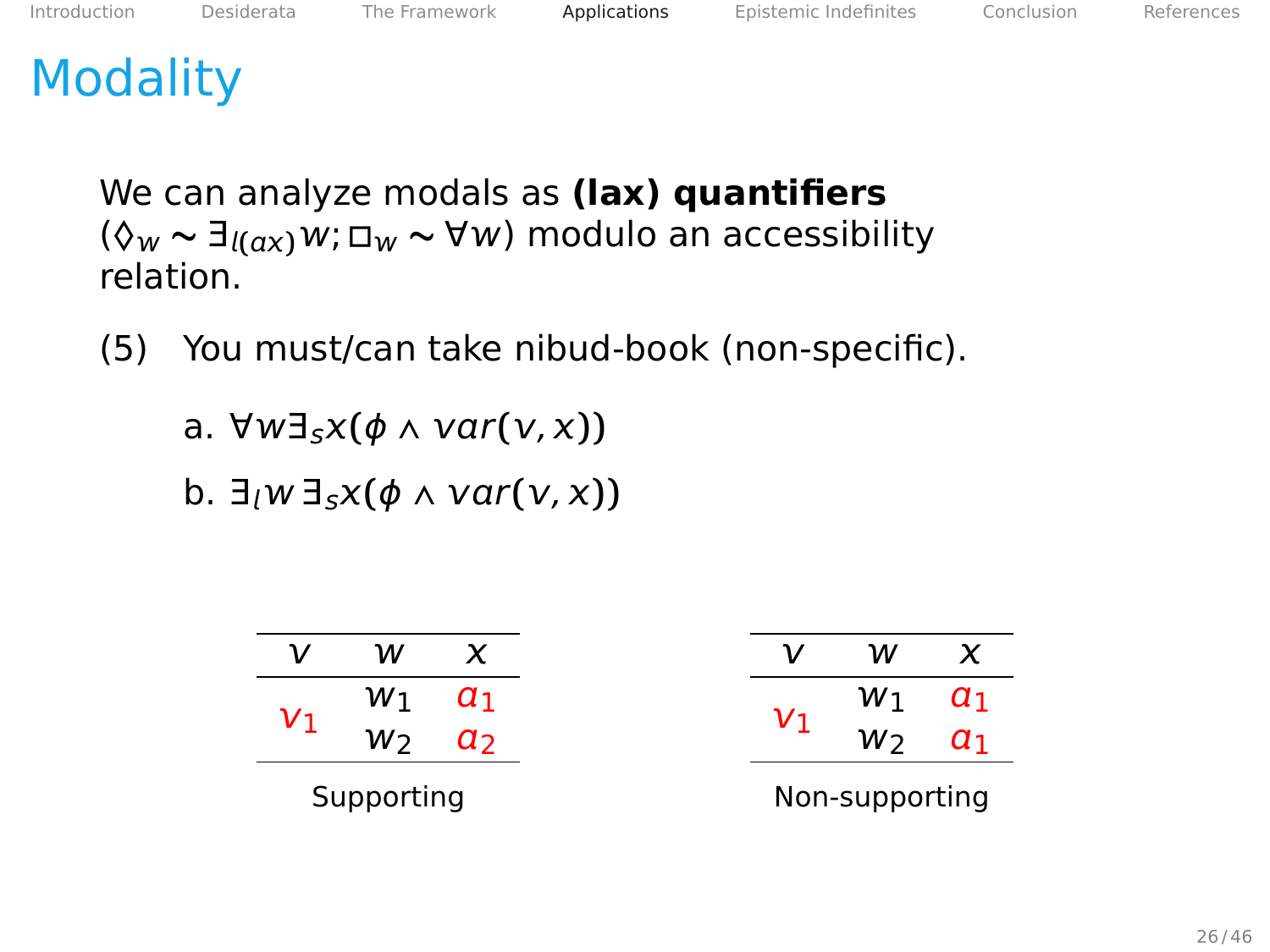# **Modality**

We can analyze modals as **(lax) quantifiers** (**◊ <sup>∼</sup>** <sup>∃</sup>**()**; **□ <sup>∼</sup>** <sup>∀</sup>) modulo an accessibility relation.

(5) You must/can take nibud-book (non-specific).

a. ∀w∃<sub>s</sub>*x*( $\phi$  ∧ *var*(*v*, *x*))

 $b. \exists w \exists_{s} x(\phi \land var(v, x))$ 

| W1             |
|----------------|
|                |
| W2             |
| Non-supporting |
|                |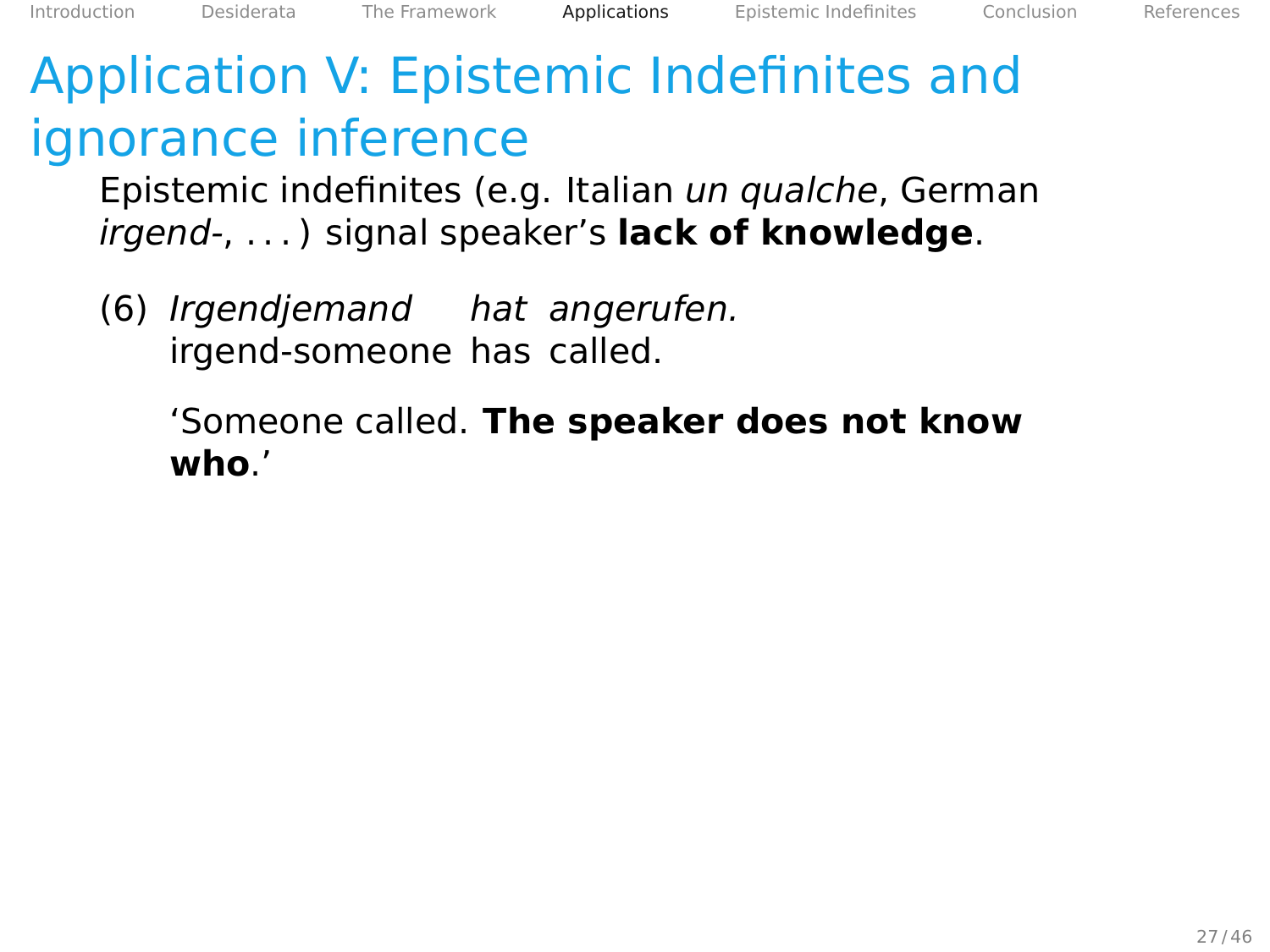# Application V: Epistemic Indefinites and ignorance inference

Epistemic indefinites (e.g. Italian un qualche, German irgend-, . . . ) signal speaker's **lack of knowledge**.

(6) Irgendjemand hat angerufen. irgend-someone has called.

> 'Someone called. **The speaker does not know who**.'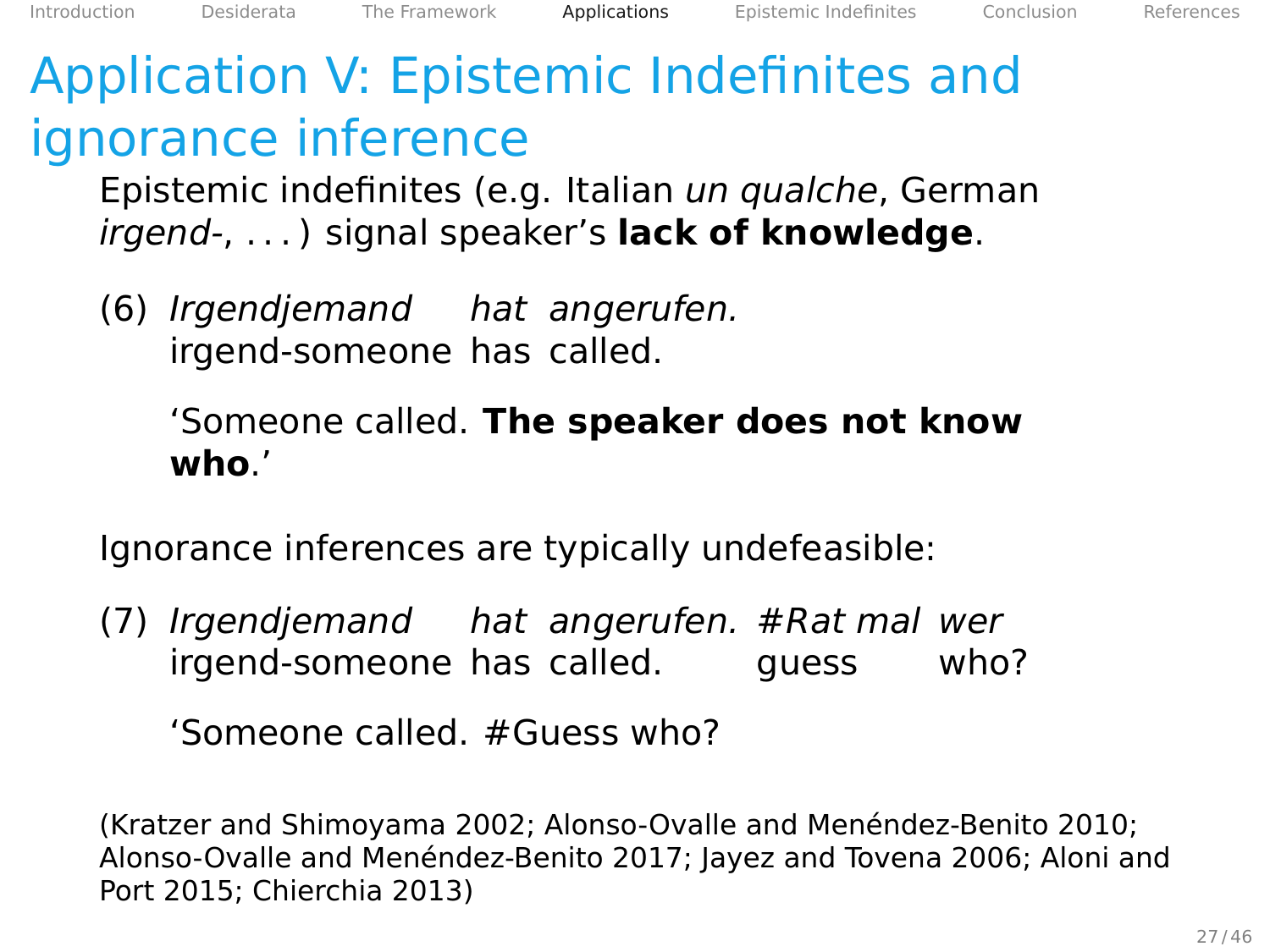# Application V: Epistemic Indefinites and ignorance inference

Epistemic indefinites (e.g. Italian un qualche, German irgend-, . . . ) signal speaker's **lack of knowledge**.

(6) Irgendjemand hat angerufen. irgend-someone has called.

## 'Someone called. **The speaker does not know who**.'

Ignorance inferences are typically undefeasible:

(7) Irgendjemand hat angerufen. #Rat mal wer irgend-someone has called. guess who?

'Someone called. #Guess who?

(Kratzer and Shimoyama [2002;](#page-107-1) Alonso-Ovalle and Menéndez-Benito [2010;](#page-106-2) Alonso-Ovalle and Menéndez-Benito [2017;](#page-106-3) Jayez and Tovena [2006;](#page-107-2) Aloni and Port [2015;](#page-106-4) Chierchia [2013\)](#page-106-5)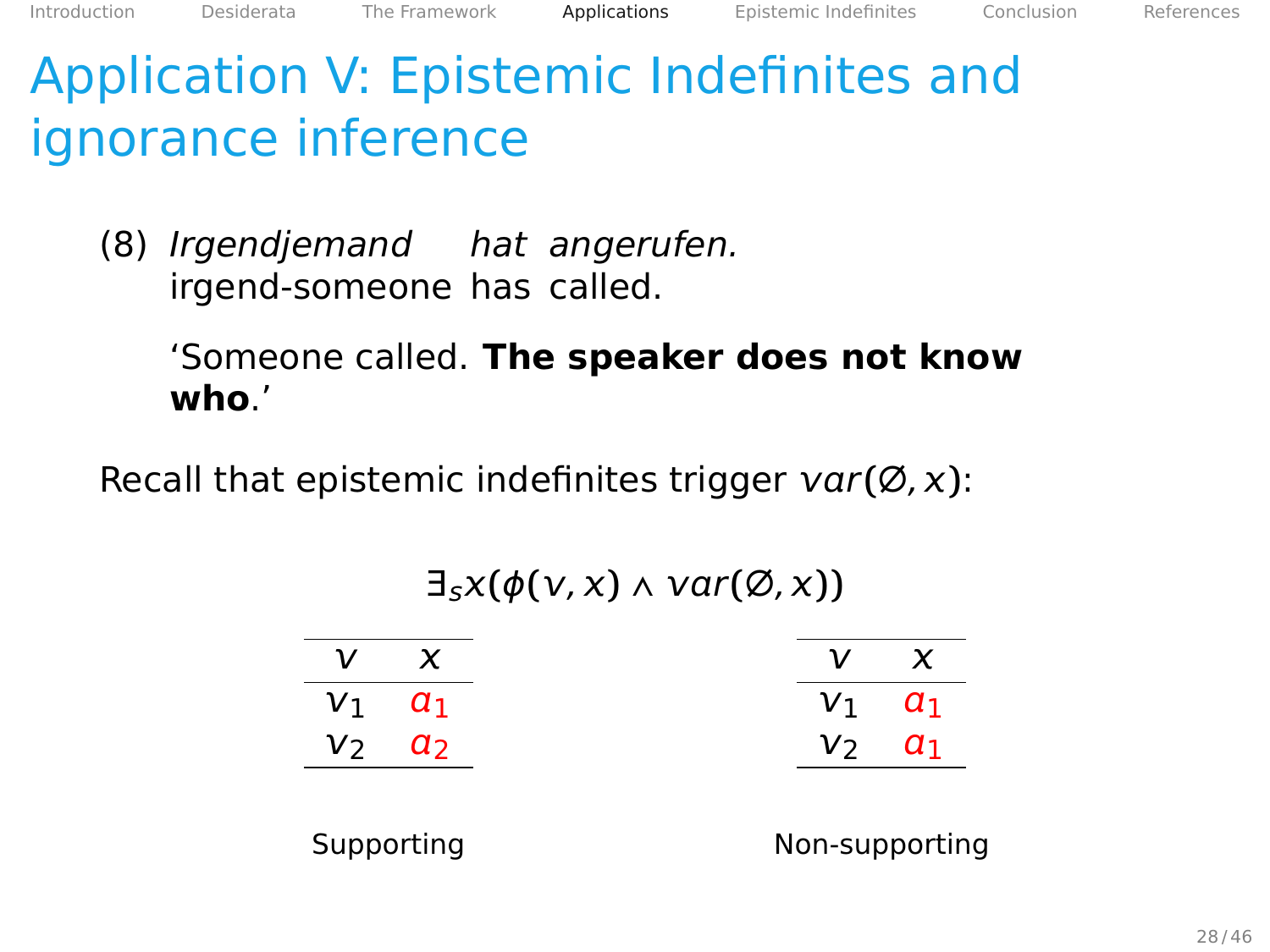Application V: Epistemic Indefinites and ignorance inference

(8) Irgendjemand hat angerufen. irgend-someone has called.

> 'Someone called. **The speaker does not know who**.'

Recall that epistemic indefinites trigger  $var(\emptyset, x)$ :

## $\exists_{s} \chi(\phi(\nu, x) \wedge \text{var}(\emptyset, x))$

| X          | ν          | x              |
|------------|------------|----------------|
| $\alpha_1$ | $V_1$      | $a_1$          |
| a,         | $V_2$      | $a_1$          |
|            |            |                |
|            | Supporting | Non-supporting |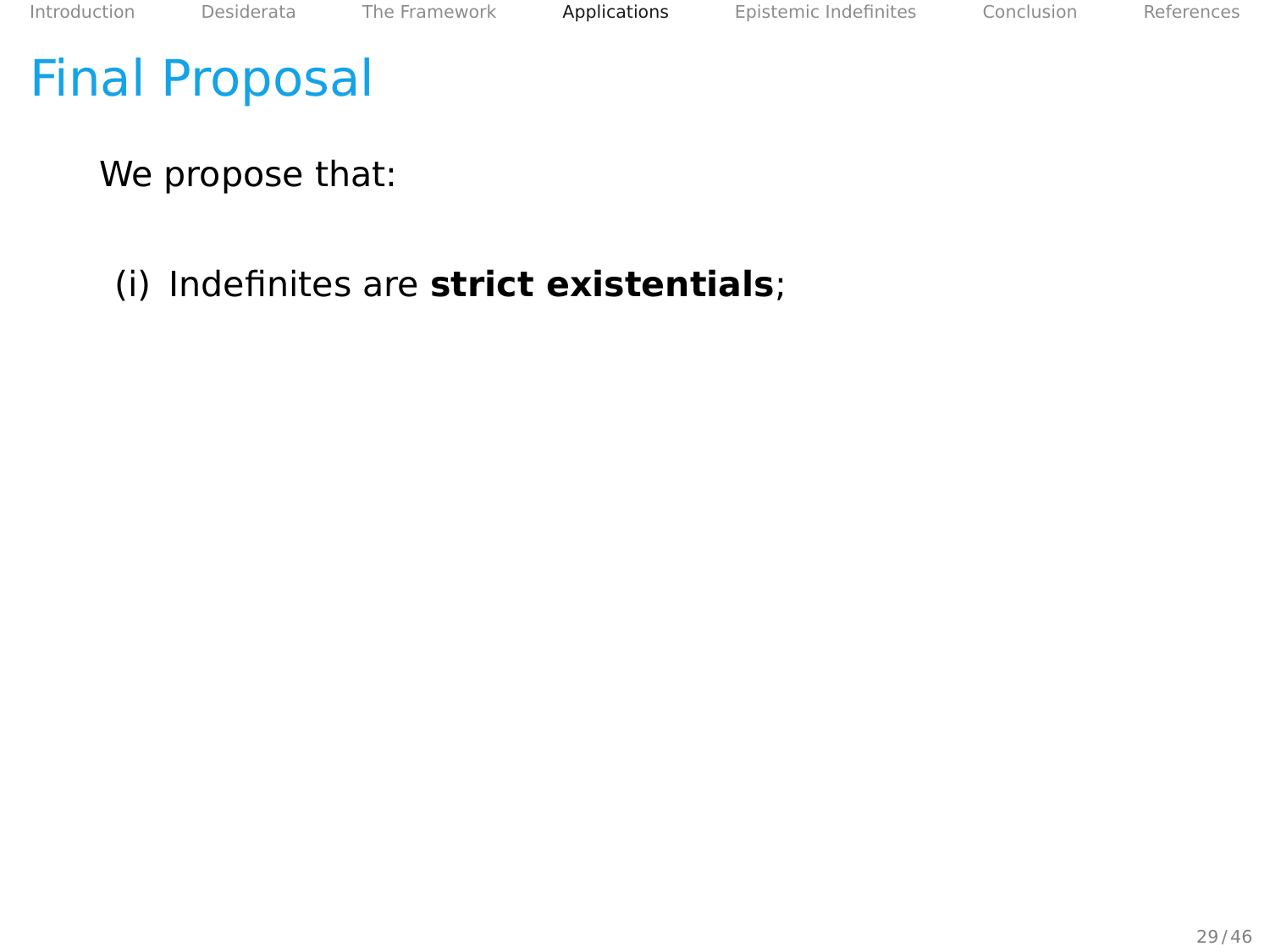## Final Proposal

We propose that:

## (i) Indefinites are **strict existentials**;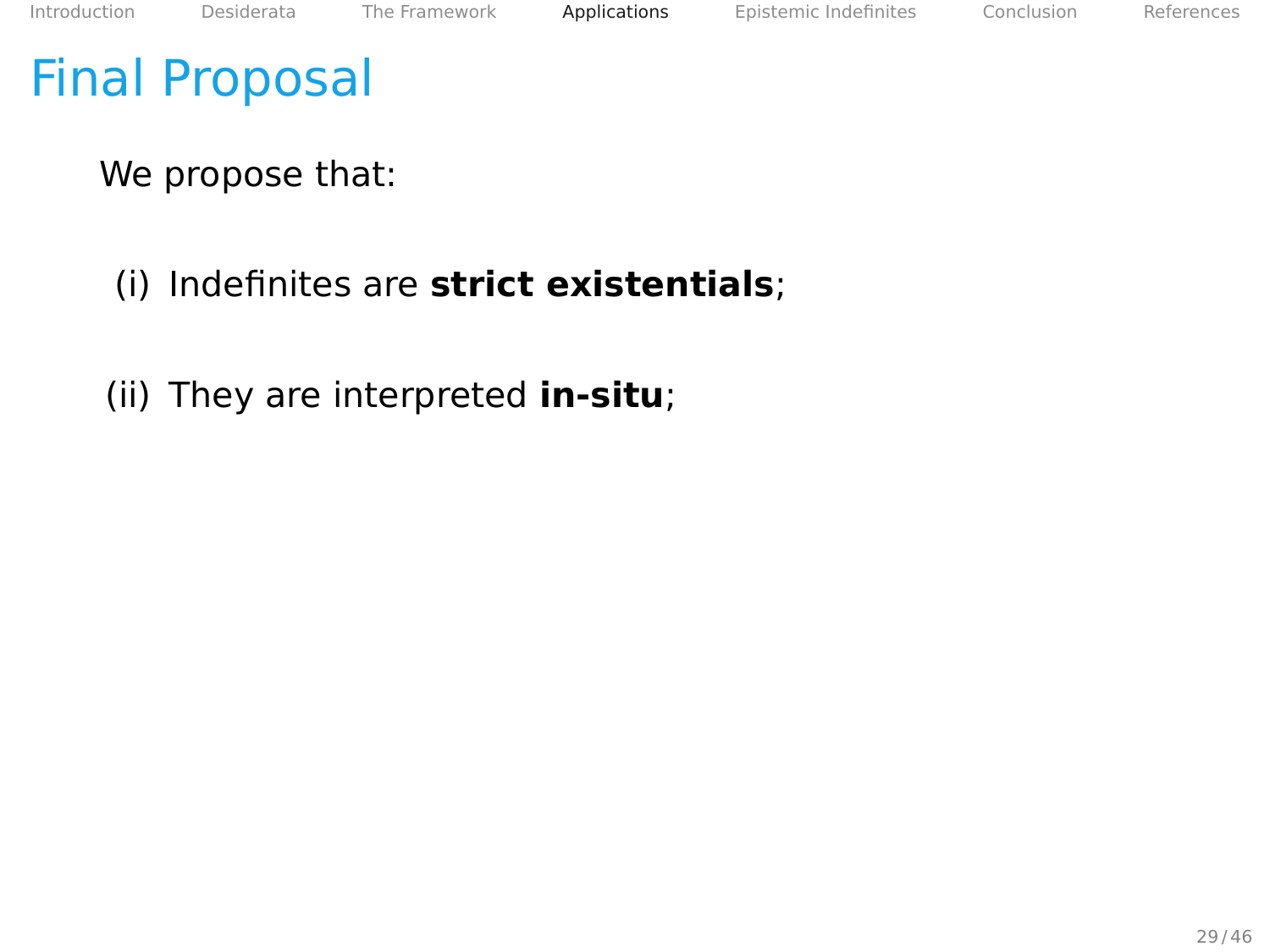We propose that:

(i) Indefinites are **strict existentials**;

(ii) They are interpreted **in-situ**;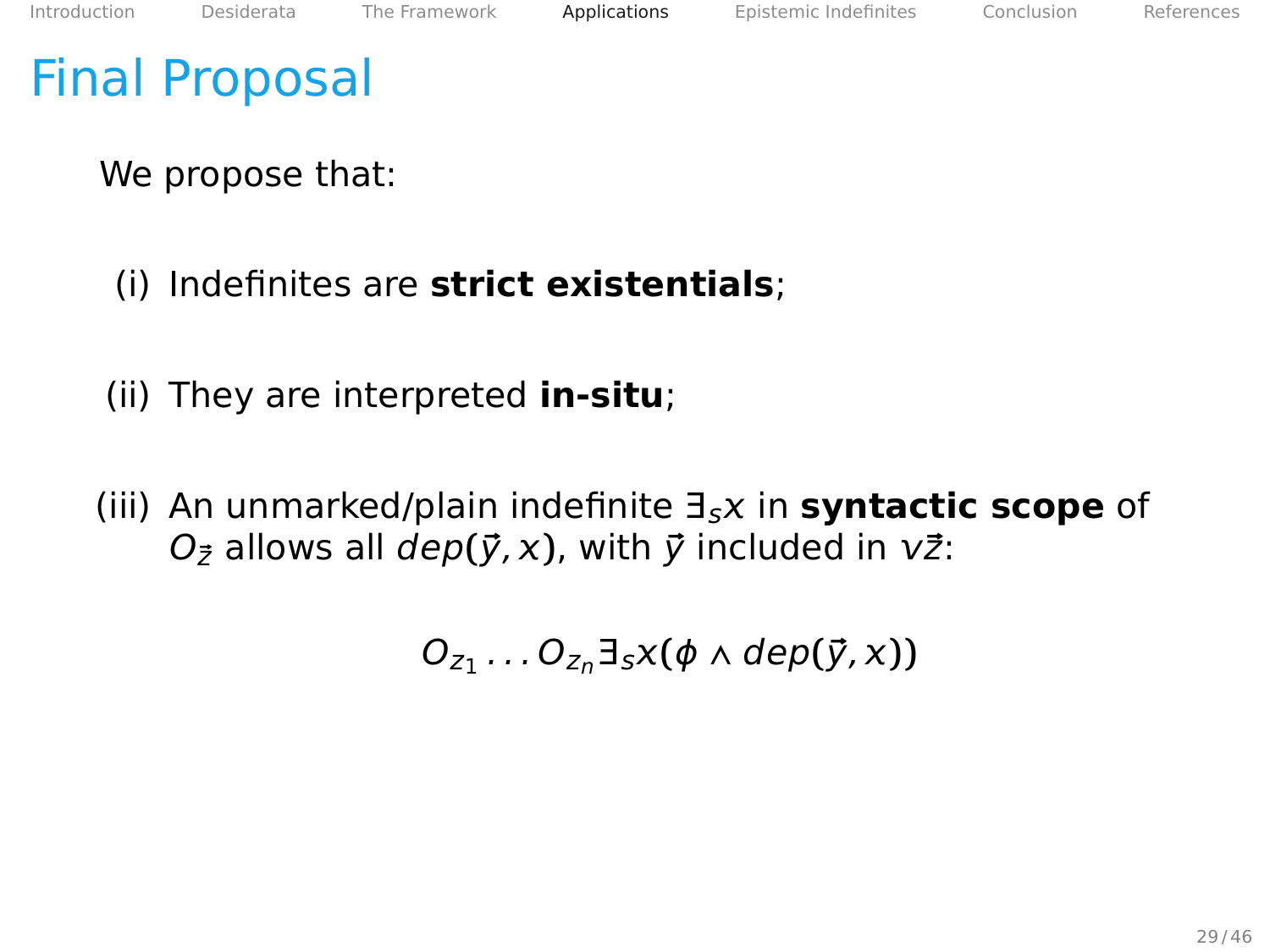We propose that:

- (i) Indefinites are **strict existentials**;
- (ii) They are interpreted **in-situ**;
- (iii) An unmarked/plain indefinite ∃s in **syntactic scope** of  $O_{\vec{z}}$  allows all  $dep(\vec{y}, x)$ , with  $\vec{y}$  included in  $v\vec{z}$ :

 $O_{z_1} \ldots O_{z_n} \exists_s x (\phi \land dep(\vec{y}, x))$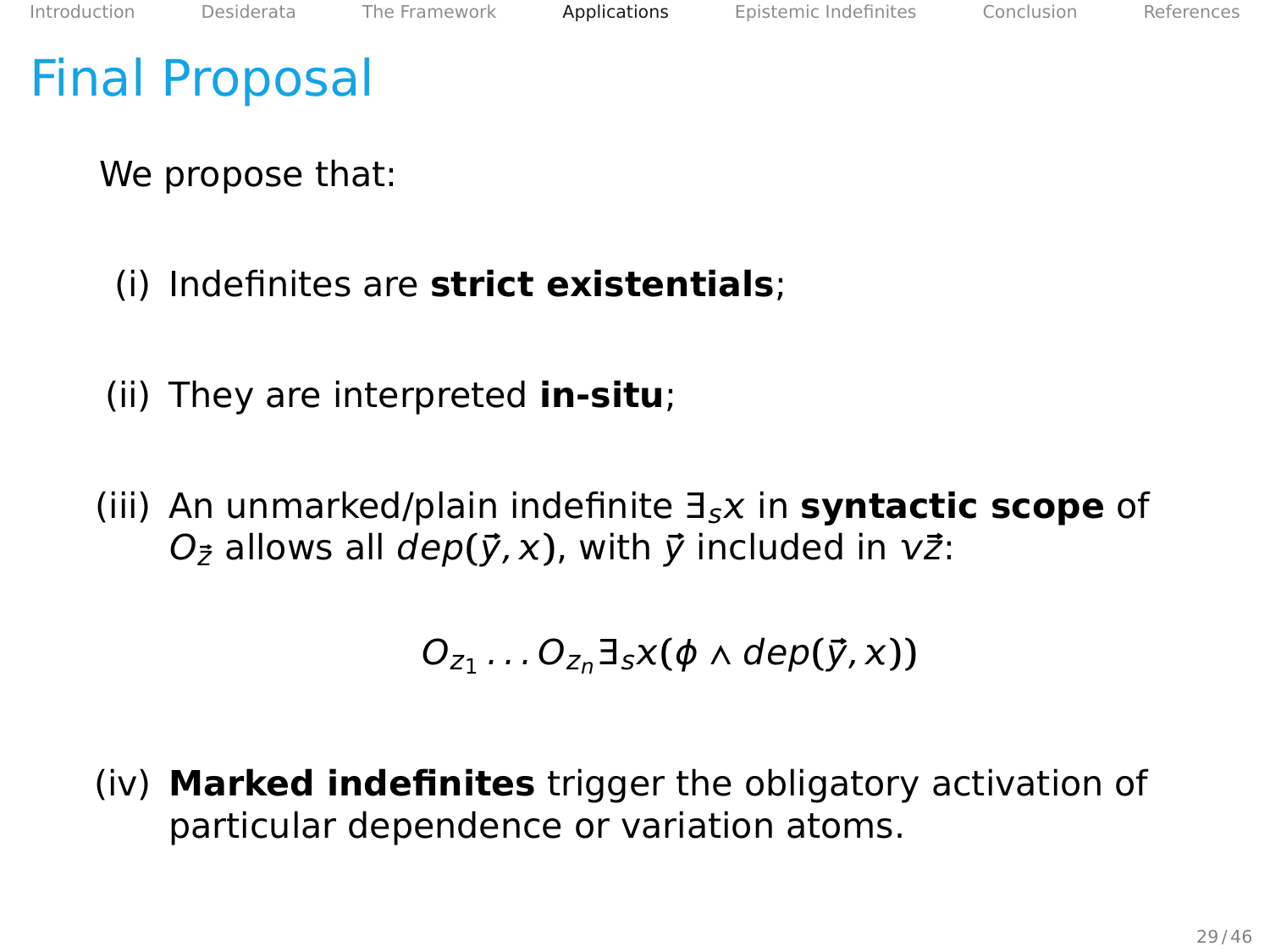We propose that:

- (i) Indefinites are **strict existentials**;
- (ii) They are interpreted **in-situ**;
- (iii) An unmarked/plain indefinite ∃s in **syntactic scope** of  $O_{\vec{z}}$  allows all  $dep(\vec{y}, x)$ , with  $\vec{y}$  included in  $v\vec{z}$ :

$$
O_{z_1} \ldots O_{z_n} \exists_s x (\phi \wedge dep(\vec{y},x))
$$

(iv) **Marked indefinites** trigger the obligatory activation of particular dependence or variation atoms.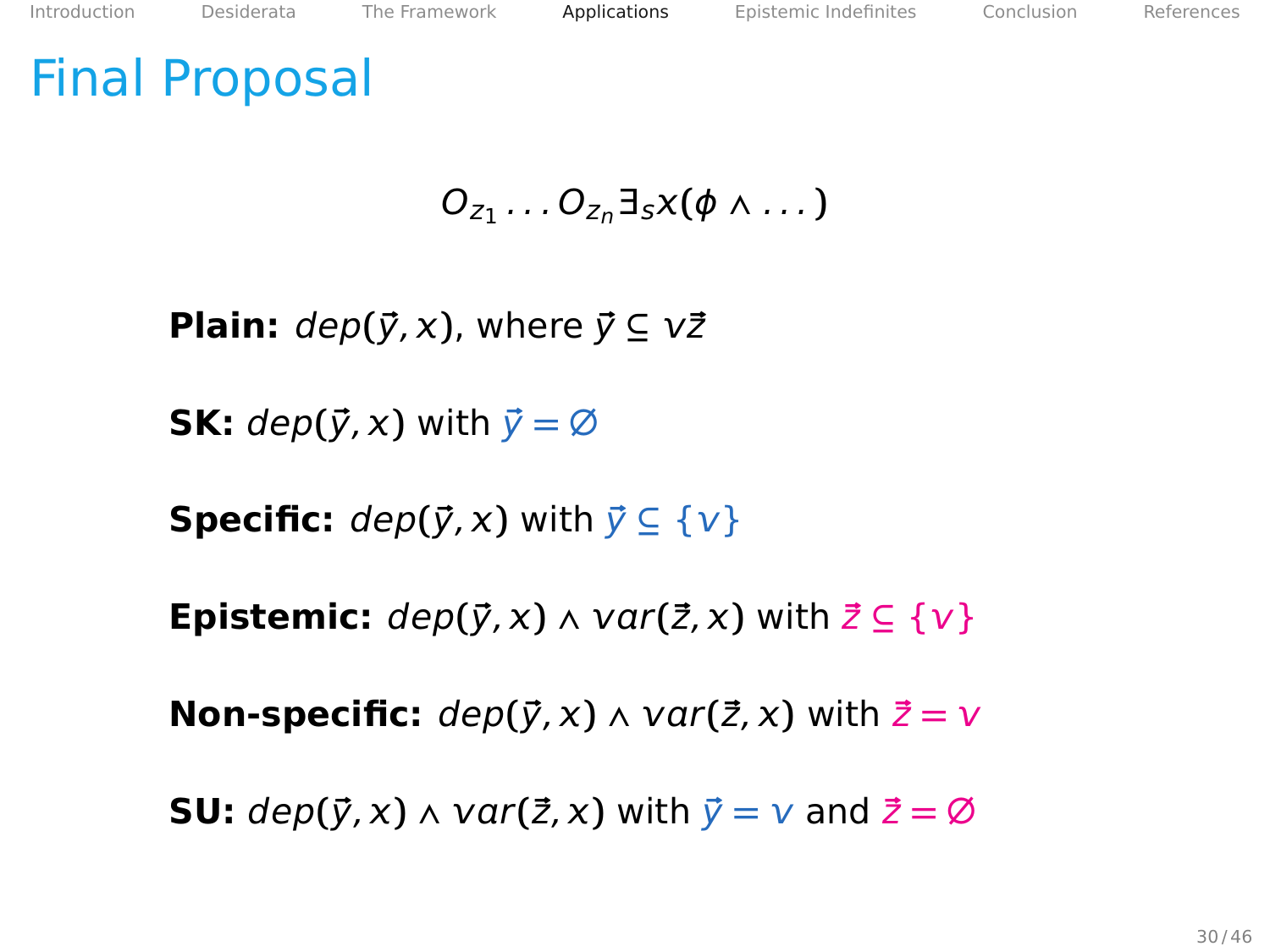$$
O_{z_1}\ldots O_{z_n}\exists_s x(\phi\wedge\ldots)
$$

**Plain:**  $dep(\vec{y}, x)$ , where  $\vec{y} \subseteq v\vec{z}$ 

**SK:**  $dep(\vec{y}, x)$  with  $\vec{y} = \emptyset$ 

**Specific:**  $dep(\vec{v}, x)$  with  $\vec{v} \subseteq {\{v\}}$ 

**Epistemic:**  $dep(\vec{y}, x) \wedge var(\vec{z}, x)$  with  $\vec{z} \subseteq \{v\}$ 

**Non-specific:**  $dep(\vec{y}, x) \wedge var(\vec{z}, x)$  with  $\vec{z} = v$ 

**SU:**  $dep(\vec{y}, x) \land var(\vec{z}, x)$  with  $\vec{y} = v$  and  $\vec{z} = \emptyset$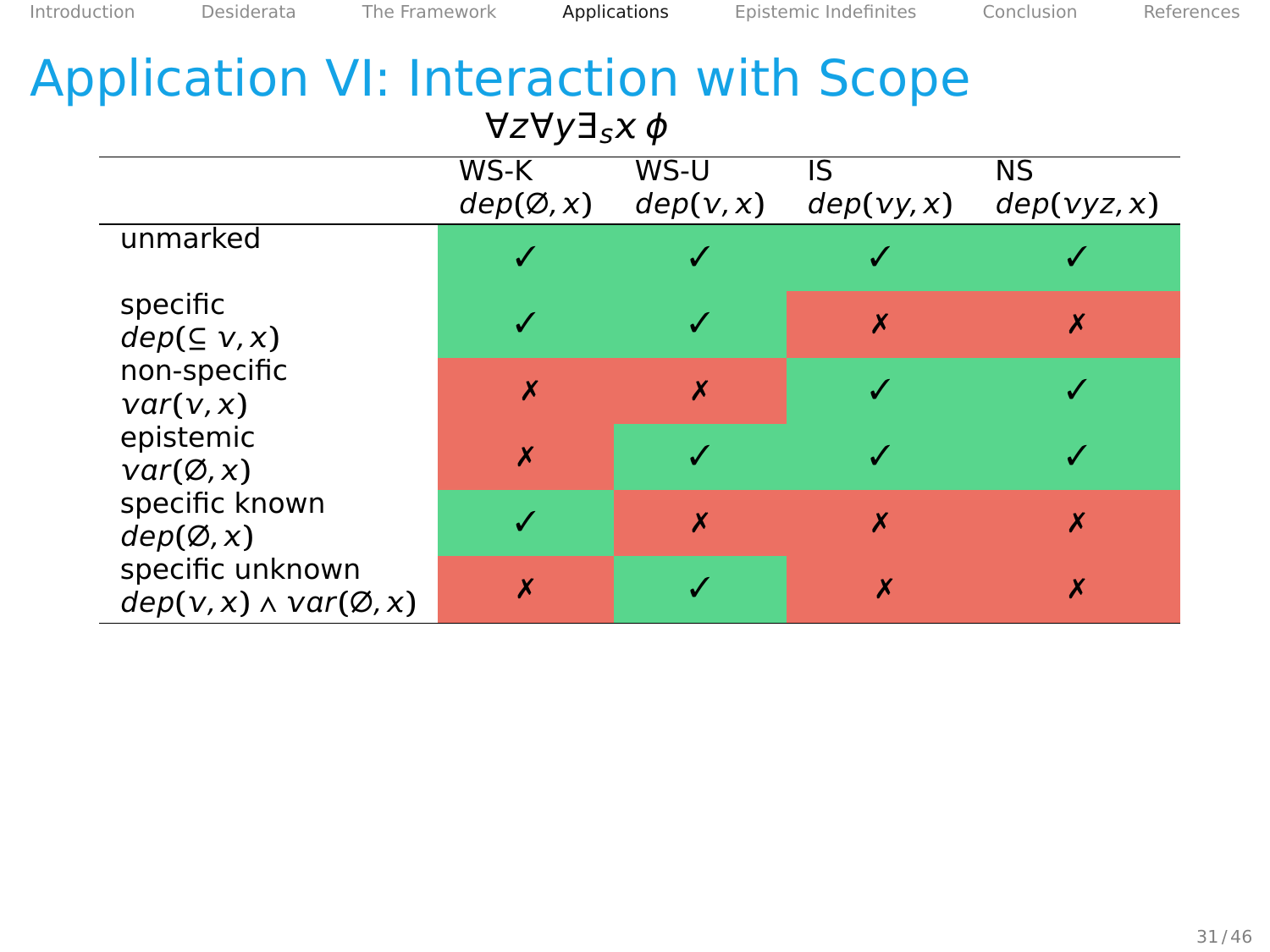| <b>Application VI: Interaction with Scope</b><br>$\forall z \forall y \exists_s x \phi$ |                   |                           |                  |                          |  |  |  |  |
|-----------------------------------------------------------------------------------------|-------------------|---------------------------|------------------|--------------------------|--|--|--|--|
|                                                                                         | WS-K<br>dep(Ø, x) | WS-U<br>dep(v, x)         | IS<br>dep(vy, x) | <b>NS</b><br>dep(vyz, x) |  |  |  |  |
| unmarked                                                                                |                   |                           |                  |                          |  |  |  |  |
| specific<br>dep( ⊆ v, x)                                                                |                   |                           | X                | x                        |  |  |  |  |
| non-specific<br>var(v, x)                                                               | X                 | $\boldsymbol{\mathsf{x}}$ |                  |                          |  |  |  |  |
| epistemic<br>$var(\emptyset, x)$                                                        | $\boldsymbol{x}$  |                           |                  |                          |  |  |  |  |
| specific known<br>dep(Ø, x)                                                             |                   | $\boldsymbol{x}$          | X                | х                        |  |  |  |  |
| specific unknown<br>$dep(v, x) \wedge var(\emptyset, x)$                                | X                 |                           | X                | X                        |  |  |  |  |

<span id="page-76-0"></span>[Introduction](#page-2-0) [Desiderata](#page-14-0) [The Framework](#page-25-0) [Applications](#page-47-0) [Epistemic Indefinites](#page-86-0) [Conclusion](#page-102-0) [References](#page-106-0)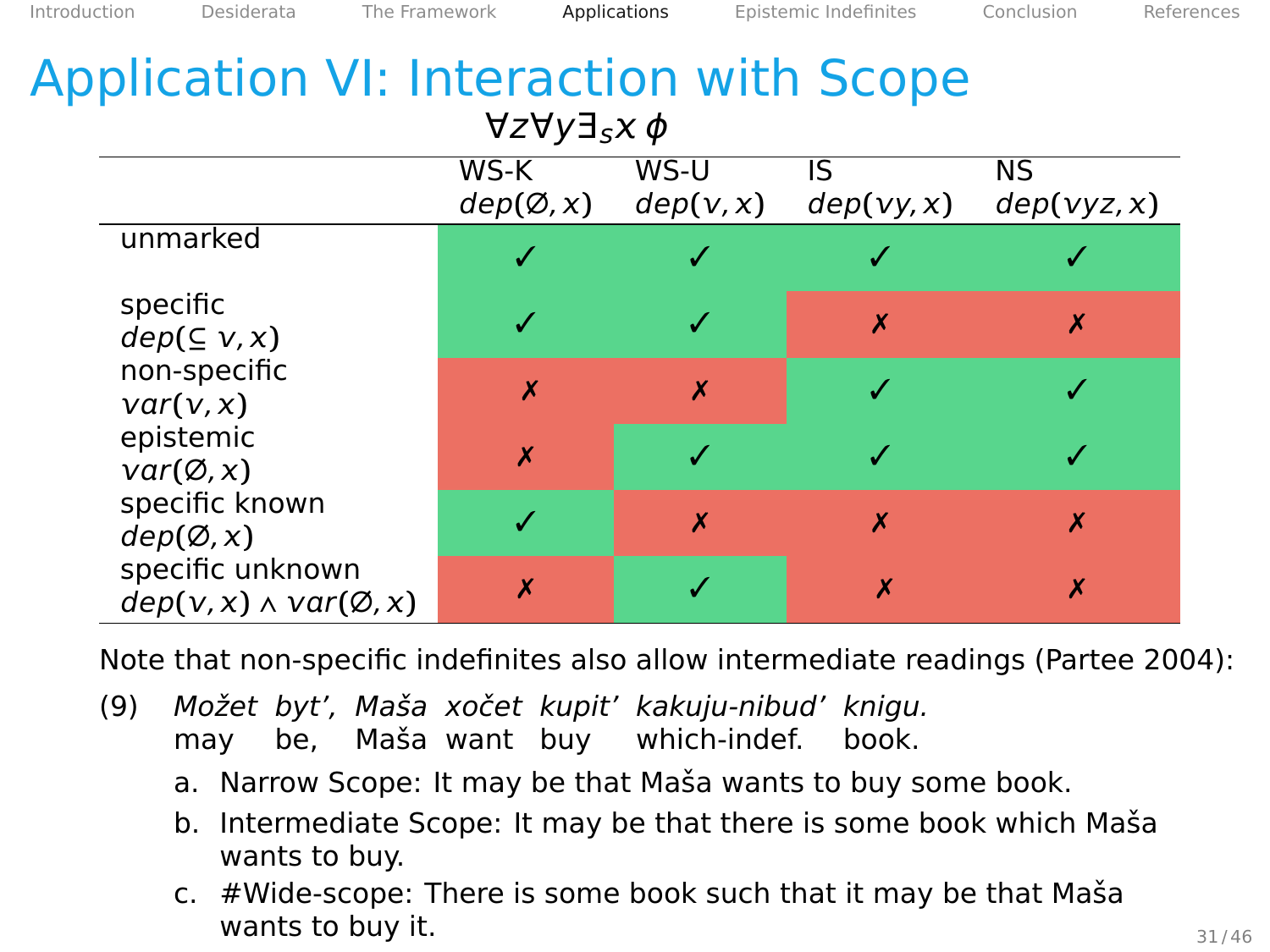| <b>Application VI: Interaction with Scope</b><br>$\forall z \forall y \exists_s x \phi$ |                           |                   |                  |                          |  |  |  |  |
|-----------------------------------------------------------------------------------------|---------------------------|-------------------|------------------|--------------------------|--|--|--|--|
|                                                                                         | WS-K<br>dep(Ø, x)         | WS-U<br>dep(v, x) | IS<br>dep(vy, x) | <b>NS</b><br>dep(vyz, x) |  |  |  |  |
| unmarked                                                                                |                           |                   |                  |                          |  |  |  |  |
| specific<br>$dep(\subseteq v, x)$                                                       |                           |                   | X                | х                        |  |  |  |  |
| non-specific<br>var(v, x)                                                               | $\boldsymbol{\mathsf{x}}$ | X                 |                  |                          |  |  |  |  |
| epistemic<br>$var(\emptyset, x)$                                                        | $\boldsymbol{x}$          |                   |                  |                          |  |  |  |  |
| specific known<br>dep(Ø, x)                                                             |                           | $\boldsymbol{x}$  | $\boldsymbol{x}$ | X                        |  |  |  |  |
| specific unknown<br>$dep(v, x) \wedge var(\emptyset, x)$                                | X                         |                   | X                | X                        |  |  |  |  |

[Introduction](#page-2-0) [Desiderata](#page-14-0) [The Framework](#page-25-0) [Applications](#page-47-0) [Epistemic Indefinites](#page-86-0) [Conclusion](#page-102-0) [References](#page-106-0)

Note that non-specific indefinites also allow intermediate readings (Partee [2004\)](#page-107-0):

- (9) Možet byt', Maša xočet kupit' kakuju-nibud' knigu. may be. Maša want buy which-indef. book.
	- a. Narrow Scope: It may be that Maša wants to buy some book.
	- b. Intermediate Scope: It may be that there is some book which Maša wants to buy.
	- c.  $#W$ ide-scope: There is some book such that it may be that Masa wants to buy it.  $31/46$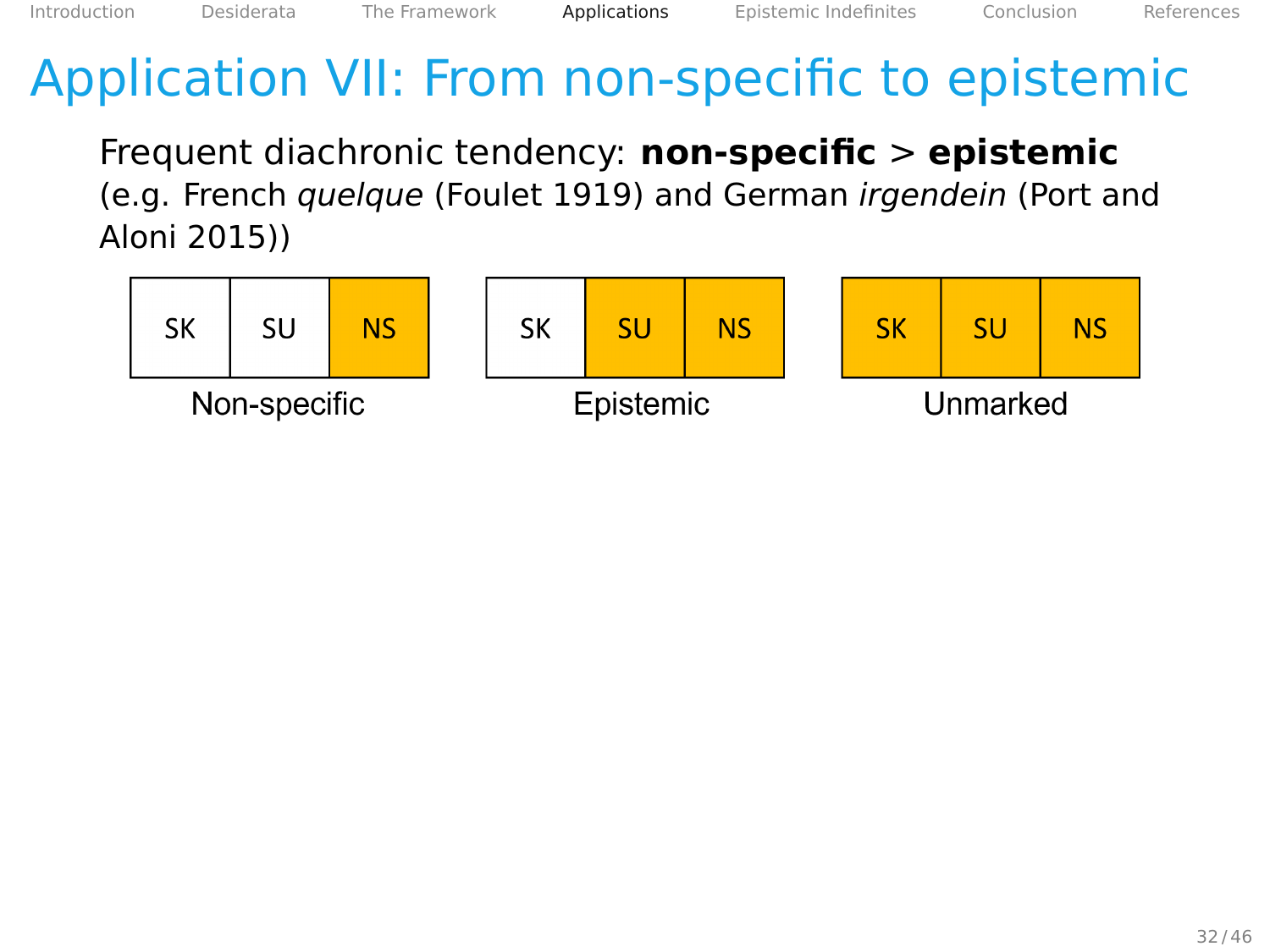<span id="page-78-0"></span>Frequent diachronic tendency: **non-specific** > **epistemic** (e.g. French quelque (Foulet [1919\)](#page-106-1) and German irgendein (Port and Aloni [2015\)](#page-107-1))

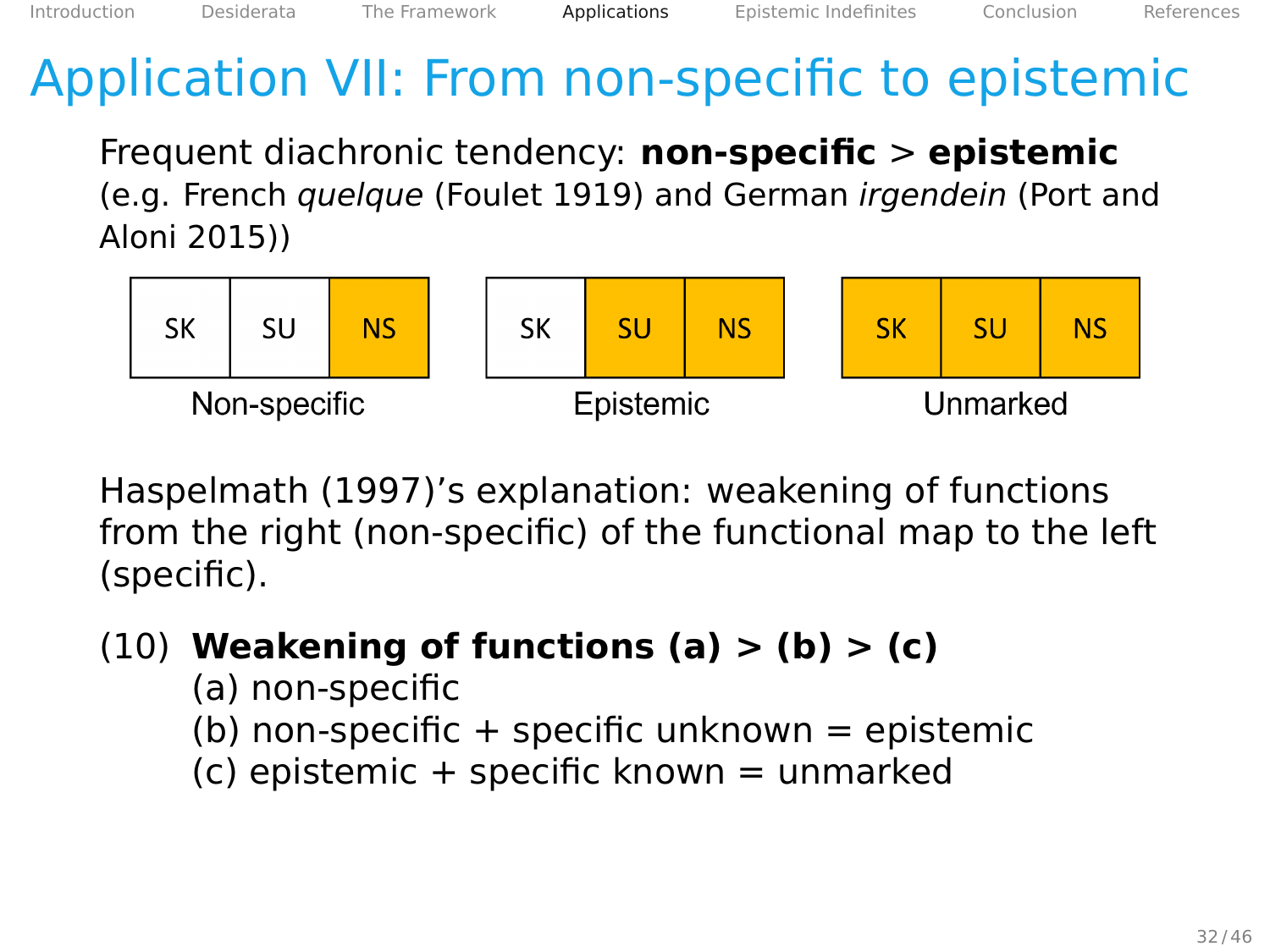Frequent diachronic tendency: **non-specific** > **epistemic** (e.g. French quelque (Foulet [1919\)](#page-106-1) and German irgendein (Port and Aloni [2015\)](#page-107-1))



Haspelmath [\(1997\)](#page-107-2)'s explanation: weakening of functions from the right (non-specific) of the functional map to the left (specific).

- (10) **Weakening of functions (a) > (b) > (c)**
	- (a) non-specific
	- (b) non-specific  $+$  specific unknown  $=$  epistemic
	- $(c)$  epistemic + specific known = unmarked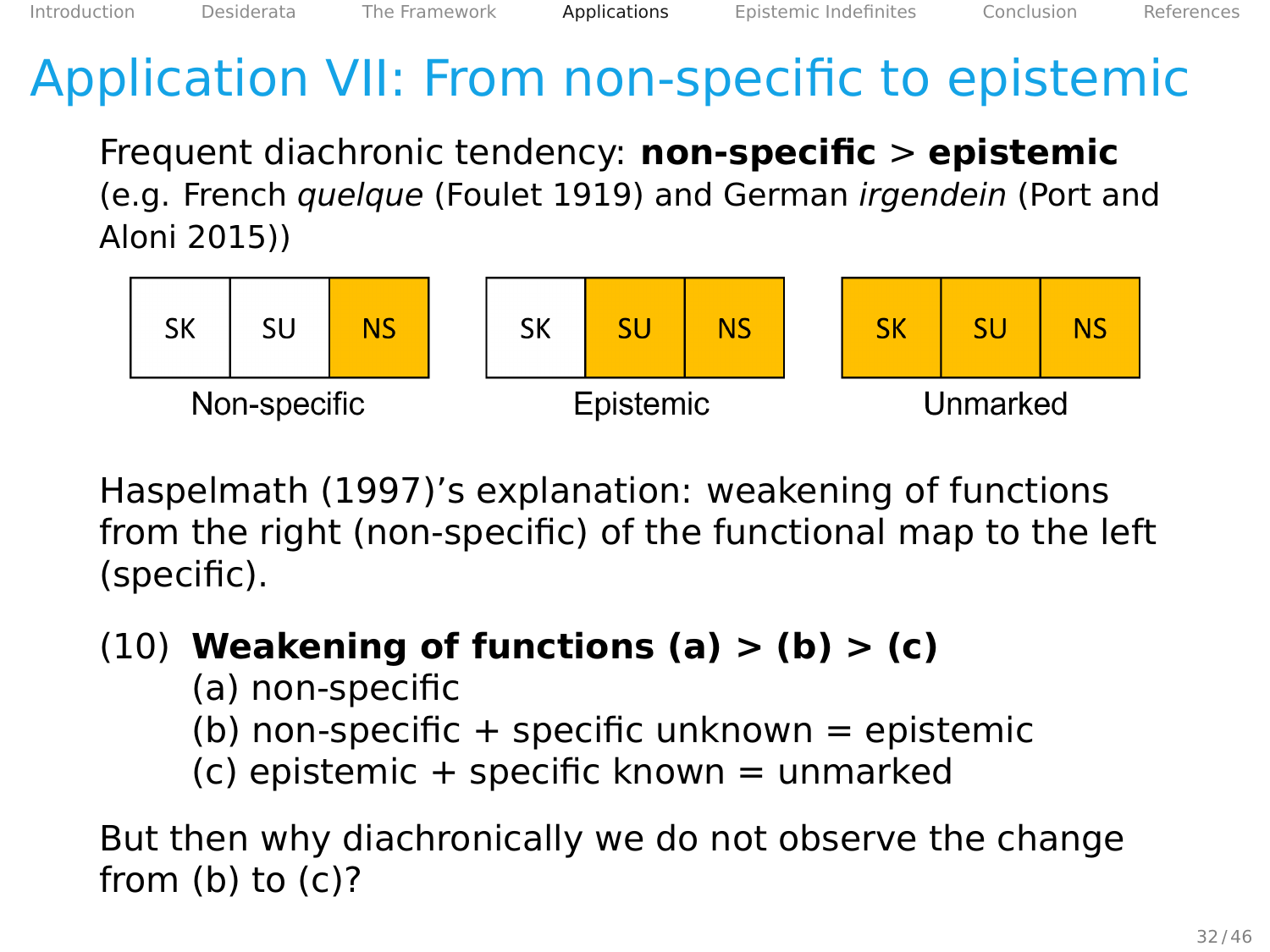Frequent diachronic tendency: **non-specific** > **epistemic** (e.g. French quelque (Foulet [1919\)](#page-106-1) and German irgendein (Port and Aloni [2015\)](#page-107-1))



Haspelmath [\(1997\)](#page-107-2)'s explanation: weakening of functions from the right (non-specific) of the functional map to the left (specific).

- (10) **Weakening of functions (a) > (b) > (c)**
	- (a) non-specific (b) non-specific  $+$  specific unknown  $=$  epistemic  $(c)$  epistemic + specific known = unmarked

But then why diachronically we do not observe the change from  $(b)$  to  $(c)$ ?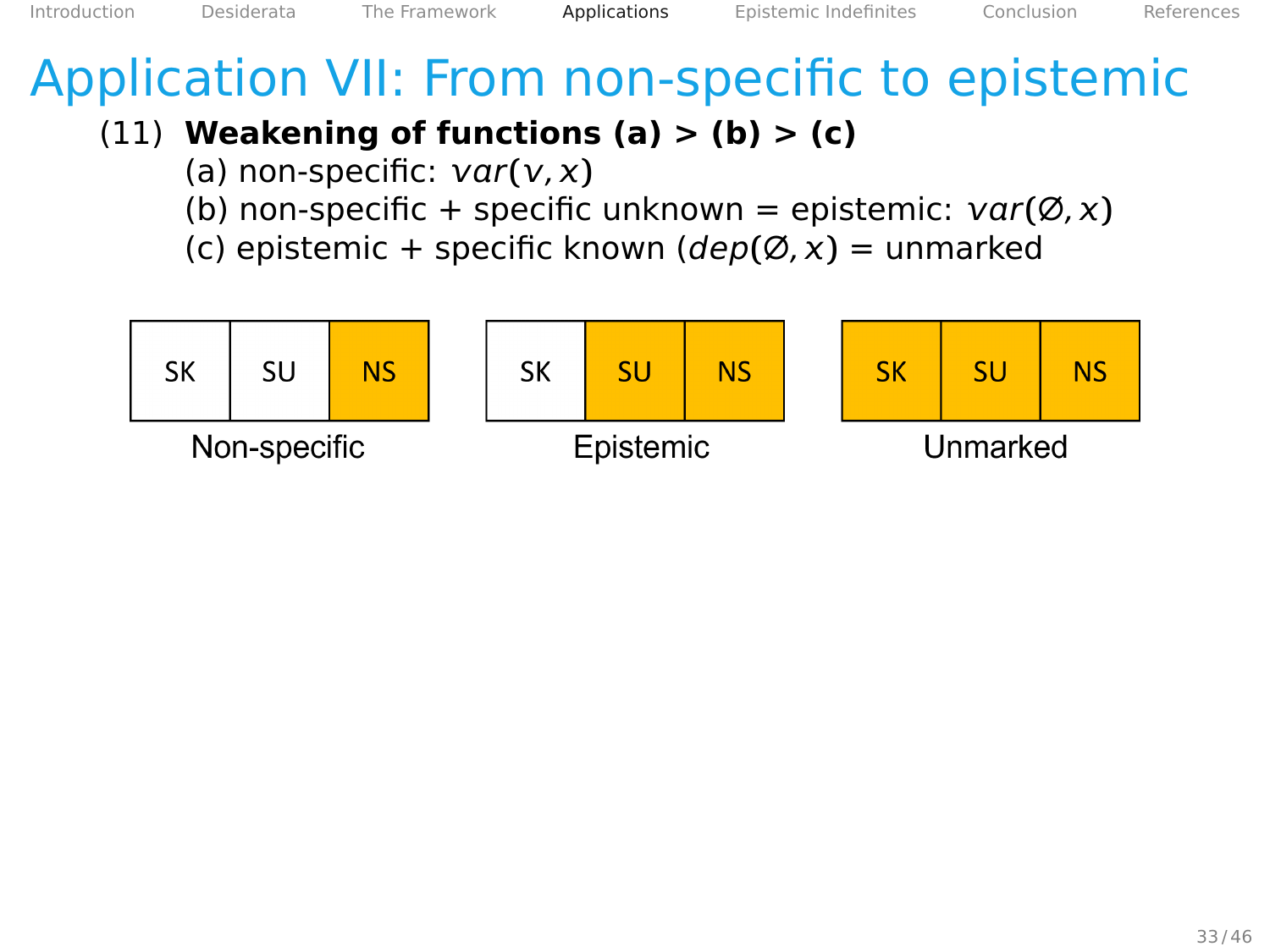#### (11) **Weakening of functions (a) > (b) > (c)**

- (a) non-specific:  $var(v, x)$
- (b) non-specific + specific unknown = epistemic:  $var(\emptyset, x)$
- (c) epistemic + specific known (dep**(**∅, **)** = unmarked

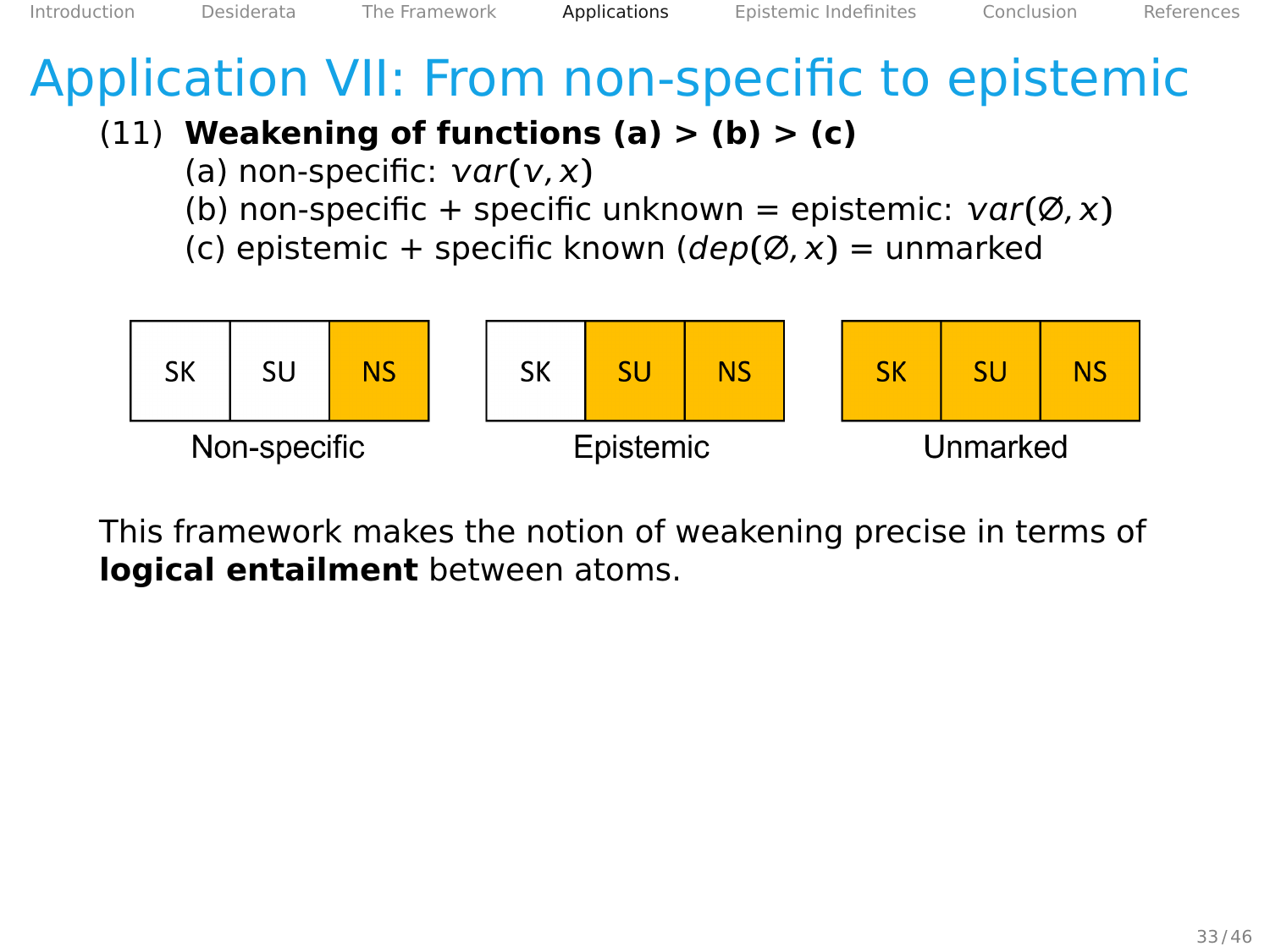#### (11) **Weakening of functions (a) > (b) > (c)**

- (a) non-specific:  $var(v, x)$
- (b) non-specific + specific unknown = epistemic:  $var(\emptyset, x)$
- (c) epistemic + specific known (dep**(**∅, **)** = unmarked



This framework makes the notion of weakening precise in terms of **logical entailment** between atoms.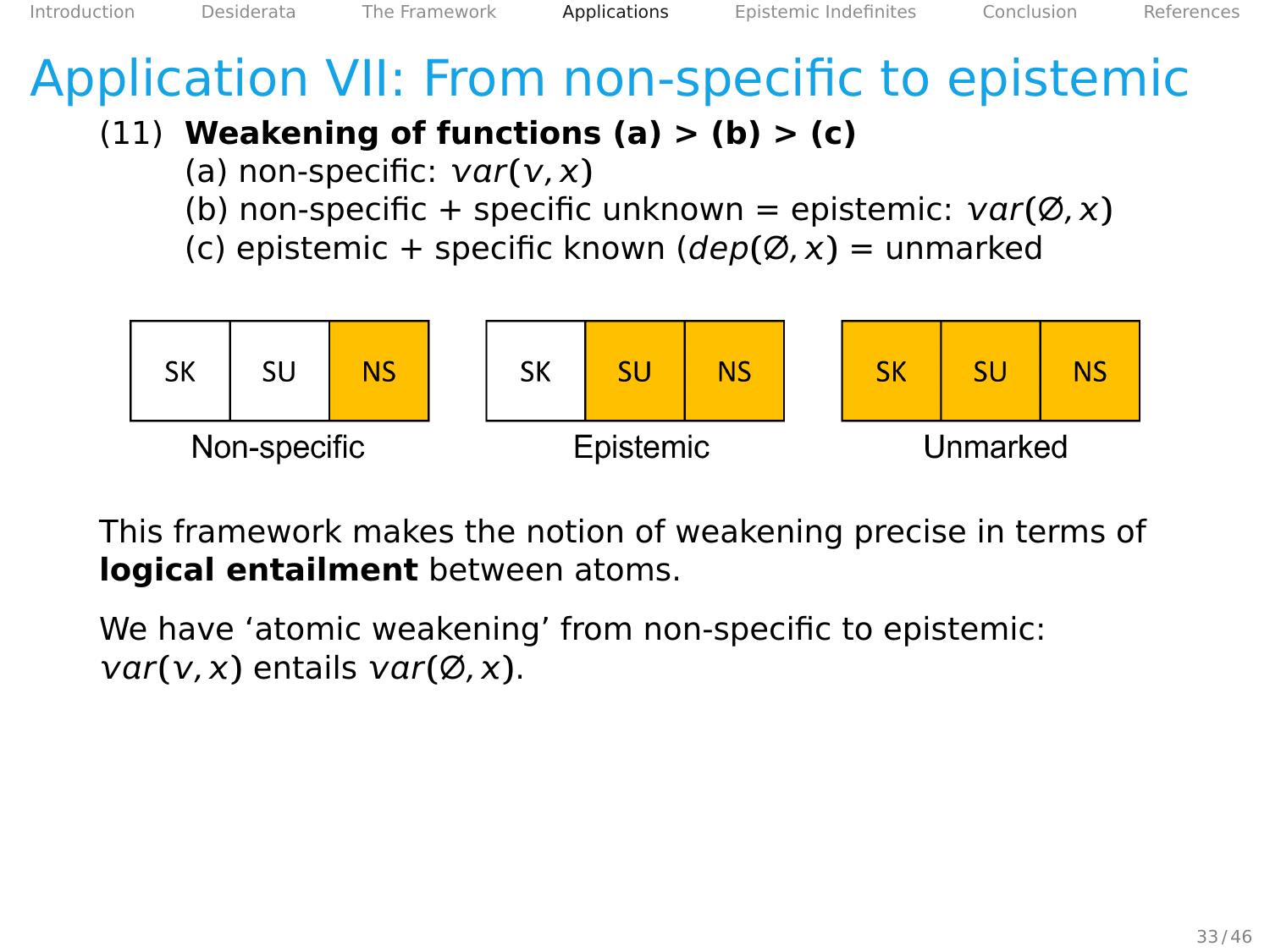#### (11) **Weakening of functions (a) > (b) > (c)**

- (a) non-specific:  $var(v, x)$
- (b) non-specific + specific unknown = epistemic:  $var(\emptyset, x)$
- (c) epistemic + specific known (dep**(**∅, **)** = unmarked



This framework makes the notion of weakening precise in terms of **logical entailment** between atoms.

We have 'atomic weakening' from non-specific to epistemic:  $var(v, x)$  entails  $var(\emptyset, x)$ .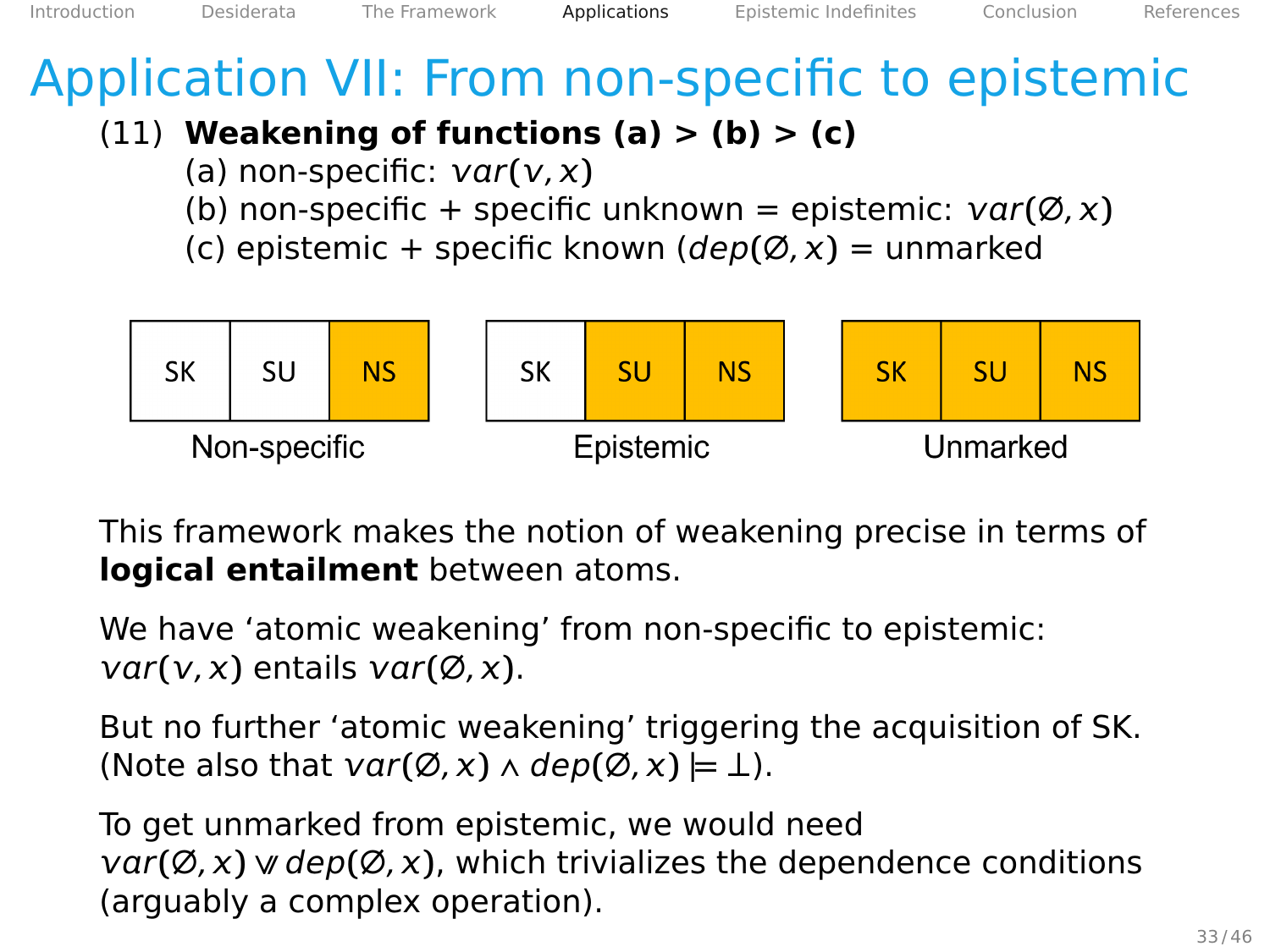#### (11) **Weakening of functions (a) > (b) > (c)**

- (a) non-specific:  $var(v, x)$
- (b) non-specific + specific unknown = epistemic:  $var(\emptyset, x)$
- (c) epistemic + specific known (dep**(**∅, **)** = unmarked



This framework makes the notion of weakening precise in terms of **logical entailment** between atoms.

We have 'atomic weakening' from non-specific to epistemic:  $var(v, x)$  entails  $var(\emptyset, x)$ .

But no further 'atomic weakening' triggering the acquisition of SK.  $(Note also that  $var(\emptyset, x) \wedge dep(\emptyset, x) \models \bot).$$ 

To get unmarked from epistemic, we would need  $var(\emptyset, x)$  w dep $(\emptyset, x)$ , which trivializes the dependence conditions (arguably a complex operation).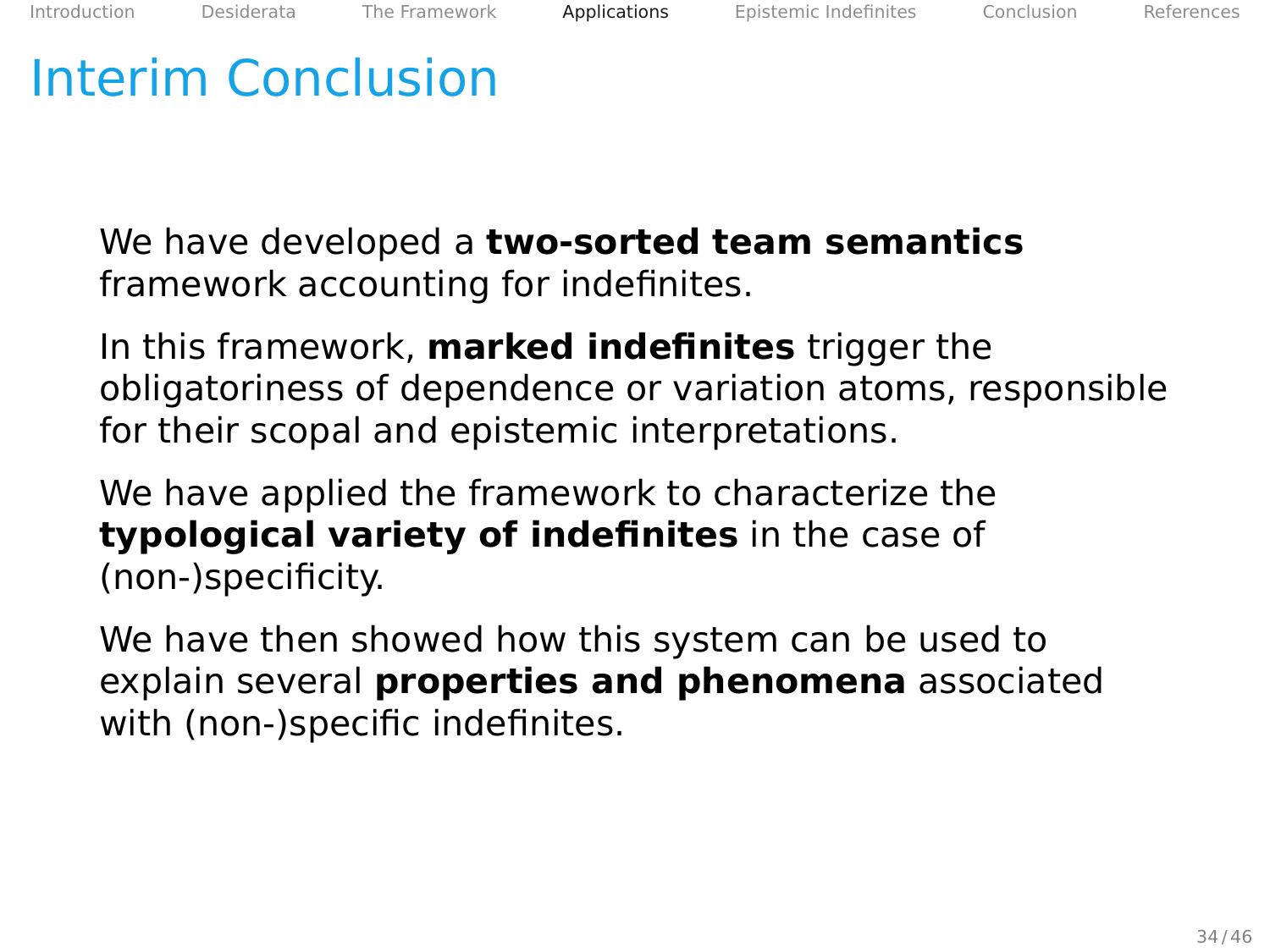## <span id="page-85-0"></span>Interim Conclusion

We have developed a **two-sorted team semantics** framework accounting for indefinites.

In this framework, **marked indefinites** trigger the obligatoriness of dependence or variation atoms, responsible for their scopal and epistemic interpretations.

We have applied the framework to characterize the **typological variety of indefinites** in the case of (non-)specificity.

We have then showed how this system can be used to explain several **properties and phenomena** associated with (non-)specific indefinites.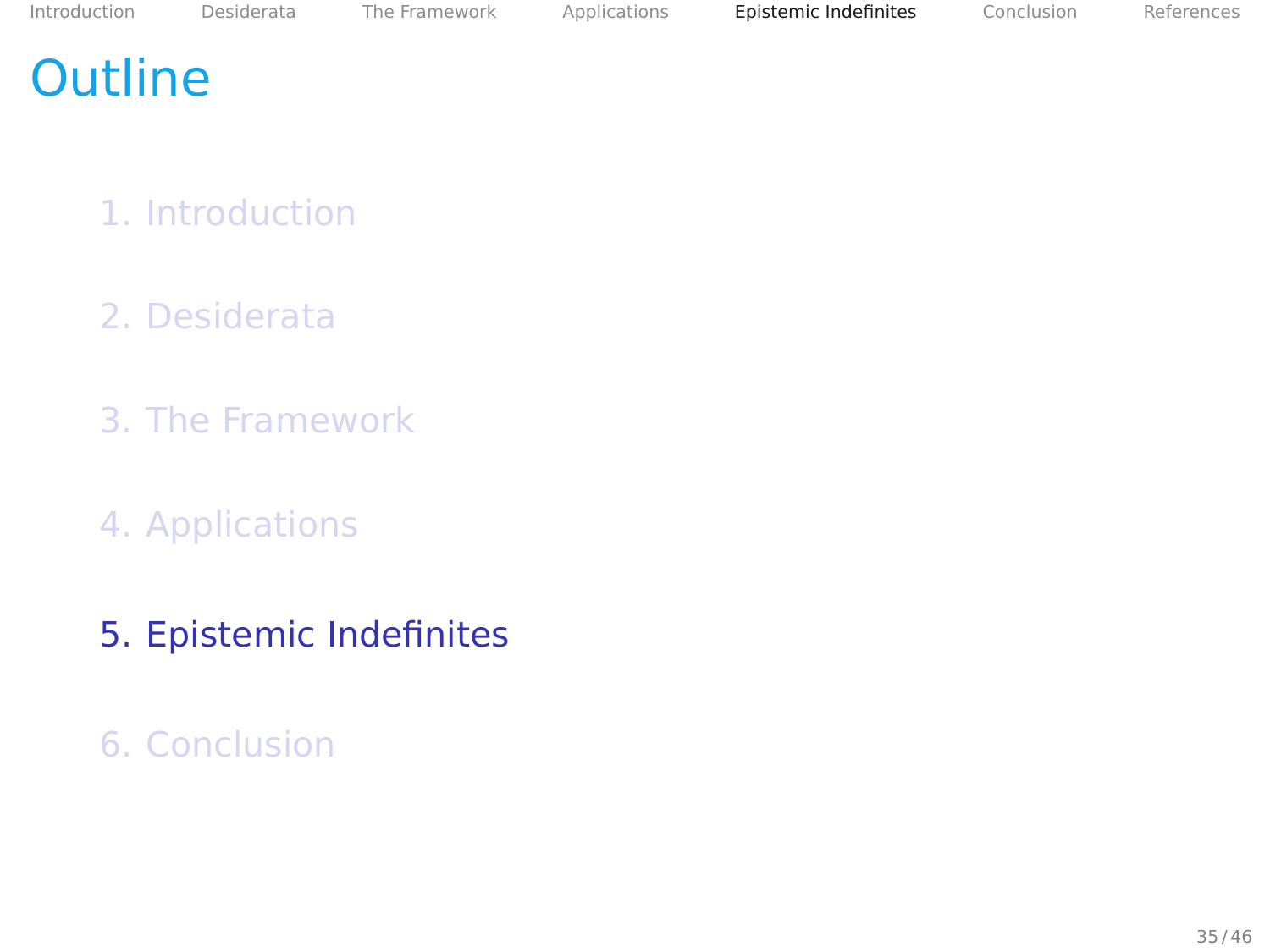#### <span id="page-86-0"></span>**Outline**

- 1. [Introduction](#page-2-0)
- 2. [Desiderata](#page-14-0)
- 3. [The Framework](#page-25-0)
- 4. [Applications](#page-47-0)
- 5. [Epistemic Indefinites](#page-86-0)
- 6. [Conclusion](#page-102-0)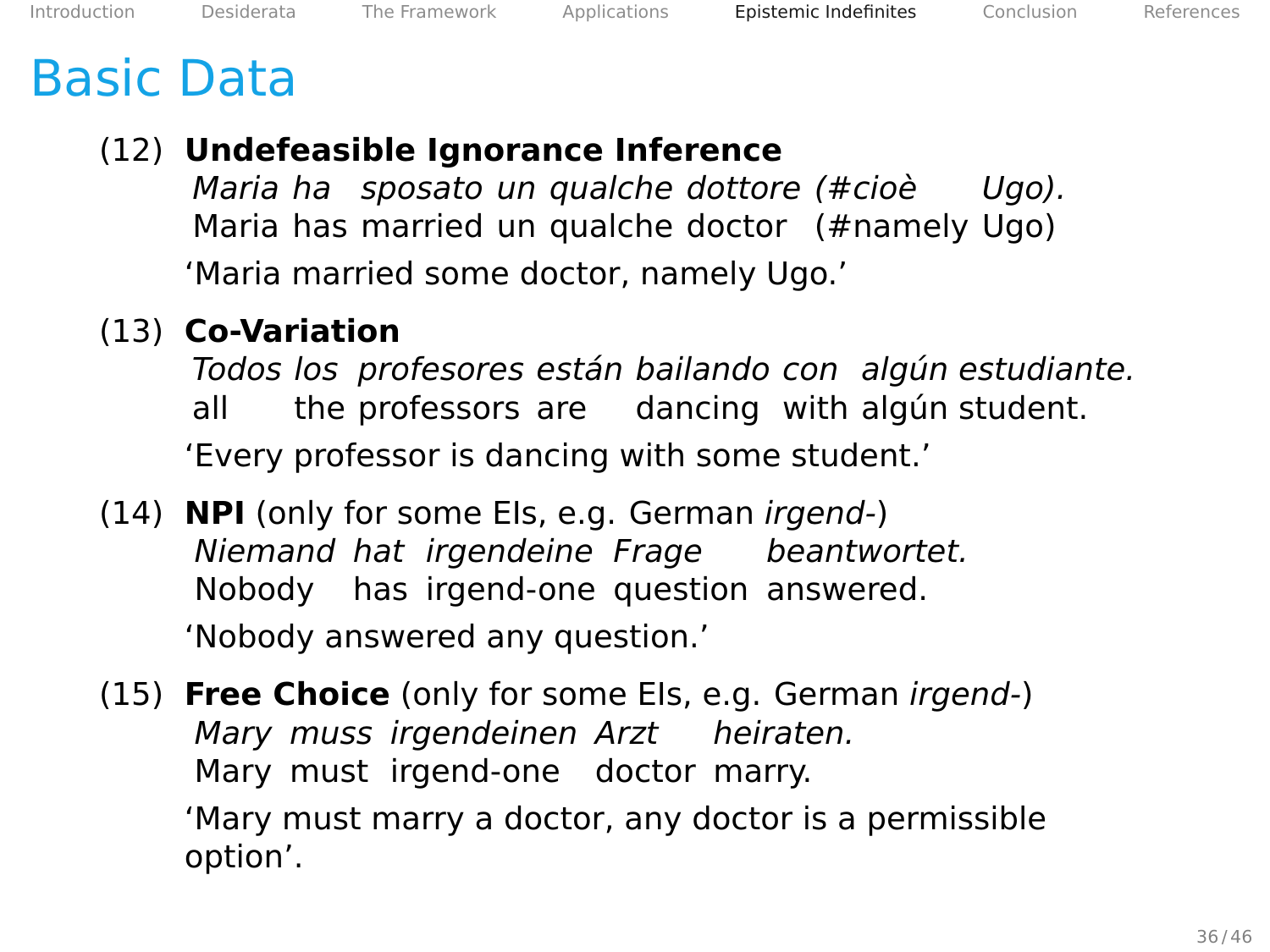#### <span id="page-87-0"></span>Basic Data

#### (12) **Undefeasible Ignorance Inference**

Maria ha sposato un qualche dottore (#cioè Maria has married un qualche doctor (#namely Ugo) Ugo). 'Maria married some doctor, namely Ugo.'

#### (13) **Co-Variation**

Todos los profesores están bailando con algún estudiante. all the professors are dancing with algún student. 'Every professor is dancing with some student.'

(14) **NPI** (only for some EIs, e.g. German irgend-) Niemand hat irgendeine Frage beantwortet. Nobody has irgend-one question answered. 'Nobody answered any question.'

(15) **Free Choice** (only for some EIs, e.g. German irgend-) Mary muss irgendeinen Arzt heiraten. Mary must irgend-one doctor marry.

'Mary must marry a doctor, any doctor is a permissible option'.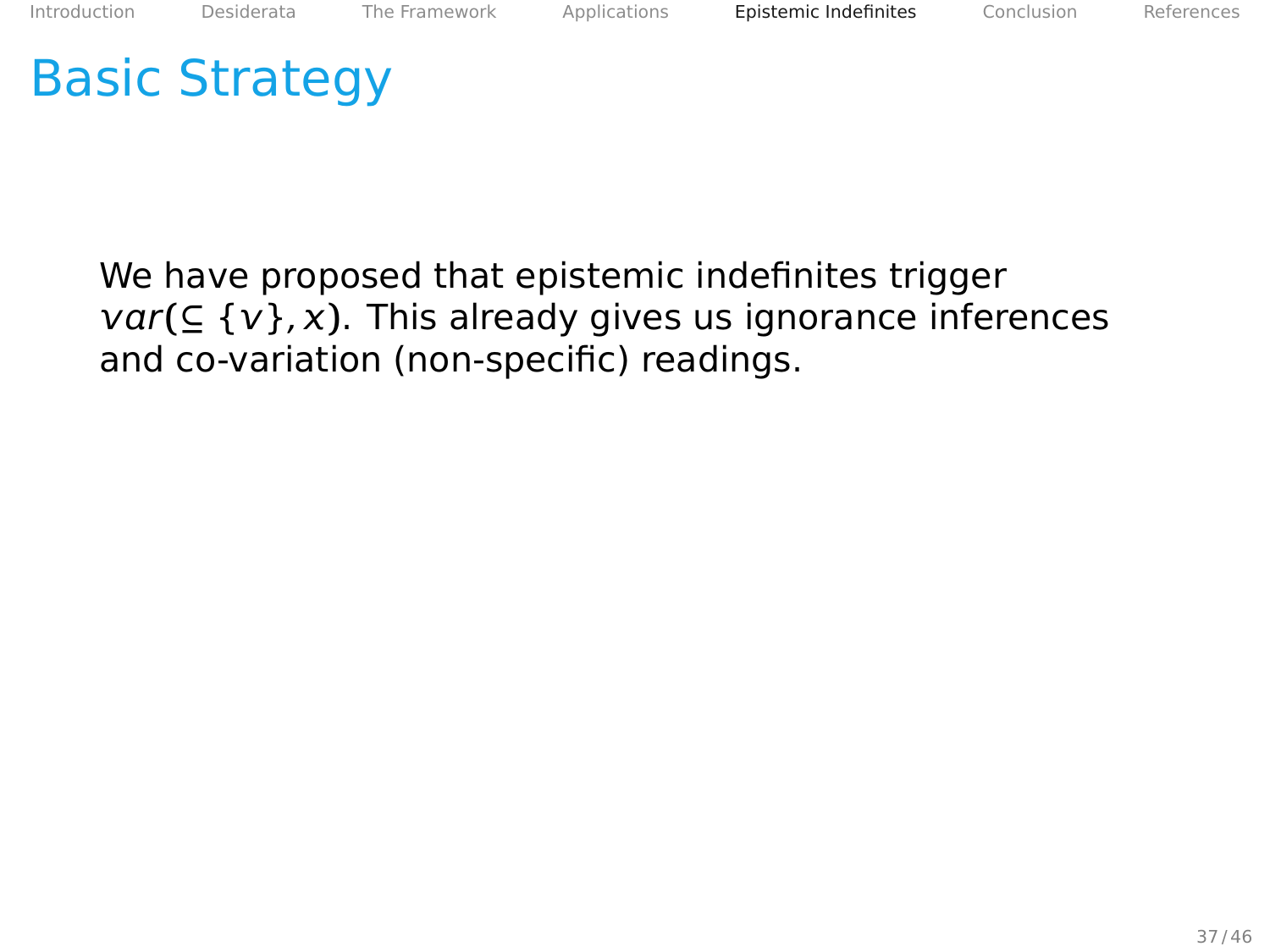<span id="page-88-0"></span>We have proposed that epistemic indefinites trigger  $var(\subseteq \{v\}, x)$ . This already gives us ignorance inferences and co-variation (non-specific) readings.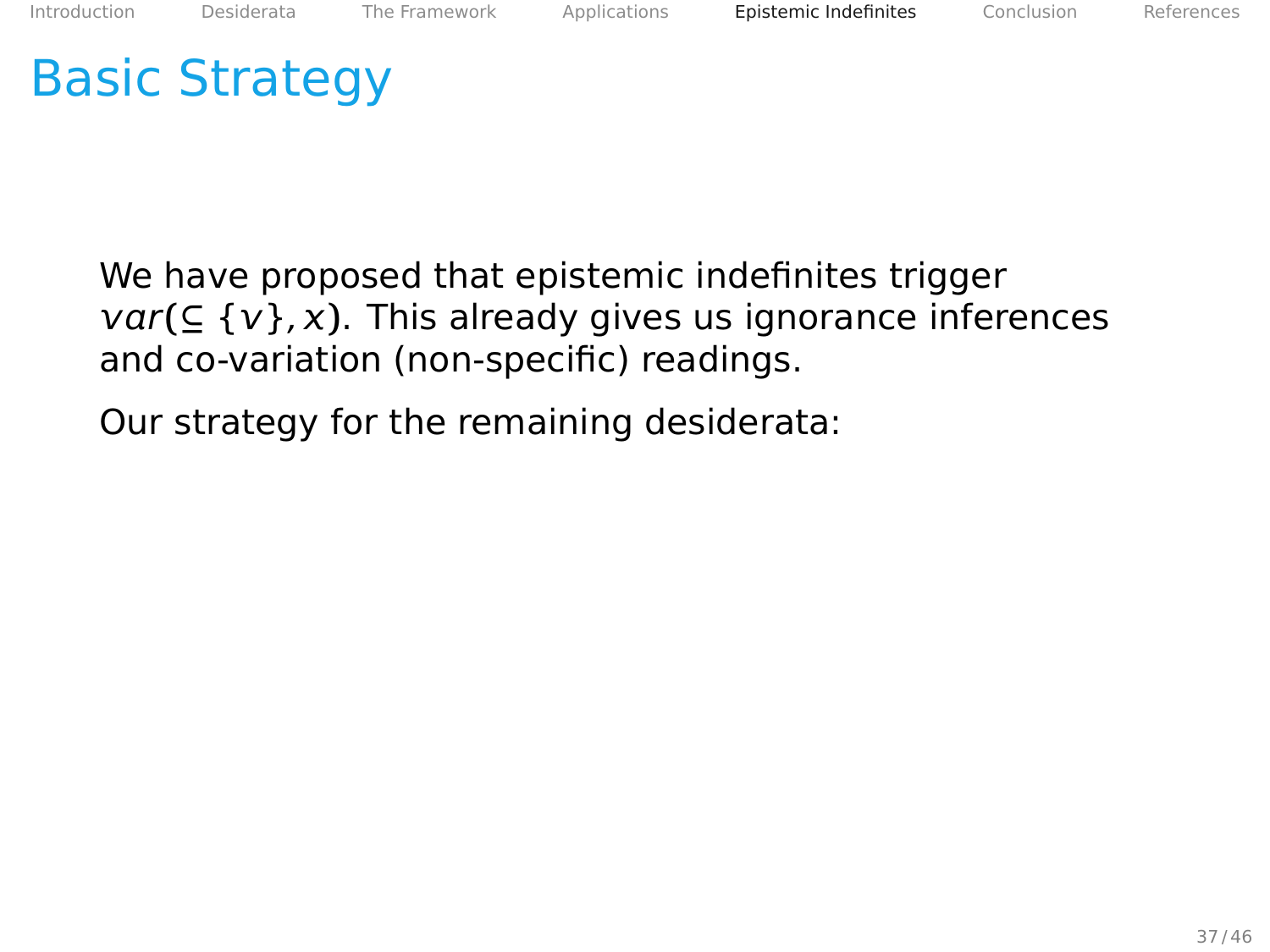We have proposed that epistemic indefinites trigger  $var(\subseteq \{v\}, x)$ . This already gives us ignorance inferences and co-variation (non-specific) readings.

Our strategy for the remaining desiderata: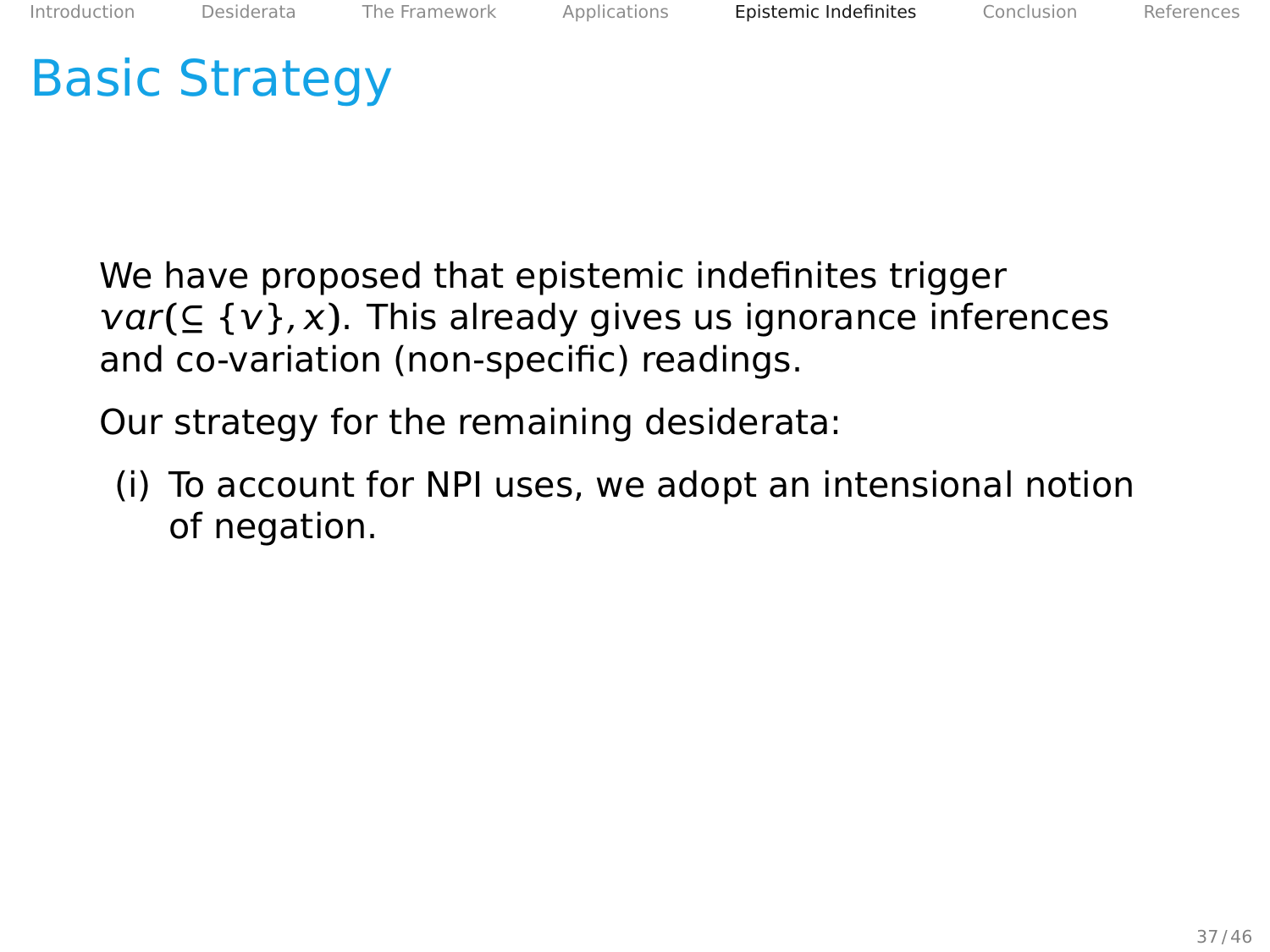We have proposed that epistemic indefinites trigger  $var(\subseteq \{v\}, x)$ . This already gives us ignorance inferences and co-variation (non-specific) readings.

Our strategy for the remaining desiderata:

(i) To account for NPI uses, we adopt an intensional notion of negation.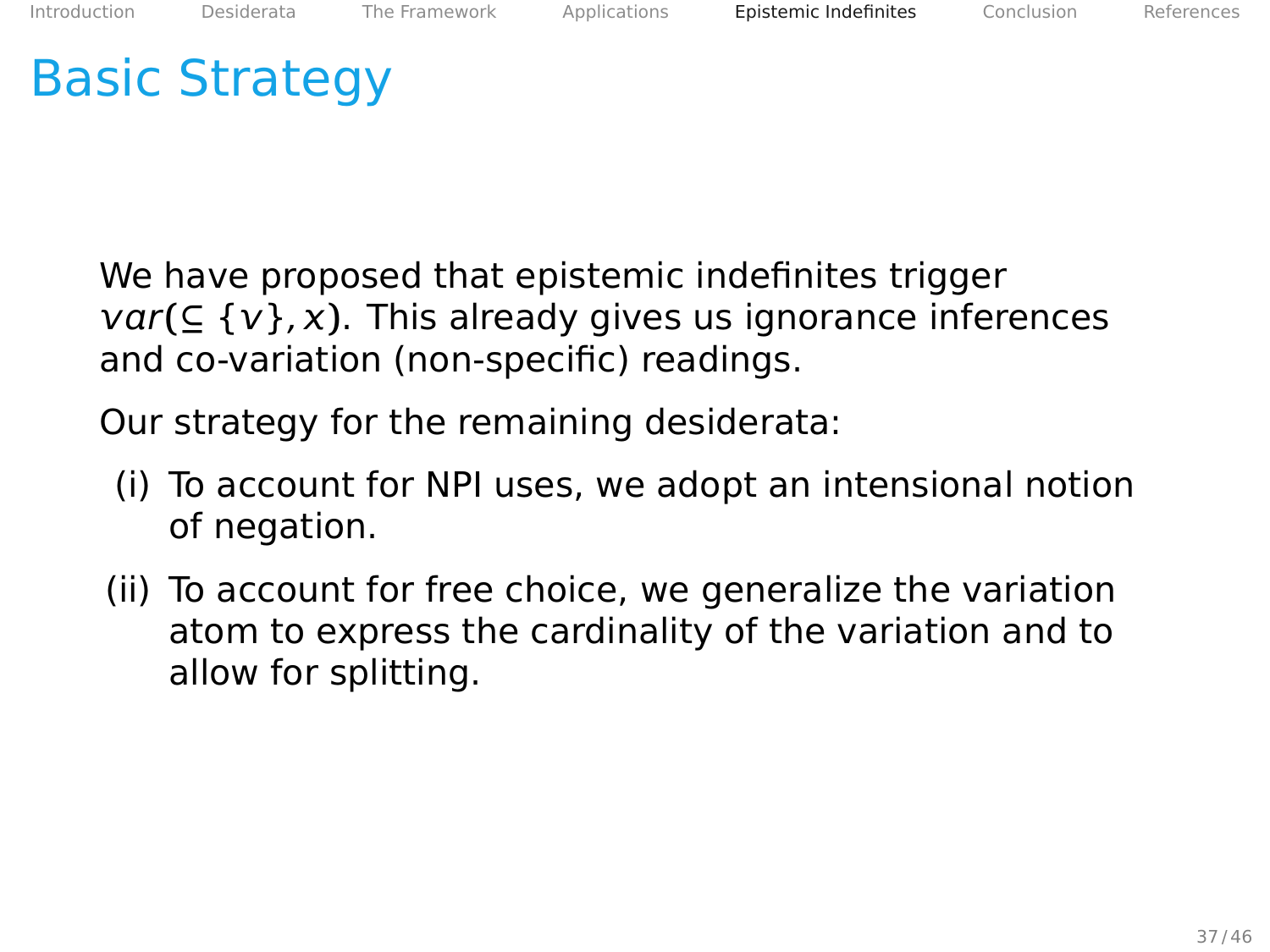We have proposed that epistemic indefinites trigger  $var(\subseteq \{v\}, x)$ . This already gives us ignorance inferences and co-variation (non-specific) readings.

Our strategy for the remaining desiderata:

- (i) To account for NPI uses, we adopt an intensional notion of negation.
- (ii) To account for free choice, we generalize the variation atom to express the cardinality of the variation and to allow for splitting.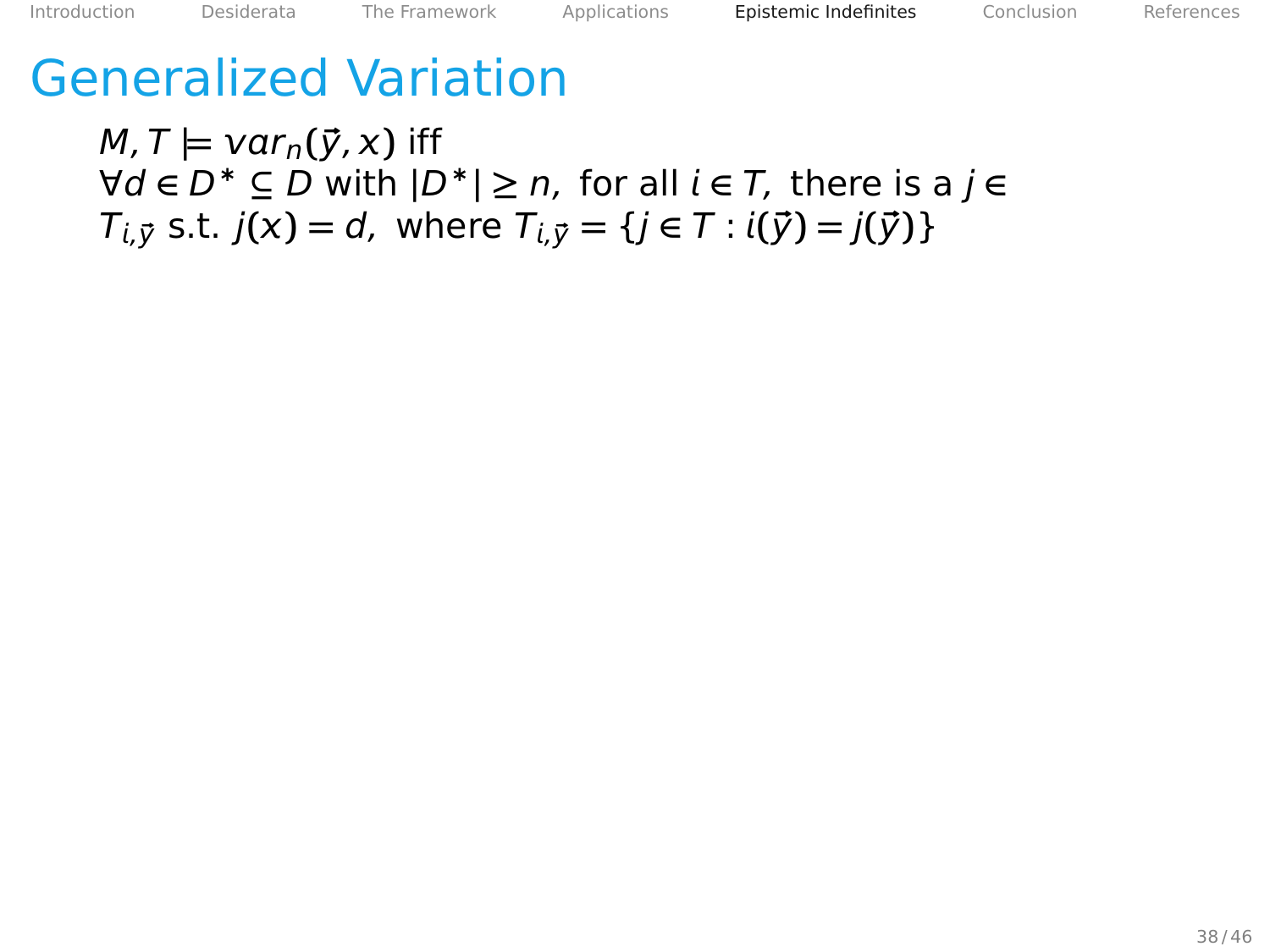#### <span id="page-92-0"></span>Generalized Variation

 $M, T \models \text{var}_n(\vec{y}, x)$  iff ∀d **∈** D<sup>∗</sup> **⊆** D with **|**D∗**| ≥** n, for all **∈** T, there is a j **∈**  $T_{i,\vec{y}}$  s.t.  $j(x) = d$ , where  $T_{i,\vec{y}} = \{j \in T : i(\vec{y}) = j(\vec{y})\}$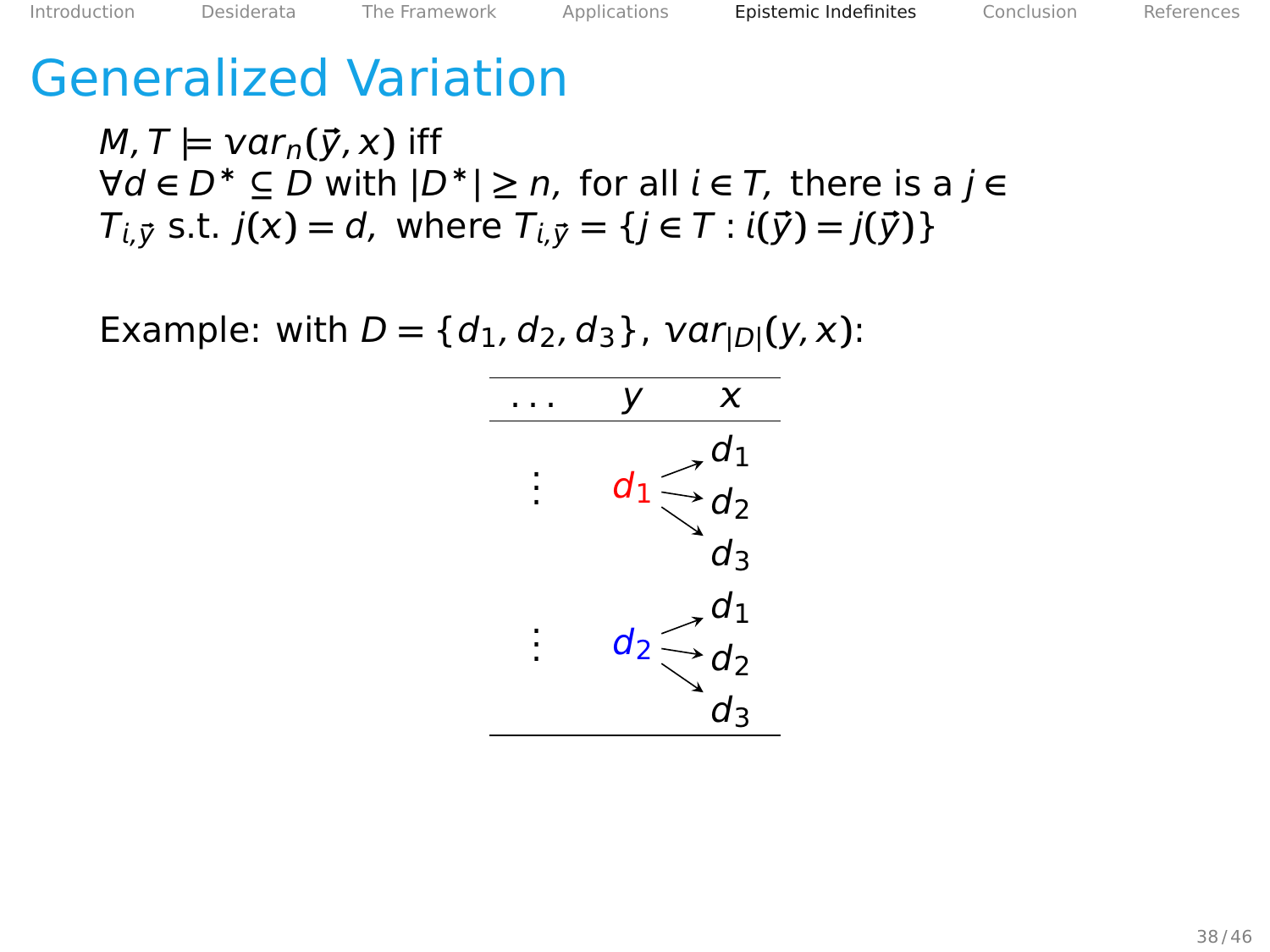#### Generalized Variation

 $M, T \models \text{var}_n(\vec{y}, x)$  iff ∀d **∈** D<sup>∗</sup> **⊆** D with **|**D∗**| ≥** n, for all **∈** T, there is a j **∈**  $T_{i,\vec{y}}$  s.t.  $j(x) = d$ , where  $T_{i,\vec{y}} = \{j \in T : i(\vec{y}) = j(\vec{y})\}$ 

Example: with  $D = \{d_1, d_2, d_3\}$ ,  $var_{|D|}(y, x)$ :

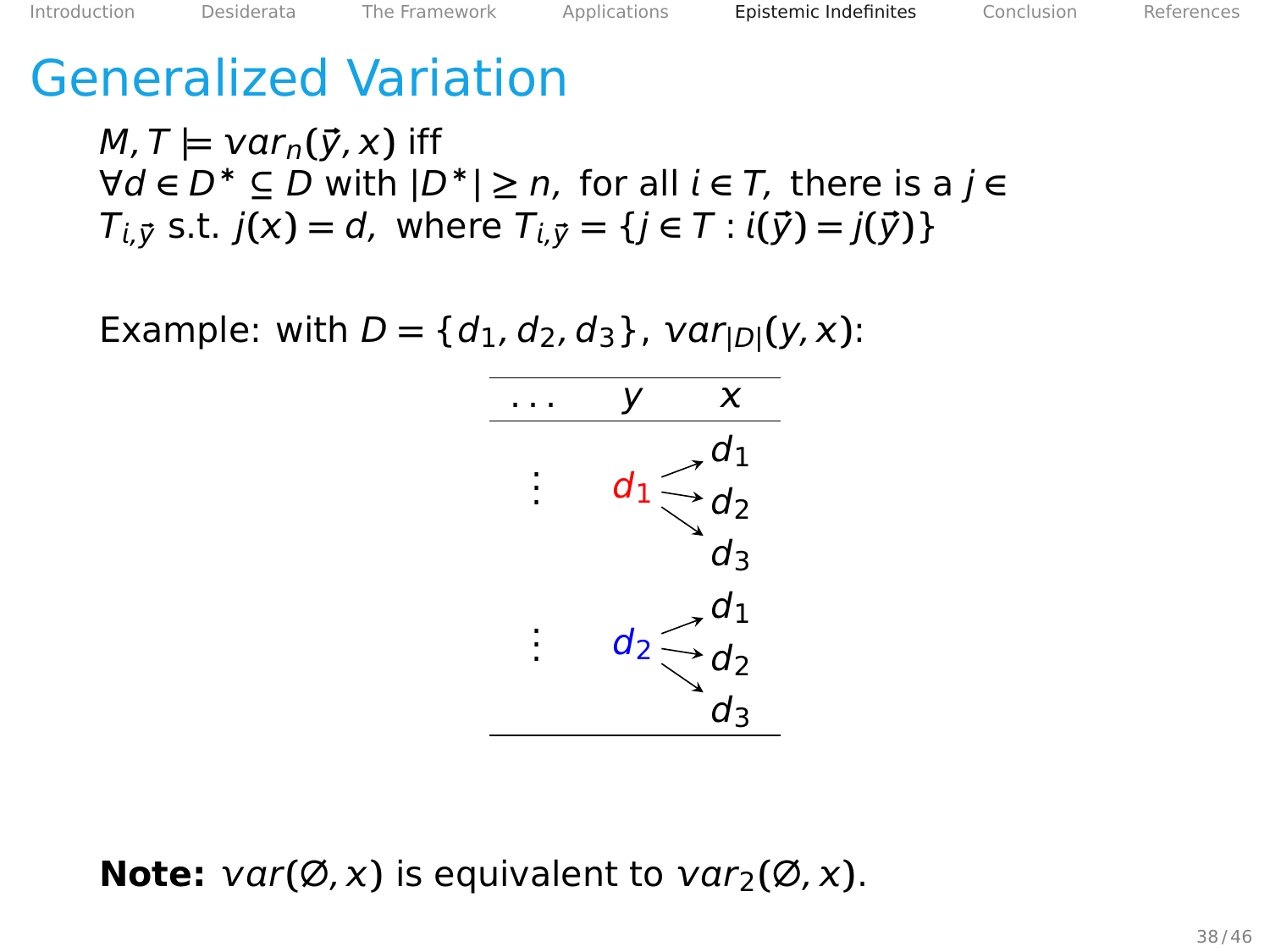#### Generalized Variation

 $M, T \models \text{var}_n(\vec{y}, x)$  iff ∀d **∈** D<sup>∗</sup> **⊆** D with **|**D∗**| ≥** n, for all **∈** T, there is a j **∈**  $T_{i,\vec{y}}$  s.t.  $j(x) = d$ , where  $T_{i,\vec{y}} = \{j \in T : i(\vec{y}) = j(\vec{y})\}$ 

Example: with  $D = \{d_1, d_2, d_3\}$ ,  $var_{|D|}(y, x)$ :



**Note:**  $var(\emptyset, x)$  is equivalent to  $var_1(\emptyset, x)$ .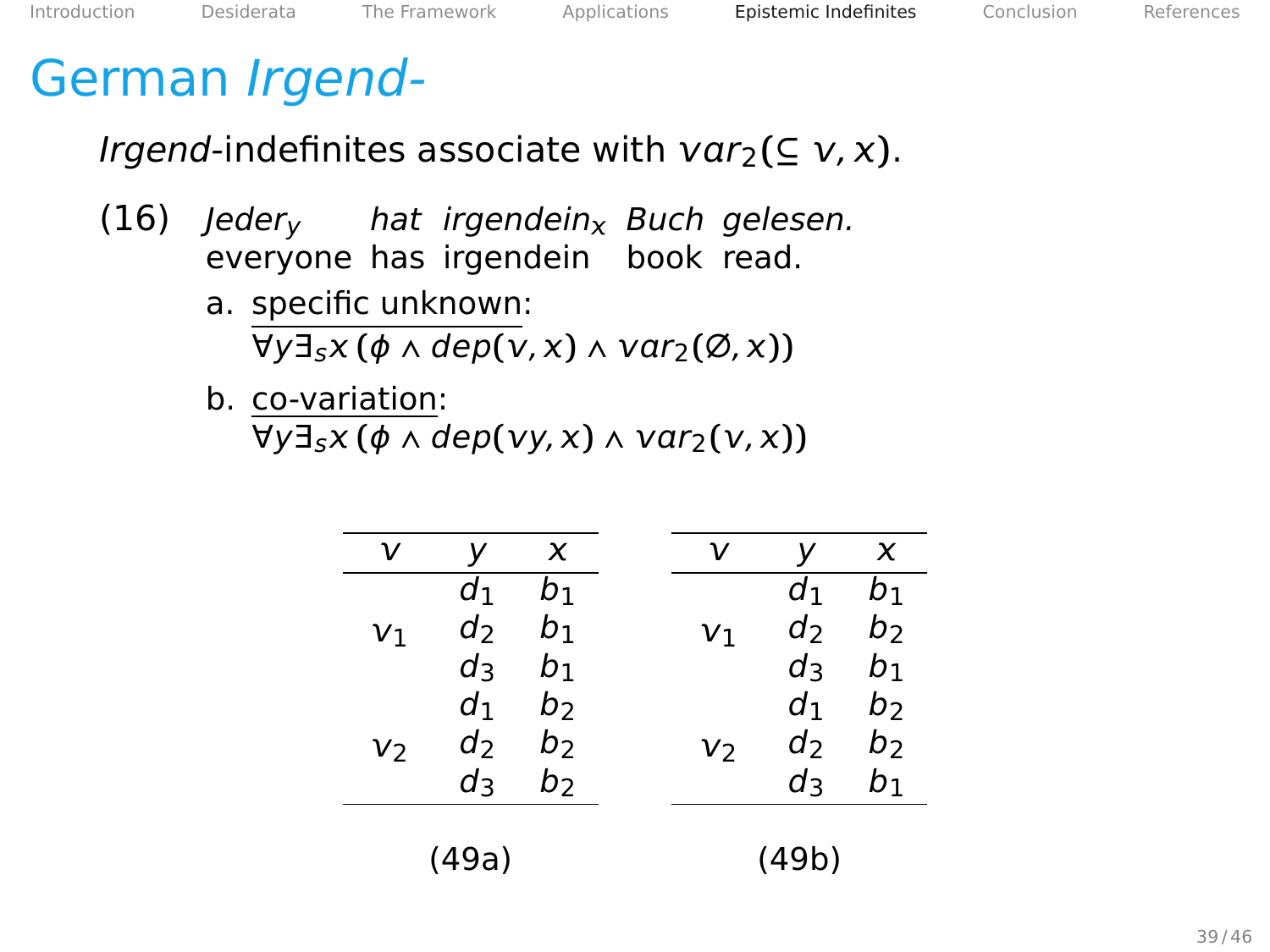#### <span id="page-95-0"></span>German Irgend-

*Irgend*-indefinites associate with  $var_2$ (⊆  $v, x$ ).

- $(16)$  Jeder<sub>v</sub> everyone has irgendein book read. hat irgendein<sub>x</sub> Buch gelesen.
	- a. specific unknown:  $\forall y \exists_{5} x (\phi \land dep(v,x) \land var_{2}(\emptyset, x))$
	- b. co-variation:  $\forall y \exists x (\phi \land dep(vy,x) \land var_2(v,x))$

| ν              |                | x  | ν  |       | x     |
|----------------|----------------|----|----|-------|-------|
|                | d1             | b1 |    | $d_1$ | b1    |
| V <sub>1</sub> | d              | b1 | V١ | d     | b     |
|                | d٩             | b١ |    | d٩    | b1    |
|                | d١             | b> |    | d۱    | b     |
| V2             | d <sub>2</sub> | b  | V2 | $d_2$ | b     |
|                | d٩             | b  |    | d٩    | $b_1$ |
|                |                |    |    |       |       |
|                | (49a)          |    |    | (49b) |       |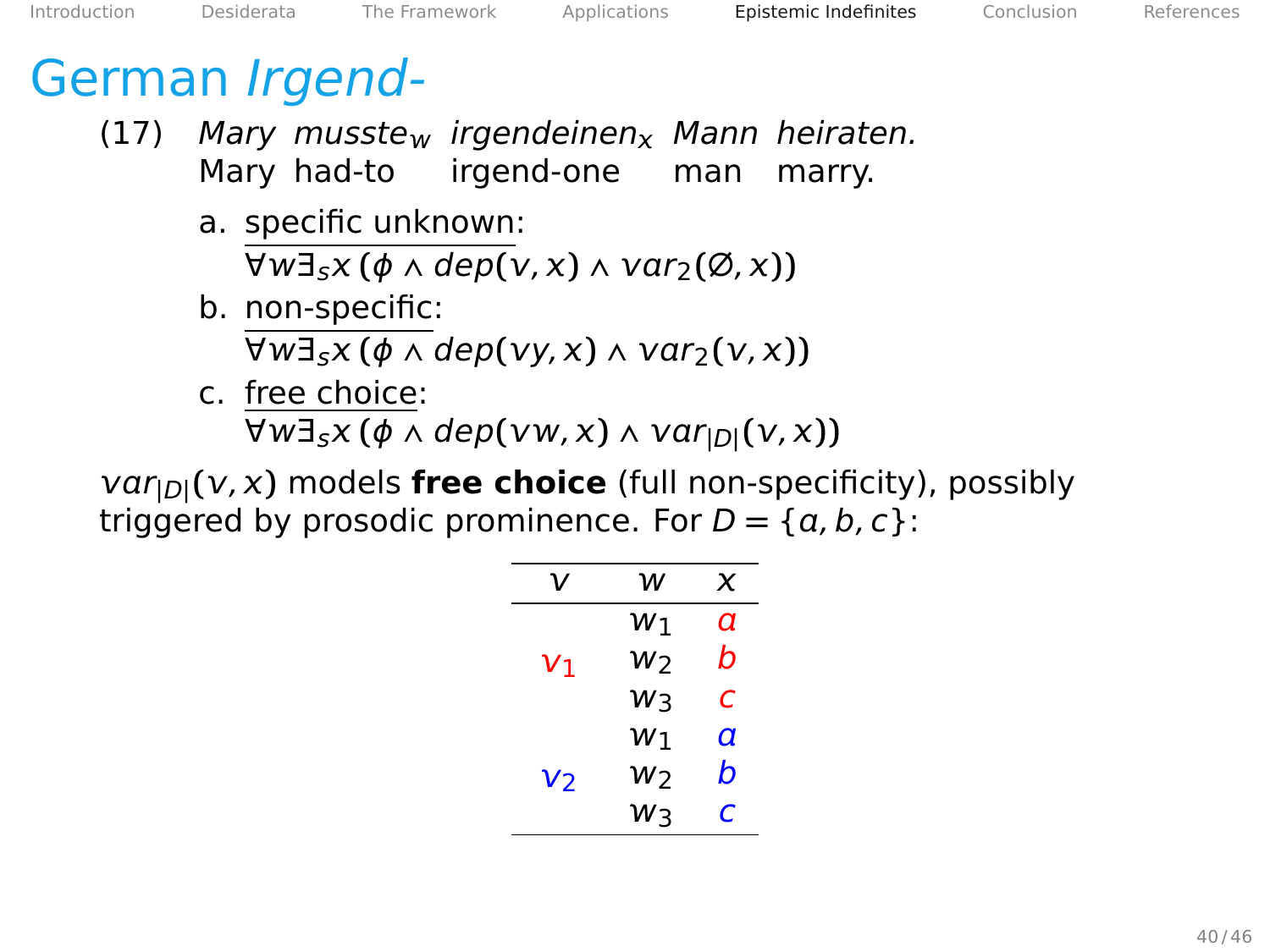#### German Irgend-

- (17) Mary musste<sub>w</sub> irgendeinen<sub>x</sub> Mann heiraten. Mary had-to irgend-one man marry.
	- a. specific unknown:  $\forall w \exists x (\phi \land dep(v,x) \land var_2(\emptyset, x))$
	- b. non-specific:  $\forall w \exists s x (\phi \land dep(vy,x) \land var_2(v,x))$
	- c. free choice:  $\forall w \exists_{s} x (\phi \land dep(vw,x) \land var_{|D|}(v,x))$

 $var_{[D]}(v, x)$  models **free choice** (full non-specificity), possibly triggered by prosodic prominence. For  $D = \{a, b, c\}$ :

| ν              | w     | x |
|----------------|-------|---|
|                | $w_1$ | а |
| V1             | W2    | h |
|                | Wз    | C |
|                | W١    | а |
| v <sub>2</sub> | W2    | b |
|                | W٦    | r |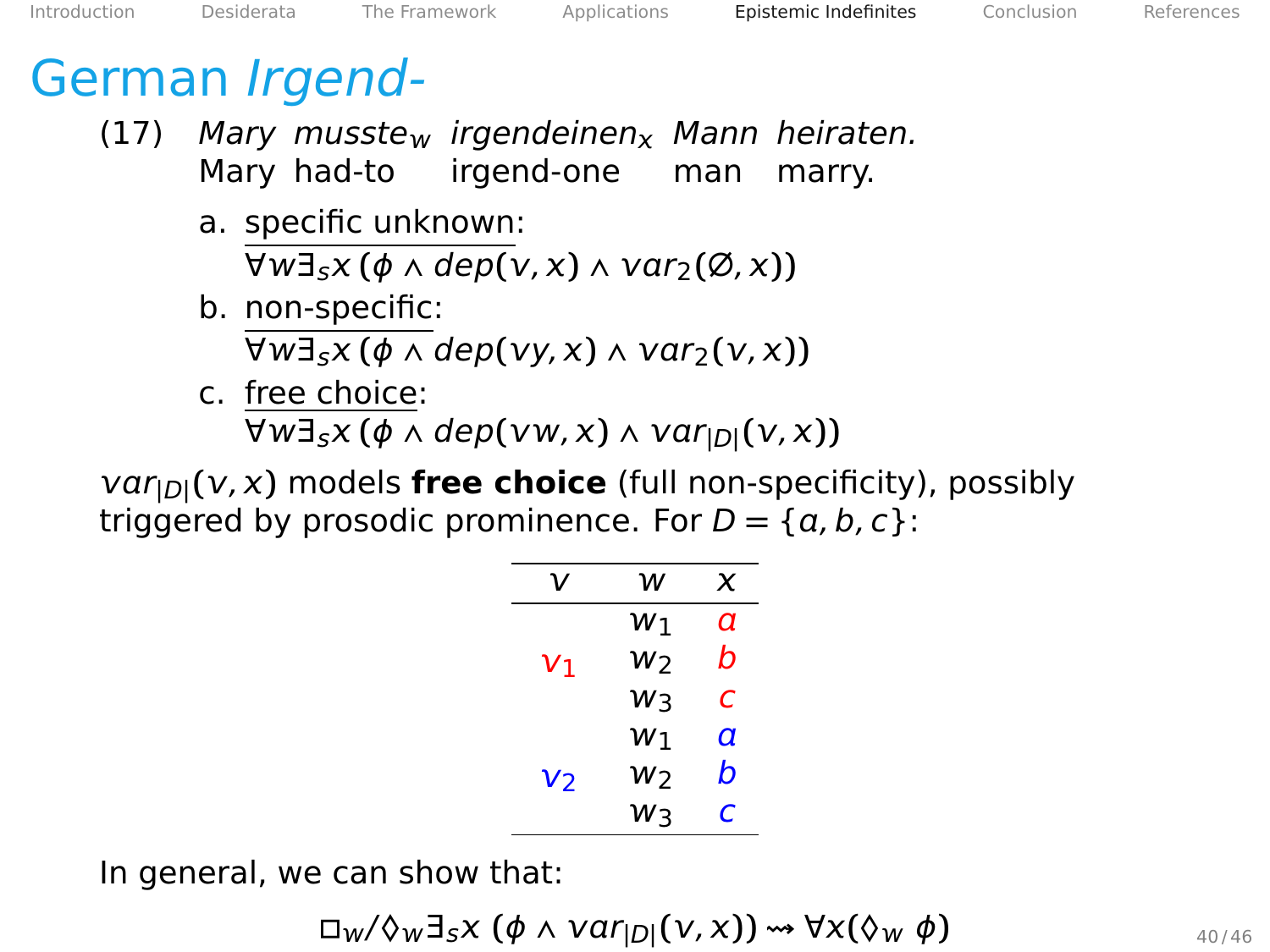#### German Irgend-

- (17) Mary musste<sub>w</sub> irgendeinen<sub>x</sub> Mann heiraten. Mary had-to irgend-one man marry.
	- a. specific unknown:  $\forall w \exists x (\phi \land dep(v,x) \land var_2(\emptyset, x))$
	- b. non-specific:  $\forall w \exists s x (\phi \land dep(vy,x) \land var_2(v,x))$
	- c. free choice:  $\forall w \exists_{s} x (\phi \land dep(vw,x) \land var_{|D|}(v,x))$

 $var_{[D]}(v, x)$  models **free choice** (full non-specificity), possibly triggered by prosodic prominence. For  $D = \{a, b, c\}$ :

| ν              | w   | x |
|----------------|-----|---|
|                | W۱  | а |
| V1             | W7  | h |
|                | W٦  | с |
| v <sub>2</sub> | W٦  | a |
|                | W2  | b |
|                | พิว | C |

In general, we can show that:

 $\Box_W/\Diamond_W \exists_S X \ (\phi \land \text{Var}_{|D|}(\nu, x)) \rightsquigarrow \forall x (\Diamond_w \ \phi)$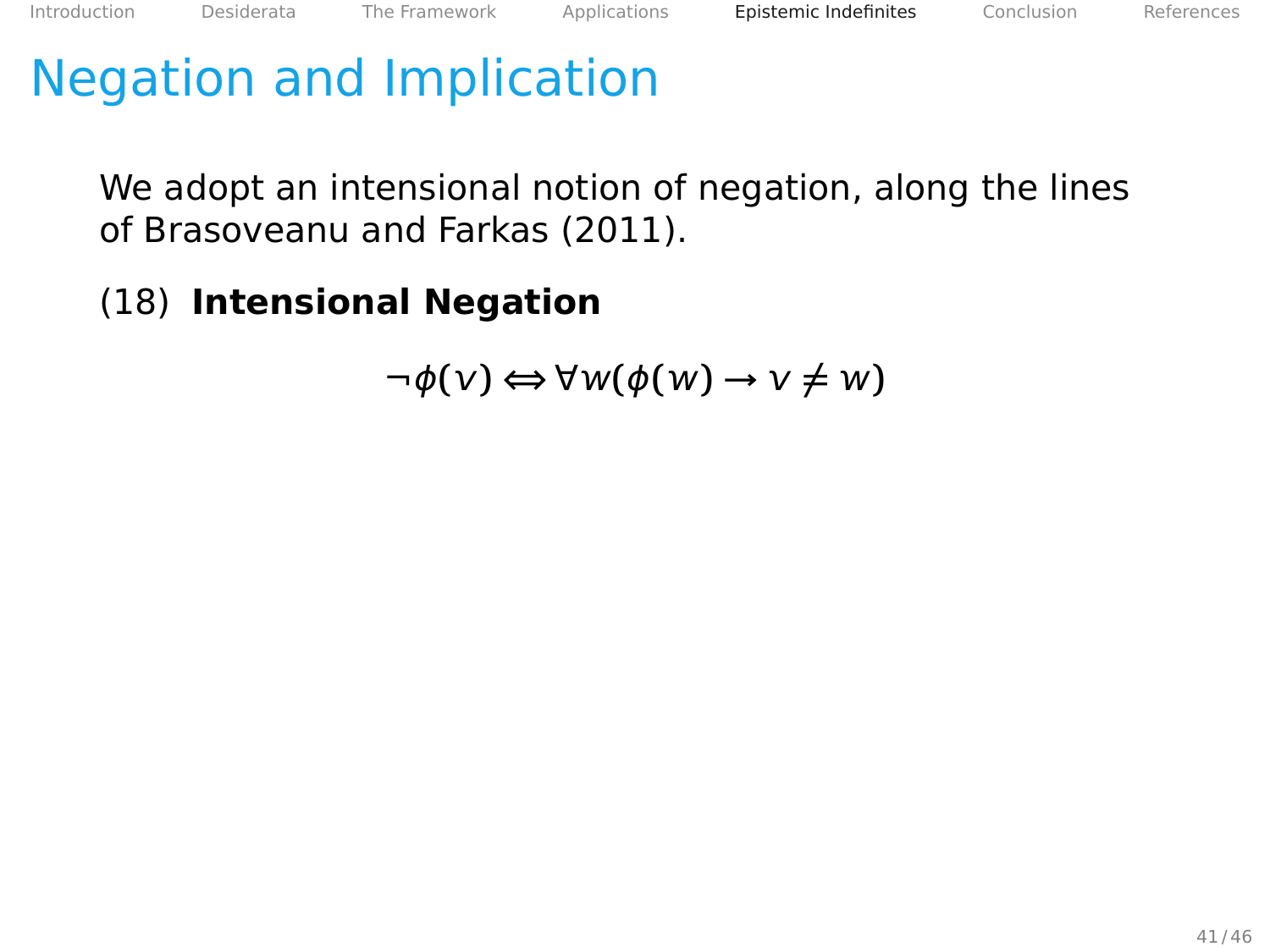## <span id="page-98-0"></span>Negation and Implication

We adopt an intensional notion of negation, along the lines of Brasoveanu and Farkas [\(2011\)](#page-106-2).

#### (18) **Intensional Negation**

$$
\neg \phi(v) \Longleftrightarrow \forall w(\phi(w) \rightarrow v \neq w)
$$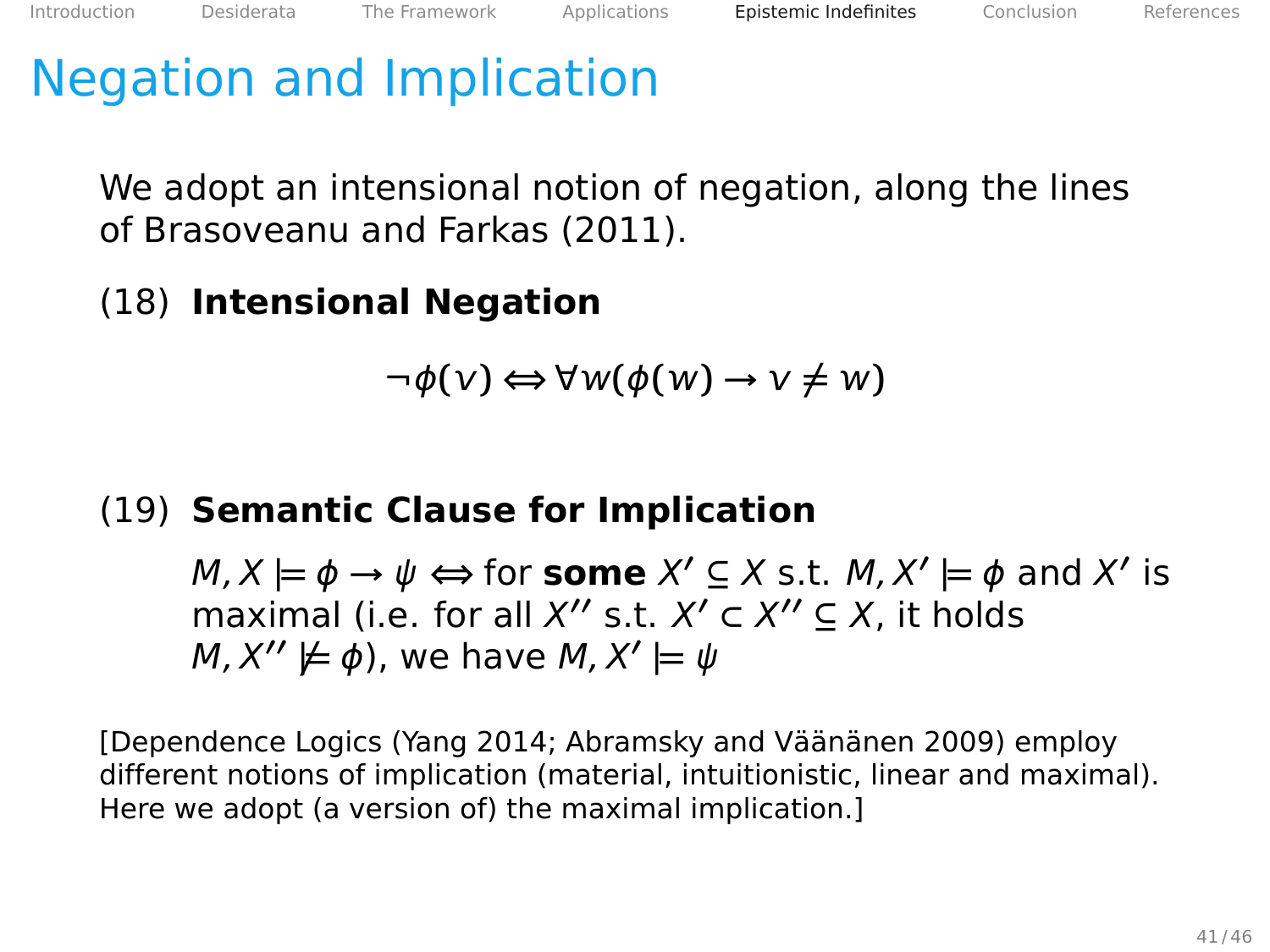### Negation and Implication

We adopt an intensional notion of negation, along the lines of Brasoveanu and Farkas [\(2011\)](#page-106-2).

#### (18) **Intensional Negation**

$$
\neg \phi(v) \Longleftrightarrow \forall w(\phi(w) \rightarrow v \neq w)
$$

#### (19) **Semantic Clause for Implication**

 $M, X \models \phi \rightarrow \psi \Leftrightarrow$  for **some**  $X' \subseteq X$  s.t.  $M, X' \models \phi$  and  $X'$  is maximal (i.e. for all  $X''$  s.t.  $X' \subset X'' \subseteq X$ , it holds  $M, X'' \not\models \phi$ ), we have  $M, X' \models \psi$ 

[Dependence Logics (Yang [2014;](#page-108-0) Abramsky and Väänänen [2009\)](#page-106-3) employ different notions of implication (material, intuitionistic, linear and maximal). Here we adopt (a version of) the maximal implication.]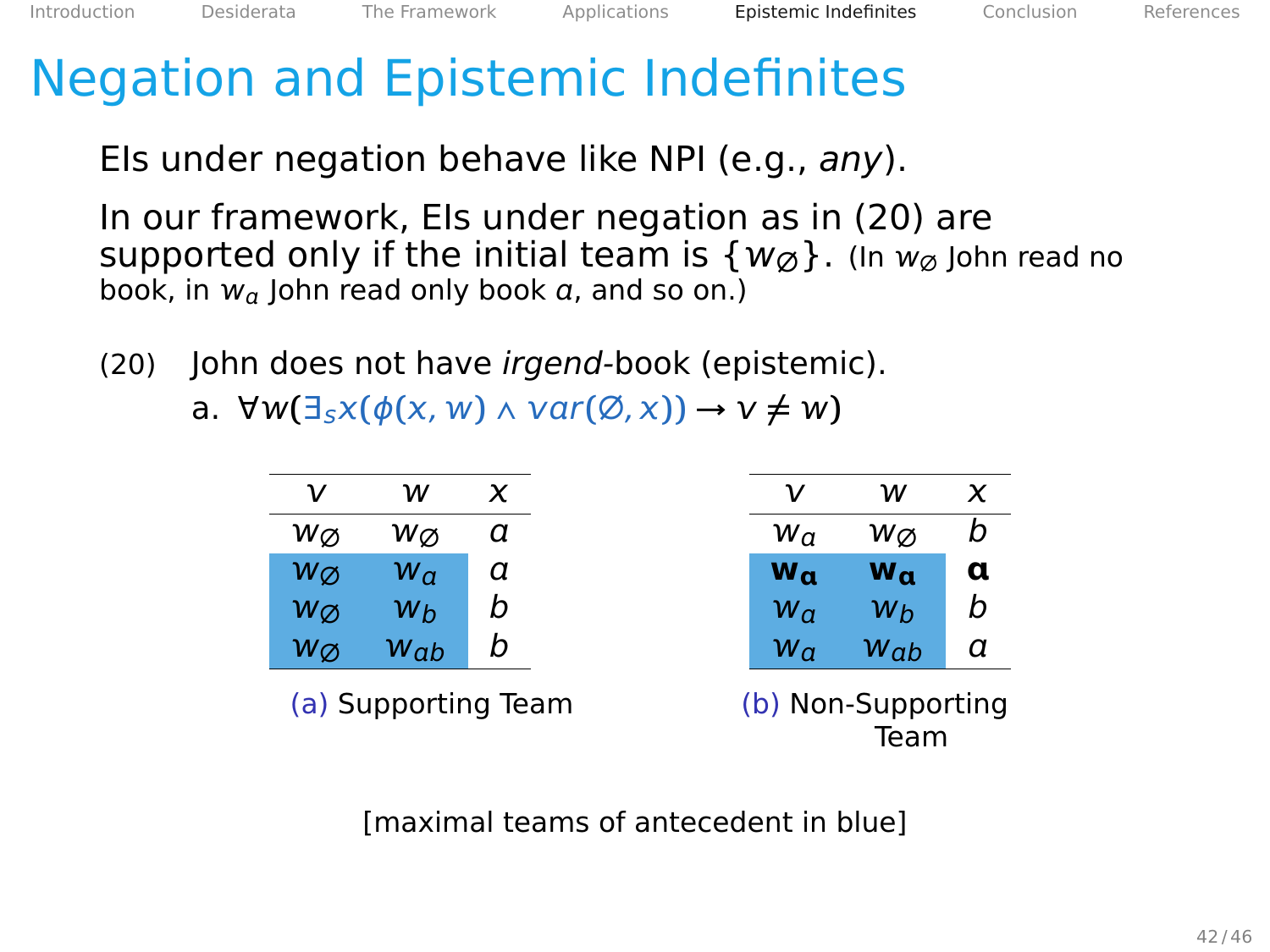## <span id="page-100-0"></span>Negation and Epistemic Indefinites

EIs under negation behave like NPI (e.g., any).

In our framework, EIs under negation as in (20) are supported only if the initial team is  $\{w_{\emptyset}\}\$ . (In  $w_{\emptyset}$  John read no book, in  $w_a$  John read only book  $a$ , and so on.)

- (20) John does not have irgend-book (epistemic).
	- a.  $\forall w(\exists s x(\phi(x, w) \land \text{var}(\emptyset, x)) \rightarrow v \neq w)$

| ν                 | w              | x                   | ν            | w                          | x |
|-------------------|----------------|---------------------|--------------|----------------------------|---|
| Wα                | Wα             | а                   | $W_{\alpha}$ | Wα                         | b |
| $w_{\varnothing}$ | $W_{\alpha}$   | а                   | $W_{\alpha}$ | $W_{\alpha}$               | α |
| WØ                | W <sub>b</sub> | b                   | $W_{\alpha}$ | Wh                         | b |
| $w_{\varnothing}$ | Wab            | b                   | $W_{\alpha}$ | Wab                        | а |
|                   |                | (a) Supporting Team |              | (b) Non-Supporting<br>Team |   |

[maximal teams of antecedent in blue]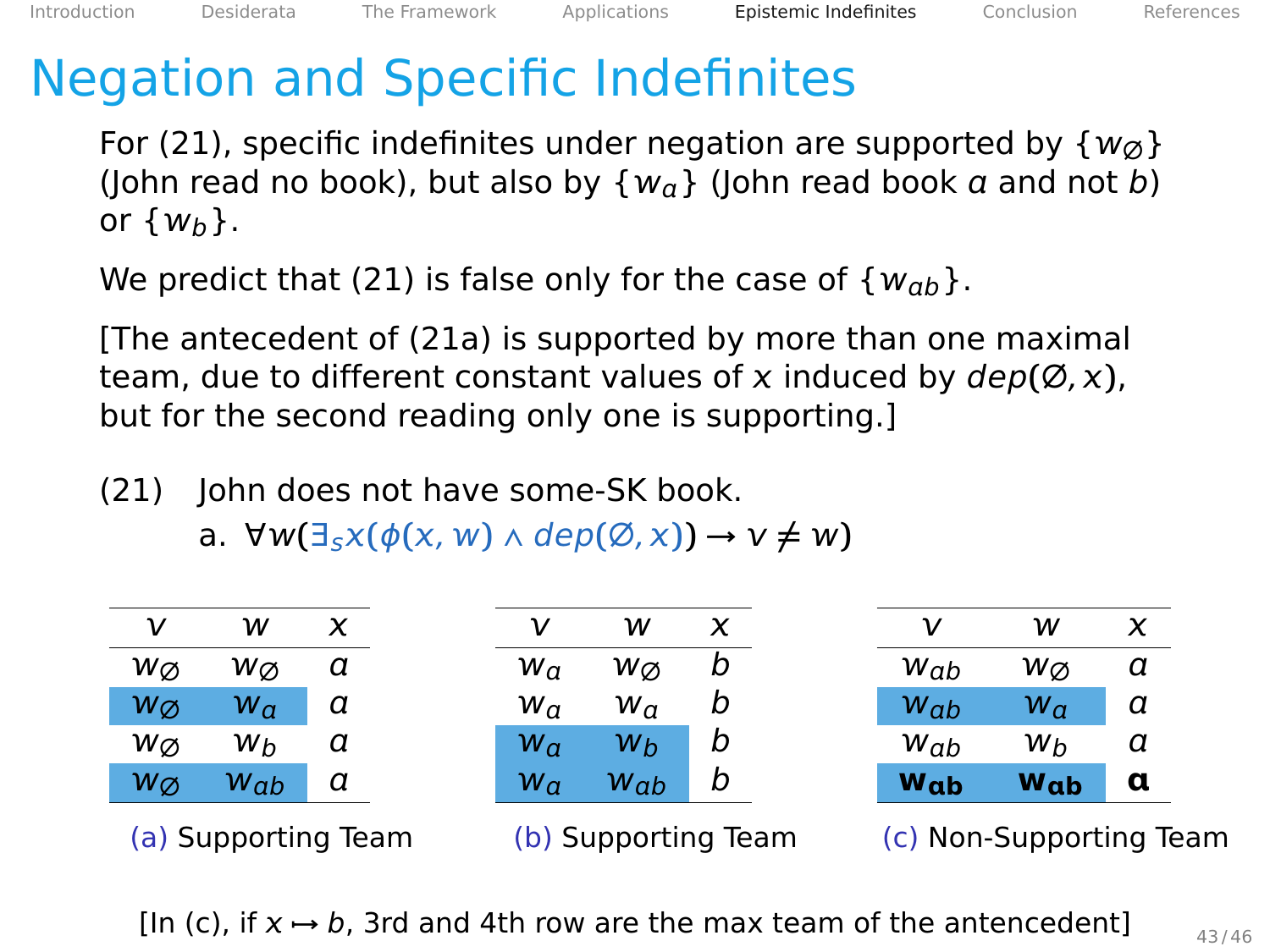## <span id="page-101-0"></span>Negation and Specific Indefinites

For (21), specific indefinites under negation are supported by  $\{w_{\emptyset}\}\$ (John read no book), but also by  $\{w_a\}$  (John read book a and not b) or  $\{w_h\}$ .

We predict that (21) is false only for the case of  $\{w_{ab}\}.$ 

[The antecedent of (21a) is supported by more than one maximal team, due to different constant values of x induced by  $dep(Ø, x)$ , but for the second reading only one is supporting.]

(21) John does not have some-SK book.

a.  $\forall w(\exists_{5}x(\phi(x, w) \land \text{dep}(\emptyset, x)) \rightarrow v \neq w)$ 

| ν                   | w           | x |  |                     | w            | x                       | ν               | w            |   |
|---------------------|-------------|---|--|---------------------|--------------|-------------------------|-----------------|--------------|---|
| Wα                  | Wα          | a |  | $w_{a}$             | Wα           |                         | Wab             | Wσ           | а |
| $w_{\emptyset}$     | ${\sf w}_a$ | а |  | $w_{a}$             | $w_{\alpha}$ |                         | $W_{ab}$        | $w_{\alpha}$ | а |
| wø                  | Wh          | a |  | $w_{a}$             | Wb           | b                       | Wab             | Wh           | а |
| $w_{\emptyset}$     | Wab         | а |  | $w_{a}$             | Wab          | b                       | W <sub>ab</sub> | $w_{ab}$     | α |
| (a) Supporting Team |             |   |  | (b) Supporting Team |              | (c) Non-Supporting Team |                 |              |   |

[In (c), if  $x \mapsto b$ , 3rd and 4th row are the max team of the antencedent]  $\frac{43/46}{43/46}$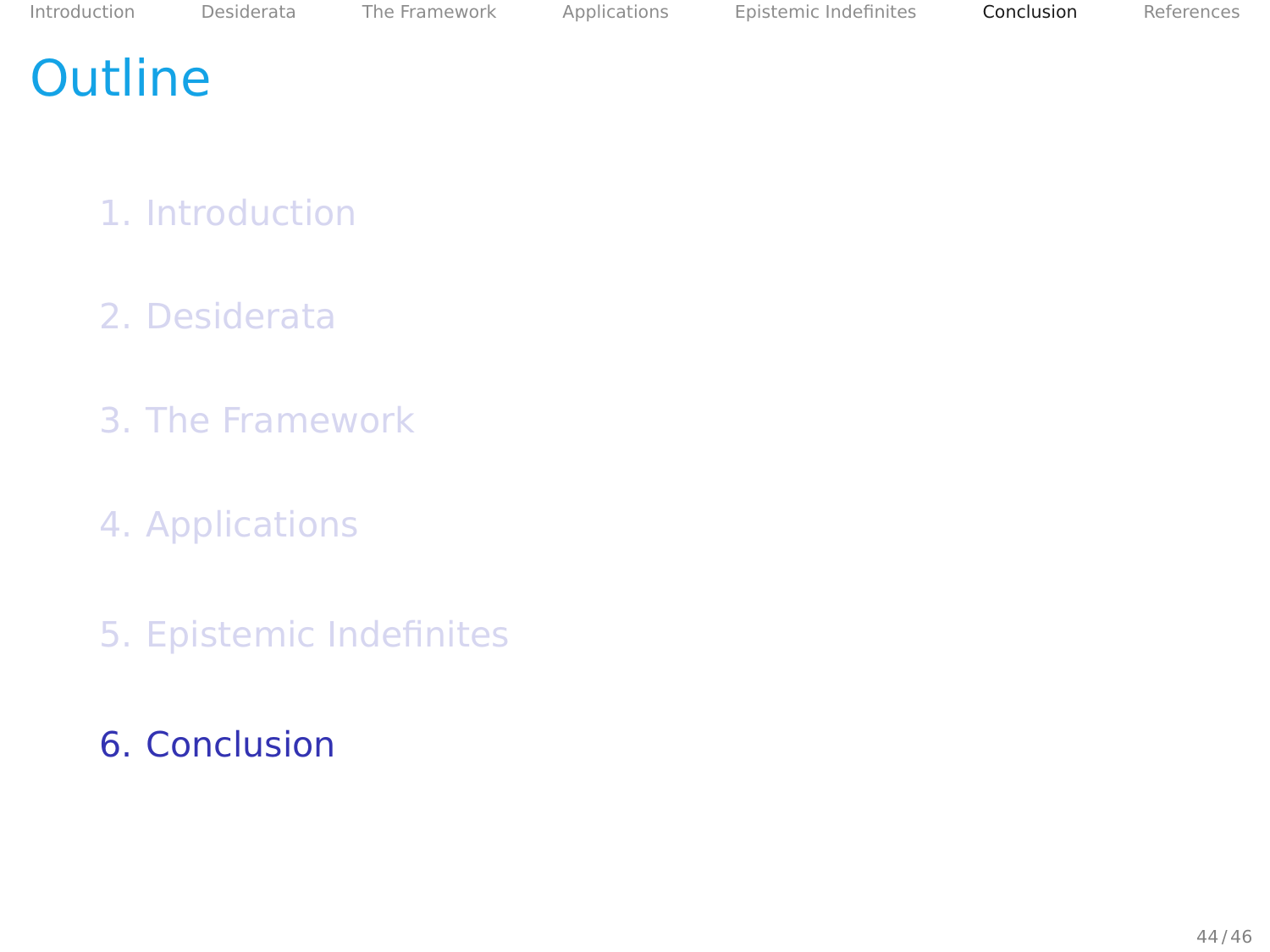#### <span id="page-102-0"></span>**Outline**

- 1. [Introduction](#page-2-0)
- 2. [Desiderata](#page-14-0)
- 3. [The Framework](#page-25-0)
- 4. [Applications](#page-47-0)
- 5. [Epistemic Indefinites](#page-86-0)
- 6. [Conclusion](#page-102-0)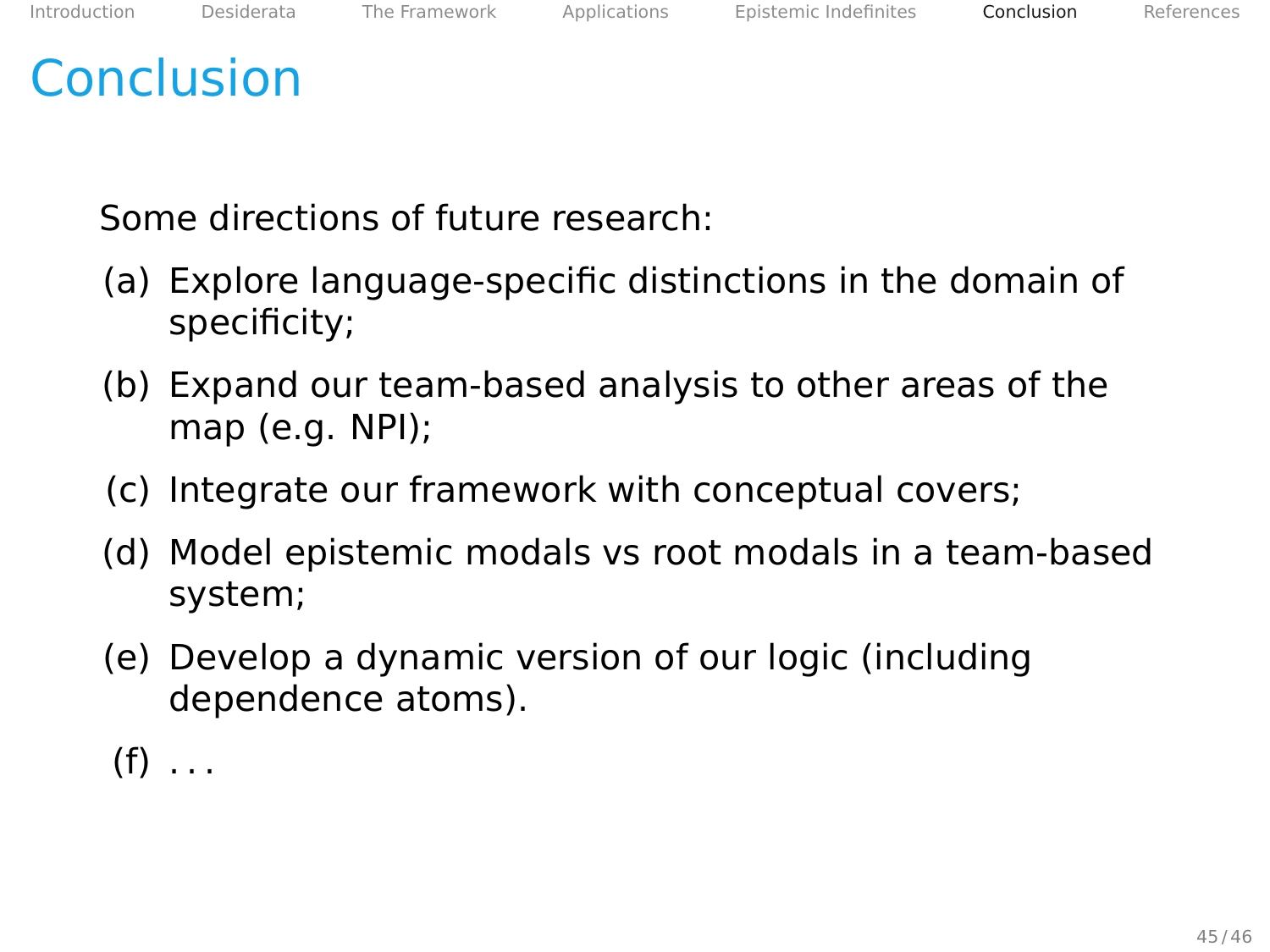#### Conclusion

Some directions of future research:

- (a) Explore language-specific distinctions in the domain of specificity;
- (b) Expand our team-based analysis to other areas of the map (e.g. NPI);
- (c) Integrate our framework with conceptual covers;
- (d) Model epistemic modals vs root modals in a team-based system;
- (e) Develop a dynamic version of our logic (including dependence atoms).
- $(f)$ ...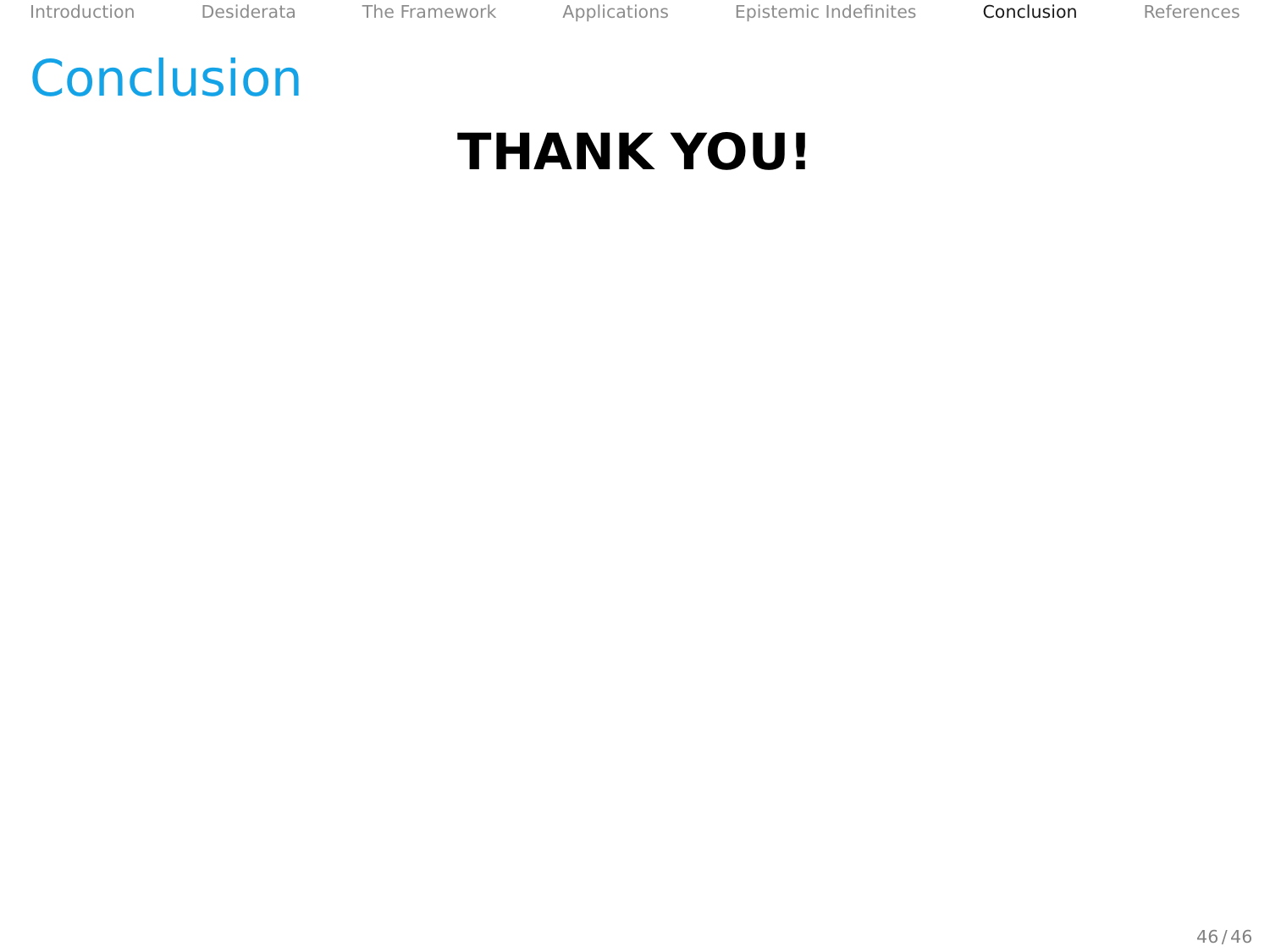[Introduction](#page-2-0) [Desiderata](#page-14-0) [The Framework](#page-25-0) [Applications](#page-47-0) [Epistemic Indefinites](#page-86-0) [Conclusion](#page-102-0) [References](#page-106-0)

#### **Conclusion**

# **THANK YOU!**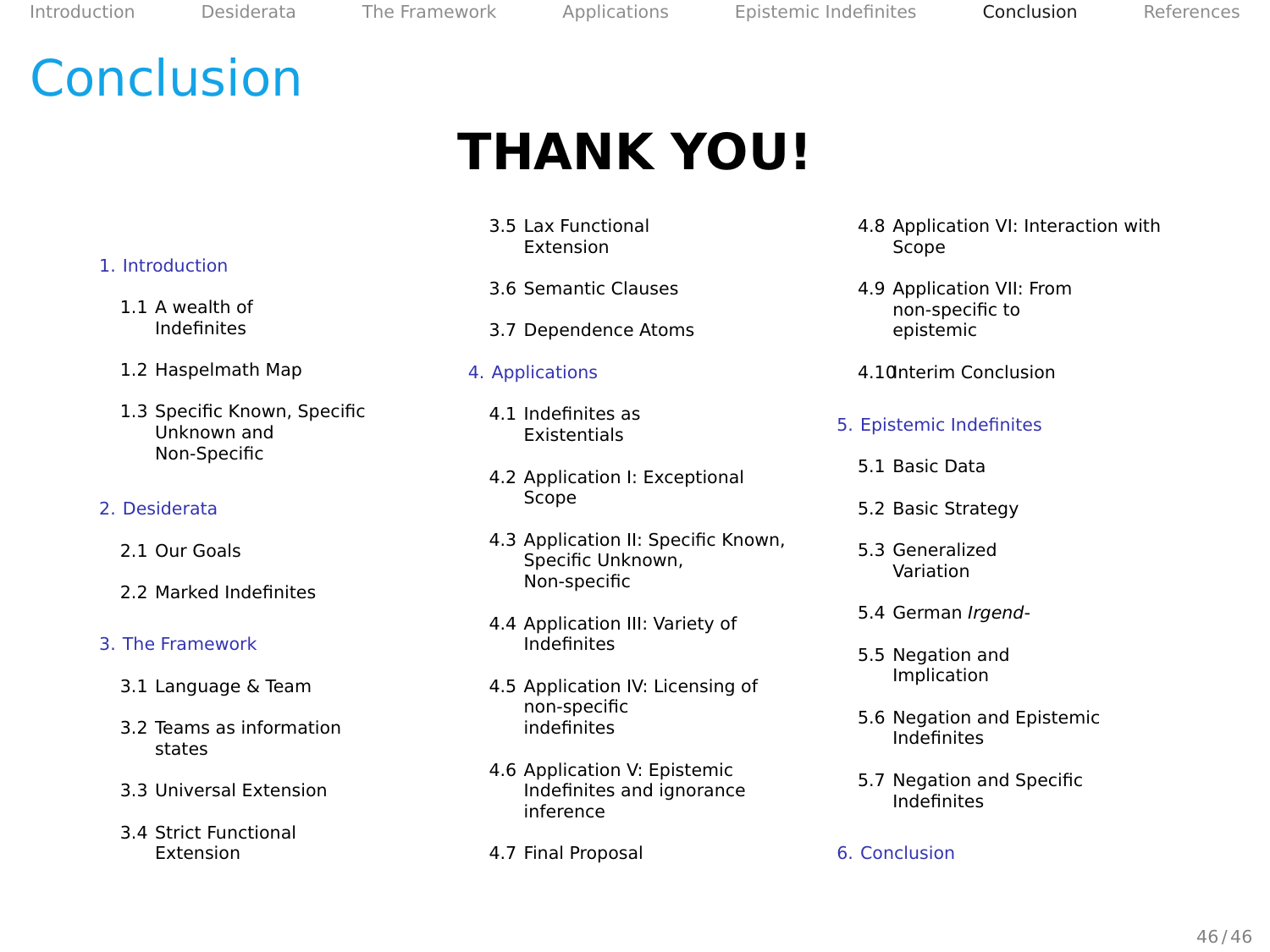[Introduction](#page-2-0) [Desiderata](#page-14-0) [The Framework](#page-25-0) [Applications](#page-47-0) [Epistemic Indefinites](#page-86-0) [Conclusion](#page-102-0) [References](#page-106-0)

#### Conclusion

# **THANK YOU!**

- 3.5 [Lax Functional](#page-38-0) [Extension](#page-38-0)
- 3.6 [Semantic Clauses](#page-39-0)
- 3.7 [Dependence Atoms](#page-40-0)
- 4. [Applications](#page-47-0)
	- 4.1 [Indefinites as](#page-48-0) [Existentials](#page-48-0)
	- 4.2 [Application I: Exceptional](#page-52-0) [Scope](#page-52-0)
	- 4.3 [Application II: Specific Known,](#page-54-0) [Specific Unknown,](#page-54-0) [Non-specific](#page-54-0)
	- 4.4 [Application III: Variety of](#page-58-0) [Indefinites](#page-58-0)
	- 4.5 [Application IV: Licensing of](#page-61-0) [non-specific](#page-61-0) [indefinites](#page-61-0)
	- 4.6 [Application V: Epistemic](#page-68-0) [Indefinites and ignorance](#page-68-0) [inference](#page-68-0)
	- 4.7 [Final Proposal](#page-71-0)
- 4.8 [Application VI: Interaction with](#page-76-0) [Scope](#page-76-0)
- 4.9 [Application VII: From](#page-78-0) [non-specific to](#page-78-0) [epistemic](#page-78-0)
- 4.1[0Interim Conclusion](#page-85-0)
- 5. [Epistemic Indefinites](#page-86-0)
	- 5.1 [Basic Data](#page-87-0)
	- 5.2 [Basic Strategy](#page-88-0)
	- 5.3 [Generalized](#page-92-0) [Variation](#page-92-0)
	- 5.4 [German](#page-95-0) Irgend-
	- 5.5 [Negation and](#page-98-0) [Implication](#page-98-0)
	- 5.6 [Negation and Epistemic](#page-100-0) [Indefinites](#page-100-0)
	- 5.7 [Negation and Specific](#page-101-0) [Indefinites](#page-101-0)
- 6. [Conclusion](#page-102-0)

#### 1. [Introduction](#page-2-0)

- 1.1 [A wealth of](#page-3-0) [Indefinites](#page-3-0)
- 1.2 [Haspelmath Map](#page-6-0)
- 1.3 [Specific Known, Specific](#page-7-0) [Unknown and](#page-7-0) [Non-Specific](#page-7-0)

#### 2. [Desiderata](#page-14-0)

- 2.1 [Our Goals](#page-15-0)
- 2.2 [Marked Indefinites](#page-18-0)

#### 3. [The Framework](#page-25-0)

- 3.1 [Language & Team](#page-26-0)
- 3.2 [Teams as information](#page-30-0) [states](#page-30-0)
- 3.3 [Universal Extension](#page-36-0)
- 3.4 [Strict Functional](#page-37-0) [Extension](#page-37-0)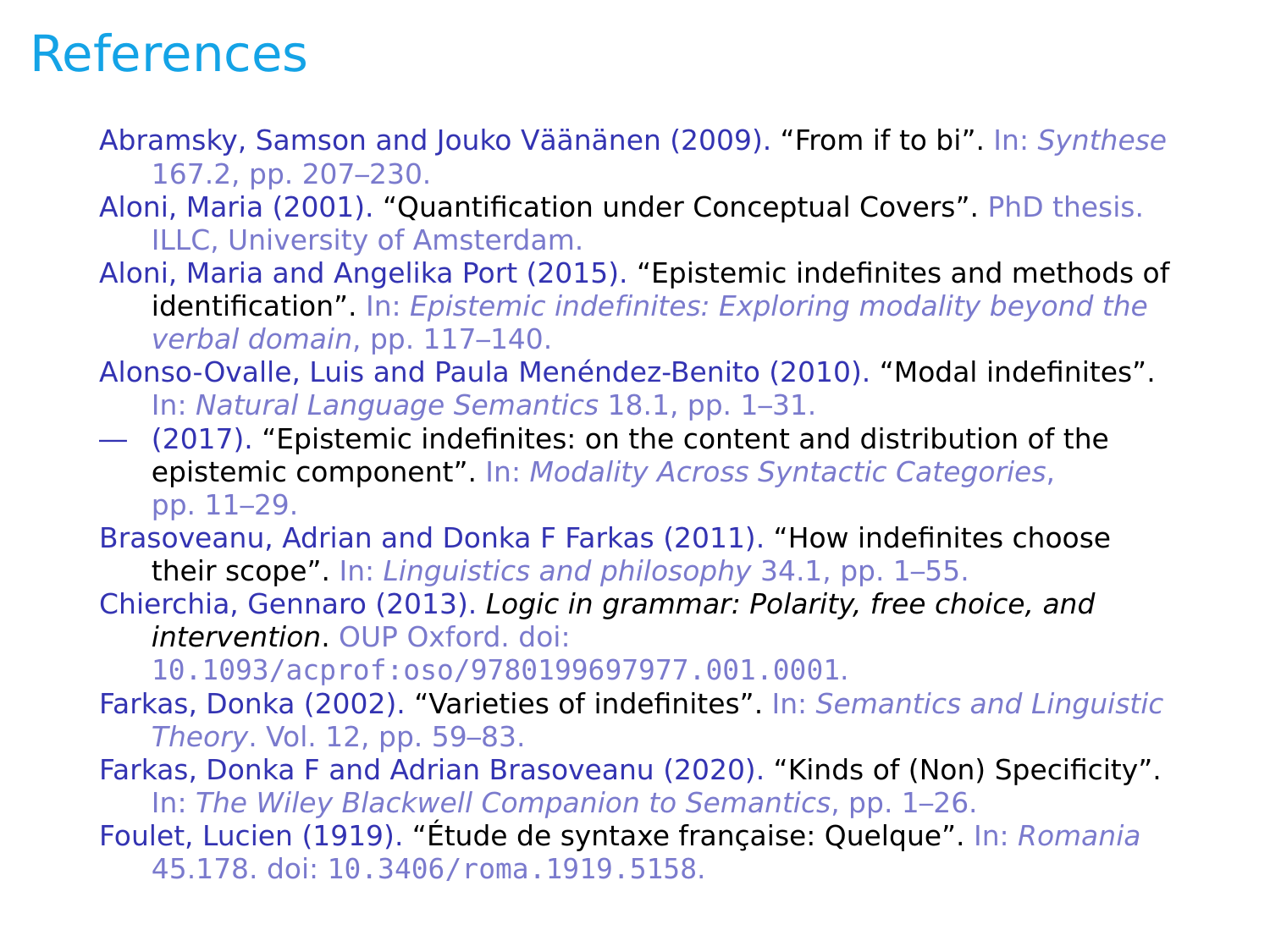### <span id="page-106-0"></span>**References**

- <span id="page-106-3"></span>Abramsky, Samson and Jouko Väänänen (2009). "From if to bi". In: Synthese 167.2, pp. 207–230.
- Aloni, Maria (2001). "Quantification under Conceptual Covers". PhD thesis. ILLC, University of Amsterdam.
- Aloni, Maria and Angelika Port (2015). "Epistemic indefinites and methods of identification". In: Epistemic indefinites: Exploring modality beyond the verbal domain, pp. 117–140.
- Alonso-Ovalle, Luis and Paula Menéndez-Benito (2010). "Modal indefinites". In: Natural Language Semantics 18.1, pp. 1–31.
- (2017). "Epistemic indefinites: on the content and distribution of the epistemic component". In: Modality Across Syntactic Categories, pp. 11–29.

<span id="page-106-2"></span>Brasoveanu, Adrian and Donka F Farkas (2011). "How indefinites choose their scope". In: Linguistics and philosophy 34.1, pp. 1–55.

Chierchia, Gennaro (2013). Logic in grammar: Polarity, free choice, and intervention. OUP Oxford. doi:

[10.1093/acprof:oso/9780199697977.001.0001](https://doi.org/10.1093/acprof:oso/9780199697977.001.0001).

- Farkas, Donka (2002). "Varieties of indefinites". In: Semantics and Linguistic Theory. Vol. 12, pp. 59–83.
- Farkas, Donka F and Adrian Brasoveanu (2020). "Kinds of (Non) Specificity". In: The Wiley Blackwell Companion to Semantics, pp. 1–26.
- <span id="page-106-1"></span>Foulet, Lucien (1919). "Étude de syntaxe française: Quelque". In: Romania 45.178. doi: [10.3406/roma.1919.5158](https://doi.org/10.3406/roma.1919.5158).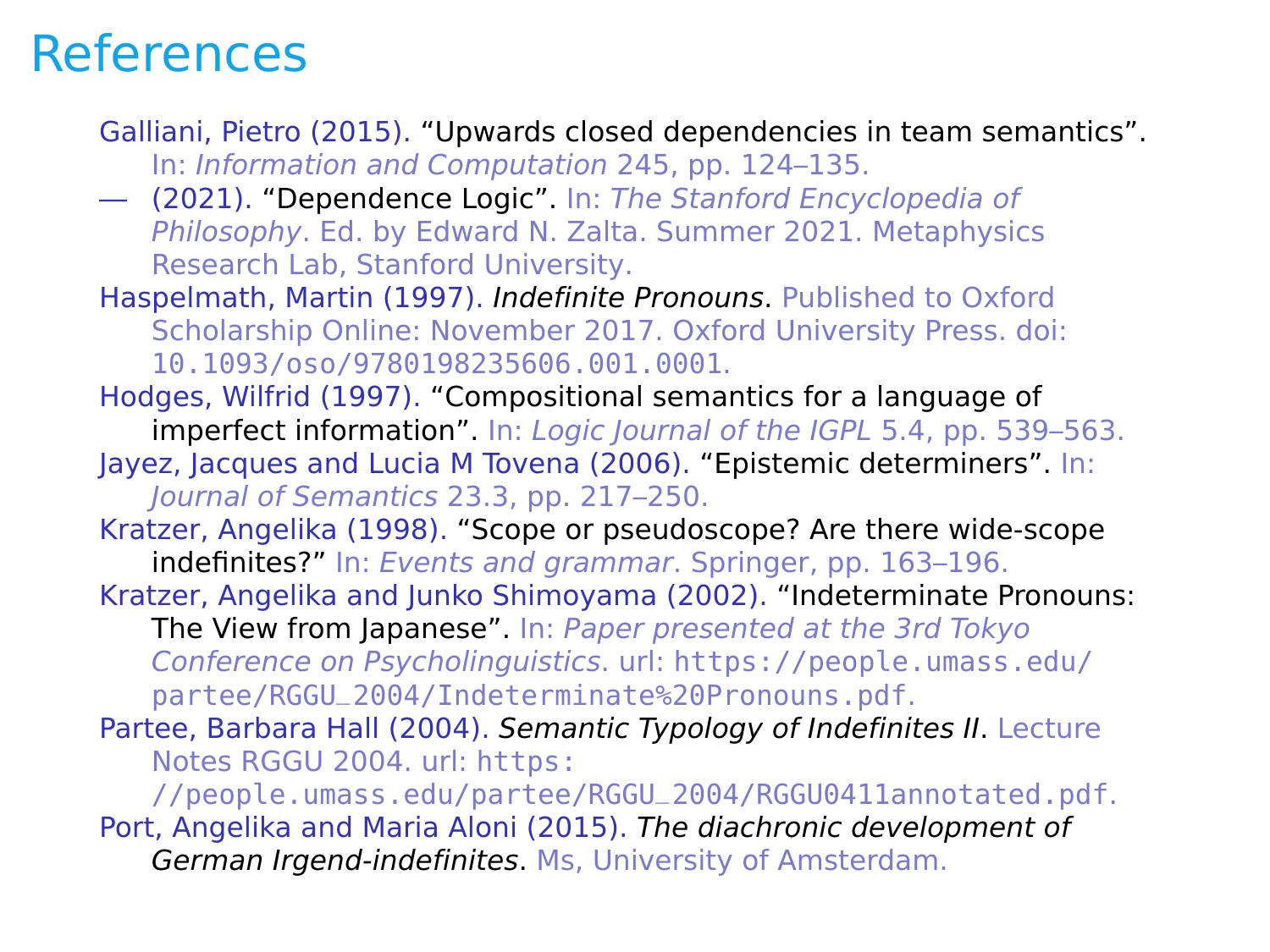#### **References**

Galliani, Pietro (2015). "Upwards closed dependencies in team semantics". In: Information and Computation 245, pp. 124–135.

— (2021). "Dependence Logic". In: The Stanford Encyclopedia of Philosophy. Ed. by Edward N. Zalta. Summer 2021. Metaphysics Research Lab, Stanford University.

<span id="page-107-2"></span>Haspelmath, Martin (1997). Indefinite Pronouns. Published to Oxford Scholarship Online: November 2017. Oxford University Press. doi: [10.1093/oso/9780198235606.001.0001](https://doi.org/10.1093/oso/9780198235606.001.0001).

Hodges, Wilfrid (1997). "Compositional semantics for a language of imperfect information". In: Logic Journal of the IGPL 5.4, pp. 539-563.

Jayez, Jacques and Lucia M Tovena (2006). "Epistemic determiners". In: Journal of Semantics 23.3, pp. 217–250.

Kratzer, Angelika (1998). "Scope or pseudoscope? Are there wide-scope indefinites?" In: Events and grammar. Springer, pp. 163–196.

Kratzer, Angelika and Junko Shimoyama (2002). "Indeterminate Pronouns: The View from Japanese". In: Paper presented at the 3rd Tokyo Conference on Psycholinguistics. url: [https://people.umass.edu/](https://people.umass.edu/partee/RGGU_2004/Indeterminate%20Pronouns.pdf) [partee/RGGU\\_2004/Indeterminate%20Pronouns.pdf](https://people.umass.edu/partee/RGGU_2004/Indeterminate%20Pronouns.pdf).

<span id="page-107-0"></span>Partee, Barbara Hall (2004). Semantic Typology of Indefinites II. Lecture Notes RGGU 2004. url: https:

<span id="page-107-1"></span>[//people.umass.edu/partee/RGGU\\_2004/RGGU0411annotated.pdf](https://people.umass.edu/partee/RGGU_2004/RGGU0411annotated.pdf). Port, Angelika and Maria Aloni (2015). The diachronic development of German Irgend-indefinites. Ms, University of Amsterdam.